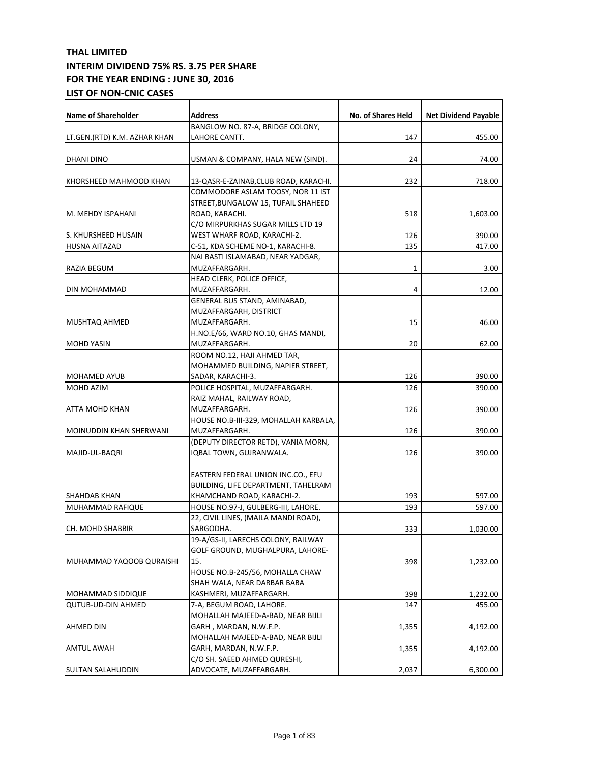| <b>Name of Shareholder</b>     | <b>Address</b>                        | No. of Shares Held | <b>Net Dividend Payable</b> |
|--------------------------------|---------------------------------------|--------------------|-----------------------------|
|                                | BANGLOW NO. 87-A, BRIDGE COLONY,      |                    |                             |
| LT.GEN.(RTD) K.M. AZHAR KHAN   | LAHORE CANTT.                         | 147                | 455.00                      |
|                                |                                       |                    |                             |
| DHANI DINO                     | USMAN & COMPANY, HALA NEW (SIND).     | 24                 | 74.00                       |
|                                |                                       |                    |                             |
| KHORSHEED MAHMOOD KHAN         | 13-QASR-E-ZAINAB, CLUB ROAD, KARACHI. | 232                | 718.00                      |
|                                | COMMODORE ASLAM TOOSY, NOR 11 IST     |                    |                             |
|                                | STREET,BUNGALOW 15, TUFAIL SHAHEED    |                    |                             |
| M. MEHDY ISPAHANI              | ROAD, KARACHI.                        | 518                | 1,603.00                    |
|                                | C/O MIRPURKHAS SUGAR MILLS LTD 19     |                    |                             |
| S. KHURSHEED HUSAIN            | WEST WHARF ROAD, KARACHI-2.           | 126                | 390.00                      |
| HUSNA AITAZAD                  | C-51, KDA SCHEME NO-1, KARACHI-8.     | 135                | 417.00                      |
|                                | NAI BASTI ISLAMABAD, NEAR YADGAR,     |                    |                             |
| RAZIA BEGUM                    | MUZAFFARGARH.                         | 1                  | 3.00                        |
|                                | HEAD CLERK, POLICE OFFICE,            |                    |                             |
| DIN MOHAMMAD                   | MUZAFFARGARH.                         | 4                  | 12.00                       |
|                                | GENERAL BUS STAND, AMINABAD,          |                    |                             |
|                                | MUZAFFARGARH, DISTRICT                |                    |                             |
| <b>MUSHTAQ AHMED</b>           | MUZAFFARGARH.                         | 15                 | 46.00                       |
|                                | H.NO.E/66, WARD NO.10, GHAS MANDI,    |                    |                             |
| <b>MOHD YASIN</b>              | MUZAFFARGARH.                         | 20                 | 62.00                       |
|                                | ROOM NO.12, HAJI AHMED TAR,           |                    |                             |
|                                | MOHAMMED BUILDING, NAPIER STREET,     |                    |                             |
| <b>MOHAMED AYUB</b>            | SADAR, KARACHI-3.                     | 126                | 390.00                      |
| MOHD AZIM                      | POLICE HOSPITAL, MUZAFFARGARH.        | 126                | 390.00                      |
|                                | RAIZ MAHAL, RAILWAY ROAD,             |                    |                             |
| <b>ATTA MOHD KHAN</b>          | MUZAFFARGARH.                         | 126                | 390.00                      |
|                                | HOUSE NO.B-III-329, MOHALLAH KARBALA, |                    |                             |
| <b>MOINUDDIN KHAN SHERWANI</b> | MUZAFFARGARH.                         | 126                | 390.00                      |
|                                | (DEPUTY DIRECTOR RETD), VANIA MORN,   |                    |                             |
| MAJID-UL-BAQRI                 | IQBAL TOWN, GUJRANWALA.               | 126                | 390.00                      |
|                                |                                       |                    |                             |
|                                | EASTERN FEDERAL UNION INC.CO., EFU    |                    |                             |
|                                | BUILDING, LIFE DEPARTMENT, TAHELRAM   |                    |                             |
| <b>SHAHDAB KHAN</b>            | KHAMCHAND ROAD, KARACHI-2.            | 193                | 597.00                      |
| MUHAMMAD RAFIQUE               | HOUSE NO.97-J, GULBERG-III, LAHORE.   | 193                | 597.00                      |
|                                | 22, CIVIL LINES, (MAILA MANDI ROAD),  |                    |                             |
| <b>CH. MOHD SHABBIR</b>        | SARGODHA.                             | 333                | 1,030.00                    |
|                                | 19-A/GS-II, LARECHS COLONY, RAILWAY   |                    |                             |
|                                | GOLF GROUND, MUGHALPURA, LAHORE-      |                    |                             |
| MUHAMMAD YAQOOB QURAISHI       | 15.                                   | 398                | 1,232.00                    |
|                                | HOUSE NO.B-245/56, MOHALLA CHAW       |                    |                             |
|                                | SHAH WALA, NEAR DARBAR BABA           |                    |                             |
| MOHAMMAD SIDDIQUE              | KASHMERI, MUZAFFARGARH.               | 398                | 1,232.00                    |
| <b>QUTUB-UD-DIN AHMED</b>      | 7-A, BEGUM ROAD, LAHORE.              | 147                | 455.00                      |
|                                | MOHALLAH MAJEED-A-BAD, NEAR BIJLI     |                    |                             |
| AHMED DIN                      | GARH , MARDAN, N.W.F.P.               | 1,355              | 4,192.00                    |
|                                | MOHALLAH MAJEED-A-BAD, NEAR BIJLI     |                    |                             |
| AMTUL AWAH                     | GARH, MARDAN, N.W.F.P.                | 1,355              | 4,192.00                    |
|                                | C/O SH. SAEED AHMED QURESHI,          |                    |                             |
| <b>SULTAN SALAHUDDIN</b>       | ADVOCATE, MUZAFFARGARH.               | 2,037              | 6,300.00                    |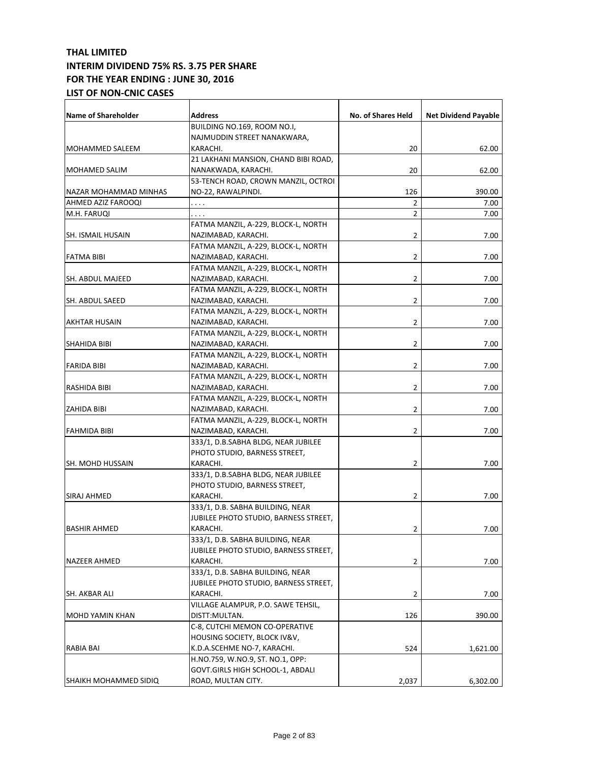| <b>Name of Shareholder</b> | <b>Address</b>                        | No. of Shares Held | <b>Net Dividend Payable</b> |
|----------------------------|---------------------------------------|--------------------|-----------------------------|
|                            | BUILDING NO.169, ROOM NO.I,           |                    |                             |
|                            | NAJMUDDIN STREET NANAKWARA,           |                    |                             |
| MOHAMMED SALEEM            | KARACHI.                              | 20                 | 62.00                       |
|                            | 21 LAKHANI MANSION, CHAND BIBI ROAD,  |                    |                             |
| MOHAMED SALIM              | NANAKWADA, KARACHI.                   | 20                 | 62.00                       |
|                            | 53-TENCH ROAD, CROWN MANZIL, OCTROI   |                    |                             |
| NAZAR MOHAMMAD MINHAS      | NO-22, RAWALPINDI.                    | 126                | 390.00                      |
| AHMED AZIZ FAROOQI         | .                                     | 2                  | 7.00                        |
| M.H. FARUQI                | .                                     | 2                  | 7.00                        |
|                            | FATMA MANZIL, A-229, BLOCK-L, NORTH   |                    |                             |
| SH. ISMAIL HUSAIN          | NAZIMABAD, KARACHI.                   | 2                  | 7.00                        |
|                            | FATMA MANZIL, A-229, BLOCK-L, NORTH   |                    |                             |
| <b>FATMA BIBI</b>          | NAZIMABAD, KARACHI.                   | 2                  | 7.00                        |
|                            | FATMA MANZIL, A-229, BLOCK-L, NORTH   |                    |                             |
| SH. ABDUL MAJEED           | NAZIMABAD, KARACHI.                   | 2                  | 7.00                        |
|                            | FATMA MANZIL, A-229, BLOCK-L, NORTH   |                    |                             |
| SH. ABDUL SAEED            | NAZIMABAD, KARACHI.                   | 2                  | 7.00                        |
|                            | FATMA MANZIL, A-229, BLOCK-L, NORTH   |                    |                             |
| AKHTAR HUSAIN              | NAZIMABAD, KARACHI.                   | 2                  | 7.00                        |
|                            | FATMA MANZIL, A-229, BLOCK-L, NORTH   |                    |                             |
| SHAHIDA BIBI               | NAZIMABAD, KARACHI.                   | 2                  | 7.00                        |
|                            | FATMA MANZIL, A-229, BLOCK-L, NORTH   |                    |                             |
| FARIDA BIBI                | NAZIMABAD, KARACHI.                   | 2                  | 7.00                        |
|                            | FATMA MANZIL, A-229, BLOCK-L, NORTH   |                    |                             |
| RASHIDA BIBI               | NAZIMABAD, KARACHI.                   | 2                  | 7.00                        |
|                            | FATMA MANZIL, A-229, BLOCK-L, NORTH   |                    |                             |
| ZAHIDA BIBI                | NAZIMABAD, KARACHI.                   | 2                  | 7.00                        |
|                            | FATMA MANZIL, A-229, BLOCK-L, NORTH   |                    |                             |
| <b>FAHMIDA BIBI</b>        | NAZIMABAD, KARACHI.                   | 2                  | 7.00                        |
|                            | 333/1, D.B.SABHA BLDG, NEAR JUBILEE   |                    |                             |
|                            | PHOTO STUDIO, BARNESS STREET,         |                    |                             |
| SH. MOHD HUSSAIN           | KARACHI.                              | 2                  | 7.00                        |
|                            | 333/1, D.B.SABHA BLDG, NEAR JUBILEE   |                    |                             |
|                            | PHOTO STUDIO, BARNESS STREET,         |                    |                             |
| SIRAJ AHMED                | KARACHI.                              | 2                  | 7.00                        |
|                            | 333/1, D.B. SABHA BUILDING, NEAR      |                    |                             |
|                            | JUBILEE PHOTO STUDIO, BARNESS STREET, |                    |                             |
| <b>BASHIR AHMED</b>        | KARACHI.                              | 2                  | 7.00                        |
|                            | 333/1, D.B. SABHA BUILDING, NEAR      |                    |                             |
|                            | JUBILEE PHOTO STUDIO, BARNESS STREET, |                    |                             |
| <b>NAZEER AHMED</b>        | KARACHI.                              | 2                  | 7.00                        |
|                            | 333/1, D.B. SABHA BUILDING, NEAR      |                    |                             |
|                            | JUBILEE PHOTO STUDIO, BARNESS STREET, |                    |                             |
| SH. AKBAR ALI              | KARACHI.                              | 2                  | 7.00                        |
|                            | VILLAGE ALAMPUR, P.O. SAWE TEHSIL,    |                    |                             |
| MOHD YAMIN KHAN            | DISTT:MULTAN.                         | 126                | 390.00                      |
|                            | C-8, CUTCHI MEMON CO-OPERATIVE        |                    |                             |
|                            | HOUSING SOCIETY, BLOCK IV&V,          |                    |                             |
| RABIA BAI                  | K.D.A.SCEHME NO-7, KARACHI.           | 524                | 1,621.00                    |
|                            | H.NO.759, W.NO.9, ST. NO.1, OPP:      |                    |                             |
|                            | GOVT.GIRLS HIGH SCHOOL-1, ABDALI      |                    |                             |
| SHAIKH MOHAMMED SIDIQ      | ROAD, MULTAN CITY.                    | 2,037              | 6,302.00                    |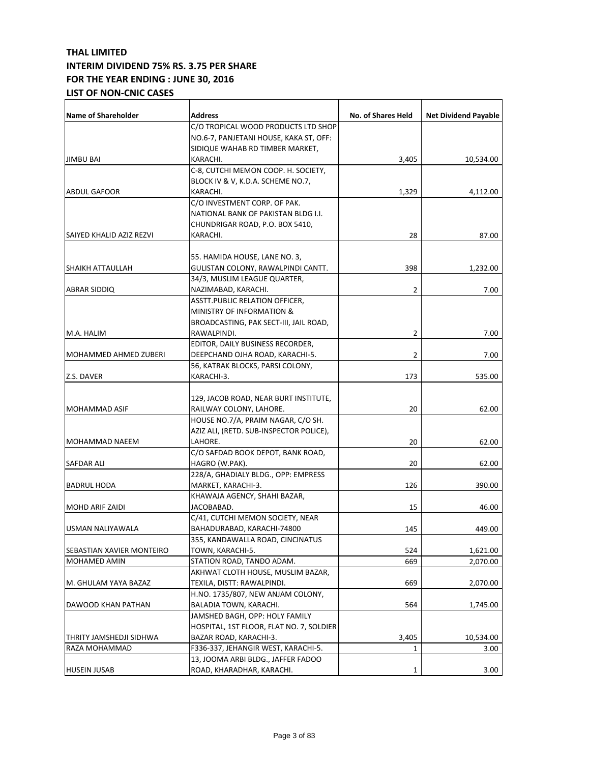| C/O TROPICAL WOOD PRODUCTS LTD SHOP<br>NO.6-7, PANJETANI HOUSE, KAKA ST, OFF:<br>SIDIQUE WAHAB RD TIMBER MARKET,<br><b>JIMBU BAI</b><br>KARACHI.<br>3,405<br>C-8, CUTCHI MEMON COOP. H. SOCIETY,<br>BLOCK IV & V, K.D.A. SCHEME NO.7,<br><b>ABDUL GAFOOR</b><br>KARACHI.<br>1,329<br>C/O INVESTMENT CORP. OF PAK.<br>NATIONAL BANK OF PAKISTAN BLDG I.I.<br>CHUNDRIGAR ROAD, P.O. BOX 5410,<br>28<br>KARACHI.<br>SAIYED KHALID AZIZ REZVI<br>55. HAMIDA HOUSE, LANE NO. 3,<br>398<br><b>SHAIKH ATTAULLAH</b><br>GULISTAN COLONY, RAWALPINDI CANTT.<br>34/3, MUSLIM LEAGUE QUARTER,<br><b>ABRAR SIDDIQ</b><br>NAZIMABAD, KARACHI.<br>2<br><b>ASSTT.PUBLIC RELATION OFFICER,</b><br>MINISTRY OF INFORMATION &<br>BROADCASTING, PAK SECT-III, JAIL ROAD,<br>2<br>M.A. HALIM<br>RAWALPINDI.<br>EDITOR, DAILY BUSINESS RECORDER,<br>MOHAMMED AHMED ZUBERI<br>DEEPCHAND OJHA ROAD, KARACHI-5.<br>2<br>56, KATRAK BLOCKS, PARSI COLONY,<br>Z.S. DAVER<br>KARACHI-3.<br>173<br>129, JACOB ROAD, NEAR BURT INSTITUTE,<br>RAILWAY COLONY, LAHORE.<br>20<br>MOHAMMAD ASIF<br>HOUSE NO.7/A, PRAIM NAGAR, C/O SH.<br>AZIZ ALI, (RETD. SUB-INSPECTOR POLICE),<br>LAHORE.<br><b>MOHAMMAD NAEEM</b><br>20<br>C/O SAFDAD BOOK DEPOT, BANK ROAD,<br>20<br>HAGRO (W.PAK).<br>SAFDAR ALI<br>228/A, GHADIALY BLDG., OPP: EMPRESS<br>MARKET, KARACHI-3.<br>126<br><b>BADRUL HODA</b> | <b>Name of Shareholder</b> | <b>Address</b> | No. of Shares Held | <b>Net Dividend Payable</b> |
|----------------------------------------------------------------------------------------------------------------------------------------------------------------------------------------------------------------------------------------------------------------------------------------------------------------------------------------------------------------------------------------------------------------------------------------------------------------------------------------------------------------------------------------------------------------------------------------------------------------------------------------------------------------------------------------------------------------------------------------------------------------------------------------------------------------------------------------------------------------------------------------------------------------------------------------------------------------------------------------------------------------------------------------------------------------------------------------------------------------------------------------------------------------------------------------------------------------------------------------------------------------------------------------------------------------------------------------------------------------|----------------------------|----------------|--------------------|-----------------------------|
|                                                                                                                                                                                                                                                                                                                                                                                                                                                                                                                                                                                                                                                                                                                                                                                                                                                                                                                                                                                                                                                                                                                                                                                                                                                                                                                                                                |                            |                |                    |                             |
|                                                                                                                                                                                                                                                                                                                                                                                                                                                                                                                                                                                                                                                                                                                                                                                                                                                                                                                                                                                                                                                                                                                                                                                                                                                                                                                                                                |                            |                |                    |                             |
|                                                                                                                                                                                                                                                                                                                                                                                                                                                                                                                                                                                                                                                                                                                                                                                                                                                                                                                                                                                                                                                                                                                                                                                                                                                                                                                                                                |                            |                |                    |                             |
|                                                                                                                                                                                                                                                                                                                                                                                                                                                                                                                                                                                                                                                                                                                                                                                                                                                                                                                                                                                                                                                                                                                                                                                                                                                                                                                                                                |                            |                |                    | 10,534.00                   |
|                                                                                                                                                                                                                                                                                                                                                                                                                                                                                                                                                                                                                                                                                                                                                                                                                                                                                                                                                                                                                                                                                                                                                                                                                                                                                                                                                                |                            |                |                    |                             |
|                                                                                                                                                                                                                                                                                                                                                                                                                                                                                                                                                                                                                                                                                                                                                                                                                                                                                                                                                                                                                                                                                                                                                                                                                                                                                                                                                                |                            |                |                    |                             |
|                                                                                                                                                                                                                                                                                                                                                                                                                                                                                                                                                                                                                                                                                                                                                                                                                                                                                                                                                                                                                                                                                                                                                                                                                                                                                                                                                                |                            |                |                    | 4,112.00                    |
|                                                                                                                                                                                                                                                                                                                                                                                                                                                                                                                                                                                                                                                                                                                                                                                                                                                                                                                                                                                                                                                                                                                                                                                                                                                                                                                                                                |                            |                |                    |                             |
|                                                                                                                                                                                                                                                                                                                                                                                                                                                                                                                                                                                                                                                                                                                                                                                                                                                                                                                                                                                                                                                                                                                                                                                                                                                                                                                                                                |                            |                |                    |                             |
|                                                                                                                                                                                                                                                                                                                                                                                                                                                                                                                                                                                                                                                                                                                                                                                                                                                                                                                                                                                                                                                                                                                                                                                                                                                                                                                                                                |                            |                |                    |                             |
|                                                                                                                                                                                                                                                                                                                                                                                                                                                                                                                                                                                                                                                                                                                                                                                                                                                                                                                                                                                                                                                                                                                                                                                                                                                                                                                                                                |                            |                |                    | 87.00                       |
|                                                                                                                                                                                                                                                                                                                                                                                                                                                                                                                                                                                                                                                                                                                                                                                                                                                                                                                                                                                                                                                                                                                                                                                                                                                                                                                                                                |                            |                |                    |                             |
|                                                                                                                                                                                                                                                                                                                                                                                                                                                                                                                                                                                                                                                                                                                                                                                                                                                                                                                                                                                                                                                                                                                                                                                                                                                                                                                                                                |                            |                |                    |                             |
|                                                                                                                                                                                                                                                                                                                                                                                                                                                                                                                                                                                                                                                                                                                                                                                                                                                                                                                                                                                                                                                                                                                                                                                                                                                                                                                                                                |                            |                |                    | 1,232.00                    |
|                                                                                                                                                                                                                                                                                                                                                                                                                                                                                                                                                                                                                                                                                                                                                                                                                                                                                                                                                                                                                                                                                                                                                                                                                                                                                                                                                                |                            |                |                    |                             |
|                                                                                                                                                                                                                                                                                                                                                                                                                                                                                                                                                                                                                                                                                                                                                                                                                                                                                                                                                                                                                                                                                                                                                                                                                                                                                                                                                                |                            |                |                    | 7.00                        |
|                                                                                                                                                                                                                                                                                                                                                                                                                                                                                                                                                                                                                                                                                                                                                                                                                                                                                                                                                                                                                                                                                                                                                                                                                                                                                                                                                                |                            |                |                    |                             |
|                                                                                                                                                                                                                                                                                                                                                                                                                                                                                                                                                                                                                                                                                                                                                                                                                                                                                                                                                                                                                                                                                                                                                                                                                                                                                                                                                                |                            |                |                    |                             |
|                                                                                                                                                                                                                                                                                                                                                                                                                                                                                                                                                                                                                                                                                                                                                                                                                                                                                                                                                                                                                                                                                                                                                                                                                                                                                                                                                                |                            |                |                    |                             |
|                                                                                                                                                                                                                                                                                                                                                                                                                                                                                                                                                                                                                                                                                                                                                                                                                                                                                                                                                                                                                                                                                                                                                                                                                                                                                                                                                                |                            |                |                    | 7.00                        |
|                                                                                                                                                                                                                                                                                                                                                                                                                                                                                                                                                                                                                                                                                                                                                                                                                                                                                                                                                                                                                                                                                                                                                                                                                                                                                                                                                                |                            |                |                    |                             |
|                                                                                                                                                                                                                                                                                                                                                                                                                                                                                                                                                                                                                                                                                                                                                                                                                                                                                                                                                                                                                                                                                                                                                                                                                                                                                                                                                                |                            |                |                    | 7.00                        |
|                                                                                                                                                                                                                                                                                                                                                                                                                                                                                                                                                                                                                                                                                                                                                                                                                                                                                                                                                                                                                                                                                                                                                                                                                                                                                                                                                                |                            |                |                    |                             |
|                                                                                                                                                                                                                                                                                                                                                                                                                                                                                                                                                                                                                                                                                                                                                                                                                                                                                                                                                                                                                                                                                                                                                                                                                                                                                                                                                                |                            |                |                    | 535.00                      |
|                                                                                                                                                                                                                                                                                                                                                                                                                                                                                                                                                                                                                                                                                                                                                                                                                                                                                                                                                                                                                                                                                                                                                                                                                                                                                                                                                                |                            |                |                    |                             |
|                                                                                                                                                                                                                                                                                                                                                                                                                                                                                                                                                                                                                                                                                                                                                                                                                                                                                                                                                                                                                                                                                                                                                                                                                                                                                                                                                                |                            |                |                    |                             |
|                                                                                                                                                                                                                                                                                                                                                                                                                                                                                                                                                                                                                                                                                                                                                                                                                                                                                                                                                                                                                                                                                                                                                                                                                                                                                                                                                                |                            |                |                    | 62.00                       |
|                                                                                                                                                                                                                                                                                                                                                                                                                                                                                                                                                                                                                                                                                                                                                                                                                                                                                                                                                                                                                                                                                                                                                                                                                                                                                                                                                                |                            |                |                    |                             |
|                                                                                                                                                                                                                                                                                                                                                                                                                                                                                                                                                                                                                                                                                                                                                                                                                                                                                                                                                                                                                                                                                                                                                                                                                                                                                                                                                                |                            |                |                    |                             |
|                                                                                                                                                                                                                                                                                                                                                                                                                                                                                                                                                                                                                                                                                                                                                                                                                                                                                                                                                                                                                                                                                                                                                                                                                                                                                                                                                                |                            |                |                    | 62.00                       |
|                                                                                                                                                                                                                                                                                                                                                                                                                                                                                                                                                                                                                                                                                                                                                                                                                                                                                                                                                                                                                                                                                                                                                                                                                                                                                                                                                                |                            |                |                    |                             |
|                                                                                                                                                                                                                                                                                                                                                                                                                                                                                                                                                                                                                                                                                                                                                                                                                                                                                                                                                                                                                                                                                                                                                                                                                                                                                                                                                                |                            |                |                    | 62.00                       |
|                                                                                                                                                                                                                                                                                                                                                                                                                                                                                                                                                                                                                                                                                                                                                                                                                                                                                                                                                                                                                                                                                                                                                                                                                                                                                                                                                                |                            |                |                    |                             |
|                                                                                                                                                                                                                                                                                                                                                                                                                                                                                                                                                                                                                                                                                                                                                                                                                                                                                                                                                                                                                                                                                                                                                                                                                                                                                                                                                                |                            |                |                    | 390.00                      |
| KHAWAJA AGENCY, SHAHI BAZAR,                                                                                                                                                                                                                                                                                                                                                                                                                                                                                                                                                                                                                                                                                                                                                                                                                                                                                                                                                                                                                                                                                                                                                                                                                                                                                                                                   |                            |                |                    |                             |
| 15<br>JACOBABAD.<br>MOHD ARIF ZAIDI                                                                                                                                                                                                                                                                                                                                                                                                                                                                                                                                                                                                                                                                                                                                                                                                                                                                                                                                                                                                                                                                                                                                                                                                                                                                                                                            |                            |                |                    | 46.00                       |
| C/41, CUTCHI MEMON SOCIETY, NEAR                                                                                                                                                                                                                                                                                                                                                                                                                                                                                                                                                                                                                                                                                                                                                                                                                                                                                                                                                                                                                                                                                                                                                                                                                                                                                                                               |                            |                |                    |                             |
| BAHADURABAD, KARACHI-74800<br>145<br>USMAN NALIYAWALA                                                                                                                                                                                                                                                                                                                                                                                                                                                                                                                                                                                                                                                                                                                                                                                                                                                                                                                                                                                                                                                                                                                                                                                                                                                                                                          |                            |                |                    | 449.00                      |
| 355, KANDAWALLA ROAD, CINCINATUS                                                                                                                                                                                                                                                                                                                                                                                                                                                                                                                                                                                                                                                                                                                                                                                                                                                                                                                                                                                                                                                                                                                                                                                                                                                                                                                               |                            |                |                    |                             |
| TOWN, KARACHI-5.<br>524<br>SEBASTIAN XAVIER MONTEIRO                                                                                                                                                                                                                                                                                                                                                                                                                                                                                                                                                                                                                                                                                                                                                                                                                                                                                                                                                                                                                                                                                                                                                                                                                                                                                                           |                            |                |                    | 1,621.00                    |
| MOHAMED AMIN<br>STATION ROAD, TANDO ADAM.<br>669                                                                                                                                                                                                                                                                                                                                                                                                                                                                                                                                                                                                                                                                                                                                                                                                                                                                                                                                                                                                                                                                                                                                                                                                                                                                                                               |                            |                |                    | 2,070.00                    |
| AKHWAT CLOTH HOUSE, MUSLIM BAZAR,                                                                                                                                                                                                                                                                                                                                                                                                                                                                                                                                                                                                                                                                                                                                                                                                                                                                                                                                                                                                                                                                                                                                                                                                                                                                                                                              |                            |                |                    |                             |
| M. GHULAM YAYA BAZAZ<br>TEXILA, DISTT: RAWALPINDI.<br>669                                                                                                                                                                                                                                                                                                                                                                                                                                                                                                                                                                                                                                                                                                                                                                                                                                                                                                                                                                                                                                                                                                                                                                                                                                                                                                      |                            |                |                    | 2,070.00                    |
| H.NO. 1735/807, NEW ANJAM COLONY,                                                                                                                                                                                                                                                                                                                                                                                                                                                                                                                                                                                                                                                                                                                                                                                                                                                                                                                                                                                                                                                                                                                                                                                                                                                                                                                              |                            |                |                    |                             |
| BALADIA TOWN, KARACHI.<br>564<br>DAWOOD KHAN PATHAN                                                                                                                                                                                                                                                                                                                                                                                                                                                                                                                                                                                                                                                                                                                                                                                                                                                                                                                                                                                                                                                                                                                                                                                                                                                                                                            |                            |                |                    | 1,745.00                    |
| JAMSHED BAGH, OPP: HOLY FAMILY                                                                                                                                                                                                                                                                                                                                                                                                                                                                                                                                                                                                                                                                                                                                                                                                                                                                                                                                                                                                                                                                                                                                                                                                                                                                                                                                 |                            |                |                    |                             |
| HOSPITAL, 1ST FLOOR, FLAT NO. 7, SOLDIER                                                                                                                                                                                                                                                                                                                                                                                                                                                                                                                                                                                                                                                                                                                                                                                                                                                                                                                                                                                                                                                                                                                                                                                                                                                                                                                       |                            |                |                    |                             |
| BAZAR ROAD, KARACHI-3.<br>3,405<br>THRITY JAMSHEDJI SIDHWA                                                                                                                                                                                                                                                                                                                                                                                                                                                                                                                                                                                                                                                                                                                                                                                                                                                                                                                                                                                                                                                                                                                                                                                                                                                                                                     |                            |                |                    | 10,534.00                   |
| RAZA MOHAMMAD<br>F336-337, JEHANGIR WEST, KARACHI-5.<br>$\mathbf{1}$                                                                                                                                                                                                                                                                                                                                                                                                                                                                                                                                                                                                                                                                                                                                                                                                                                                                                                                                                                                                                                                                                                                                                                                                                                                                                           |                            |                |                    | 3.00                        |
| 13, JOOMA ARBI BLDG., JAFFER FADOO                                                                                                                                                                                                                                                                                                                                                                                                                                                                                                                                                                                                                                                                                                                                                                                                                                                                                                                                                                                                                                                                                                                                                                                                                                                                                                                             |                            |                |                    |                             |
| <b>HUSEIN JUSAB</b><br>ROAD, KHARADHAR, KARACHI.<br>1                                                                                                                                                                                                                                                                                                                                                                                                                                                                                                                                                                                                                                                                                                                                                                                                                                                                                                                                                                                                                                                                                                                                                                                                                                                                                                          |                            |                |                    | 3.00                        |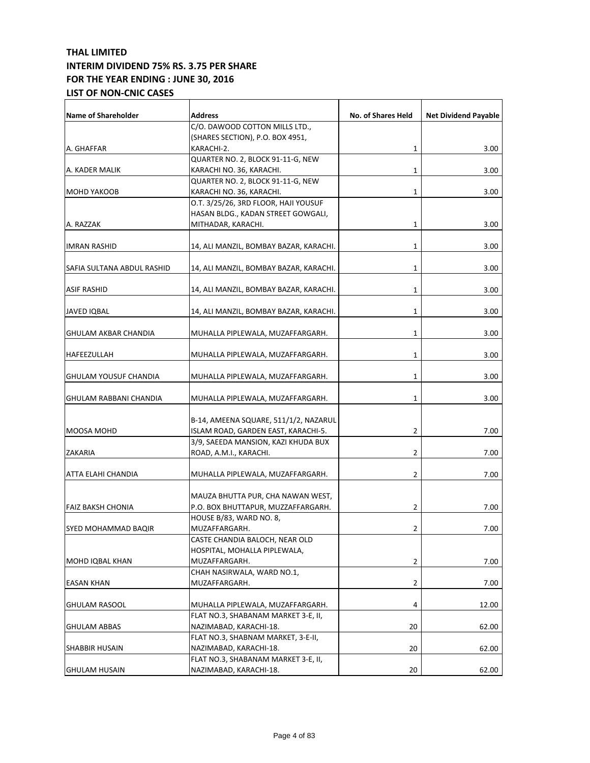| <b>Name of Shareholder</b>   | <b>Address</b>                         | No. of Shares Held | <b>Net Dividend Payable</b> |
|------------------------------|----------------------------------------|--------------------|-----------------------------|
|                              | C/O. DAWOOD COTTON MILLS LTD.,         |                    |                             |
|                              | (SHARES SECTION), P.O. BOX 4951,       |                    |                             |
|                              |                                        |                    |                             |
| A. GHAFFAR                   | KARACHI-2.                             | 1                  | 3.00                        |
|                              | QUARTER NO. 2, BLOCK 91-11-G, NEW      |                    |                             |
| A. KADER MALIK               | KARACHI NO. 36, KARACHI.               | 1                  | 3.00                        |
|                              | QUARTER NO. 2, BLOCK 91-11-G, NEW      |                    |                             |
| <b>MOHD YAKOOB</b>           | KARACHI NO. 36, KARACHI.               | 1                  | 3.00                        |
|                              | O.T. 3/25/26, 3RD FLOOR, HAJI YOUSUF   |                    |                             |
|                              | HASAN BLDG., KADAN STREET GOWGALI,     |                    |                             |
| A. RAZZAK                    | MITHADAR, KARACHI.                     | 1                  | 3.00                        |
| <b>IMRAN RASHID</b>          | 14, ALI MANZIL, BOMBAY BAZAR, KARACHI. | 1                  | 3.00                        |
|                              |                                        |                    |                             |
| SAFIA SULTANA ABDUL RASHID   | 14, ALI MANZIL, BOMBAY BAZAR, KARACHI. | 1                  | 3.00                        |
|                              |                                        |                    |                             |
| <b>ASIF RASHID</b>           | 14, ALI MANZIL, BOMBAY BAZAR, KARACHI. | 1                  | 3.00                        |
| JAVED IQBAL                  |                                        | 1                  |                             |
|                              | 14, ALI MANZIL, BOMBAY BAZAR, KARACHI. |                    | 3.00                        |
| <b>GHULAM AKBAR CHANDIA</b>  | MUHALLA PIPLEWALA, MUZAFFARGARH.       | 1                  | 3.00                        |
|                              |                                        |                    |                             |
| HAFEEZULLAH                  | MUHALLA PIPLEWALA, MUZAFFARGARH.       | 1                  | 3.00                        |
|                              |                                        |                    |                             |
| <b>GHULAM YOUSUF CHANDIA</b> | MUHALLA PIPLEWALA, MUZAFFARGARH.       | 1                  | 3.00                        |
| GHULAM RABBANI CHANDIA       | MUHALLA PIPLEWALA, MUZAFFARGARH.       | 1                  | 3.00                        |
|                              |                                        |                    |                             |
|                              | B-14, AMEENA SQUARE, 511/1/2, NAZARUL  |                    |                             |
| MOOSA MOHD                   | ISLAM ROAD, GARDEN EAST, KARACHI-5.    | 2                  | 7.00                        |
|                              | 3/9, SAEEDA MANSION, KAZI KHUDA BUX    |                    |                             |
| <b>ZAKARIA</b>               | ROAD, A.M.I., KARACHI.                 | 2                  | 7.00                        |
|                              |                                        |                    |                             |
| ATTA ELAHI CHANDIA           | MUHALLA PIPLEWALA, MUZAFFARGARH.       | 2                  | 7.00                        |
|                              |                                        |                    |                             |
|                              | MAUZA BHUTTA PUR, CHA NAWAN WEST,      |                    |                             |
| FAIZ BAKSH CHONIA            | P.O. BOX BHUTTAPUR, MUZZAFFARGARH.     | 2                  | 7.00                        |
|                              | HOUSE B/83, WARD NO. 8,                |                    |                             |
| <b>SYED MOHAMMAD BAQIR</b>   | MUZAFFARGARH.                          | 2                  | 7.00                        |
|                              | CASTE CHANDIA BALOCH, NEAR OLD         |                    |                             |
|                              | HOSPITAL, MOHALLA PIPLEWALA,           |                    |                             |
| MOHD IQBAL KHAN              | MUZAFFARGARH.                          | 2                  | 7.00                        |
|                              | CHAH NASIRWALA, WARD NO.1,             |                    |                             |
| EASAN KHAN                   | MUZAFFARGARH.                          | 2                  | 7.00                        |
|                              |                                        |                    |                             |
| <b>GHULAM RASOOL</b>         | MUHALLA PIPLEWALA, MUZAFFARGARH.       | 4                  | 12.00                       |
|                              | FLAT NO.3, SHABANAM MARKET 3-E, II,    |                    |                             |
| <b>GHULAM ABBAS</b>          | NAZIMABAD, KARACHI-18.                 | 20                 | 62.00                       |
|                              | FLAT NO.3, SHABNAM MARKET, 3-E-II,     |                    |                             |
| SHABBIR HUSAIN               | NAZIMABAD, KARACHI-18.                 | 20                 | 62.00                       |
|                              | FLAT NO.3, SHABANAM MARKET 3-E, II,    |                    |                             |
| <b>GHULAM HUSAIN</b>         | NAZIMABAD, KARACHI-18.                 | 20                 | 62.00                       |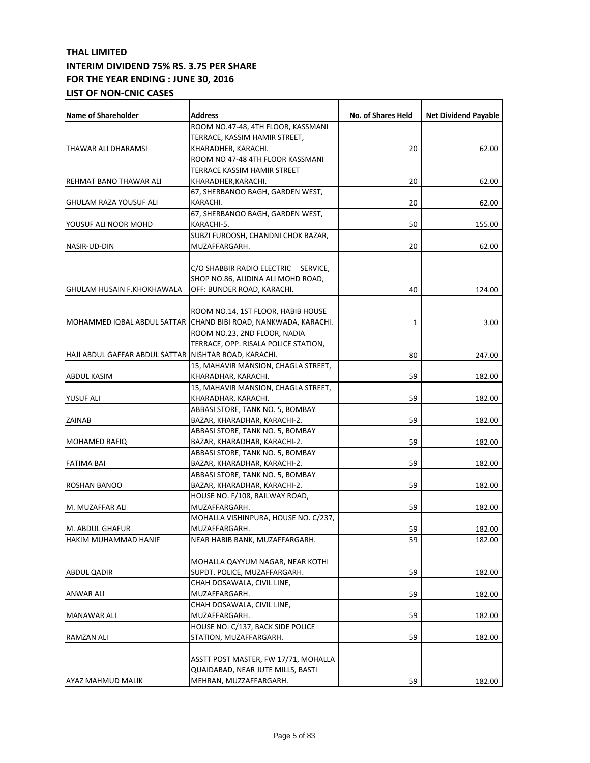| Name of Shareholder                                     | <b>Address</b>                                                   | No. of Shares Held | <b>Net Dividend Payable</b> |
|---------------------------------------------------------|------------------------------------------------------------------|--------------------|-----------------------------|
|                                                         | ROOM NO.47-48, 4TH FLOOR, KASSMANI                               |                    |                             |
|                                                         | TERRACE, KASSIM HAMIR STREET,                                    |                    |                             |
| THAWAR ALI DHARAMSI                                     | KHARADHER, KARACHI.                                              | 20                 | 62.00                       |
|                                                         | ROOM NO 47-48 4TH FLOOR KASSMANI                                 |                    |                             |
|                                                         | TERRACE KASSIM HAMIR STREET                                      |                    |                             |
| REHMAT BANO THAWAR ALI                                  | KHARADHER,KARACHI.                                               | 20                 | 62.00                       |
|                                                         | 67, SHERBANOO BAGH, GARDEN WEST,                                 |                    |                             |
| <b>GHULAM RAZA YOUSUF ALI</b>                           | KARACHI.                                                         | 20                 | 62.00                       |
|                                                         | 67, SHERBANOO BAGH, GARDEN WEST,                                 |                    |                             |
| YOUSUF ALI NOOR MOHD                                    | KARACHI-5.                                                       | 50                 | 155.00                      |
|                                                         | SUBZI FUROOSH, CHANDNI CHOK BAZAR,                               |                    |                             |
| NASIR-UD-DIN                                            | MUZAFFARGARH.                                                    | 20                 | 62.00                       |
|                                                         |                                                                  |                    |                             |
|                                                         |                                                                  |                    |                             |
|                                                         | C/O SHABBIR RADIO ELECTRIC SERVICE,                              |                    |                             |
|                                                         | SHOP NO.86, ALIDINA ALI MOHD ROAD,                               |                    |                             |
| <b>GHULAM HUSAIN F.KHOKHAWALA</b>                       | OFF: BUNDER ROAD, KARACHI.                                       | 40                 | 124.00                      |
|                                                         |                                                                  |                    |                             |
|                                                         | ROOM NO.14, 1ST FLOOR, HABIB HOUSE                               |                    |                             |
|                                                         | MOHAMMED IQBAL ABDUL SATTAR (CHAND BIBI ROAD, NANKWADA, KARACHI. | 1                  | 3.00                        |
|                                                         | ROOM NO.23, 2ND FLOOR, NADIA                                     |                    |                             |
|                                                         | TERRACE, OPP. RISALA POLICE STATION,                             |                    |                             |
| HAJI ABDUL GAFFAR ABDUL SATTAR   NISHTAR ROAD, KARACHI. |                                                                  | 80                 | 247.00                      |
|                                                         | 15, MAHAVIR MANSION, CHAGLA STREET,                              |                    |                             |
| <b>ABDUL KASIM</b>                                      | KHARADHAR, KARACHI.                                              | 59                 | 182.00                      |
|                                                         | 15, MAHAVIR MANSION, CHAGLA STREET,                              |                    |                             |
| <b>YUSUF ALI</b>                                        | KHARADHAR, KARACHI.                                              | 59                 | 182.00                      |
|                                                         | ABBASI STORE, TANK NO. 5, BOMBAY                                 |                    |                             |
| <b>ZAINAB</b>                                           | BAZAR, KHARADHAR, KARACHI-2.                                     | 59                 | 182.00                      |
|                                                         | ABBASI STORE, TANK NO. 5, BOMBAY                                 |                    |                             |
| <b>MOHAMED RAFIQ</b>                                    | BAZAR, KHARADHAR, KARACHI-2.                                     | 59                 | 182.00                      |
|                                                         | ABBASI STORE, TANK NO. 5, BOMBAY                                 |                    |                             |
| <b>FATIMA BAI</b>                                       | BAZAR, KHARADHAR, KARACHI-2.                                     | 59                 | 182.00                      |
|                                                         | ABBASI STORE, TANK NO. 5, BOMBAY                                 |                    |                             |
| ROSHAN BANOO                                            | BAZAR, KHARADHAR, KARACHI-2.                                     | 59                 | 182.00                      |
|                                                         | HOUSE NO. F/108, RAILWAY ROAD,                                   |                    |                             |
| M. MUZAFFAR ALI                                         | MUZAFFARGARH.                                                    | 59                 | 182.00                      |
|                                                         | MOHALLA VISHINPURA, HOUSE NO. C/237,                             |                    |                             |
| M. ABDUL GHAFUR                                         | MUZAFFARGARH.                                                    | 59                 | 182.00                      |
| HAKIM MUHAMMAD HANIF                                    | NEAR HABIB BANK, MUZAFFARGARH.                                   | 59                 | 182.00                      |
|                                                         |                                                                  |                    |                             |
|                                                         | MOHALLA QAYYUM NAGAR, NEAR KOTHI                                 |                    |                             |
| ABDUL QADIR                                             | SUPDT. POLICE, MUZAFFARGARH.                                     | 59                 | 182.00                      |
|                                                         | CHAH DOSAWALA, CIVIL LINE,                                       |                    |                             |
| ANWAR ALI                                               | MUZAFFARGARH.                                                    | 59                 | 182.00                      |
|                                                         | CHAH DOSAWALA, CIVIL LINE,                                       |                    |                             |
| MANAWAR ALI                                             | MUZAFFARGARH.                                                    | 59                 | 182.00                      |
|                                                         | HOUSE NO. C/137, BACK SIDE POLICE                                |                    |                             |
| RAMZAN ALI                                              | STATION, MUZAFFARGARH.                                           | 59                 | 182.00                      |
|                                                         |                                                                  |                    |                             |
|                                                         | ASSTT POST MASTER, FW 17/71, MOHALLA                             |                    |                             |
|                                                         | QUAIDABAD, NEAR JUTE MILLS, BASTI                                |                    |                             |
| AYAZ MAHMUD MALIK                                       | MEHRAN, MUZZAFFARGARH.                                           | 59                 | 182.00                      |
|                                                         |                                                                  |                    |                             |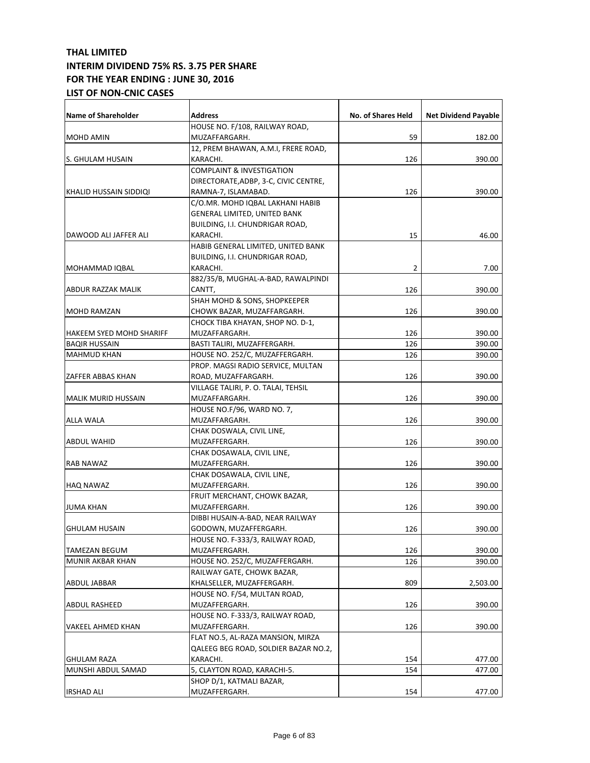| Name of Shareholder        | Address                               | No. of Shares Held | <b>Net Dividend Payable</b> |
|----------------------------|---------------------------------------|--------------------|-----------------------------|
|                            | HOUSE NO. F/108, RAILWAY ROAD,        |                    |                             |
| MOHD AMIN                  | MUZAFFARGARH.                         | 59                 | 182.00                      |
|                            | 12, PREM BHAWAN, A.M.I, FRERE ROAD,   |                    |                             |
| S. GHULAM HUSAIN           | KARACHI.                              | 126                | 390.00                      |
|                            | <b>COMPLAINT &amp; INVESTIGATION</b>  |                    |                             |
|                            | DIRECTORATE, ADBP, 3-C, CIVIC CENTRE, |                    |                             |
| KHALID HUSSAIN SIDDIQI     | RAMNA-7, ISLAMABAD.                   | 126                | 390.00                      |
|                            | C/O.MR. MOHD IQBAL LAKHANI HABIB      |                    |                             |
|                            | GENERAL LIMITED, UNITED BANK          |                    |                             |
|                            | BUILDING, I.I. CHUNDRIGAR ROAD,       |                    |                             |
| DAWOOD ALI JAFFER ALI      | KARACHI.                              | 15                 | 46.00                       |
|                            | HABIB GENERAL LIMITED, UNITED BANK    |                    |                             |
|                            | BUILDING, I.I. CHUNDRIGAR ROAD,       |                    |                             |
| MOHAMMAD IQBAL             | KARACHI.                              | 2                  | 7.00                        |
|                            | 882/35/B, MUGHAL-A-BAD, RAWALPINDI    |                    |                             |
| ABDUR RAZZAK MALIK         | CANTT,                                | 126                | 390.00                      |
|                            | SHAH MOHD & SONS, SHOPKEEPER          |                    |                             |
| MOHD RAMZAN                | CHOWK BAZAR, MUZAFFARGARH.            | 126                | 390.00                      |
|                            | CHOCK TIBA KHAYAN, SHOP NO. D-1,      |                    |                             |
| HAKEEM SYED MOHD SHARIFF   | MUZAFFARGARH.                         | 126                | 390.00                      |
| <b>BAQIR HUSSAIN</b>       | BASTI TALIRI, MUZAFFERGARH.           | 126                | 390.00                      |
| <b>MAHMUD KHAN</b>         | HOUSE NO. 252/C, MUZAFFERGARH.        | 126                | 390.00                      |
|                            | PROP. MAGSI RADIO SERVICE, MULTAN     |                    |                             |
| ZAFFER ABBAS KHAN          | ROAD, MUZAFFARGARH.                   | 126                | 390.00                      |
|                            | VILLAGE TALIRI, P. O. TALAI, TEHSIL   |                    |                             |
| <b>MALIK MURID HUSSAIN</b> | MUZAFFARGARH.                         | 126                | 390.00                      |
|                            | HOUSE NO.F/96, WARD NO. 7,            |                    |                             |
| <b>ALLA WALA</b>           | MUZAFFARGARH.                         | 126                | 390.00                      |
|                            | CHAK DOSWALA, CIVIL LINE,             |                    |                             |
| <b>ABDUL WAHID</b>         | MUZAFFERGARH.                         | 126                | 390.00                      |
|                            | CHAK DOSAWALA, CIVIL LINE,            |                    |                             |
| RAB NAWAZ                  | MUZAFFERGARH.                         | 126                | 390.00                      |
|                            | CHAK DOSAWALA, CIVIL LINE,            |                    |                             |
| HAQ NAWAZ                  | MUZAFFERGARH.                         | 126                | 390.00                      |
|                            | FRUIT MERCHANT, CHOWK BAZAR,          |                    |                             |
| JUMA KHAN                  | MUZAFFERGARH.                         | 126                | 390.00                      |
|                            | DIBBI HUSAIN-A-BAD, NEAR RAILWAY      |                    |                             |
| <b>GHULAM HUSAIN</b>       | GODOWN, MUZAFFERGARH.                 | 126                | 390.00                      |
|                            | HOUSE NO. F-333/3, RAILWAY ROAD,      |                    |                             |
| TAMEZAN BEGUM              | MUZAFFERGARH.                         | 126                | 390.00                      |
| MUNIR AKBAR KHAN           | HOUSE NO. 252/C, MUZAFFERGARH.        | 126                | 390.00                      |
|                            | RAILWAY GATE, CHOWK BAZAR,            |                    |                             |
| ABDUL JABBAR               | KHALSELLER, MUZAFFERGARH.             | 809                | 2,503.00                    |
|                            | HOUSE NO. F/54, MULTAN ROAD,          |                    |                             |
| ABDUL RASHEED              | MUZAFFERGARH.                         | 126                | 390.00                      |
|                            | HOUSE NO. F-333/3, RAILWAY ROAD,      |                    |                             |
| VAKEEL AHMED KHAN          | MUZAFFERGARH.                         | 126                | 390.00                      |
|                            | FLAT NO.5, AL-RAZA MANSION, MIRZA     |                    |                             |
|                            | QALEEG BEG ROAD, SOLDIER BAZAR NO.2,  |                    |                             |
| <b>GHULAM RAZA</b>         | KARACHI.                              | 154                | 477.00                      |
| MUNSHI ABDUL SAMAD         | 5, CLAYTON ROAD, KARACHI-5.           | 154                | 477.00                      |
|                            | SHOP D/1, KATMALI BAZAR,              |                    |                             |
| <b>IRSHAD ALI</b>          | MUZAFFERGARH.                         | 154                | 477.00                      |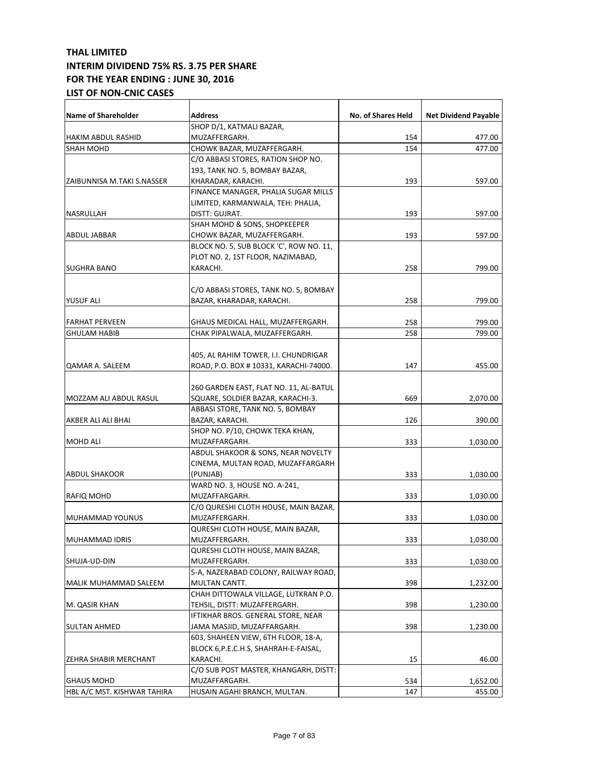| <b>Name of Shareholder</b>   | <b>Address</b>                          | No. of Shares Held | <b>Net Dividend Payable</b> |
|------------------------------|-----------------------------------------|--------------------|-----------------------------|
|                              | SHOP D/1, KATMALI BAZAR,                |                    |                             |
| HAKIM ABDUL RASHID           | MUZAFFERGARH.                           | 154                | 477.00                      |
| <b>SHAH MOHD</b>             | CHOWK BAZAR, MUZAFFERGARH.              | 154                | 477.00                      |
|                              | C/O ABBASI STORES, RATION SHOP NO.      |                    |                             |
|                              | 193, TANK NO. 5, BOMBAY BAZAR,          |                    |                             |
| IZAIBUNNISA M.TAKI S.NASSER  | KHARADAR, KARACHI.                      | 193                | 597.00                      |
|                              | FINANCE MANAGER, PHALIA SUGAR MILLS     |                    |                             |
|                              | LIMITED, KARMANWALA, TEH: PHALIA,       |                    |                             |
| NASRULLAH                    | DISTT: GUJRAT.                          | 193                | 597.00                      |
|                              | SHAH MOHD & SONS, SHOPKEEPER            |                    |                             |
| <b>ABDUL JABBAR</b>          | CHOWK BAZAR, MUZAFFERGARH.              | 193                | 597.00                      |
|                              | BLOCK NO. 5, SUB BLOCK 'C', ROW NO. 11, |                    |                             |
|                              | PLOT NO. 2, 1ST FLOOR, NAZIMABAD,       |                    |                             |
| <b>SUGHRA BANO</b>           | KARACHI.                                | 258                | 799.00                      |
|                              |                                         |                    |                             |
|                              | C/O ABBASI STORES, TANK NO. 5, BOMBAY   |                    |                             |
| <b>YUSUF ALI</b>             | BAZAR, KHARADAR, KARACHI.               | 258                | 799.00                      |
|                              |                                         |                    |                             |
| <b>FARHAT PERVEEN</b>        | GHAUS MEDICAL HALL, MUZAFFERGARH.       | 258                | 799.00                      |
| <b>GHULAM HABIB</b>          | CHAK PIPALWALA, MUZAFFERGARH.           | 258                | 799.00                      |
|                              |                                         |                    |                             |
|                              | 405, AL RAHIM TOWER, I.I. CHUNDRIGAR    |                    |                             |
| QAMAR A. SALEEM              | ROAD, P.O. BOX # 10331, KARACHI-74000.  | 147                | 455.00                      |
|                              |                                         |                    |                             |
|                              | 260 GARDEN EAST, FLAT NO. 11, AL-BATUL  |                    |                             |
| MOZZAM ALI ABDUL RASUL       | SQUARE, SOLDIER BAZAR, KARACHI-3.       | 669                | 2,070.00                    |
|                              | ABBASI STORE, TANK NO. 5, BOMBAY        |                    |                             |
| AKBER ALI ALI BHAI           | BAZAR, KARACHI.                         | 126                | 390.00                      |
|                              | SHOP NO. P/10, CHOWK TEKA KHAN,         |                    |                             |
| <b>MOHD ALI</b>              | MUZAFFARGARH.                           | 333                | 1,030.00                    |
|                              | ABDUL SHAKOOR & SONS, NEAR NOVELTY      |                    |                             |
|                              | CINEMA, MULTAN ROAD, MUZAFFARGARH       |                    |                             |
| <b>ABDUL SHAKOOR</b>         | (PUNJAB)                                | 333                | 1,030.00                    |
|                              | WARD NO. 3, HOUSE NO. A-241,            |                    |                             |
| RAFIQ MOHD                   | MUZAFFARGARH.                           | 333                | 1,030.00                    |
|                              | C/O QURESHI CLOTH HOUSE, MAIN BAZAR,    |                    |                             |
| MUHAMMAD YOUNUS              | MUZAFFERGARH.                           | 333                | 1,030.00                    |
|                              | QURESHI CLOTH HOUSE, MAIN BAZAR,        |                    |                             |
| MUHAMMAD IDRIS               | MUZAFFERGARH.                           | 333                | 1,030.00                    |
|                              | QURESHI CLOTH HOUSE, MAIN BAZAR,        |                    |                             |
| SHUJA-UD-DIN                 | MUZAFFERGARH.                           | 333                | 1,030.00                    |
|                              | 5-A, NAZERABAD COLONY, RAILWAY ROAD,    |                    |                             |
| MALIK MUHAMMAD SALEEM        | MULTAN CANTT.                           | 398                | 1,232.00                    |
|                              | CHAH DITTOWALA VILLAGE, LUTKRAN P.O.    |                    |                             |
| M. QASIR KHAN                | TEHSIL, DISTT: MUZAFFERGARH.            | 398                | 1,230.00                    |
|                              | IFTIKHAR BROS. GENERAL STORE, NEAR      |                    |                             |
| <b>SULTAN AHMED</b>          | JAMA MASJID, MUZAFFARGARH.              | 398                | 1,230.00                    |
|                              | 603, SHAHEEN VIEW, 6TH FLOOR, 18-A,     |                    |                             |
|                              | BLOCK 6,P.E.C.H.S, SHAHRAH-E-FAISAL,    |                    |                             |
| <b>ZEHRA SHABIR MERCHANT</b> | KARACHI.                                | 15                 | 46.00                       |
|                              | C/O SUB POST MASTER, KHANGARH, DISTT:   |                    |                             |
| <b>GHAUS MOHD</b>            | MUZAFFARGARH.                           | 534                | 1,652.00                    |
| HBL A/C MST. KISHWAR TAHIRA  | HUSAIN AGAHI BRANCH, MULTAN.            | 147                | 455.00                      |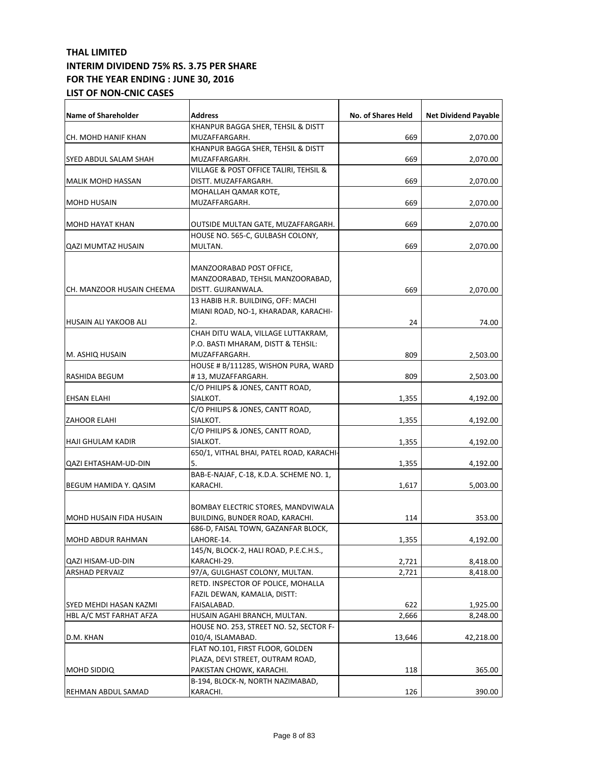| <b>Name of Shareholder</b>     | <b>Address</b>                           | No. of Shares Held | <b>Net Dividend Payable</b> |
|--------------------------------|------------------------------------------|--------------------|-----------------------------|
|                                | KHANPUR BAGGA SHER, TEHSIL & DISTT       |                    |                             |
| CH. MOHD HANIF KHAN            | MUZAFFARGARH.                            | 669                | 2,070.00                    |
|                                | KHANPUR BAGGA SHER, TEHSIL & DISTT       |                    |                             |
| SYED ABDUL SALAM SHAH          | MUZAFFARGARH.                            | 669                | 2,070.00                    |
|                                | VILLAGE & POST OFFICE TALIRI, TEHSIL &   |                    |                             |
| <b>MALIK MOHD HASSAN</b>       | DISTT. MUZAFFARGARH.                     | 669                | 2,070.00                    |
|                                | MOHALLAH QAMAR KOTE,                     |                    |                             |
| <b>MOHD HUSAIN</b>             | MUZAFFARGARH.                            | 669                | 2,070.00                    |
|                                |                                          |                    |                             |
| <b>MOHD HAYAT KHAN</b>         | OUTSIDE MULTAN GATE, MUZAFFARGARH.       | 669                | 2,070.00                    |
|                                | HOUSE NO. 565-C, GULBASH COLONY,         |                    |                             |
| <b>QAZI MUMTAZ HUSAIN</b>      | MULTAN.                                  | 669                | 2,070.00                    |
|                                |                                          |                    |                             |
|                                | MANZOORABAD POST OFFICE,                 |                    |                             |
|                                | MANZOORABAD, TEHSIL MANZOORABAD,         |                    |                             |
| CH. MANZOOR HUSAIN CHEEMA      | DISTT. GUJRANWALA.                       | 669                | 2,070.00                    |
|                                | 13 HABIB H.R. BUILDING, OFF: MACHI       |                    |                             |
|                                | MIANI ROAD, NO-1, KHARADAR, KARACHI-     |                    |                             |
| HUSAIN ALI YAKOOB ALI          | 2.                                       | 24                 | 74.00                       |
|                                | CHAH DITU WALA, VILLAGE LUTTAKRAM,       |                    |                             |
|                                | P.O. BASTI MHARAM, DISTT & TEHSIL:       |                    |                             |
| M. ASHIQ HUSAIN                | MUZAFFARGARH.                            | 809                | 2,503.00                    |
|                                | HOUSE # B/111285, WISHON PURA, WARD      |                    |                             |
| RASHIDA BEGUM                  | #13, MUZAFFARGARH.                       | 809                | 2,503.00                    |
|                                | C/O PHILIPS & JONES, CANTT ROAD,         |                    |                             |
| EHSAN ELAHI                    | SIALKOT.                                 | 1,355              | 4,192.00                    |
|                                | C/O PHILIPS & JONES, CANTT ROAD,         |                    |                             |
| <b>ZAHOOR ELAHI</b>            | SIALKOT.                                 | 1,355              | 4,192.00                    |
|                                | C/O PHILIPS & JONES, CANTT ROAD,         |                    |                             |
| HAJI GHULAM KADIR              | SIALKOT.                                 | 1,355              | 4,192.00                    |
|                                | 650/1, VITHAL BHAI, PATEL ROAD, KARACHI- |                    |                             |
| QAZI EHTASHAM-UD-DIN           | 5.                                       | 1,355              | 4,192.00                    |
|                                | BAB-E-NAJAF, C-18, K.D.A. SCHEME NO. 1,  |                    |                             |
| BEGUM HAMIDA Y. QASIM          | KARACHI.                                 | 1,617              | 5,003.00                    |
|                                |                                          |                    |                             |
|                                | BOMBAY ELECTRIC STORES, MANDVIWALA       |                    |                             |
| <b>MOHD HUSAIN FIDA HUSAIN</b> | BUILDING, BUNDER ROAD, KARACHI.          | 114                | 353.00                      |
|                                | 686-D, FAISAL TOWN, GAZANFAR BLOCK,      |                    |                             |
| MOHD ABDUR RAHMAN              | LAHORE-14.                               | 1,355              | 4,192.00                    |
|                                | 145/N, BLOCK-2, HALI ROAD, P.E.C.H.S.,   |                    |                             |
| QAZI HISAM-UD-DIN              | KARACHI-29.                              | 2,721              | 8,418.00                    |
| <b>ARSHAD PERVAIZ</b>          | 97/A, GULGHAST COLONY, MULTAN.           | 2,721              | 8,418.00                    |
|                                | RETD. INSPECTOR OF POLICE, MOHALLA       |                    |                             |
|                                | FAZIL DEWAN, KAMALIA, DISTT:             |                    |                             |
| SYED MEHDI HASAN KAZMI         | FAISALABAD.                              | 622                | 1,925.00                    |
| HBL A/C MST FARHAT AFZA        | HUSAIN AGAHI BRANCH, MULTAN.             | 2,666              | 8,248.00                    |
|                                | HOUSE NO. 253, STREET NO. 52, SECTOR F-  |                    |                             |
| D.M. KHAN                      | 010/4, ISLAMABAD.                        | 13,646             | 42,218.00                   |
|                                | FLAT NO.101, FIRST FLOOR, GOLDEN         |                    |                             |
|                                | PLAZA, DEVI STREET, OUTRAM ROAD,         |                    |                             |
| <b>MOHD SIDDIQ</b>             | PAKISTAN CHOWK, KARACHI.                 | 118                | 365.00                      |
|                                | B-194, BLOCK-N, NORTH NAZIMABAD,         |                    |                             |
| REHMAN ABDUL SAMAD             | KARACHI.                                 | 126                | 390.00                      |
|                                |                                          |                    |                             |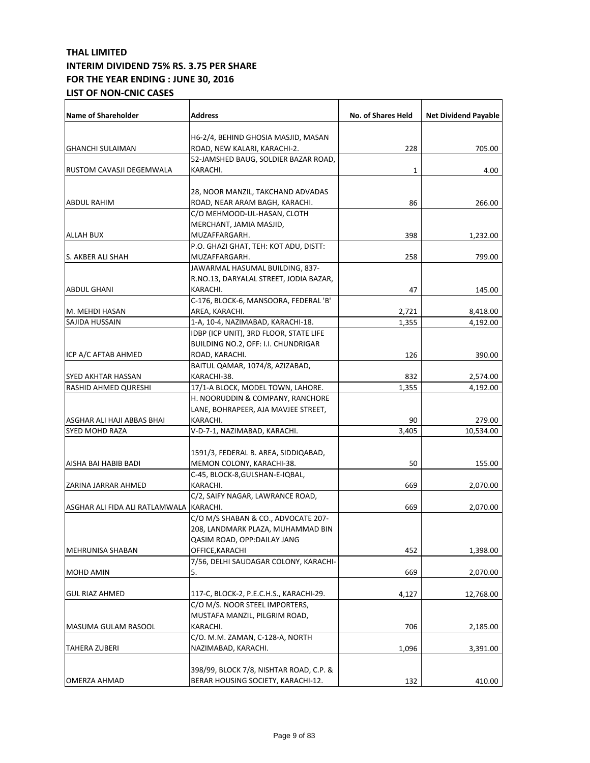| <b>Name of Shareholder</b>              | <b>Address</b>                          | <b>No. of Shares Held</b> | <b>Net Dividend Payable</b> |
|-----------------------------------------|-----------------------------------------|---------------------------|-----------------------------|
|                                         |                                         |                           |                             |
|                                         | H6-2/4, BEHIND GHOSIA MASJID, MASAN     |                           |                             |
| <b>GHANCHI SULAIMAN</b>                 | ROAD, NEW KALARI, KARACHI-2.            | 228                       | 705.00                      |
|                                         | 52-JAMSHED BAUG, SOLDIER BAZAR ROAD,    |                           |                             |
| RUSTOM CAVASJI DEGEMWALA                | KARACHI.                                | 1                         | 4.00                        |
|                                         | 28, NOOR MANZIL, TAKCHAND ADVADAS       |                           |                             |
| ABDUL RAHIM                             | ROAD, NEAR ARAM BAGH, KARACHI.          | 86                        | 266.00                      |
|                                         | C/O MEHMOOD-UL-HASAN, CLOTH             |                           |                             |
|                                         | MERCHANT, JAMIA MASJID,                 |                           |                             |
| <b>ALLAH BUX</b>                        | MUZAFFARGARH.                           | 398                       | 1,232.00                    |
|                                         | P.O. GHAZI GHAT, TEH: KOT ADU, DISTT:   |                           |                             |
| S. AKBER ALI SHAH                       | MUZAFFARGARH.                           | 258                       | 799.00                      |
|                                         | JAWARMAL HASUMAL BUILDING, 837-         |                           |                             |
|                                         | R.NO.13, DARYALAL STREET, JODIA BAZAR,  |                           |                             |
| <b>ABDUL GHANI</b>                      | KARACHI.                                | 47                        | 145.00                      |
|                                         | C-176, BLOCK-6, MANSOORA, FEDERAL 'B'   |                           |                             |
| M. MEHDI HASAN                          | AREA, KARACHI.                          |                           | 8,418.00                    |
| SAJIDA HUSSAIN                          | 1-A, 10-4, NAZIMABAD, KARACHI-18.       | 2,721<br>1,355            | 4,192.00                    |
|                                         | IDBP (ICP UNIT), 3RD FLOOR, STATE LIFE  |                           |                             |
|                                         | BUILDING NO.2, OFF: I.I. CHUNDRIGAR     |                           |                             |
| ICP A/C AFTAB AHMED                     | ROAD, KARACHI.                          | 126                       | 390.00                      |
|                                         | BAITUL QAMAR, 1074/8, AZIZABAD,         |                           |                             |
| SYED AKHTAR HASSAN                      | KARACHI-38.                             | 832                       | 2,574.00                    |
| RASHID AHMED QURESHI                    | 17/1-A BLOCK, MODEL TOWN, LAHORE.       | 1,355                     | 4,192.00                    |
|                                         | H. NOORUDDIN & COMPANY, RANCHORE        |                           |                             |
|                                         | LANE, BOHRAPEER, AJA MAVJEE STREET,     |                           |                             |
| ASGHAR ALI HAJI ABBAS BHAI              | KARACHI.                                | 90                        | 279.00                      |
| <b>SYED MOHD RAZA</b>                   | V-D-7-1, NAZIMABAD, KARACHI.            | 3,405                     | 10,534.00                   |
|                                         |                                         |                           |                             |
|                                         | 1591/3, FEDERAL B. AREA, SIDDIQABAD,    |                           |                             |
| AISHA BAI HABIB BADI                    | MEMON COLONY, KARACHI-38.               | 50                        | 155.00                      |
|                                         | C-45, BLOCK-8,GULSHAN-E-IQBAL,          |                           |                             |
| ZARINA JARRAR AHMED                     | KARACHI.                                | 669                       | 2,070.00                    |
|                                         | C/2, SAIFY NAGAR, LAWRANCE ROAD,        |                           |                             |
| ASGHAR ALI FIDA ALI RATLAMWALA KARACHI. |                                         | 669                       | 2,070.00                    |
|                                         | C/O M/S SHABAN & CO., ADVOCATE 207-     |                           |                             |
|                                         | 208, LANDMARK PLAZA, MUHAMMAD BIN       |                           |                             |
|                                         | QASIM ROAD, OPP:DAILAY JANG             |                           |                             |
| MEHRUNISA SHABAN                        | OFFICE, KARACHI                         | 452                       | 1,398.00                    |
|                                         | 7/56, DELHI SAUDAGAR COLONY, KARACHI-   |                           |                             |
| <b>MOHD AMIN</b>                        | 5.                                      | 669                       | 2,070.00                    |
|                                         |                                         |                           |                             |
| <b>GUL RIAZ AHMED</b>                   | 117-C, BLOCK-2, P.E.C.H.S., KARACHI-29. | 4,127                     | 12,768.00                   |
|                                         | C/O M/S. NOOR STEEL IMPORTERS,          |                           |                             |
|                                         | MUSTAFA MANZIL, PILGRIM ROAD,           |                           |                             |
| MASUMA GULAM RASOOL                     | KARACHI.                                | 706                       | 2,185.00                    |
|                                         | C/O. M.M. ZAMAN, C-128-A, NORTH         |                           |                             |
| TAHERA ZUBERI                           | NAZIMABAD, KARACHI.                     | 1,096                     | 3,391.00                    |
|                                         |                                         |                           |                             |
|                                         | 398/99, BLOCK 7/8, NISHTAR ROAD, C.P. & |                           |                             |
| <b>OMERZA AHMAD</b>                     | BERAR HOUSING SOCIETY, KARACHI-12.      | 132                       | 410.00                      |
|                                         |                                         |                           |                             |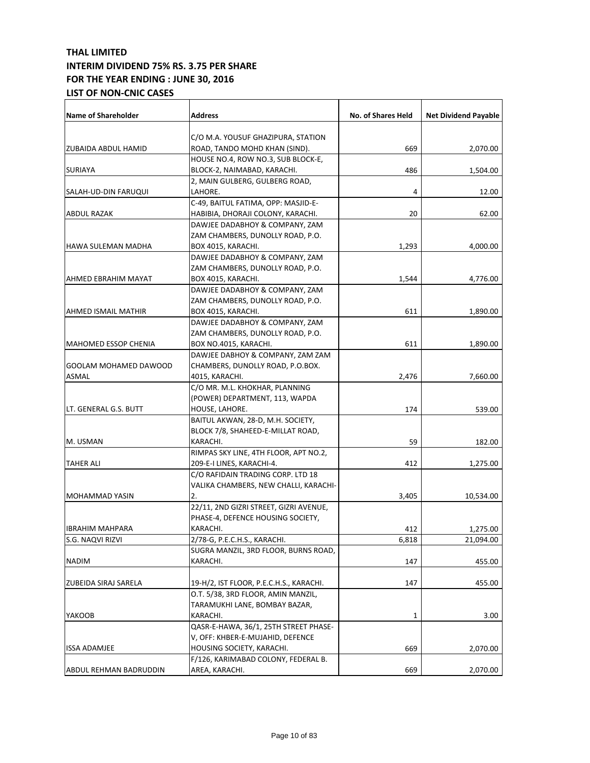| <b>Name of Shareholder</b>   | <b>Address</b>                          | No. of Shares Held | <b>Net Dividend Payable</b> |
|------------------------------|-----------------------------------------|--------------------|-----------------------------|
|                              |                                         |                    |                             |
|                              | C/O M.A. YOUSUF GHAZIPURA, STATION      |                    |                             |
| ZUBAIDA ABDUL HAMID          | ROAD, TANDO MOHD KHAN (SIND).           | 669                | 2,070.00                    |
|                              | HOUSE NO.4, ROW NO.3, SUB BLOCK-E,      |                    |                             |
| <b>SURIAYA</b>               | BLOCK-2, NAIMABAD, KARACHI.             | 486                | 1,504.00                    |
|                              | 2, MAIN GULBERG, GULBERG ROAD,          |                    |                             |
| SALAH-UD-DIN FARUQUI         | LAHORE.                                 | 4                  | 12.00                       |
|                              | C-49, BAITUL FATIMA, OPP: MASJID-E-     |                    |                             |
| ABDUL RAZAK                  | HABIBIA, DHORAJI COLONY, KARACHI.       | 20                 | 62.00                       |
|                              | DAWJEE DADABHOY & COMPANY, ZAM          |                    |                             |
|                              | ZAM CHAMBERS, DUNOLLY ROAD, P.O.        |                    |                             |
| <b>HAWA SULEMAN MADHA</b>    | BOX 4015, KARACHI.                      | 1,293              | 4,000.00                    |
|                              | DAWJEE DADABHOY & COMPANY, ZAM          |                    |                             |
|                              | ZAM CHAMBERS, DUNOLLY ROAD, P.O.        |                    |                             |
| AHMED EBRAHIM MAYAT          | BOX 4015, KARACHI.                      | 1,544              | 4,776.00                    |
|                              | DAWJEE DADABHOY & COMPANY, ZAM          |                    |                             |
|                              | ZAM CHAMBERS, DUNOLLY ROAD, P.O.        |                    |                             |
| <b>AHMED ISMAIL MATHIR</b>   | BOX 4015, KARACHI.                      | 611                | 1,890.00                    |
|                              | DAWJEE DADABHOY & COMPANY, ZAM          |                    |                             |
|                              | ZAM CHAMBERS, DUNOLLY ROAD, P.O.        |                    |                             |
| <b>MAHOMED ESSOP CHENIA</b>  | BOX NO.4015, KARACHI.                   | 611                | 1,890.00                    |
|                              | DAWJEE DABHOY & COMPANY, ZAM ZAM        |                    |                             |
| <b>GOOLAM MOHAMED DAWOOD</b> | CHAMBERS, DUNOLLY ROAD, P.O.BOX.        |                    |                             |
| ASMAL                        | 4015, KARACHI.                          | 2,476              | 7,660.00                    |
|                              | C/O MR. M.L. KHOKHAR, PLANNING          |                    |                             |
|                              | (POWER) DEPARTMENT, 113, WAPDA          |                    |                             |
| LT. GENERAL G.S. BUTT        | HOUSE, LAHORE.                          | 174                | 539.00                      |
|                              | BAITUL AKWAN, 28-D, M.H. SOCIETY,       |                    |                             |
|                              | BLOCK 7/8, SHAHEED-E-MILLAT ROAD,       |                    |                             |
| M. USMAN                     | KARACHI.                                | 59                 | 182.00                      |
|                              | RIMPAS SKY LINE, 4TH FLOOR, APT NO.2,   |                    |                             |
| <b>TAHER ALI</b>             | 209-E-I LINES, KARACHI-4.               | 412                | 1,275.00                    |
|                              | C/O RAFIDAIN TRADING CORP. LTD 18       |                    |                             |
|                              | VALIKA CHAMBERS, NEW CHALLI, KARACHI-   |                    |                             |
| <b>MOHAMMAD YASIN</b>        | 2.                                      | 3,405              | 10,534.00                   |
|                              | 22/11, 2ND GIZRI STREET, GIZRI AVENUE,  |                    |                             |
|                              | PHASE-4, DEFENCE HOUSING SOCIETY,       |                    |                             |
| IBRAHIM MAHPARA              | KARACHI.                                | 412                | 1,275.00                    |
| S.G. NAQVI RIZVI             | 2/78-G, P.E.C.H.S., KARACHI.            | 6,818              | 21,094.00                   |
|                              | SUGRA MANZIL, 3RD FLOOR, BURNS ROAD,    |                    |                             |
| <b>NADIM</b>                 | KARACHI.                                | 147                | 455.00                      |
|                              |                                         |                    |                             |
| ZUBEIDA SIRAJ SARELA         | 19-H/2, IST FLOOR, P.E.C.H.S., KARACHI. | 147                | 455.00                      |
|                              | O.T. 5/38, 3RD FLOOR, AMIN MANZIL,      |                    |                             |
|                              | TARAMUKHI LANE, BOMBAY BAZAR,           |                    |                             |
| YAKOOB                       | KARACHI.                                | 1                  | 3.00                        |
|                              | QASR-E-HAWA, 36/1, 25TH STREET PHASE-   |                    |                             |
|                              | V, OFF: KHBER-E-MUJAHID, DEFENCE        |                    |                             |
| <b>ISSA ADAMJEE</b>          | HOUSING SOCIETY, KARACHI.               | 669                | 2,070.00                    |
|                              | F/126, KARIMABAD COLONY, FEDERAL B.     |                    |                             |
| ABDUL REHMAN BADRUDDIN       | AREA, KARACHI.                          | 669                | 2,070.00                    |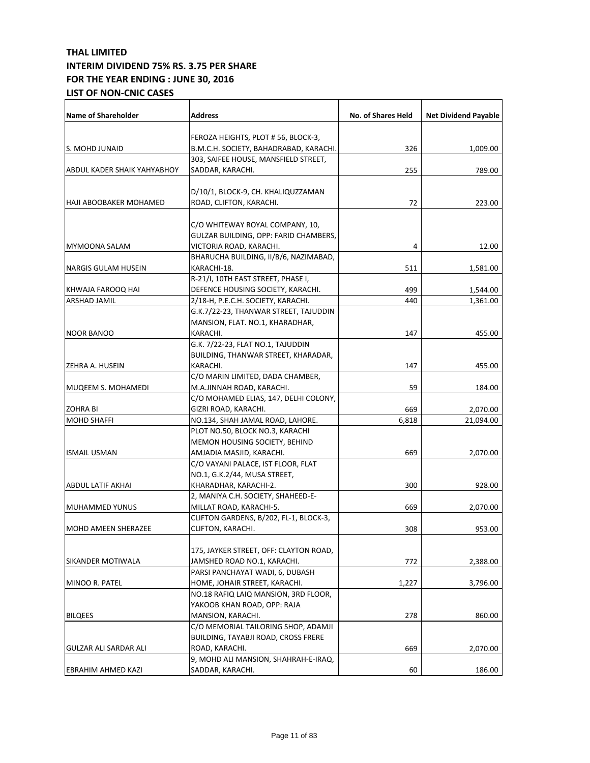| <b>Name of Shareholder</b>  | Address                                       | No. of Shares Held | <b>Net Dividend Payable</b> |
|-----------------------------|-----------------------------------------------|--------------------|-----------------------------|
|                             |                                               |                    |                             |
|                             | FEROZA HEIGHTS, PLOT # 56, BLOCK-3,           |                    |                             |
| S. MOHD JUNAID              | B.M.C.H. SOCIETY, BAHADRABAD, KARACHI.        | 326                | 1,009.00                    |
|                             | 303, SAIFEE HOUSE, MANSFIELD STREET,          |                    |                             |
| ABDUL KADER SHAIK YAHYABHOY | SADDAR, KARACHI.                              | 255                | 789.00                      |
|                             | D/10/1, BLOCK-9, CH. KHALIQUZZAMAN            |                    |                             |
| HAJI ABOOBAKER MOHAMED      | ROAD, CLIFTON, KARACHI.                       | 72                 | 223.00                      |
|                             |                                               |                    |                             |
|                             | C/O WHITEWAY ROYAL COMPANY, 10,               |                    |                             |
|                             | GULZAR BUILDING, OPP: FARID CHAMBERS,         |                    |                             |
| MYMOONA SALAM               | VICTORIA ROAD, KARACHI.                       | 4                  | 12.00                       |
|                             | BHARUCHA BUILDING, II/B/6, NAZIMABAD,         |                    |                             |
| <b>NARGIS GULAM HUSEIN</b>  | KARACHI-18.                                   | 511                | 1,581.00                    |
|                             | R-21/I, 10TH EAST STREET, PHASE I,            |                    |                             |
| KHWAJA FAROOQ HAI           | DEFENCE HOUSING SOCIETY, KARACHI.             | 499                | 1,544.00                    |
| ARSHAD JAMIL                | 2/18-H, P.E.C.H. SOCIETY, KARACHI.            | 440                |                             |
|                             |                                               |                    | 1,361.00                    |
|                             | G.K.7/22-23, THANWAR STREET, TAJUDDIN         |                    |                             |
|                             | MANSION, FLAT. NO.1, KHARADHAR,               |                    |                             |
| <b>NOOR BANOO</b>           | KARACHI.<br>G.K. 7/22-23, FLAT NO.1, TAJUDDIN | 147                | 455.00                      |
|                             |                                               |                    |                             |
|                             | BUILDING, THANWAR STREET, KHARADAR,           |                    |                             |
| ZEHRA A. HUSEIN             | KARACHI.                                      | 147                | 455.00                      |
|                             | C/O MARIN LIMITED, DADA CHAMBER,              |                    |                             |
| MUQEEM S. MOHAMEDI          | M.A.JINNAH ROAD, KARACHI.                     | 59                 | 184.00                      |
|                             | C/O MOHAMED ELIAS, 147, DELHI COLONY,         |                    |                             |
| <b>ZOHRA BI</b>             | GIZRI ROAD, KARACHI.                          | 669                | 2,070.00                    |
| <b>MOHD SHAFFI</b>          | NO.134, SHAH JAMAL ROAD, LAHORE.              | 6,818              | 21,094.00                   |
|                             | PLOT NO.50, BLOCK NO.3, KARACHI               |                    |                             |
|                             | MEMON HOUSING SOCIETY, BEHIND                 |                    |                             |
| <b>ISMAIL USMAN</b>         | AMJADIA MASJID, KARACHI.                      | 669                | 2,070.00                    |
|                             | C/O VAYANI PALACE, IST FLOOR, FLAT            |                    |                             |
|                             | NO.1, G.K.2/44, MUSA STREET,                  |                    |                             |
| <b>ABDUL LATIF AKHAI</b>    | KHARADHAR, KARACHI-2.                         | 300                | 928.00                      |
|                             | 2, MANIYA C.H. SOCIETY, SHAHEED-E-            |                    |                             |
| <b>MUHAMMED YUNUS</b>       | MILLAT ROAD, KARACHI-5.                       | 669                | 2,070.00                    |
|                             | CLIFTON GARDENS, B/202, FL-1, BLOCK-3,        |                    |                             |
| MOHD AMEEN SHERAZEE         | CLIFTON, KARACHI.                             | 308                | 953.00                      |
|                             |                                               |                    |                             |
|                             | 175, JAYKER STREET, OFF: CLAYTON ROAD,        |                    |                             |
| SIKANDER MOTIWALA           | JAMSHED ROAD NO.1, KARACHI.                   | 772                | 2,388.00                    |
|                             | PARSI PANCHAYAT WADI, 6, DUBASH               |                    |                             |
| MINOO R. PATEL              | HOME, JOHAIR STREET, KARACHI.                 | 1,227              | 3,796.00                    |
|                             | NO.18 RAFIQ LAIQ MANSION, 3RD FLOOR,          |                    |                             |
|                             | YAKOOB KHAN ROAD, OPP: RAJA                   |                    |                             |
| <b>BILQEES</b>              | MANSION, KARACHI.                             | 278                | 860.00                      |
|                             | C/O MEMORIAL TAILORING SHOP, ADAMJI           |                    |                             |
|                             | <b>BUILDING, TAYABJI ROAD, CROSS FRERE</b>    |                    |                             |
| GULZAR ALI SARDAR ALI       | ROAD, KARACHI.                                | 669                | 2,070.00                    |
|                             | 9, MOHD ALI MANSION, SHAHRAH-E-IRAQ,          |                    |                             |
| EBRAHIM AHMED KAZI          | SADDAR, KARACHI.                              | 60                 | 186.00                      |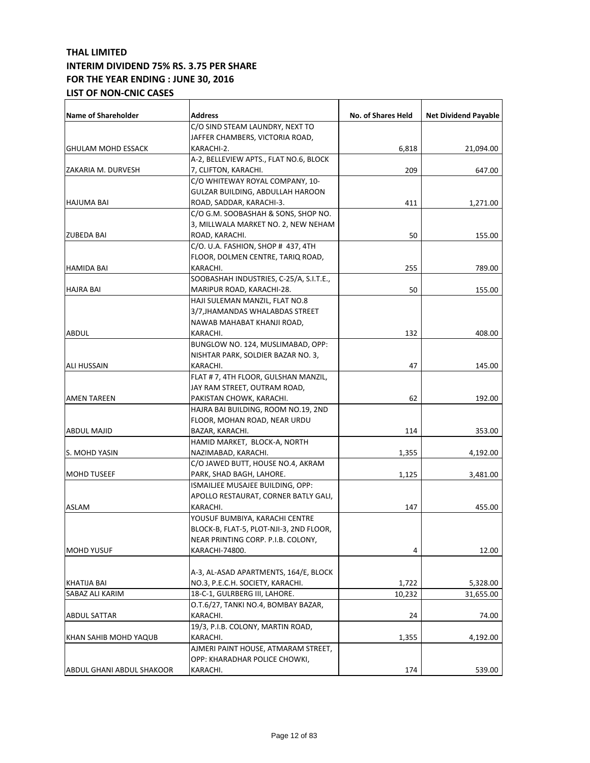| <b>Name of Shareholder</b> | Address                                 | No. of Shares Held | <b>Net Dividend Payable</b> |
|----------------------------|-----------------------------------------|--------------------|-----------------------------|
|                            | C/O SIND STEAM LAUNDRY, NEXT TO         |                    |                             |
|                            | JAFFER CHAMBERS, VICTORIA ROAD,         |                    |                             |
| <b>GHULAM MOHD ESSACK</b>  | KARACHI-2.                              | 6,818              | 21,094.00                   |
|                            | A-2, BELLEVIEW APTS., FLAT NO.6, BLOCK  |                    |                             |
| ZAKARIA M. DURVESH         | 7, CLIFTON, KARACHI.                    | 209                | 647.00                      |
|                            | C/O WHITEWAY ROYAL COMPANY, 10-         |                    |                             |
|                            | GULZAR BUILDING, ABDULLAH HAROON        |                    |                             |
| HAJUMA BAI                 | ROAD, SADDAR, KARACHI-3.                | 411                | 1,271.00                    |
|                            | C/O G.M. SOOBASHAH & SONS, SHOP NO.     |                    |                             |
|                            | 3, MILLWALA MARKET NO. 2, NEW NEHAM     |                    |                             |
| <b>ZUBEDA BAI</b>          | ROAD, KARACHI.                          | 50                 | 155.00                      |
|                            | C/O. U.A. FASHION, SHOP # 437, 4TH      |                    |                             |
|                            | FLOOR, DOLMEN CENTRE, TARIQ ROAD,       |                    |                             |
| <b>HAMIDA BAI</b>          | KARACHI.                                | 255                | 789.00                      |
|                            | SOOBASHAH INDUSTRIES, C-25/A, S.I.T.E., |                    |                             |
| <b>HAJRA BAI</b>           | MARIPUR ROAD, KARACHI-28.               | 50                 | 155.00                      |
|                            | HAJI SULEMAN MANZIL, FLAT NO.8          |                    |                             |
|                            | 3/7, JHAMANDAS WHALABDAS STREET         |                    |                             |
|                            | NAWAB MAHABAT KHANJI ROAD,              |                    |                             |
| ABDUL                      | KARACHI.                                | 132                | 408.00                      |
|                            | BUNGLOW NO. 124, MUSLIMABAD, OPP:       |                    |                             |
|                            | NISHTAR PARK, SOLDIER BAZAR NO. 3,      |                    |                             |
| ALI HUSSAIN                | KARACHI.                                | 47                 | 145.00                      |
|                            | FLAT # 7, 4TH FLOOR, GULSHAN MANZIL,    |                    |                             |
|                            | JAY RAM STREET, OUTRAM ROAD,            |                    |                             |
| AMEN TAREEN                | PAKISTAN CHOWK, KARACHI.                | 62                 | 192.00                      |
|                            | HAJRA BAI BUILDING, ROOM NO.19, 2ND     |                    |                             |
|                            | FLOOR, MOHAN ROAD, NEAR URDU            |                    |                             |
| ABDUL MAJID                | BAZAR, KARACHI.                         | 114                | 353.00                      |
|                            | HAMID MARKET, BLOCK-A, NORTH            |                    |                             |
| S. MOHD YASIN              | NAZIMABAD, KARACHI.                     | 1,355              | 4,192.00                    |
|                            | C/O JAWED BUTT, HOUSE NO.4, AKRAM       |                    |                             |
| <b>MOHD TUSEEF</b>         | PARK, SHAD BAGH, LAHORE.                | 1,125              | 3,481.00                    |
|                            | ISMAILIEE MUSAJEE BUILDING, OPP:        |                    |                             |
|                            | APOLLO RESTAURAT, CORNER BATLY GALI,    |                    |                             |
| ASLAM                      | KARACHI.                                | 147                | 455.00                      |
|                            | YOUSUF BUMBIYA, KARACHI CENTRE          |                    |                             |
|                            | BLOCK-B, FLAT-5, PLOT-NJI-3, 2ND FLOOR, |                    |                             |
|                            | NEAR PRINTING CORP. P.I.B. COLONY,      |                    |                             |
| <b>MOHD YUSUF</b>          | KARACHI-74800.                          | 4                  | 12.00                       |
|                            |                                         |                    |                             |
|                            | A-3, AL-ASAD APARTMENTS, 164/E, BLOCK   |                    |                             |
| KHATIJA BAI                | NO.3, P.E.C.H. SOCIETY, KARACHI.        | 1,722              | 5,328.00                    |
| SABAZ ALI KARIM            | 18-C-1, GULRBERG III, LAHORE.           | 10,232             | 31,655.00                   |
|                            | O.T.6/27, TANKI NO.4, BOMBAY BAZAR,     |                    |                             |
| <b>ABDUL SATTAR</b>        | KARACHI.                                | 24                 | 74.00                       |
|                            | 19/3, P.I.B. COLONY, MARTIN ROAD,       |                    |                             |
| KHAN SAHIB MOHD YAQUB      | KARACHI.                                | 1,355              | 4,192.00                    |
|                            | AJMERI PAINT HOUSE, ATMARAM STREET,     |                    |                             |
|                            | OPP: KHARADHAR POLICE CHOWKI,           |                    |                             |
| ABDUL GHANI ABDUL SHAKOOR  | KARACHI.                                | 174                | 539.00                      |
|                            |                                         |                    |                             |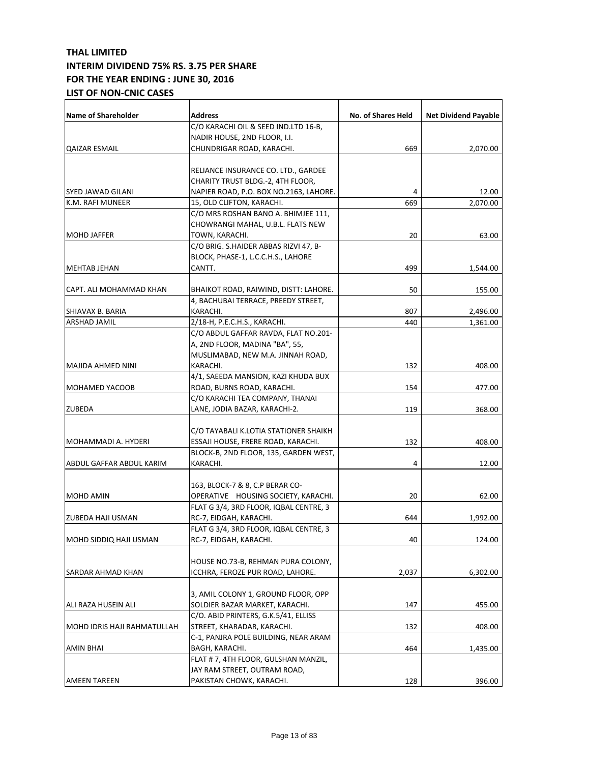| <b>Name of Shareholder</b>         | <b>Address</b>                         | <b>No. of Shares Held</b> | <b>Net Dividend Payable</b> |
|------------------------------------|----------------------------------------|---------------------------|-----------------------------|
|                                    | C/O KARACHI OIL & SEED IND.LTD 16-B,   |                           |                             |
|                                    | NADIR HOUSE, 2ND FLOOR, I.I.           |                           |                             |
| QAIZAR ESMAIL                      | CHUNDRIGAR ROAD, KARACHI.              | 669                       | 2,070.00                    |
|                                    |                                        |                           |                             |
|                                    | RELIANCE INSURANCE CO. LTD., GARDEE    |                           |                             |
|                                    | CHARITY TRUST BLDG.-2, 4TH FLOOR,      |                           |                             |
| SYED JAWAD GILANI                  | NAPIER ROAD, P.O. BOX NO.2163, LAHORE. | 4                         | 12.00                       |
| K.M. RAFI MUNEER                   | 15, OLD CLIFTON, KARACHI.              | 669                       | 2,070.00                    |
|                                    | C/O MRS ROSHAN BANO A. BHIMJEE 111,    |                           |                             |
|                                    | CHOWRANGI MAHAL, U.B.L. FLATS NEW      |                           |                             |
| <b>MOHD JAFFER</b>                 | TOWN, KARACHI.                         | 20                        | 63.00                       |
|                                    | C/O BRIG. S.HAIDER ABBAS RIZVI 47, B-  |                           |                             |
|                                    | BLOCK, PHASE-1, L.C.C.H.S., LAHORE     |                           |                             |
| <b>MEHTAB JEHAN</b>                | CANTT.                                 | 499                       | 1,544.00                    |
|                                    |                                        |                           |                             |
| CAPT. ALI MOHAMMAD KHAN            | BHAIKOT ROAD, RAIWIND, DISTT: LAHORE.  | 50                        | 155.00                      |
|                                    | 4, BACHUBAI TERRACE, PREEDY STREET,    |                           |                             |
| SHIAVAX B. BARIA                   | KARACHI.                               | 807                       | 2,496.00                    |
| ARSHAD JAMIL                       | 2/18-H, P.E.C.H.S., KARACHI.           | 440                       | 1,361.00                    |
|                                    | C/O ABDUL GAFFAR RAVDA, FLAT NO.201-   |                           |                             |
|                                    | A, 2ND FLOOR, MADINA "BA", 55,         |                           |                             |
|                                    | MUSLIMABAD, NEW M.A. JINNAH ROAD,      |                           |                             |
| MAJIDA AHMED NINI                  | KARACHI.                               | 132                       | 408.00                      |
|                                    | 4/1, SAEEDA MANSION, KAZI KHUDA BUX    |                           |                             |
| <b>MOHAMED YACOOB</b>              | ROAD, BURNS ROAD, KARACHI.             | 154                       | 477.00                      |
|                                    | C/O KARACHI TEA COMPANY, THANAI        |                           |                             |
| <b>ZUBEDA</b>                      | LANE, JODIA BAZAR, KARACHI-2.          | 119                       | 368.00                      |
|                                    |                                        |                           |                             |
|                                    | C/O TAYABALI K.LOTIA STATIONER SHAIKH  |                           |                             |
| MOHAMMADI A. HYDERI                | ESSAJI HOUSE, FRERE ROAD, KARACHI.     | 132                       | 408.00                      |
|                                    | BLOCK-B, 2ND FLOOR, 135, GARDEN WEST,  |                           |                             |
| ABDUL GAFFAR ABDUL KARIM           | KARACHI.                               | 4                         | 12.00                       |
|                                    | 163, BLOCK-7 & 8, C.P BERAR CO-        |                           |                             |
| MOHD AMIN                          | OPERATIVE HOUSING SOCIETY, KARACHI.    | 20                        | 62.00                       |
|                                    | FLAT G 3/4, 3RD FLOOR, IQBAL CENTRE, 3 |                           |                             |
| ZUBEDA HAJI USMAN                  | RC-7, EIDGAH, KARACHI.                 | 644                       | 1,992.00                    |
|                                    | FLAT G 3/4, 3RD FLOOR, IQBAL CENTRE, 3 |                           |                             |
| MOHD SIDDIQ HAJI USMAN             | RC-7, EIDGAH, KARACHI.                 | 40                        | 124.00                      |
|                                    |                                        |                           |                             |
|                                    | HOUSE NO.73-B, REHMAN PURA COLONY,     |                           |                             |
| SARDAR AHMAD KHAN                  | ICCHRA, FEROZE PUR ROAD, LAHORE.       | 2,037                     | 6,302.00                    |
|                                    |                                        |                           |                             |
|                                    | 3, AMIL COLONY 1, GROUND FLOOR, OPP    |                           |                             |
| ALI RAZA HUSEIN ALI                | SOLDIER BAZAR MARKET, KARACHI.         | 147                       | 455.00                      |
|                                    | C/O. ABID PRINTERS, G.K.5/41, ELLISS   |                           |                             |
| <b>MOHD IDRIS HAJI RAHMATULLAH</b> | STREET, KHARADAR, KARACHI.             | 132                       | 408.00                      |
|                                    | C-1, PANJRA POLE BUILDING, NEAR ARAM   |                           |                             |
| <b>AMIN BHAI</b>                   | BAGH, KARACHI.                         | 464                       | 1,435.00                    |
|                                    | FLAT # 7, 4TH FLOOR, GULSHAN MANZIL,   |                           |                             |
|                                    | JAY RAM STREET, OUTRAM ROAD,           |                           |                             |
| <b>AMEEN TAREEN</b>                | PAKISTAN CHOWK, KARACHI.               | 128                       | 396.00                      |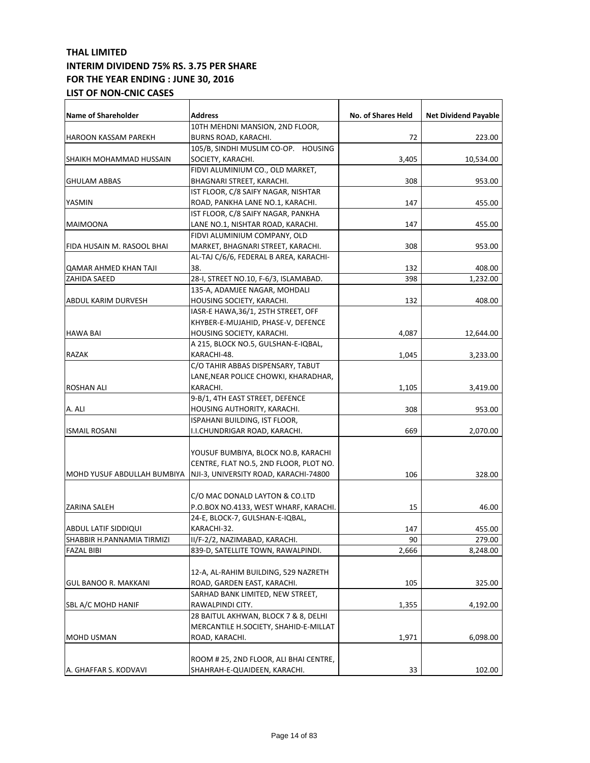| <b>Name of Shareholder</b>   | <b>Address</b>                         | No. of Shares Held | <b>Net Dividend Payable</b> |
|------------------------------|----------------------------------------|--------------------|-----------------------------|
|                              | 10TH MEHDNI MANSION, 2ND FLOOR,        |                    |                             |
| <b>HAROON KASSAM PAREKH</b>  | BURNS ROAD, KARACHI.                   | 72                 | 223.00                      |
|                              | 105/B, SINDHI MUSLIM CO-OP. HOUSING    |                    |                             |
| SHAIKH MOHAMMAD HUSSAIN      | SOCIETY, KARACHI.                      | 3,405              | 10,534.00                   |
|                              | FIDVI ALUMINIUM CO., OLD MARKET,       |                    |                             |
| <b>GHULAM ABBAS</b>          | BHAGNARI STREET, KARACHI.              | 308                | 953.00                      |
|                              | IST FLOOR, C/8 SAIFY NAGAR, NISHTAR    |                    |                             |
| YASMIN                       | ROAD, PANKHA LANE NO.1, KARACHI.       | 147                | 455.00                      |
|                              | IST FLOOR, C/8 SAIFY NAGAR, PANKHA     |                    |                             |
| MAIMOONA                     | LANE NO.1, NISHTAR ROAD, KARACHI.      | 147                | 455.00                      |
|                              | FIDVI ALUMINIUM COMPANY, OLD           |                    |                             |
| FIDA HUSAIN M. RASOOL BHAI   | MARKET, BHAGNARI STREET, KARACHI.      | 308                | 953.00                      |
|                              | AL-TAJ C/6/6, FEDERAL B AREA, KARACHI- |                    |                             |
| <b>QAMAR AHMED KHAN TAJI</b> | 38.                                    | 132                | 408.00                      |
| ZAHIDA SAEED                 | 28-I, STREET NO.10, F-6/3, ISLAMABAD.  |                    |                             |
|                              |                                        | 398                | 1,232.00                    |
|                              | 135-A, ADAMJEE NAGAR, MOHDALI          |                    |                             |
| <b>ABDUL KARIM DURVESH</b>   | HOUSING SOCIETY, KARACHI.              | 132                | 408.00                      |
|                              | IASR-E HAWA, 36/1, 25TH STREET, OFF    |                    |                             |
|                              | KHYBER-E-MUJAHID, PHASE-V, DEFENCE     |                    |                             |
| <b>HAWA BAI</b>              | HOUSING SOCIETY, KARACHI.              | 4,087              | 12,644.00                   |
|                              | A 215, BLOCK NO.5, GULSHAN-E-IQBAL,    |                    |                             |
| RAZAK                        | KARACHI-48.                            | 1,045              | 3,233.00                    |
|                              | C/O TAHIR ABBAS DISPENSARY, TABUT      |                    |                             |
|                              | LANE, NEAR POLICE CHOWKI, KHARADHAR,   |                    |                             |
| <b>ROSHAN ALI</b>            | KARACHI.                               | 1,105              | 3,419.00                    |
|                              | 9-B/1, 4TH EAST STREET, DEFENCE        |                    |                             |
| A. ALI                       | HOUSING AUTHORITY, KARACHI.            | 308                | 953.00                      |
|                              | ISPAHANI BUILDING, IST FLOOR,          |                    |                             |
| <b>ISMAIL ROSANI</b>         | I.I.CHUNDRIGAR ROAD, KARACHI.          | 669                | 2,070.00                    |
|                              |                                        |                    |                             |
|                              | YOUSUF BUMBIYA, BLOCK NO.B, KARACHI    |                    |                             |
|                              | CENTRE, FLAT NO.5, 2ND FLOOR, PLOT NO. |                    |                             |
| MOHD YUSUF ABDULLAH BUMBIYA  | NJI-3, UNIVERSITY ROAD, KARACHI-74800  | 106                | 328.00                      |
|                              |                                        |                    |                             |
|                              | C/O MAC DONALD LAYTON & CO.LTD         |                    |                             |
| <b>ZARINA SALEH</b>          | P.O.BOX NO.4133, WEST WHARF, KARACHI.  | 15                 | 46.00                       |
|                              | 24-E, BLOCK-7, GULSHAN-E-IQBAL,        |                    |                             |
|                              |                                        | 147                |                             |
| ABDUL LATIF SIDDIQUI         | KARACHI-32.                            |                    | 455.00                      |
| SHABBIR H.PANNAMIA TIRMIZI   | II/F-2/2, NAZIMABAD, KARACHI.          | 90                 | 279.00                      |
| <b>FAZAL BIBI</b>            | 839-D, SATELLITE TOWN, RAWALPINDI.     | 2,666              | 8,248.00                    |
|                              |                                        |                    |                             |
|                              | 12-A, AL-RAHIM BUILDING, 529 NAZRETH   |                    |                             |
| GUL BANOO R. MAKKANI         | ROAD, GARDEN EAST, KARACHI.            | 105                | 325.00                      |
|                              | SARHAD BANK LIMITED, NEW STREET,       |                    |                             |
| SBL A/C MOHD HANIF           | RAWALPINDI CITY.                       | 1,355              | 4,192.00                    |
|                              | 28 BAITUL AKHWAN, BLOCK 7 & 8, DELHI   |                    |                             |
|                              | MERCANTILE H.SOCIETY, SHAHID-E-MILLAT  |                    |                             |
| <b>MOHD USMAN</b>            | ROAD, KARACHI.                         | 1,971              | 6,098.00                    |
|                              |                                        |                    |                             |
|                              | ROOM # 25, 2ND FLOOR, ALI BHAI CENTRE, |                    |                             |
| A. GHAFFAR S. KODVAVI        | SHAHRAH-E-QUAIDEEN, KARACHI.           | 33                 | 102.00                      |
|                              |                                        |                    |                             |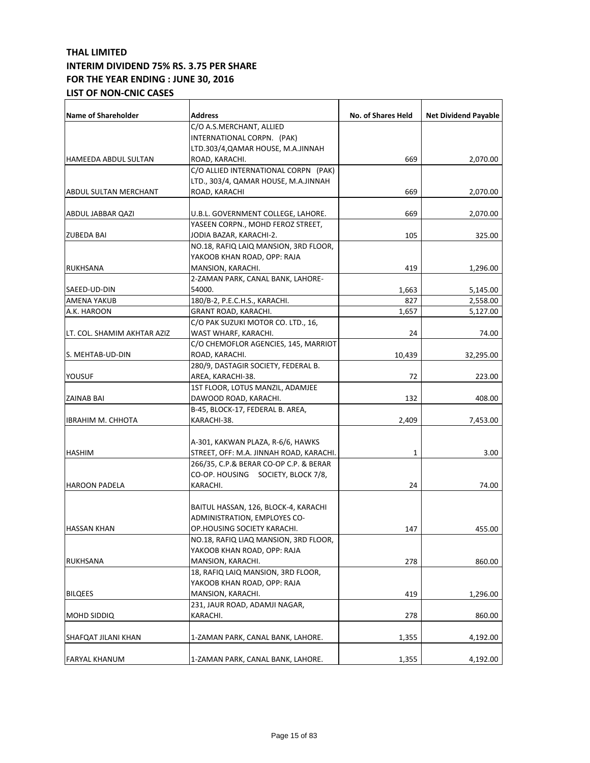| <b>Name of Shareholder</b>  | <b>Address</b>                          | <b>No. of Shares Held</b> | <b>Net Dividend Payable</b> |
|-----------------------------|-----------------------------------------|---------------------------|-----------------------------|
|                             | C/O A.S.MERCHANT, ALLIED                |                           |                             |
|                             | INTERNATIONAL CORPN. (PAK)              |                           |                             |
|                             | LTD.303/4,QAMAR HOUSE, M.A.JINNAH       |                           |                             |
| <b>HAMEEDA ABDUL SULTAN</b> | ROAD, KARACHI.                          | 669                       | 2,070.00                    |
|                             | C/O ALLIED INTERNATIONAL CORPN (PAK)    |                           |                             |
|                             | LTD., 303/4, QAMAR HOUSE, M.A.JINNAH    |                           |                             |
| ABDUL SULTAN MERCHANT       | ROAD, KARACHI                           | 669                       | 2,070.00                    |
|                             |                                         |                           |                             |
| ABDUL JABBAR QAZI           | U.B.L. GOVERNMENT COLLEGE, LAHORE.      | 669                       | 2,070.00                    |
|                             | YASEEN CORPN., MOHD FEROZ STREET,       |                           |                             |
| <b>ZUBEDA BAI</b>           | JODIA BAZAR, KARACHI-2.                 | 105                       | 325.00                      |
|                             | NO.18, RAFIQ LAIQ MANSION, 3RD FLOOR,   |                           |                             |
|                             | YAKOOB KHAN ROAD, OPP: RAJA             |                           |                             |
| <b>RUKHSANA</b>             | MANSION, KARACHI.                       | 419                       | 1,296.00                    |
|                             | 2-ZAMAN PARK, CANAL BANK, LAHORE-       |                           |                             |
| SAEED-UD-DIN                | 54000.                                  | 1,663                     | 5,145.00                    |
| AMENA YAKUB                 | 180/B-2, P.E.C.H.S., KARACHI.           | 827                       | 2,558.00                    |
| A.K. HAROON                 | GRANT ROAD, KARACHI.                    | 1,657                     | 5,127.00                    |
|                             | C/O PAK SUZUKI MOTOR CO. LTD., 16,      |                           |                             |
| LT. COL. SHAMIM AKHTAR AZIZ | WAST WHARF, KARACHI.                    | 24                        | 74.00                       |
|                             | C/O CHEMOFLOR AGENCIES, 145, MARRIOT    |                           |                             |
| S. MEHTAB-UD-DIN            | ROAD, KARACHI.                          | 10,439                    | 32,295.00                   |
|                             | 280/9, DASTAGIR SOCIETY, FEDERAL B.     |                           |                             |
| YOUSUF                      | AREA, KARACHI-38.                       | 72                        | 223.00                      |
|                             | 1ST FLOOR, LOTUS MANZIL, ADAMJEE        |                           |                             |
| ZAINAB BAI                  | DAWOOD ROAD, KARACHI.                   | 132                       | 408.00                      |
|                             | B-45, BLOCK-17, FEDERAL B. AREA,        |                           |                             |
| <b>IBRAHIM M. CHHOTA</b>    | KARACHI-38.                             | 2,409                     | 7,453.00                    |
|                             |                                         |                           |                             |
|                             | A-301, KAKWAN PLAZA, R-6/6, HAWKS       |                           |                             |
| <b>HASHIM</b>               | STREET, OFF: M.A. JINNAH ROAD, KARACHI. | 1                         | 3.00                        |
|                             | 266/35, C.P.& BERAR CO-OP C.P. & BERAR  |                           |                             |
|                             | CO-OP. HOUSING SOCIETY, BLOCK 7/8,      |                           |                             |
| <b>HAROON PADELA</b>        | KARACHI.                                | 24                        | 74.00                       |
|                             |                                         |                           |                             |
|                             | BAITUL HASSAN, 126, BLOCK-4, KARACHI    |                           |                             |
|                             | ADMINISTRATION, EMPLOYES CO-            |                           |                             |
| <b>HASSAN KHAN</b>          | OP.HOUSING SOCIETY KARACHI.             | 147                       | 455.00                      |
|                             | NO.18, RAFIQ LIAQ MANSION, 3RD FLOOR,   |                           |                             |
|                             | YAKOOB KHAN ROAD, OPP: RAJA             |                           |                             |
| RUKHSANA                    | MANSION, KARACHI.                       | 278                       | 860.00                      |
|                             | 18, RAFIQ LAIQ MANSION, 3RD FLOOR,      |                           |                             |
|                             | YAKOOB KHAN ROAD, OPP: RAJA             |                           |                             |
| <b>BILQEES</b>              | MANSION, KARACHI.                       | 419                       | 1,296.00                    |
|                             | 231, JAUR ROAD, ADAMJI NAGAR,           |                           |                             |
| MOHD SIDDIQ                 | KARACHI.                                | 278                       | 860.00                      |
|                             |                                         |                           |                             |
| SHAFQAT JILANI KHAN         | 1-ZAMAN PARK, CANAL BANK, LAHORE.       | 1,355                     | 4,192.00                    |
|                             |                                         |                           |                             |
| <b>FARYAL KHANUM</b>        | 1-ZAMAN PARK, CANAL BANK, LAHORE.       | 1,355                     | 4,192.00                    |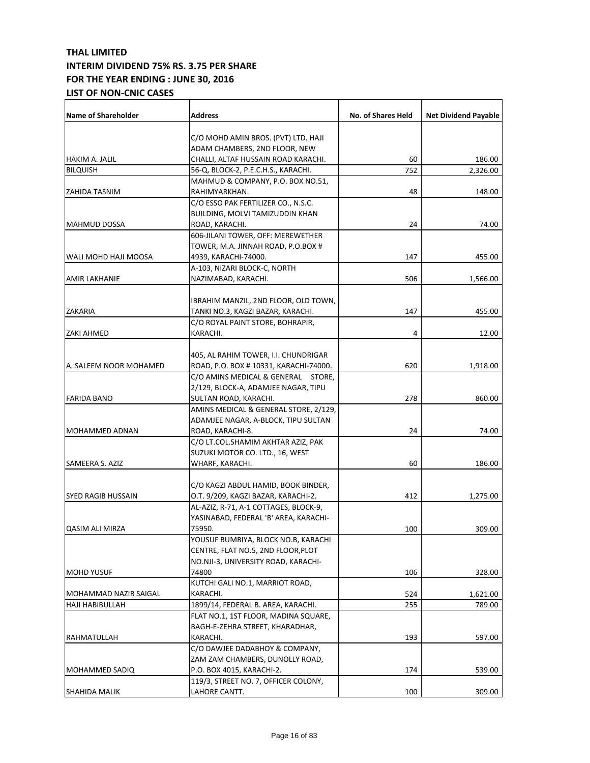| Name of Shareholder       | <b>Address</b>                        | No. of Shares Held | <b>Net Dividend Payable</b> |
|---------------------------|---------------------------------------|--------------------|-----------------------------|
|                           |                                       |                    |                             |
|                           | C/O MOHD AMIN BROS. (PVT) LTD. HAJI   |                    |                             |
| <b>HAKIM A. JALIL</b>     | ADAM CHAMBERS, 2ND FLOOR, NEW         |                    |                             |
|                           | CHALLI, ALTAF HUSSAIN ROAD KARACHI.   | 60                 | 186.00                      |
| <b>BILQUISH</b>           | 56-Q, BLOCK-2, P.E.C.H.S., KARACHI.   | 752                | 2,326.00                    |
|                           | MAHMUD & COMPANY, P.O. BOX NO.51,     |                    |                             |
| ZAHIDA TASNIM             | RAHIMYARKHAN.                         | 48                 | 148.00                      |
|                           | C/O ESSO PAK FERTILIZER CO., N.S.C.   |                    |                             |
|                           | BUILDING, MOLVI TAMIZUDDIN KHAN       |                    |                             |
| <b>MAHMUD DOSSA</b>       | ROAD, KARACHI.                        | 24                 | 74.00                       |
|                           | 606-JILANI TOWER, OFF: MEREWETHER     |                    |                             |
|                           | TOWER, M.A. JINNAH ROAD, P.O.BOX #    |                    |                             |
| WALI MOHD HAJI MOOSA      | 4939, KARACHI-74000.                  | 147                | 455.00                      |
|                           | A-103, NIZARI BLOCK-C, NORTH          |                    |                             |
| <b>AMIR LAKHANIE</b>      | NAZIMABAD, KARACHI.                   | 506                | 1,566.00                    |
|                           |                                       |                    |                             |
|                           | IBRAHIM MANZIL, 2ND FLOOR, OLD TOWN,  |                    |                             |
| ZAKARIA                   | TANKI NO.3, KAGZI BAZAR, KARACHI.     | 147                | 455.00                      |
|                           | C/O ROYAL PAINT STORE, BOHRAPIR,      |                    |                             |
| ZAKI AHMED                | KARACHI.                              | 4                  | 12.00                       |
|                           |                                       |                    |                             |
|                           | 405, AL RAHIM TOWER, I.I. CHUNDRIGAR  |                    |                             |
| A. SALEEM NOOR MOHAMED    | ROAD, P.O. BOX #10331, KARACHI-74000. | 620                | 1,918.00                    |
|                           | C/O AMINS MEDICAL & GENERAL STORE,    |                    |                             |
|                           | 2/129, BLOCK-A, ADAMJEE NAGAR, TIPU   |                    |                             |
| <b>FARIDA BANO</b>        | SULTAN ROAD, KARACHI.                 | 278                | 860.00                      |
|                           | AMINS MEDICAL & GENERAL STORE, 2/129, |                    |                             |
|                           | ADAMJEE NAGAR, A-BLOCK, TIPU SULTAN   |                    |                             |
| <b>MOHAMMED ADNAN</b>     | ROAD, KARACHI-8.                      | 24                 | 74.00                       |
|                           | C/O LT.COL.SHAMIM AKHTAR AZIZ, PAK    |                    |                             |
|                           | SUZUKI MOTOR CO. LTD., 16, WEST       |                    |                             |
| SAMEERA S. AZIZ           | WHARF, KARACHI.                       | 60                 | 186.00                      |
|                           |                                       |                    |                             |
|                           | C/O KAGZI ABDUL HAMID, BOOK BINDER,   |                    |                             |
| <b>SYED RAGIB HUSSAIN</b> | O.T. 9/209, KAGZI BAZAR, KARACHI-2.   | 412                | 1,275.00                    |
|                           | AL-AZIZ, R-71, A-1 COTTAGES, BLOCK-9, |                    |                             |
|                           | YASINABAD, FEDERAL 'B' AREA, KARACHI- |                    |                             |
| QASIM ALI MIRZA           | 75950.                                | 100                | 309.00                      |
|                           | YOUSUF BUMBIYA, BLOCK NO.B, KARACHI   |                    |                             |
|                           | CENTRE, FLAT NO.5, 2ND FLOOR, PLOT    |                    |                             |
|                           | NO.NJI-3, UNIVERSITY ROAD, KARACHI-   |                    |                             |
| <b>MOHD YUSUF</b>         | 74800                                 | 106                | 328.00                      |
|                           | KUTCHI GALI NO.1, MARRIOT ROAD,       |                    |                             |
| MOHAMMAD NAZIR SAIGAL     | KARACHI.                              | 524                | 1,621.00                    |
| HAJI HABIBULLAH           | 1899/14, FEDERAL B. AREA, KARACHI.    | 255                |                             |
|                           |                                       |                    | 789.00                      |
|                           | FLAT NO.1, 1ST FLOOR, MADINA SQUARE,  |                    |                             |
|                           | BAGH-E-ZEHRA STREET, KHARADHAR,       |                    |                             |
| RAHMATULLAH               | KARACHI.                              | 193                | 597.00                      |
|                           | C/O DAWJEE DADABHOY & COMPANY,        |                    |                             |
|                           | ZAM ZAM CHAMBERS, DUNOLLY ROAD,       |                    |                             |
| <b>MOHAMMED SADIQ</b>     | P.O. BOX 4015, KARACHI-2.             | 174                | 539.00                      |
|                           | 119/3, STREET NO. 7, OFFICER COLONY,  |                    |                             |
| SHAHIDA MALIK             | LAHORE CANTT.                         | 100                | 309.00                      |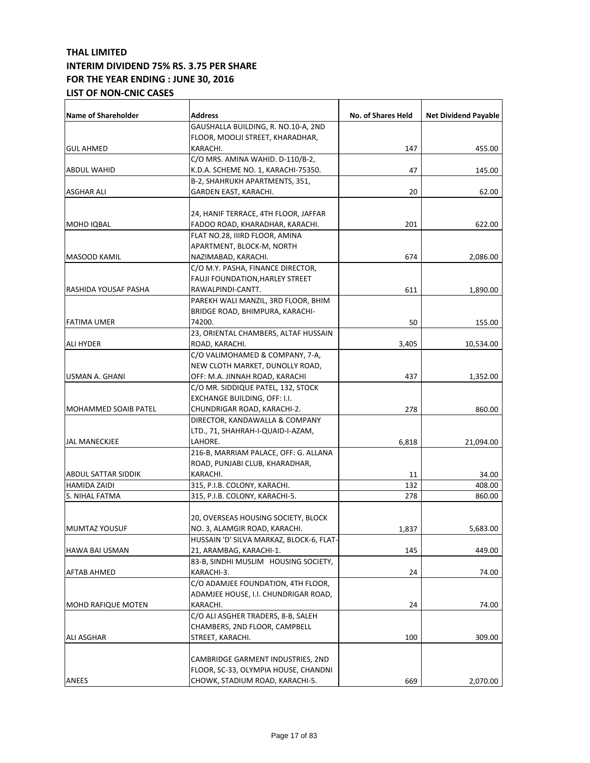| Name of Shareholder         | <b>Address</b>                           | No. of Shares Held | <b>Net Dividend Payable</b> |
|-----------------------------|------------------------------------------|--------------------|-----------------------------|
|                             | GAUSHALLA BUILDING, R. NO.10-A, 2ND      |                    |                             |
|                             | FLOOR, MOOLJI STREET, KHARADHAR,         |                    |                             |
| <b>GUL AHMED</b>            | KARACHI.                                 | 147                | 455.00                      |
|                             | C/O MRS. AMINA WAHID. D-110/B-2,         |                    |                             |
| <b>ABDUL WAHID</b>          | K.D.A. SCHEME NO. 1, KARACHI-75350.      | 47                 | 145.00                      |
|                             | B-2, SHAHRUKH APARTMENTS, 351,           |                    |                             |
| ASGHAR ALI                  | GARDEN EAST, KARACHI.                    | 20                 | 62.00                       |
|                             |                                          |                    |                             |
|                             | 24, HANIF TERRACE, 4TH FLOOR, JAFFAR     |                    |                             |
| <b>MOHD IQBAL</b>           | FADOO ROAD, KHARADHAR, KARACHI.          | 201                | 622.00                      |
|                             | FLAT NO.28, IIIRD FLOOR, AMINA           |                    |                             |
|                             | APARTMENT, BLOCK-M, NORTH                |                    |                             |
| <b>MASOOD KAMIL</b>         | NAZIMABAD, KARACHI.                      | 674                | 2,086.00                    |
|                             | C/O M.Y. PASHA, FINANCE DIRECTOR,        |                    |                             |
|                             | <b>FAUJI FOUNDATION, HARLEY STREET</b>   |                    |                             |
| RASHIDA YOUSAF PASHA        | RAWALPINDI-CANTT.                        | 611                | 1,890.00                    |
|                             | PAREKH WALI MANZIL, 3RD FLOOR, BHIM      |                    |                             |
|                             | BRIDGE ROAD, BHIMPURA, KARACHI-          |                    |                             |
| <b>FATIMA UMER</b>          | 74200.                                   | 50                 | 155.00                      |
|                             | 23, ORIENTAL CHAMBERS, ALTAF HUSSAIN     |                    |                             |
| <b>ALI HYDER</b>            | ROAD, KARACHI.                           | 3,405              | 10,534.00                   |
|                             | C/O VALIMOHAMED & COMPANY, 7-A,          |                    |                             |
|                             | NEW CLOTH MARKET, DUNOLLY ROAD,          |                    |                             |
| USMAN A. GHANI              | OFF: M.A. JINNAH ROAD, KARACHI           | 437                | 1,352.00                    |
|                             | C/O MR. SIDDIQUE PATEL, 132, STOCK       |                    |                             |
|                             | EXCHANGE BUILDING, OFF: I.I.             |                    |                             |
| <b>MOHAMMED SOAIB PATEL</b> | CHUNDRIGAR ROAD, KARACHI-2.              | 278                | 860.00                      |
|                             | DIRECTOR, KANDAWALLA & COMPANY           |                    |                             |
|                             | LTD., 71, SHAHRAH-I-QUAID-I-AZAM,        |                    |                             |
| <b>JAL MANECKJEE</b>        | LAHORE.                                  | 6,818              | 21,094.00                   |
|                             | 216-B, MARRIAM PALACE, OFF: G. ALLANA    |                    |                             |
|                             | ROAD, PUNJABI CLUB, KHARADHAR,           |                    |                             |
| <b>ABDUL SATTAR SIDDIK</b>  | KARACHI.                                 | 11                 | 34.00                       |
| <b>HAMIDA ZAIDI</b>         | 315, P.I.B. COLONY, KARACHI.             | 132                | 408.00                      |
| S. NIHAL FATMA              | 315, P.I.B. COLONY, KARACHI-5.           | 278                | 860.00                      |
|                             | 20, OVERSEAS HOUSING SOCIETY, BLOCK      |                    |                             |
| MUMTAZ YOUSUF               | NO. 3, ALAMGIR ROAD, KARACHI.            | 1,837              | 5,683.00                    |
|                             | HUSSAIN 'D' SILVA MARKAZ, BLOCK-6, FLAT- |                    |                             |
| HAWA BAI USMAN              | 21, ARAMBAG, KARACHI-1.                  | 145                | 449.00                      |
|                             | 83-B, SINDHI MUSLIM HOUSING SOCIETY,     |                    |                             |
| AFTAB AHMED                 | KARACHI-3.                               | 24                 | 74.00                       |
|                             | C/O ADAMJEE FOUNDATION, 4TH FLOOR,       |                    |                             |
|                             | ADAMJEE HOUSE, I.I. CHUNDRIGAR ROAD,     |                    |                             |
| <b>MOHD RAFIQUE MOTEN</b>   | KARACHI.                                 | 24                 | 74.00                       |
|                             | C/O ALI ASGHER TRADERS, 8-B, SALEH       |                    |                             |
|                             | CHAMBERS, 2ND FLOOR, CAMPBELL            |                    |                             |
| <b>ALI ASGHAR</b>           | STREET, KARACHI.                         | 100                | 309.00                      |
|                             |                                          |                    |                             |
|                             | CAMBRIDGE GARMENT INDUSTRIES, 2ND        |                    |                             |
|                             | FLOOR, SC-33, OLYMPIA HOUSE, CHANDNI     |                    |                             |
| ANEES                       | CHOWK, STADIUM ROAD, KARACHI-5.          | 669                | 2,070.00                    |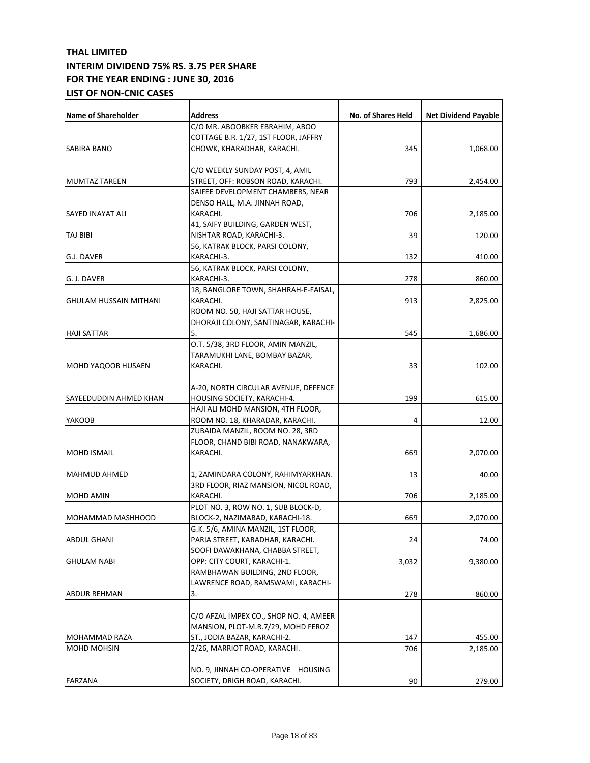| <b>Name of Shareholder</b>    | Address                                    | No. of Shares Held | <b>Net Dividend Payable</b> |
|-------------------------------|--------------------------------------------|--------------------|-----------------------------|
|                               | C/O MR. ABOOBKER EBRAHIM, ABOO             |                    |                             |
|                               | COTTAGE B.R. 1/27, 1ST FLOOR, JAFFRY       |                    |                             |
| SABIRA BANO                   | CHOWK, KHARADHAR, KARACHI.                 | 345                | 1,068.00                    |
|                               |                                            |                    |                             |
|                               | C/O WEEKLY SUNDAY POST, 4, AMIL            |                    |                             |
| <b>MUMTAZ TAREEN</b>          | STREET, OFF: ROBSON ROAD, KARACHI.         | 793                | 2,454.00                    |
|                               | SAIFEE DEVELOPMENT CHAMBERS, NEAR          |                    |                             |
|                               | DENSO HALL, M.A. JINNAH ROAD,              |                    |                             |
| SAYED INAYAT ALI              | KARACHI.                                   | 706                | 2,185.00                    |
|                               | 41, SAIFY BUILDING, GARDEN WEST,           |                    |                             |
| TAJ BIBI                      | NISHTAR ROAD, KARACHI-3.                   | 39                 | 120.00                      |
|                               | 56, KATRAK BLOCK, PARSI COLONY,            |                    |                             |
| G.J. DAVER                    | KARACHI-3.                                 | 132                | 410.00                      |
|                               | 56, KATRAK BLOCK, PARSI COLONY,            |                    |                             |
| G. J. DAVER                   | KARACHI-3.                                 | 278                | 860.00                      |
|                               | 18, BANGLORE TOWN, SHAHRAH-E-FAISAL,       |                    |                             |
| <b>GHULAM HUSSAIN MITHANI</b> | KARACHI.                                   | 913                | 2,825.00                    |
|                               | ROOM NO. 50, HAJI SATTAR HOUSE,            |                    |                             |
|                               | DHORAJI COLONY, SANTINAGAR, KARACHI-<br>5. | 545                |                             |
| <b>HAJI SATTAR</b>            | O.T. 5/38, 3RD FLOOR, AMIN MANZIL,         |                    | 1,686.00                    |
|                               | TARAMUKHI LANE, BOMBAY BAZAR,              |                    |                             |
| MOHD YAQOOB HUSAEN            | KARACHI.                                   | 33                 | 102.00                      |
|                               |                                            |                    |                             |
|                               | A-20, NORTH CIRCULAR AVENUE, DEFENCE       |                    |                             |
| SAYEEDUDDIN AHMED KHAN        | HOUSING SOCIETY, KARACHI-4.                | 199                | 615.00                      |
|                               | HAJI ALI MOHD MANSION, 4TH FLOOR,          |                    |                             |
| <b>YAKOOB</b>                 | ROOM NO. 18, KHARADAR, KARACHI.            | 4                  | 12.00                       |
|                               | ZUBAIDA MANZIL, ROOM NO. 28, 3RD           |                    |                             |
|                               | FLOOR, CHAND BIBI ROAD, NANAKWARA,         |                    |                             |
| <b>MOHD ISMAIL</b>            | KARACHI.                                   | 669                | 2,070.00                    |
|                               |                                            |                    |                             |
| <b>MAHMUD AHMED</b>           | 1, ZAMINDARA COLONY, RAHIMYARKHAN.         | 13                 | 40.00                       |
|                               | 3RD FLOOR, RIAZ MANSION, NICOL ROAD,       |                    |                             |
| MOHD AMIN                     | KARACHI.                                   | 706                | 2,185.00                    |
|                               | PLOT NO. 3, ROW NO. 1, SUB BLOCK-D,        |                    |                             |
| MOHAMMAD MASHHOOD             | BLOCK-2, NAZIMABAD, KARACHI-18.            | 669                | 2,070.00                    |
|                               | G.K. 5/6, AMINA MANZIL, 1ST FLOOR,         |                    |                             |
| ABDUL GHANI                   | PARIA STREET, KARADHAR, KARACHI.           | 24                 | 74.00                       |
|                               | SOOFI DAWAKHANA, CHABBA STREET,            |                    |                             |
| <b>GHULAM NABI</b>            | OPP: CITY COURT, KARACHI-1.                | 3,032              | 9,380.00                    |
|                               | RAMBHAWAN BUILDING, 2ND FLOOR,             |                    |                             |
|                               | LAWRENCE ROAD, RAMSWAMI, KARACHI-          |                    |                             |
| ABDUR REHMAN                  | 3.                                         | 278                | 860.00                      |
|                               | C/O AFZAL IMPEX CO., SHOP NO. 4, AMEER     |                    |                             |
|                               | MANSION, PLOT-M.R.7/29, MOHD FEROZ         |                    |                             |
| MOHAMMAD RAZA                 | ST., JODIA BAZAR, KARACHI-2.               | 147                | 455.00                      |
| MOHD MOHSIN                   | 2/26, MARRIOT ROAD, KARACHI.               | 706                | 2,185.00                    |
|                               |                                            |                    |                             |
|                               | NO. 9, JINNAH CO-OPERATIVE HOUSING         |                    |                             |
| FARZANA                       | SOCIETY, DRIGH ROAD, KARACHI.              | 90                 | 279.00                      |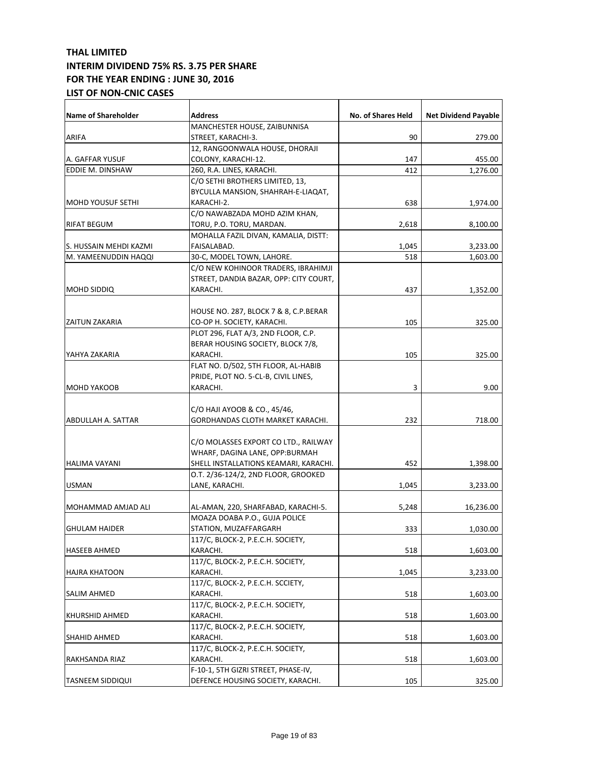| Name of Shareholder      | <b>Address</b>                         | No. of Shares Held | <b>Net Dividend Payable</b> |
|--------------------------|----------------------------------------|--------------------|-----------------------------|
|                          | MANCHESTER HOUSE, ZAIBUNNISA           |                    |                             |
| <b>ARIFA</b>             | STREET, KARACHI-3.                     | 90                 | 279.00                      |
|                          | 12, RANGOONWALA HOUSE, DHORAJI         |                    |                             |
| A. GAFFAR YUSUF          | COLONY, KARACHI-12.                    | 147                | 455.00                      |
| EDDIE M. DINSHAW         | 260, R.A. LINES, KARACHI.              | 412                | 1,276.00                    |
|                          | C/O SETHI BROTHERS LIMITED, 13,        |                    |                             |
|                          | BYCULLA MANSION, SHAHRAH-E-LIAQAT,     |                    |                             |
| <b>MOHD YOUSUF SETHI</b> | KARACHI-2.                             | 638                | 1,974.00                    |
|                          | C/O NAWABZADA MOHD AZIM KHAN,          |                    |                             |
| <b>RIFAT BEGUM</b>       | TORU, P.O. TORU, MARDAN.               | 2,618              | 8,100.00                    |
|                          | MOHALLA FAZIL DIVAN, KAMALIA, DISTT:   |                    |                             |
| S. HUSSAIN MEHDI KAZMI   | FAISALABAD.                            | 1,045              | 3,233.00                    |
| M. YAMEENUDDIN HAQQI     | 30-C, MODEL TOWN, LAHORE.              | 518                | 1,603.00                    |
|                          | C/O NEW KOHINOOR TRADERS, IBRAHIMJI    |                    |                             |
|                          | STREET, DANDIA BAZAR, OPP: CITY COURT, |                    |                             |
| <b>MOHD SIDDIQ</b>       | KARACHI.                               | 437                | 1,352.00                    |
|                          |                                        |                    |                             |
|                          | HOUSE NO. 287, BLOCK 7 & 8, C.P.BERAR  |                    |                             |
| <b>ZAITUN ZAKARIA</b>    | CO-OP H. SOCIETY, KARACHI.             | 105                | 325.00                      |
|                          | PLOT 296, FLAT A/3, 2ND FLOOR, C.P.    |                    |                             |
|                          | BERAR HOUSING SOCIETY, BLOCK 7/8,      |                    |                             |
| YAHYA ZAKARIA            | KARACHI.                               | 105                | 325.00                      |
|                          | FLAT NO. D/502, 5TH FLOOR, AL-HABIB    |                    |                             |
|                          | PRIDE, PLOT NO. 5-CL-B, CIVIL LINES,   |                    |                             |
| <b>MOHD YAKOOB</b>       | KARACHI.                               | 3                  | 9.00                        |
|                          |                                        |                    |                             |
|                          | C/O HAJI AYOOB & CO., 45/46,           |                    |                             |
| ABDULLAH A. SATTAR       | GORDHANDAS CLOTH MARKET KARACHI.       | 232                | 718.00                      |
|                          |                                        |                    |                             |
|                          | C/O MOLASSES EXPORT CO LTD., RAILWAY   |                    |                             |
|                          | WHARF, DAGINA LANE, OPP:BURMAH         |                    |                             |
| <b>HALIMA VAYANI</b>     | SHELL INSTALLATIONS KEAMARI, KARACHI.  | 452                | 1,398.00                    |
|                          | O.T. 2/36-124/2, 2ND FLOOR, GROOKED    |                    |                             |
| <b>USMAN</b>             | LANE, KARACHI.                         | 1,045              | 3,233.00                    |
|                          |                                        |                    |                             |
| MOHAMMAD AMJAD ALI       | AL-AMAN, 220, SHARFABAD, KARACHI-5.    | 5,248              | 16,236.00                   |
|                          | MOAZA DOABA P.O., GUJA POLICE          |                    |                             |
| <b>GHULAM HAIDER</b>     | STATION, MUZAFFARGARH                  | 333                | 1,030.00                    |
|                          | 117/C, BLOCK-2, P.E.C.H. SOCIETY,      |                    |                             |
| <b>HASEEB AHMED</b>      | KARACHI.                               | 518                | 1,603.00                    |
|                          | 117/C, BLOCK-2, P.E.C.H. SOCIETY,      |                    |                             |
| <b>HAJRA KHATOON</b>     | KARACHI.                               | 1,045              | 3,233.00                    |
|                          | 117/C, BLOCK-2, P.E.C.H. SCCIETY,      |                    |                             |
| SALIM AHMED              | KARACHI.                               | 518                | 1,603.00                    |
|                          | 117/C, BLOCK-2, P.E.C.H. SOCIETY,      |                    |                             |
| <b>KHURSHID AHMED</b>    | KARACHI.                               | 518                | 1,603.00                    |
|                          | 117/C, BLOCK-2, P.E.C.H. SOCIETY,      |                    |                             |
| SHAHID AHMED             | KARACHI.                               | 518                | 1,603.00                    |
|                          | 117/C, BLOCK-2, P.E.C.H. SOCIETY,      |                    |                             |
| RAKHSANDA RIAZ           | KARACHI.                               | 518                | 1,603.00                    |
|                          | F-10-1, 5TH GIZRI STREET, PHASE-IV,    |                    |                             |
| <b>TASNEEM SIDDIQUI</b>  | DEFENCE HOUSING SOCIETY, KARACHI.      | 105                | 325.00                      |
|                          |                                        |                    |                             |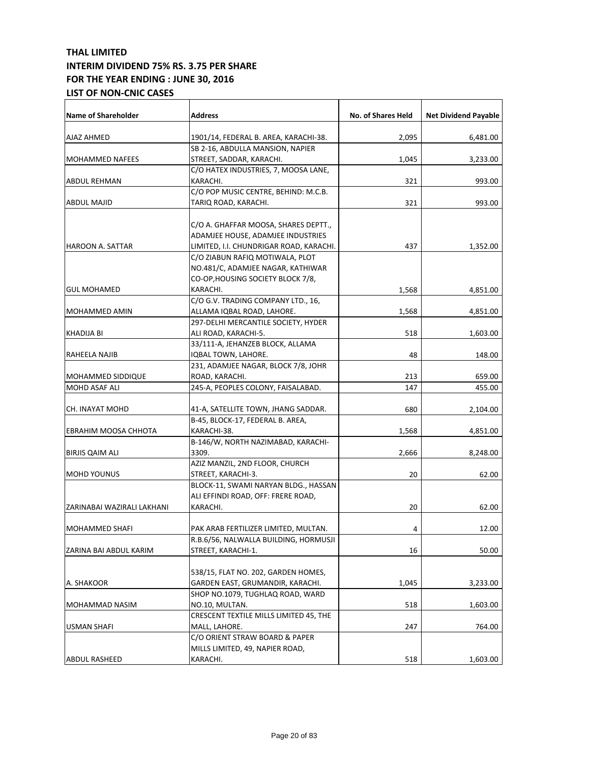| <b>Name of Shareholder</b> | <b>Address</b>                                                             | No. of Shares Held | <b>Net Dividend Payable</b> |
|----------------------------|----------------------------------------------------------------------------|--------------------|-----------------------------|
| AJAZ AHMED                 | 1901/14, FEDERAL B. AREA, KARACHI-38.                                      | 2,095              | 6,481.00                    |
|                            | SB 2-16, ABDULLA MANSION, NAPIER                                           |                    |                             |
| <b>MOHAMMED NAFEES</b>     | STREET, SADDAR, KARACHI.                                                   | 1,045              | 3,233.00                    |
|                            | C/O HATEX INDUSTRIES, 7, MOOSA LANE,                                       |                    |                             |
| <b>ABDUL REHMAN</b>        | KARACHI.                                                                   | 321                | 993.00                      |
|                            | C/O POP MUSIC CENTRE, BEHIND: M.C.B.                                       |                    |                             |
| <b>ABDUL MAJID</b>         | TARIQ ROAD, KARACHI.                                                       | 321                | 993.00                      |
|                            | C/O A. GHAFFAR MOOSA, SHARES DEPTT.,<br>ADAMJEE HOUSE, ADAMJEE INDUSTRIES  |                    |                             |
| <b>HAROON A. SATTAR</b>    | LIMITED, I.I. CHUNDRIGAR ROAD, KARACHI.                                    | 437                | 1,352.00                    |
|                            | C/O ZIABUN RAFIQ MOTIWALA, PLOT                                            |                    |                             |
|                            | NO.481/C, ADAMJEE NAGAR, KATHIWAR                                          |                    |                             |
|                            | CO-OP, HOUSING SOCIETY BLOCK 7/8,                                          |                    |                             |
| <b>GUL MOHAMED</b>         | KARACHI.                                                                   | 1,568              | 4,851.00                    |
|                            | C/O G.V. TRADING COMPANY LTD., 16,                                         |                    |                             |
| <b>MOHAMMED AMIN</b>       | ALLAMA IQBAL ROAD, LAHORE.                                                 | 1,568              | 4,851.00                    |
|                            | 297-DELHI MERCANTILE SOCIETY, HYDER                                        |                    |                             |
| KHADIJA BI                 | ALI ROAD, KARACHI-5.                                                       | 518                | 1,603.00                    |
|                            | 33/111-A, JEHANZEB BLOCK, ALLAMA                                           |                    |                             |
| RAHEELA NAJIB              | IQBAL TOWN, LAHORE.                                                        | 48                 | 148.00                      |
|                            | 231, ADAMJEE NAGAR, BLOCK 7/8, JOHR                                        |                    |                             |
| <b>MOHAMMED SIDDIQUE</b>   | ROAD, KARACHI.                                                             | 213                | 659.00                      |
| MOHD ASAF ALI              | 245-A, PEOPLES COLONY, FAISALABAD.                                         | 147                | 455.00                      |
| CH. INAYAT MOHD            | 41-A, SATELLITE TOWN, JHANG SADDAR.                                        | 680                | 2,104.00                    |
|                            | B-45, BLOCK-17, FEDERAL B. AREA,                                           |                    |                             |
| EBRAHIM MOOSA CHHOTA       | KARACHI-38.                                                                | 1,568              | 4,851.00                    |
| <b>BIRJIS QAIM ALI</b>     | B-146/W, NORTH NAZIMABAD, KARACHI-<br>3309.                                | 2,666              | 8,248.00                    |
|                            | AZIZ MANZIL, 2ND FLOOR, CHURCH                                             |                    |                             |
| <b>MOHD YOUNUS</b>         | STREET, KARACHI-3.                                                         | 20                 | 62.00                       |
|                            | BLOCK-11, SWAMI NARYAN BLDG., HASSAN<br>ALI EFFINDI ROAD, OFF: FRERE ROAD, |                    |                             |
| ZARINABAI WAZIRALI LAKHANI | KARACHI.                                                                   | 20                 | 62.00                       |
|                            |                                                                            |                    |                             |
| MOHAMMED SHAFI             | PAK ARAB FERTILIZER LIMITED, MULTAN.                                       | 4                  | 12.00                       |
|                            | R.B.6/56, NALWALLA BUILDING, HORMUSJI                                      |                    |                             |
| ZARINA BAI ABDUL KARIM     | STREET, KARACHI-1.                                                         | 16                 | 50.00                       |
|                            | 538/15, FLAT NO. 202, GARDEN HOMES,                                        |                    |                             |
| A. SHAKOOR                 | GARDEN EAST, GRUMANDIR, KARACHI.                                           |                    |                             |
|                            | SHOP NO.1079, TUGHLAQ ROAD, WARD                                           | 1,045              | 3,233.00                    |
|                            | NO.10, MULTAN.                                                             | 518                |                             |
| MOHAMMAD NASIM             | CRESCENT TEXTILE MILLS LIMITED 45, THE                                     |                    | 1,603.00                    |
| USMAN SHAFI                | MALL, LAHORE.                                                              | 247                | 764.00                      |
|                            | C/O ORIENT STRAW BOARD & PAPER                                             |                    |                             |
|                            | MILLS LIMITED, 49, NAPIER ROAD,                                            |                    |                             |
| <b>ABDUL RASHEED</b>       | KARACHI.                                                                   | 518                | 1,603.00                    |
|                            |                                                                            |                    |                             |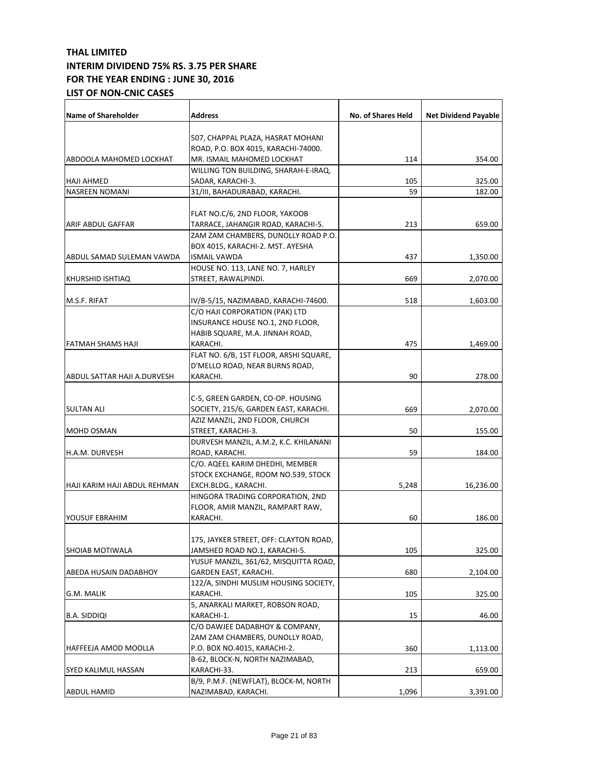| <b>Name of Shareholder</b>   | <b>Address</b>                                                          | No. of Shares Held | <b>Net Dividend Payable</b> |
|------------------------------|-------------------------------------------------------------------------|--------------------|-----------------------------|
|                              |                                                                         |                    |                             |
|                              | 507, CHAPPAL PLAZA, HASRAT MOHANI                                       |                    |                             |
|                              | ROAD, P.O. BOX 4015, KARACHI-74000.                                     |                    |                             |
| ABDOOLA MAHOMED LOCKHAT      | MR. ISMAIL MAHOMED LOCKHAT                                              | 114                | 354.00                      |
|                              | WILLING TON BUILDING, SHARAH-E-IRAQ,                                    |                    |                             |
| <b>HAJI AHMED</b>            | SADAR, KARACHI-3.                                                       | 105                | 325.00                      |
| <b>NASREEN NOMANI</b>        | 31/III, BAHADURABAD, KARACHI.                                           | 59                 | 182.00                      |
|                              |                                                                         |                    |                             |
|                              | FLAT NO.C/6, 2ND FLOOR, YAKOOB                                          |                    |                             |
| <b>ARIF ABDUL GAFFAR</b>     | TARRACE, JAHANGIR ROAD, KARACHI-5.                                      | 213                | 659.00                      |
|                              | ZAM ZAM CHAMBERS, DUNOLLY ROAD P.O.<br>BOX 4015, KARACHI-2. MST. AYESHA |                    |                             |
|                              |                                                                         |                    |                             |
| ABDUL SAMAD SULEMAN VAWDA    | <b>ISMAIL VAWDA</b>                                                     | 437                | 1,350.00                    |
|                              | HOUSE NO. 113, LANE NO. 7, HARLEY                                       |                    |                             |
| <b>KHURSHID ISHTIAQ</b>      | STREET, RAWALPINDI.                                                     | 669                | 2,070.00                    |
| M.S.F. RIFAT                 | IV/B-5/15, NAZIMABAD, KARACHI-74600.                                    | 518                | 1,603.00                    |
|                              | C/O HAJI CORPORATION (PAK) LTD                                          |                    |                             |
|                              | INSURANCE HOUSE NO.1, 2ND FLOOR,                                        |                    |                             |
|                              | HABIB SQUARE, M.A. JINNAH ROAD,                                         |                    |                             |
| FATMAH SHAMS HAJI            | KARACHI.                                                                | 475                | 1,469.00                    |
|                              | FLAT NO. 6/B, 1ST FLOOR, ARSHI SQUARE,                                  |                    |                             |
|                              | D'MELLO ROAD, NEAR BURNS ROAD,                                          |                    |                             |
| ABDUL SATTAR HAJI A.DURVESH  | KARACHI.                                                                | 90                 | 278.00                      |
|                              |                                                                         |                    |                             |
|                              | C-5, GREEN GARDEN, CO-OP. HOUSING                                       |                    |                             |
| <b>SULTAN ALI</b>            | SOCIETY, 215/6, GARDEN EAST, KARACHI.                                   | 669                | 2,070.00                    |
|                              | AZIZ MANZIL, 2ND FLOOR, CHURCH                                          |                    |                             |
| <b>MOHD OSMAN</b>            | STREET, KARACHI-3.                                                      | 50                 | 155.00                      |
|                              | DURVESH MANZIL, A.M.2, K.C. KHILANANI                                   |                    |                             |
| H.A.M. DURVESH               | ROAD, KARACHI.                                                          | 59                 | 184.00                      |
|                              | C/O. AQEEL KARIM DHEDHI, MEMBER                                         |                    |                             |
|                              | STOCK EXCHANGE, ROOM NO.539, STOCK                                      |                    |                             |
| HAJI KARIM HAJI ABDUL REHMAN | EXCH.BLDG., KARACHI.                                                    | 5,248              | 16,236.00                   |
|                              | HINGORA TRADING CORPORATION, 2ND                                        |                    |                             |
|                              | FLOOR, AMIR MANZIL, RAMPART RAW,                                        |                    |                             |
| YOUSUF EBRAHIM               | KARACHI.                                                                | 60                 | 186.00                      |
|                              |                                                                         |                    |                             |
|                              | 175, JAYKER STREET, OFF: CLAYTON ROAD,                                  |                    |                             |
| <b>SHOIAB MOTIWALA</b>       | JAMSHED ROAD NO.1, KARACHI-5.                                           | 105                | 325.00                      |
|                              | YUSUF MANZIL, 361/62, MISQUITTA ROAD,                                   |                    |                             |
| <b>ABEDA HUSAIN DADABHOY</b> | GARDEN EAST, KARACHI.                                                   | 680                | 2,104.00                    |
|                              | 122/A, SINDHI MUSLIM HOUSING SOCIETY,                                   |                    |                             |
| G.M. MALIK                   | KARACHI.                                                                | 105                | 325.00                      |
|                              | 5, ANARKALI MARKET, ROBSON ROAD,                                        |                    |                             |
| B.A. SIDDIQI                 | KARACHI-1.                                                              | 15                 | 46.00                       |
|                              | C/O DAWJEE DADABHOY & COMPANY,                                          |                    |                             |
|                              | ZAM ZAM CHAMBERS, DUNOLLY ROAD,                                         |                    |                             |
| HAFFEEJA AMOD MOOLLA         | P.O. BOX NO.4015, KARACHI-2.                                            | 360                | 1,113.00                    |
|                              | B-62, BLOCK-N, NORTH NAZIMABAD,                                         |                    |                             |
| SYED KALIMUL HASSAN          | KARACHI-33.                                                             | 213                | 659.00                      |
|                              | B/9, P.M.F. (NEWFLAT), BLOCK-M, NORTH                                   |                    |                             |
| <b>ABDUL HAMID</b>           | NAZIMABAD, KARACHI.                                                     | 1,096              | 3,391.00                    |
|                              |                                                                         |                    |                             |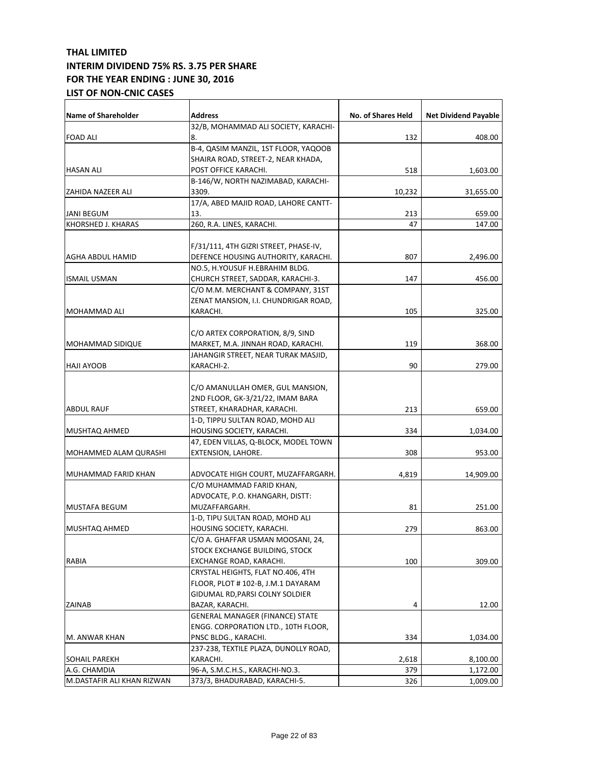| <b>Name of Shareholder</b> | <b>Address</b>                         | No. of Shares Held | <b>Net Dividend Payable</b> |
|----------------------------|----------------------------------------|--------------------|-----------------------------|
|                            | 32/B, MOHAMMAD ALI SOCIETY, KARACHI-   |                    |                             |
| <b>FOAD ALI</b>            | 8.                                     | 132                | 408.00                      |
|                            | B-4, QASIM MANZIL, 1ST FLOOR, YAQOOB   |                    |                             |
|                            | SHAIRA ROAD, STREET-2, NEAR KHADA,     |                    |                             |
| <b>HASAN ALI</b>           | POST OFFICE KARACHI.                   | 518                | 1,603.00                    |
|                            | B-146/W, NORTH NAZIMABAD, KARACHI-     |                    |                             |
| ZAHIDA NAZEER ALI          | 3309.                                  | 10,232             | 31,655.00                   |
|                            | 17/A, ABED MAJID ROAD, LAHORE CANTT-   |                    |                             |
| <b>JANI BEGUM</b>          | 13.                                    | 213                | 659.00                      |
| KHORSHED J. KHARAS         | 260, R.A. LINES, KARACHI.              | 47                 | 147.00                      |
|                            |                                        |                    |                             |
|                            | F/31/111, 4TH GIZRI STREET, PHASE-IV,  |                    |                             |
| AGHA ABDUL HAMID           | DEFENCE HOUSING AUTHORITY, KARACHI.    | 807                | 2,496.00                    |
|                            | NO.5, H.YOUSUF H.EBRAHIM BLDG.         |                    |                             |
| <b>ISMAIL USMAN</b>        | CHURCH STREET, SADDAR, KARACHI-3.      | 147                | 456.00                      |
|                            | C/O M.M. MERCHANT & COMPANY, 31ST      |                    |                             |
|                            | ZENAT MANSION, I.I. CHUNDRIGAR ROAD,   |                    |                             |
| MOHAMMAD ALI               | KARACHI.                               | 105                | 325.00                      |
|                            |                                        |                    |                             |
|                            | C/O ARTEX CORPORATION, 8/9, SIND       |                    |                             |
| <b>MOHAMMAD SIDIQUE</b>    | MARKET, M.A. JINNAH ROAD, KARACHI.     | 119                | 368.00                      |
|                            | JAHANGIR STREET, NEAR TURAK MASJID,    |                    |                             |
| <b>HAJI AYOOB</b>          | KARACHI-2.                             | 90                 | 279.00                      |
|                            |                                        |                    |                             |
|                            | C/O AMANULLAH OMER, GUL MANSION,       |                    |                             |
|                            | 2ND FLOOR, GK-3/21/22, IMAM BARA       |                    |                             |
| <b>ABDUL RAUF</b>          | STREET, KHARADHAR, KARACHI.            | 213                | 659.00                      |
|                            | 1-D, TIPPU SULTAN ROAD, MOHD ALI       |                    |                             |
| <b>MUSHTAQ AHMED</b>       | HOUSING SOCIETY, KARACHI.              | 334                | 1,034.00                    |
|                            | 47, EDEN VILLAS, Q-BLOCK, MODEL TOWN   |                    |                             |
| MOHAMMED ALAM QURASHI      | EXTENSION, LAHORE.                     | 308                | 953.00                      |
|                            |                                        |                    |                             |
| MUHAMMAD FARID KHAN        | ADVOCATE HIGH COURT, MUZAFFARGARH.     | 4,819              | 14,909.00                   |
|                            | C/O MUHAMMAD FARID KHAN,               |                    |                             |
|                            | ADVOCATE, P.O. KHANGARH, DISTT:        |                    |                             |
| <b>MUSTAFA BEGUM</b>       | MUZAFFARGARH.                          | 81                 | 251.00                      |
|                            | 1-D, TIPU SULTAN ROAD, MOHD ALI        |                    |                             |
| MUSHTAQ AHMED              | HOUSING SOCIETY, KARACHI.              | 279                | 863.00                      |
|                            | C/O A. GHAFFAR USMAN MOOSANI, 24,      |                    |                             |
|                            | STOCK EXCHANGE BUILDING, STOCK         |                    |                             |
| RABIA                      | EXCHANGE ROAD, KARACHI.                | 100                | 309.00                      |
|                            | CRYSTAL HEIGHTS, FLAT NO.406, 4TH      |                    |                             |
|                            | FLOOR, PLOT # 102-B, J.M.1 DAYARAM     |                    |                             |
|                            | GIDUMAL RD,PARSI COLNY SOLDIER         |                    |                             |
| <b>ZAINAB</b>              | BAZAR, KARACHI.                        | 4                  | 12.00                       |
|                            | <b>GENERAL MANAGER (FINANCE) STATE</b> |                    |                             |
|                            | ENGG. CORPORATION LTD., 10TH FLOOR,    |                    |                             |
| M. ANWAR KHAN              | PNSC BLDG., KARACHI.                   | 334                | 1,034.00                    |
|                            | 237-238, TEXTILE PLAZA, DUNOLLY ROAD,  |                    |                             |
| SOHAIL PAREKH              | KARACHI.                               | 2,618              | 8,100.00                    |
| A.G. CHAMDIA               | 96-A, S.M.C.H.S., KARACHI-NO.3.        | 379                | 1,172.00                    |
| M.DASTAFIR ALI KHAN RIZWAN | 373/3, BHADURABAD, KARACHI-5.          | 326                | 1,009.00                    |
|                            |                                        |                    |                             |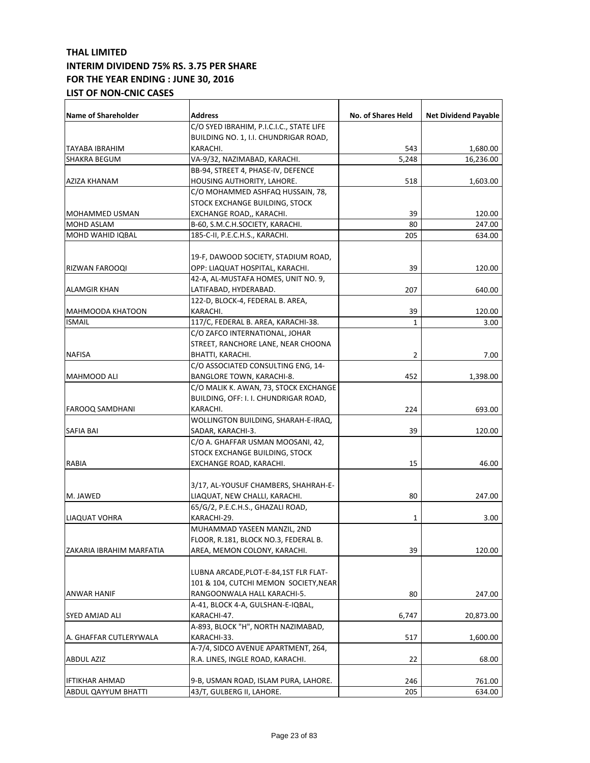| <b>Name of Shareholder</b> | Address                                  | No. of Shares Held | <b>Net Dividend Payable</b> |
|----------------------------|------------------------------------------|--------------------|-----------------------------|
|                            | C/O SYED IBRAHIM, P.I.C.I.C., STATE LIFE |                    |                             |
|                            | BUILDING NO. 1, I.I. CHUNDRIGAR ROAD,    |                    |                             |
| TAYABA IBRAHIM             | KARACHI.                                 | 543                | 1,680.00                    |
| <b>SHAKRA BEGUM</b>        | VA-9/32, NAZIMABAD, KARACHI.             | 5,248              | 16,236.00                   |
|                            | BB-94, STREET 4, PHASE-IV, DEFENCE       |                    |                             |
| AZIZA KHANAM               | HOUSING AUTHORITY, LAHORE.               | 518                | 1,603.00                    |
|                            | C/O MOHAMMED ASHFAQ HUSSAIN, 78,         |                    |                             |
|                            | STOCK EXCHANGE BUILDING, STOCK           |                    |                             |
| MOHAMMED USMAN             | EXCHANGE ROAD,, KARACHI.                 | 39                 | 120.00                      |
| MOHD ASLAM                 | B-60, S.M.C.H.SOCIETY, KARACHI.          | 80                 | 247.00                      |
| MOHD WAHID IQBAL           | 185-C-II, P.E.C.H.S., KARACHI.           | 205                | 634.00                      |
|                            | 19-F, DAWOOD SOCIETY, STADIUM ROAD,      |                    |                             |
| RIZWAN FAROOQI             | OPP: LIAQUAT HOSPITAL, KARACHI.          | 39                 | 120.00                      |
|                            | 42-A, AL-MUSTAFA HOMES, UNIT NO. 9,      |                    |                             |
| <b>ALAMGIR KHAN</b>        | LATIFABAD, HYDERABAD.                    | 207                | 640.00                      |
|                            | 122-D, BLOCK-4, FEDERAL B. AREA,         |                    |                             |
| MAHMOODA KHATOON           | KARACHI.                                 | 39                 | 120.00                      |
| <b>ISMAIL</b>              | 117/C, FEDERAL B. AREA, KARACHI-38.      | 1                  | 3.00                        |
|                            | C/O ZAFCO INTERNATIONAL, JOHAR           |                    |                             |
|                            | STREET, RANCHORE LANE, NEAR CHOONA       |                    |                             |
| <b>NAFISA</b>              | BHATTI, KARACHI.                         | 2                  | 7.00                        |
|                            | C/O ASSOCIATED CONSULTING ENG, 14-       |                    |                             |
| MAHMOOD ALI                | <b>BANGLORE TOWN, KARACHI-8.</b>         | 452                | 1,398.00                    |
|                            | C/O MALIK K. AWAN, 73, STOCK EXCHANGE    |                    |                             |
|                            | BUILDING, OFF: I. I. CHUNDRIGAR ROAD,    |                    |                             |
| FAROOQ SAMDHANI            | KARACHI.                                 | 224                | 693.00                      |
|                            | WOLLINGTON BUILDING, SHARAH-E-IRAQ,      |                    |                             |
| SAFIA BAI                  | SADAR, KARACHI-3.                        | 39                 | 120.00                      |
|                            | C/O A. GHAFFAR USMAN MOOSANI, 42,        |                    |                             |
|                            | STOCK EXCHANGE BUILDING, STOCK           |                    |                             |
| RABIA                      | EXCHANGE ROAD, KARACHI.                  | 15                 | 46.00                       |
|                            | 3/17, AL-YOUSUF CHAMBERS, SHAHRAH-E-     |                    |                             |
| M. JAWED                   | LIAQUAT, NEW CHALLI, KARACHI.            | 80                 | 247.00                      |
|                            | 65/G/2, P.E.C.H.S., GHAZALI ROAD,        |                    |                             |
| LIAQUAT VOHRA              | KARACHI-29.                              | 1                  | 3.00                        |
|                            | MUHAMMAD YASEEN MANZIL, 2ND              |                    |                             |
|                            | FLOOR, R.181, BLOCK NO.3, FEDERAL B.     |                    |                             |
| ZAKARIA IBRAHIM MARFATIA   | AREA, MEMON COLONY, KARACHI.             | 39                 | 120.00                      |
|                            |                                          |                    |                             |
|                            | LUBNA ARCADE, PLOT-E-84, 1ST FLR FLAT-   |                    |                             |
|                            | 101 & 104, CUTCHI MEMON SOCIETY, NEAR    |                    |                             |
| ANWAR HANIF                | RANGOONWALA HALL KARACHI-5.              | 80                 | 247.00                      |
|                            | A-41, BLOCK 4-A, GULSHAN-E-IQBAL,        |                    |                             |
| SYED AMJAD ALI             | KARACHI-47.                              | 6,747              | 20,873.00                   |
|                            | A-893, BLOCK "H", NORTH NAZIMABAD,       |                    |                             |
| A. GHAFFAR CUTLERYWALA     | KARACHI-33.                              | 517                | 1,600.00                    |
|                            | A-7/4, SIDCO AVENUE APARTMENT, 264,      |                    |                             |
| ABDUL AZIZ                 | R.A. LINES, INGLE ROAD, KARACHI.         | 22                 | 68.00                       |
| <b>IFTIKHAR AHMAD</b>      | 9-B, USMAN ROAD, ISLAM PURA, LAHORE.     | 246                | 761.00                      |
| ABDUL QAYYUM BHATTI        | 43/T, GULBERG II, LAHORE.                | 205                | 634.00                      |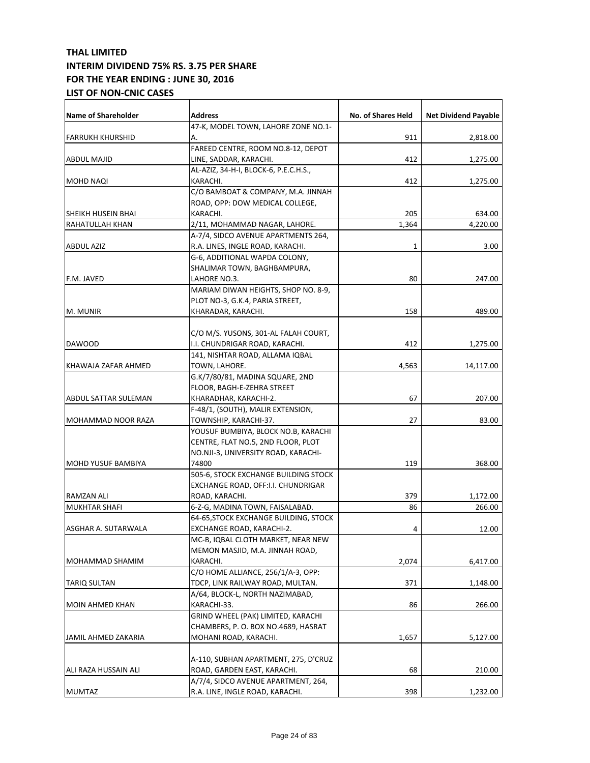| <b>Name of Shareholder</b> | <b>Address</b>                                                  | No. of Shares Held | <b>Net Dividend Payable</b> |
|----------------------------|-----------------------------------------------------------------|--------------------|-----------------------------|
|                            | 47-K, MODEL TOWN, LAHORE ZONE NO.1-                             |                    |                             |
| <b>FARRUKH KHURSHID</b>    | А.                                                              | 911                | 2,818.00                    |
| <b>ABDUL MAJID</b>         | FAREED CENTRE, ROOM NO.8-12, DEPOT                              |                    |                             |
|                            | LINE, SADDAR, KARACHI.<br>AL-AZIZ, 34-H-I, BLOCK-6, P.E.C.H.S., | 412                | 1,275.00                    |
| MOHD NAQI                  | KARACHI.                                                        | 412                | 1,275.00                    |
|                            | C/O BAMBOAT & COMPANY, M.A. JINNAH                              |                    |                             |
|                            | ROAD, OPP: DOW MEDICAL COLLEGE,                                 |                    |                             |
| SHEIKH HUSEIN BHAI         | KARACHI.                                                        | 205                | 634.00                      |
| RAHATULLAH KHAN            | 2/11, MOHAMMAD NAGAR, LAHORE.                                   | 1.364              | 4,220.00                    |
|                            | A-7/4, SIDCO AVENUE APARTMENTS 264,                             |                    |                             |
| <b>ABDUL AZIZ</b>          | R.A. LINES, INGLE ROAD, KARACHI.                                | 1                  | 3.00                        |
|                            | G-6, ADDITIONAL WAPDA COLONY,                                   |                    |                             |
|                            | SHALIMAR TOWN, BAGHBAMPURA,                                     |                    |                             |
| F.M. JAVED                 | LAHORE NO.3.                                                    | 80                 | 247.00                      |
|                            | MARIAM DIWAN HEIGHTS, SHOP NO. 8-9,                             |                    |                             |
|                            | PLOT NO-3, G.K.4, PARIA STREET,                                 |                    |                             |
| M. MUNIR                   | KHARADAR, KARACHI.                                              | 158                | 489.00                      |
|                            |                                                                 |                    |                             |
|                            | C/O M/S. YUSONS, 301-AL FALAH COURT,                            |                    |                             |
| DAWOOD                     | I.I. CHUNDRIGAR ROAD, KARACHI.                                  | 412                | 1,275.00                    |
|                            | 141, NISHTAR ROAD, ALLAMA IQBAL                                 |                    |                             |
| KHAWAJA ZAFAR AHMED        | TOWN, LAHORE.                                                   | 4,563              | 14,117.00                   |
|                            | G.K/7/80/81, MADINA SQUARE, 2ND                                 |                    |                             |
|                            | FLOOR, BAGH-E-ZEHRA STREET                                      |                    |                             |
| ABDUL SATTAR SULEMAN       | KHARADHAR, KARACHI-2.                                           | 67                 | 207.00                      |
|                            | F-48/1, (SOUTH), MALIR EXTENSION,                               |                    |                             |
| MOHAMMAD NOOR RAZA         | TOWNSHIP, KARACHI-37.                                           | 27                 | 83.00                       |
|                            | YOUSUF BUMBIYA, BLOCK NO.B, KARACHI                             |                    |                             |
|                            | CENTRE, FLAT NO.5, 2ND FLOOR, PLOT                              |                    |                             |
|                            | NO.NJI-3, UNIVERSITY ROAD, KARACHI-                             |                    |                             |
| <b>MOHD YUSUF BAMBIYA</b>  | 74800                                                           | 119                | 368.00                      |
|                            | 505-6, STOCK EXCHANGE BUILDING STOCK                            |                    |                             |
|                            | EXCHANGE ROAD, OFF:I.I. CHUNDRIGAR                              |                    |                             |
| <b>RAMZAN ALI</b>          | ROAD, KARACHI.                                                  | 379                | 1,172.00                    |
| <b>MUKHTAR SHAFI</b>       | 6-Z-G, MADINA TOWN, FAISALABAD.                                 | 86                 | 266.00                      |
|                            | 64-65, STOCK EXCHANGE BUILDING, STOCK                           |                    |                             |
| ASGHAR A. SUTARWALA        | EXCHANGE ROAD, KARACHI-2.                                       | 4                  | 12.00                       |
|                            | MC-B, IQBAL CLOTH MARKET, NEAR NEW                              |                    |                             |
|                            | MEMON MASJID, M.A. JINNAH ROAD,                                 |                    |                             |
| MOHAMMAD SHAMIM            | KARACHI.                                                        | 2,074              | 6,417.00                    |
|                            | C/O HOME ALLIANCE, 256/1/A-3, OPP:                              |                    |                             |
| <b>TARIQ SULTAN</b>        | TDCP, LINK RAILWAY ROAD, MULTAN.                                | 371                | 1,148.00                    |
|                            | A/64, BLOCK-L, NORTH NAZIMABAD,                                 |                    |                             |
| <b>MOIN AHMED KHAN</b>     | KARACHI-33.                                                     | 86                 | 266.00                      |
|                            | GRIND WHEEL (PAK) LIMITED, KARACHI                              |                    |                             |
|                            | CHAMBERS, P. O. BOX NO.4689, HASRAT                             |                    |                             |
| JAMIL AHMED ZAKARIA        | MOHANI ROAD, KARACHI.                                           | 1,657              | 5,127.00                    |
|                            |                                                                 |                    |                             |
|                            | A-110, SUBHAN APARTMENT, 275, D'CRUZ                            |                    |                             |
| ALI RAZA HUSSAIN ALI       | ROAD, GARDEN EAST, KARACHI.                                     | 68                 | 210.00                      |
|                            | A/7/4, SIDCO AVENUE APARTMENT, 264,                             |                    |                             |
| <b>MUMTAZ</b>              | R.A. LINE, INGLE ROAD, KARACHI.                                 | 398                | 1,232.00                    |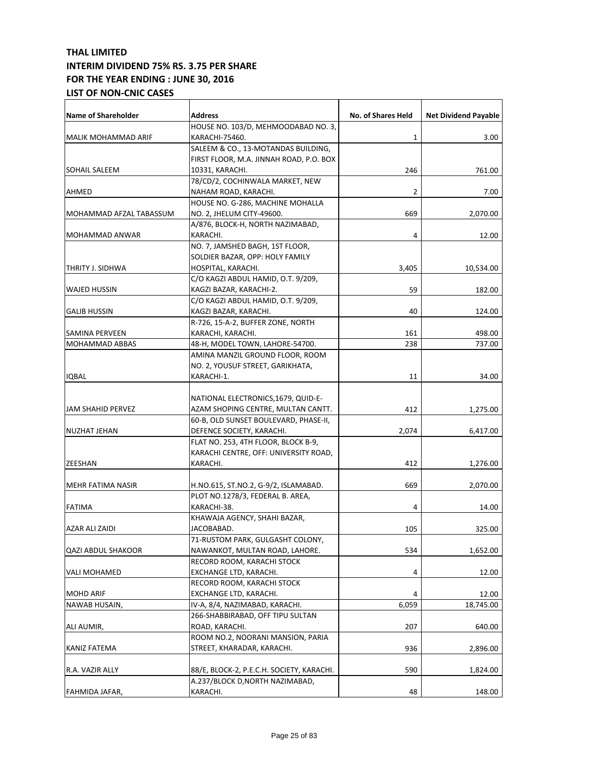| <b>Name of Shareholder</b> | <b>Address</b>                            | No. of Shares Held | <b>Net Dividend Payable</b> |
|----------------------------|-------------------------------------------|--------------------|-----------------------------|
|                            | HOUSE NO. 103/D, MEHMOODABAD NO. 3,       |                    |                             |
| <b>MALIK MOHAMMAD ARIF</b> | KARACHI-75460.                            | 1                  | 3.00                        |
|                            | SALEEM & CO., 13-MOTANDAS BUILDING,       |                    |                             |
|                            | FIRST FLOOR, M.A. JINNAH ROAD, P.O. BOX   |                    |                             |
| <b>SOHAIL SALEEM</b>       | 10331, KARACHI.                           | 246                | 761.00                      |
|                            | 78/CD/2, COCHINWALA MARKET, NEW           |                    |                             |
| AHMED                      | NAHAM ROAD, KARACHI.                      | 2                  | 7.00                        |
|                            | HOUSE NO. G-286, MACHINE MOHALLA          |                    |                             |
| MOHAMMAD AFZAL TABASSUM    | NO. 2, JHELUM CITY-49600.                 | 669                | 2,070.00                    |
|                            | A/876, BLOCK-H, NORTH NAZIMABAD,          |                    |                             |
| MOHAMMAD ANWAR             | KARACHI.                                  | 4                  | 12.00                       |
|                            | NO. 7, JAMSHED BAGH, 1ST FLOOR,           |                    |                             |
|                            | SOLDIER BAZAR, OPP: HOLY FAMILY           |                    |                             |
| THRITY J. SIDHWA           | HOSPITAL, KARACHI.                        | 3,405              | 10,534.00                   |
|                            | C/O KAGZI ABDUL HAMID, O.T. 9/209,        |                    |                             |
| WAJED HUSSIN               | KAGZI BAZAR, KARACHI-2.                   | 59                 | 182.00                      |
|                            | C/O KAGZI ABDUL HAMID, O.T. 9/209,        |                    |                             |
| <b>GALIB HUSSIN</b>        | KAGZI BAZAR, KARACHI.                     | 40                 | 124.00                      |
|                            | R-726, 15-A-2, BUFFER ZONE, NORTH         |                    |                             |
| SAMINA PERVEEN             | KARACHI, KARACHI.                         | 161                | 498.00                      |
| <b>MOHAMMAD ABBAS</b>      | 48-H, MODEL TOWN, LAHORE-54700.           | 238                | 737.00                      |
|                            | AMINA MANZIL GROUND FLOOR, ROOM           |                    |                             |
|                            | NO. 2, YOUSUF STREET, GARIKHATA,          |                    |                             |
| <b>IQBAL</b>               | KARACHI-1.                                | 11                 | 34.00                       |
|                            |                                           |                    |                             |
|                            | NATIONAL ELECTRONICS, 1679, QUID-E-       |                    |                             |
| JAM SHAHID PERVEZ          | AZAM SHOPING CENTRE, MULTAN CANTT.        | 412                | 1,275.00                    |
|                            | 60-B, OLD SUNSET BOULEVARD, PHASE-II,     |                    |                             |
| <b>NUZHAT JEHAN</b>        | DEFENCE SOCIETY, KARACHI.                 | 2,074              | 6,417.00                    |
|                            | FLAT NO. 253, 4TH FLOOR, BLOCK B-9,       |                    |                             |
|                            | KARACHI CENTRE, OFF: UNIVERSITY ROAD,     |                    |                             |
| <b>ZEESHAN</b>             | KARACHI.                                  | 412                | 1,276.00                    |
|                            |                                           |                    |                             |
| <b>MEHR FATIMA NASIR</b>   | H.NO.615, ST.NO.2, G-9/2, ISLAMABAD.      | 669                |                             |
|                            | PLOT NO.1278/3, FEDERAL B. AREA,          |                    | 2,070.00                    |
| <b>FATIMA</b>              | KARACHI-38.                               | 4                  | 14.00                       |
|                            | KHAWAJA AGENCY, SHAHI BAZAR,              |                    |                             |
| AZAR ALI ZAIDI             | JACOBABAD.                                | 105                |                             |
|                            | 71-RUSTOM PARK, GULGASHT COLONY,          |                    | 325.00                      |
|                            | NAWANKOT, MULTAN ROAD, LAHORE.            |                    |                             |
| QAZI ABDUL SHAKOOR         |                                           | 534                | 1,652.00                    |
|                            | RECORD ROOM, KARACHI STOCK                |                    |                             |
| VALI MOHAMED               | EXCHANGE LTD, KARACHI.                    | 4                  | 12.00                       |
|                            | RECORD ROOM, KARACHI STOCK                |                    |                             |
| <b>MOHD ARIF</b>           | EXCHANGE LTD, KARACHI.                    | 4                  | 12.00                       |
| NAWAB HUSAIN,              | IV-A, 8/4, NAZIMABAD, KARACHI.            | 6,059              | 18,745.00                   |
|                            | 266-SHABBIRABAD, OFF TIPU SULTAN          |                    |                             |
| ALI AUMIR,                 | ROAD, KARACHI.                            | 207                | 640.00                      |
|                            | ROOM NO.2, NOORANI MANSION, PARIA         |                    |                             |
| KANIZ FATEMA               | STREET, KHARADAR, KARACHI.                | 936                | 2,896.00                    |
|                            |                                           |                    |                             |
| R.A. VAZIR ALLY            | 88/E, BLOCK-2, P.E.C.H. SOCIETY, KARACHI. | 590                | 1,824.00                    |
|                            | A.237/BLOCK D, NORTH NAZIMABAD,           |                    |                             |
| FAHMIDA JAFAR,             | KARACHI.                                  | 48                 | 148.00                      |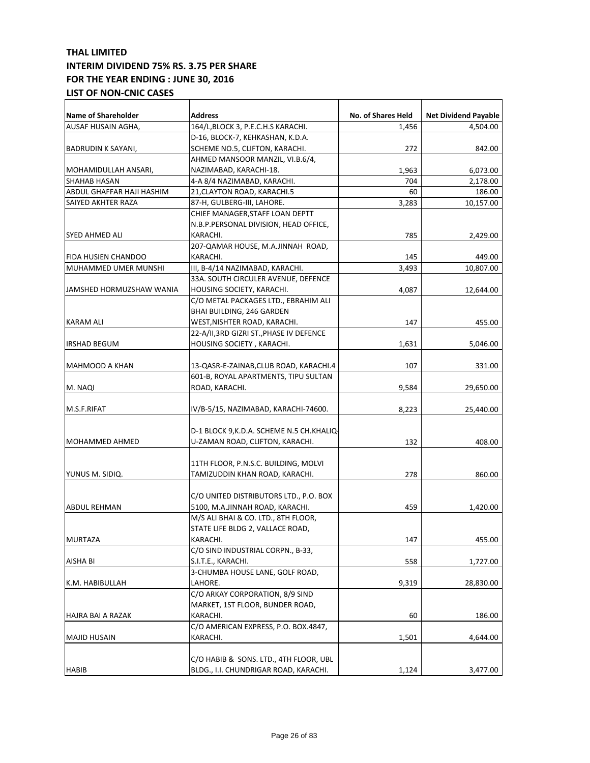| <b>Name of Shareholder</b> | <b>Address</b>                             | No. of Shares Held | <b>Net Dividend Payable</b> |
|----------------------------|--------------------------------------------|--------------------|-----------------------------|
| AUSAF HUSAIN AGHA,         | 164/L, BLOCK 3, P.E.C.H.S KARACHI.         | 1,456              | 4,504.00                    |
|                            | D-16, BLOCK-7, KEHKASHAN, K.D.A.           |                    |                             |
| BADRUDIN K SAYANI,         | SCHEME NO.5, CLIFTON, KARACHI.             | 272                | 842.00                      |
|                            | AHMED MANSOOR MANZIL, VI.B.6/4,            |                    |                             |
| MOHAMIDULLAH ANSARI,       | NAZIMABAD, KARACHI-18.                     | 1,963              | 6,073.00                    |
| <b>SHAHAB HASAN</b>        | 4-A 8/4 NAZIMABAD, KARACHI.                | 704                | 2,178.00                    |
| ABDUL GHAFFAR HAJI HASHIM  | 21, CLAYTON ROAD, KARACHI.5                | 60                 | 186.00                      |
| SAIYED AKHTER RAZA         | 87-H, GULBERG-III, LAHORE.                 | 3,283              | 10,157.00                   |
|                            | CHIEF MANAGER, STAFF LOAN DEPTT            |                    |                             |
|                            | N.B.P.PERSONAL DIVISION, HEAD OFFICE,      |                    |                             |
| SYED AHMED ALI             | KARACHI.                                   | 785                | 2,429.00                    |
|                            | 207-QAMAR HOUSE, M.A.JINNAH ROAD,          |                    |                             |
| FIDA HUSIEN CHANDOO        | KARACHI.                                   | 145                | 449.00                      |
| MUHAMMED UMER MUNSHI       | III, B-4/14 NAZIMABAD, KARACHI.            | 3,493              | 10,807.00                   |
|                            | 33A. SOUTH CIRCULER AVENUE, DEFENCE        |                    |                             |
| JAMSHED HORMUZSHAW WANIA   | HOUSING SOCIETY, KARACHI.                  | 4,087              | 12,644.00                   |
|                            | C/O METAL PACKAGES LTD., EBRAHIM ALI       |                    |                             |
|                            | <b>BHAI BUILDING, 246 GARDEN</b>           |                    |                             |
| <b>KARAM ALI</b>           | WEST, NISHTER ROAD, KARACHI.               | 147                | 455.00                      |
|                            | 22-A/II,3RD GIZRI ST., PHASE IV DEFENCE    |                    |                             |
| IRSHAD BEGUM               | HOUSING SOCIETY, KARACHI.                  | 1.631              | 5,046.00                    |
|                            |                                            |                    |                             |
| MAHMOOD A KHAN             | 13-QASR-E-ZAINAB, CLUB ROAD, KARACHI.4     | 107                | 331.00                      |
|                            | 601-B, ROYAL APARTMENTS, TIPU SULTAN       |                    |                             |
| M. NAQI                    | ROAD, KARACHI.                             | 9,584              | 29,650.00                   |
|                            |                                            |                    |                             |
| M.S.F.RIFAT                | IV/B-5/15, NAZIMABAD, KARACHI-74600.       | 8,223              | 25,440.00                   |
|                            |                                            |                    |                             |
|                            | D-1 BLOCK 9, K.D.A. SCHEME N.5 CH. KHALIQ- |                    |                             |
| MOHAMMED AHMED             | U-ZAMAN ROAD, CLIFTON, KARACHI.            | 132                | 408.00                      |
|                            |                                            |                    |                             |
|                            | 11TH FLOOR, P.N.S.C. BUILDING, MOLVI       |                    |                             |
| YUNUS M. SIDIQ.            | TAMIZUDDIN KHAN ROAD, KARACHI.             | 278                | 860.00                      |
|                            |                                            |                    |                             |
|                            | C/O UNITED DISTRIBUTORS LTD., P.O. BOX     |                    |                             |
| ABDUL REHMAN               | 5100, M.A.JINNAH ROAD, KARACHI.            | 459                | 1,420.00                    |
|                            | M/S ALI BHAI & CO. LTD., 8TH FLOOR,        |                    |                             |
|                            | STATE LIFE BLDG 2, VALLACE ROAD,           |                    |                             |
| <b>MURTAZA</b>             | KARACHI.                                   | 147                | 455.00                      |
|                            | C/O SIND INDUSTRIAL CORPN., B-33,          |                    |                             |
| AISHA BI                   | S.I.T.E., KARACHI.                         | 558                | 1,727.00                    |
|                            | 3-CHUMBA HOUSE LANE, GOLF ROAD,            |                    |                             |
| K.M. HABIBULLAH            | LAHORE.                                    | 9,319              | 28,830.00                   |
|                            | C/O ARKAY CORPORATION, 8/9 SIND            |                    |                             |
|                            | MARKET, 1ST FLOOR, BUNDER ROAD,            |                    |                             |
| HAJRA BAI A RAZAK          | KARACHI.                                   | 60                 | 186.00                      |
|                            | C/O AMERICAN EXPRESS, P.O. BOX.4847,       |                    |                             |
| <b>MAJID HUSAIN</b>        | KARACHI.                                   | 1,501              | 4,644.00                    |
|                            |                                            |                    |                             |
|                            | C/O HABIB & SONS. LTD., 4TH FLOOR, UBL     |                    |                             |
| <b>HABIB</b>               | BLDG., I.I. CHUNDRIGAR ROAD, KARACHI.      | 1,124              | 3,477.00                    |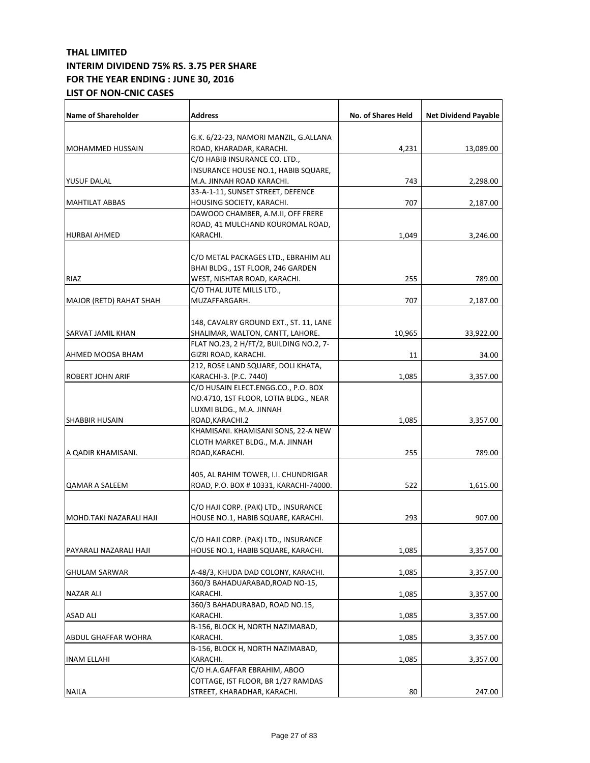| <b>Name of Shareholder</b> | <b>Address</b>                          | <b>No. of Shares Held</b> | <b>Net Dividend Payable</b> |
|----------------------------|-----------------------------------------|---------------------------|-----------------------------|
|                            | G.K. 6/22-23, NAMORI MANZIL, G.ALLANA   |                           |                             |
| <b>MOHAMMED HUSSAIN</b>    | ROAD, KHARADAR, KARACHI.                | 4,231                     | 13,089.00                   |
|                            | C/O HABIB INSURANCE CO. LTD.,           |                           |                             |
|                            | INSURANCE HOUSE NO.1, HABIB SQUARE,     |                           |                             |
| YUSUF DALAL                | M.A. JINNAH ROAD KARACHI.               | 743                       | 2,298.00                    |
|                            | 33-A-1-11, SUNSET STREET, DEFENCE       |                           |                             |
| <b>MAHTILAT ABBAS</b>      | HOUSING SOCIETY, KARACHI.               | 707                       | 2,187.00                    |
|                            | DAWOOD CHAMBER, A.M.II, OFF FRERE       |                           |                             |
|                            | ROAD, 41 MULCHAND KOUROMAL ROAD,        |                           |                             |
| <b>HURBAI AHMED</b>        | KARACHI.                                | 1,049                     | 3,246.00                    |
|                            |                                         |                           |                             |
|                            | C/O METAL PACKAGES LTD., EBRAHIM ALI    |                           |                             |
|                            | BHAI BLDG., 1ST FLOOR, 246 GARDEN       |                           |                             |
| RIAZ                       | WEST, NISHTAR ROAD, KARACHI.            | 255                       | 789.00                      |
|                            | C/O THAL JUTE MILLS LTD.,               |                           |                             |
| MAJOR (RETD) RAHAT SHAH    | MUZAFFARGARH.                           | 707                       | 2,187.00                    |
|                            |                                         |                           |                             |
|                            | 148, CAVALRY GROUND EXT., ST. 11, LANE  |                           |                             |
| SARVAT JAMIL KHAN          | SHALIMAR, WALTON, CANTT, LAHORE.        | 10,965                    | 33,922.00                   |
|                            | FLAT NO.23, 2 H/FT/2, BUILDING NO.2, 7- |                           |                             |
| AHMED MOOSA BHAM           | GIZRI ROAD, KARACHI.                    | 11                        | 34.00                       |
|                            | 212, ROSE LAND SQUARE, DOLI KHATA,      |                           |                             |
| <b>ROBERT JOHN ARIF</b>    | KARACHI-3. (P.C. 7440)                  | 1,085                     | 3,357.00                    |
|                            | C/O HUSAIN ELECT.ENGG.CO., P.O. BOX     |                           |                             |
|                            | NO.4710, 1ST FLOOR, LOTIA BLDG., NEAR   |                           |                             |
|                            | LUXMI BLDG., M.A. JINNAH                |                           |                             |
| <b>SHABBIR HUSAIN</b>      | ROAD, KARACHI.2                         | 1,085                     | 3,357.00                    |
|                            | KHAMISANI. KHAMISANI SONS, 22-A NEW     |                           |                             |
|                            | CLOTH MARKET BLDG., M.A. JINNAH         |                           |                             |
| A QADIR KHAMISANI.         | ROAD, KARACHI.                          | 255                       | 789.00                      |
|                            |                                         |                           |                             |
|                            | 405, AL RAHIM TOWER, I.I. CHUNDRIGAR    |                           |                             |
| <b>QAMAR A SALEEM</b>      | ROAD, P.O. BOX #10331, KARACHI-74000.   | 522                       | 1,615.00                    |
|                            |                                         |                           |                             |
|                            | C/O HAJI CORP. (PAK) LTD., INSURANCE    |                           |                             |
| MOHD.TAKI NAZARALI HAJI    | HOUSE NO.1, HABIB SQUARE, KARACHI.      | 293                       | 907.00                      |
|                            |                                         |                           |                             |
|                            | C/O HAJI CORP. (PAK) LTD., INSURANCE    |                           |                             |
| PAYARALI NAZARALI HAJI     | HOUSE NO.1, HABIB SQUARE, KARACHI.      | 1,085                     | 3,357.00                    |
|                            |                                         |                           |                             |
| <b>GHULAM SARWAR</b>       | A-48/3, KHUDA DAD COLONY, KARACHI.      | 1,085                     | 3,357.00                    |
|                            | 360/3 BAHADUARABAD, ROAD NO-15,         |                           |                             |
| NAZAR ALI                  | KARACHI.                                | 1,085                     | 3,357.00                    |
|                            | 360/3 BAHADURABAD, ROAD NO.15,          |                           |                             |
| <b>ASAD ALI</b>            | KARACHI.                                | 1,085                     | 3,357.00                    |
|                            | B-156, BLOCK H, NORTH NAZIMABAD,        |                           |                             |
| ABDUL GHAFFAR WOHRA        | KARACHI.                                | 1,085                     | 3,357.00                    |
|                            | B-156, BLOCK H, NORTH NAZIMABAD,        |                           |                             |
| <b>INAM ELLAHI</b>         | KARACHI.                                | 1,085                     | 3,357.00                    |
|                            | C/O H.A.GAFFAR EBRAHIM, ABOO            |                           |                             |
|                            | COTTAGE, IST FLOOR, BR 1/27 RAMDAS      |                           |                             |
| <b>NAILA</b>               | STREET, KHARADHAR, KARACHI.             | 80                        | 247.00                      |
|                            |                                         |                           |                             |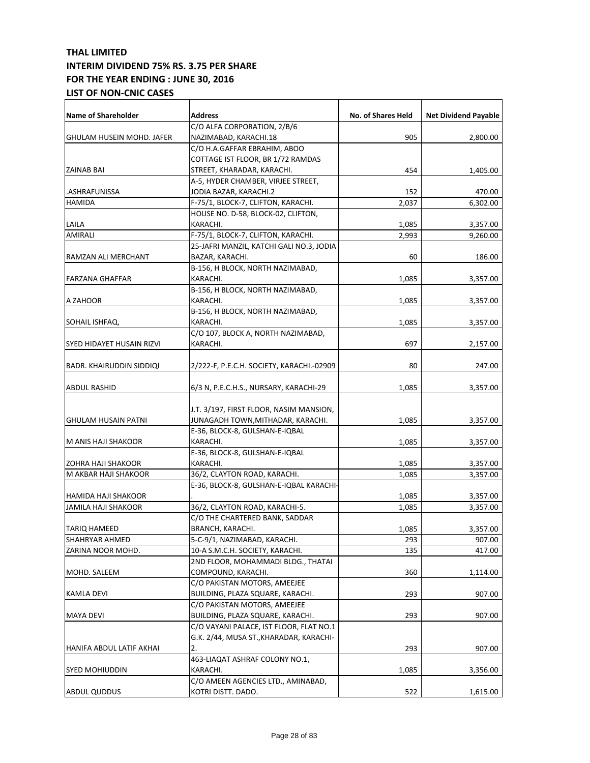| <b>Name of Shareholder</b>      | Address                                   | No. of Shares Held | <b>Net Dividend Payable</b> |
|---------------------------------|-------------------------------------------|--------------------|-----------------------------|
|                                 | C/O ALFA CORPORATION, 2/B/6               |                    |                             |
| GHULAM HUSEIN MOHD. JAFER       | NAZIMABAD, KARACHI.18                     | 905                | 2,800.00                    |
|                                 | C/O H.A.GAFFAR EBRAHIM, ABOO              |                    |                             |
|                                 | COTTAGE IST FLOOR, BR 1/72 RAMDAS         |                    |                             |
| <b>ZAINAB BAI</b>               | STREET, KHARADAR, KARACHI.                | 454                | 1,405.00                    |
|                                 | A-5, HYDER CHAMBER, VIRJEE STREET,        |                    |                             |
| .ASHRAFUNISSA                   | JODIA BAZAR, KARACHI.2                    | 152                | 470.00                      |
| <b>HAMIDA</b>                   | F-75/1, BLOCK-7, CLIFTON, KARACHI.        | 2,037              | 6,302.00                    |
|                                 | HOUSE NO. D-58, BLOCK-02, CLIFTON,        |                    |                             |
| LAILA                           | KARACHI.                                  | 1,085              | 3,357.00                    |
| AMIRALI                         | F-75/1, BLOCK-7, CLIFTON, KARACHI.        | 2,993              | 9,260.00                    |
|                                 | 25-JAFRI MANZIL, KATCHI GALI NO.3, JODIA  |                    |                             |
| RAMZAN ALI MERCHANT             | BAZAR, KARACHI.                           | 60                 | 186.00                      |
|                                 | B-156, H BLOCK, NORTH NAZIMABAD,          |                    |                             |
| <b>FARZANA GHAFFAR</b>          | KARACHI.                                  | 1,085              | 3,357.00                    |
|                                 | B-156, H BLOCK, NORTH NAZIMABAD,          |                    |                             |
| A ZAHOOR                        | KARACHI.                                  | 1,085              |                             |
|                                 | B-156, H BLOCK, NORTH NAZIMABAD,          |                    | 3,357.00                    |
|                                 |                                           |                    |                             |
| SOHAIL ISHFAQ,                  | KARACHI.                                  | 1,085              | 3,357.00                    |
|                                 | C/O 107, BLOCK A, NORTH NAZIMABAD,        |                    |                             |
| SYED HIDAYET HUSAIN RIZVI       | KARACHI.                                  | 697                | 2,157.00                    |
| <b>BADR. KHAIRUDDIN SIDDIQI</b> | 2/222-F, P.E.C.H. SOCIETY, KARACHI.-02909 | 80                 | 247.00                      |
|                                 |                                           |                    |                             |
| ABDUL RASHID                    | 6/3 N, P.E.C.H.S., NURSARY, KARACHI-29    | 1,085              | 3,357.00                    |
|                                 | J.T. 3/197, FIRST FLOOR, NASIM MANSION,   |                    |                             |
| <b>GHULAM HUSAIN PATNI</b>      | JUNAGADH TOWN,MITHADAR, KARACHI.          | 1,085              | 3,357.00                    |
|                                 | E-36, BLOCK-8, GULSHAN-E-IQBAL            |                    |                             |
| M ANIS HAJI SHAKOOR             | KARACHI.                                  | 1,085              | 3,357.00                    |
|                                 | E-36, BLOCK-8, GULSHAN-E-IQBAL            |                    |                             |
|                                 | KARACHI.                                  |                    |                             |
| <b>ZOHRA HAJI SHAKOOR</b>       |                                           | 1,085              | 3,357.00                    |
| M AKBAR HAJI SHAKOOR            | 36/2, CLAYTON ROAD, KARACHI.              | 1,085              | 3,357.00                    |
|                                 | E-36, BLOCK-8, GULSHAN-E-IQBAL KARACHI-   |                    |                             |
| HAMIDA HAJI SHAKOOR             |                                           | 1,085              | 3,357.00                    |
| <b>JAMILA HAJI SHAKOOR</b>      | 36/2, CLAYTON ROAD, KARACHI-5.            | 1.085              | 3,357.00                    |
|                                 | C/O THE CHARTERED BANK, SADDAR            |                    |                             |
| <b>TARIQ HAMEED</b>             | BRANCH, KARACHI.                          | 1,085              | 3,357.00                    |
| SHAHRYAR AHMED                  | 5-C-9/1, NAZIMABAD, KARACHI.              | 293                | 907.00                      |
| ZARINA NOOR MOHD.               | 10-A S.M.C.H. SOCIETY, KARACHI.           | 135                | 417.00                      |
|                                 | 2ND FLOOR, MOHAMMADI BLDG., THATAI        |                    |                             |
| MOHD. SALEEM                    | COMPOUND, KARACHI.                        | 360                | 1,114.00                    |
|                                 | C/O PAKISTAN MOTORS, AMEEJEE              |                    |                             |
| KAMLA DEVI                      | BUILDING, PLAZA SQUARE, KARACHI.          | 293                | 907.00                      |
|                                 | C/O PAKISTAN MOTORS, AMEEJEE              |                    |                             |
| <b>MAYA DEVI</b>                | BUILDING, PLAZA SQUARE, KARACHI.          | 293                | 907.00                      |
|                                 | C/O VAYANI PALACE, IST FLOOR, FLAT NO.1   |                    |                             |
|                                 | G.K. 2/44, MUSA ST., KHARADAR, KARACHI-   |                    |                             |
| HANIFA ABDUL LATIF AKHAI        | 2.                                        | 293                | 907.00                      |
|                                 | 463-LIAQAT ASHRAF COLONY NO.1,            |                    |                             |
| <b>SYED MOHIUDDIN</b>           | KARACHI.                                  | 1,085              | 3,356.00                    |
|                                 | C/O AMEEN AGENCIES LTD., AMINABAD,        |                    |                             |
| <b>ABDUL QUDDUS</b>             | KOTRI DISTT. DADO.                        | 522                | 1,615.00                    |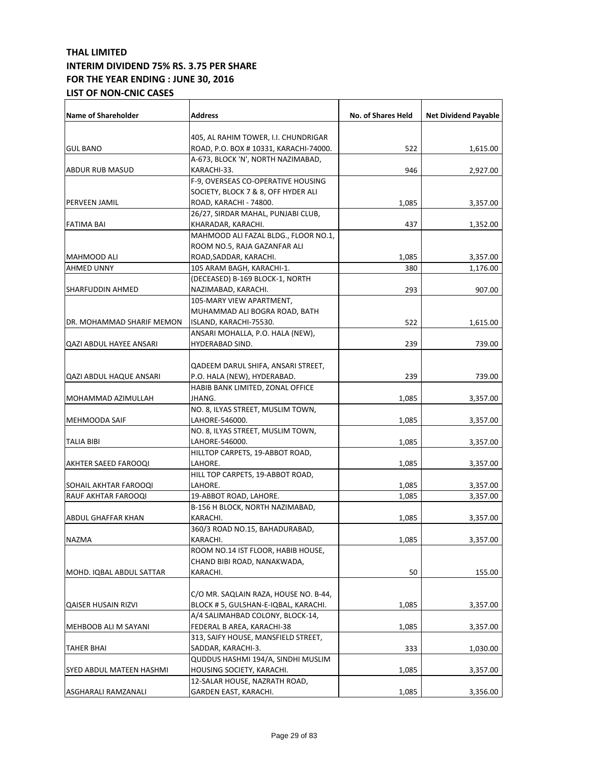| <b>Name of Shareholder</b> | <b>Address</b>                        | No. of Shares Held | <b>Net Dividend Payable</b> |
|----------------------------|---------------------------------------|--------------------|-----------------------------|
|                            | 405, AL RAHIM TOWER, I.I. CHUNDRIGAR  |                    |                             |
| <b>GUL BANO</b>            | ROAD, P.O. BOX #10331, KARACHI-74000. | 522                |                             |
|                            | A-673, BLOCK 'N', NORTH NAZIMABAD,    |                    | 1,615.00                    |
| <b>ABDUR RUB MASUD</b>     | KARACHI-33.                           | 946                |                             |
|                            |                                       |                    | 2,927.00                    |
|                            | F-9, OVERSEAS CO-OPERATIVE HOUSING    |                    |                             |
|                            | SOCIETY, BLOCK 7 & 8, OFF HYDER ALI   |                    |                             |
| PERVEEN JAMIL              | ROAD, KARACHI - 74800.                | 1,085              | 3,357.00                    |
|                            | 26/27, SIRDAR MAHAL, PUNJABI CLUB,    |                    |                             |
| <b>FATIMA BAI</b>          | KHARADAR, KARACHI.                    | 437                | 1,352.00                    |
|                            | MAHMOOD ALI FAZAL BLDG., FLOOR NO.1,  |                    |                             |
|                            | ROOM NO.5, RAJA GAZANFAR ALI          |                    |                             |
| MAHMOOD ALI                | ROAD, SADDAR, KARACHI.                | 1,085              | 3,357.00                    |
| <b>AHMED UNNY</b>          | 105 ARAM BAGH, KARACHI-1.             | 380                | 1,176.00                    |
|                            | (DECEASED) B-169 BLOCK-1, NORTH       |                    |                             |
| SHARFUDDIN AHMED           | NAZIMABAD, KARACHI.                   | 293                | 907.00                      |
|                            | 105-MARY VIEW APARTMENT,              |                    |                             |
|                            | MUHAMMAD ALI BOGRA ROAD, BATH         |                    |                             |
| DR. MOHAMMAD SHARIF MEMON  | ISLAND, KARACHI-75530.                | 522                | 1,615.00                    |
|                            | ANSARI MOHALLA, P.O. HALA (NEW),      |                    |                             |
| QAZI ABDUL HAYEE ANSARI    | HYDERABAD SIND.                       | 239                | 739.00                      |
|                            |                                       |                    |                             |
|                            | QADEEM DARUL SHIFA, ANSARI STREET,    |                    |                             |
| QAZI ABDUL HAQUE ANSARI    | P.O. HALA (NEW), HYDERABAD.           | 239                | 739.00                      |
|                            | HABIB BANK LIMITED, ZONAL OFFICE      |                    |                             |
| MOHAMMAD AZIMULLAH         | JHANG.                                | 1,085              | 3,357.00                    |
|                            | NO. 8, ILYAS STREET, MUSLIM TOWN,     |                    |                             |
| <b>MEHMOODA SAIF</b>       | LAHORE-546000.                        | 1,085              | 3,357.00                    |
|                            | NO. 8, ILYAS STREET, MUSLIM TOWN,     |                    |                             |
| <b>TALIA BIBI</b>          | LAHORE-546000.                        | 1,085              | 3,357.00                    |
|                            | HILLTOP CARPETS, 19-ABBOT ROAD,       |                    |                             |
| AKHTER SAEED FAROOQI       | LAHORE.                               | 1,085              | 3,357.00                    |
|                            | HILL TOP CARPETS, 19-ABBOT ROAD,      |                    |                             |
| SOHAIL AKHTAR FAROOQI      | LAHORE.                               | 1,085              | 3,357.00                    |
| RAUF AKHTAR FAROOQI        | 19-ABBOT ROAD, LAHORE.                | 1,085              | 3,357.00                    |
|                            | B-156 H BLOCK, NORTH NAZIMABAD,       |                    |                             |
| <b>ABDUL GHAFFAR KHAN</b>  | KARACHI.                              | 1,085              | 3,357.00                    |
|                            | 360/3 ROAD NO.15, BAHADURABAD,        |                    |                             |
| <b>NAZMA</b>               | KARACHI.                              | 1,085              | 3,357.00                    |
|                            | ROOM NO.14 IST FLOOR, HABIB HOUSE,    |                    |                             |
|                            | CHAND BIBI ROAD, NANAKWADA,           |                    |                             |
| MOHD. IQBAL ABDUL SATTAR   | KARACHI.                              | 50                 | 155.00                      |
|                            |                                       |                    |                             |
|                            | C/O MR. SAQLAIN RAZA, HOUSE NO. B-44, |                    |                             |
| <b>QAISER HUSAIN RIZVI</b> | BLOCK # 5, GULSHAN-E-IQBAL, KARACHI.  | 1,085              |                             |
|                            | A/4 SALIMAHBAD COLONY, BLOCK-14,      |                    | 3,357.00                    |
|                            |                                       |                    |                             |
| MEHBOOB ALI M SAYANI       | FEDERAL B AREA, KARACHI-38            | 1,085              | 3,357.00                    |
|                            | 313, SAIFY HOUSE, MANSFIELD STREET,   |                    |                             |
| TAHER BHAI                 | SADDAR, KARACHI-3.                    | 333                | 1,030.00                    |
|                            | QUDDUS HASHMI 194/A, SINDHI MUSLIM    |                    |                             |
| SYED ABDUL MATEEN HASHMI   | HOUSING SOCIETY, KARACHI.             | 1,085              | 3,357.00                    |
|                            | 12-SALAR HOUSE, NAZRATH ROAD,         |                    |                             |
| <b>ASGHARALI RAMZANALI</b> | GARDEN EAST, KARACHI.                 | 1,085              | 3,356.00                    |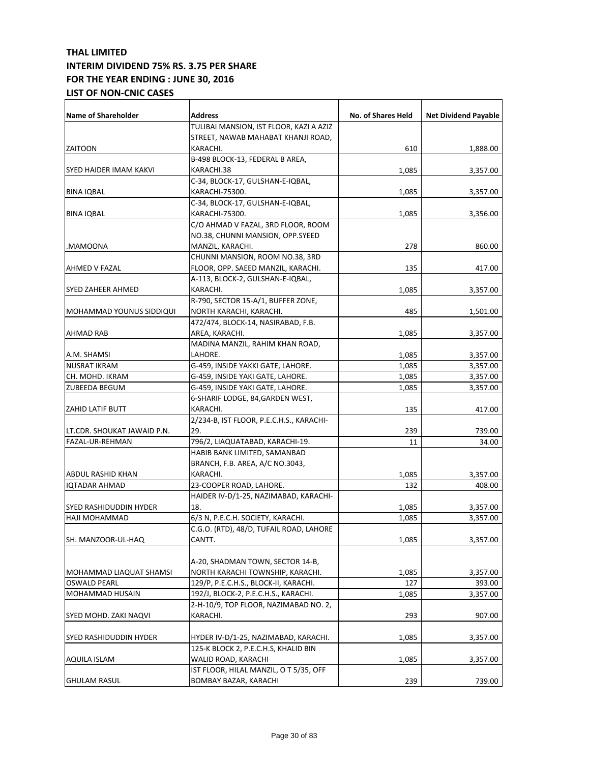| <b>Name of Shareholder</b>      | <b>Address</b>                           | No. of Shares Held | <b>Net Dividend Payable</b> |
|---------------------------------|------------------------------------------|--------------------|-----------------------------|
|                                 | TULIBAI MANSION, IST FLOOR, KAZI A AZIZ  |                    |                             |
|                                 | STREET, NAWAB MAHABAT KHANJI ROAD,       |                    |                             |
| <b>ZAITOON</b>                  | KARACHI.                                 | 610                |                             |
|                                 | B-498 BLOCK-13, FEDERAL B AREA,          |                    | 1,888.00                    |
| SYED HAIDER IMAM KAKVI          | KARACHI.38                               | 1,085              | 3,357.00                    |
|                                 | C-34, BLOCK-17, GULSHAN-E-IQBAL,         |                    |                             |
| <b>BINA IQBAL</b>               | KARACHI-75300.                           | 1,085              | 3,357.00                    |
|                                 | C-34, BLOCK-17, GULSHAN-E-IQBAL,         |                    |                             |
| <b>BINA IQBAL</b>               | KARACHI-75300.                           | 1,085              | 3,356.00                    |
|                                 | C/O AHMAD V FAZAL, 3RD FLOOR, ROOM       |                    |                             |
|                                 | NO.38, CHUNNI MANSION, OPP.SYEED         |                    |                             |
| MAMOONA.                        | MANZIL, KARACHI.                         | 278                | 860.00                      |
|                                 | CHUNNI MANSION, ROOM NO.38, 3RD          |                    |                             |
| AHMED V FAZAL                   | FLOOR, OPP. SAEED MANZIL, KARACHI.       | 135                | 417.00                      |
|                                 | A-113, BLOCK-2, GULSHAN-E-IQBAL,         |                    |                             |
| SYED ZAHEER AHMED               | KARACHI.                                 | 1,085              | 3,357.00                    |
|                                 | R-790, SECTOR 15-A/1, BUFFER ZONE,       |                    |                             |
| <b>MOHAMMAD YOUNUS SIDDIQUI</b> | NORTH KARACHI, KARACHI.                  | 485                | 1,501.00                    |
|                                 | 472/474, BLOCK-14, NASIRABAD, F.B.       |                    |                             |
| AHMAD RAB                       | AREA, KARACHI.                           | 1,085              | 3,357.00                    |
|                                 | MADINA MANZIL, RAHIM KHAN ROAD,          |                    |                             |
| A.M. SHAMSI                     | LAHORE.                                  | 1,085              | 3,357.00                    |
| <b>NUSRAT IKRAM</b>             | G-459, INSIDE YAKKI GATE, LAHORE.        | 1,085              | 3,357.00                    |
| CH. MOHD. IKRAM                 | G-459, INSIDE YAKI GATE, LAHORE.         | 1,085              | 3,357.00                    |
| ZUBEEDA BEGUM                   | G-459, INSIDE YAKI GATE, LAHORE.         | 1,085              | 3,357.00                    |
|                                 | 6-SHARIF LODGE, 84, GARDEN WEST,         |                    |                             |
| <b>ZAHID LATIF BUTT</b>         | KARACHI.                                 | 135                | 417.00                      |
|                                 | 2/234-B, IST FLOOR, P.E.C.H.S., KARACHI- |                    |                             |
| LT.CDR. SHOUKAT JAWAID P.N.     | 29.                                      | 239                | 739.00                      |
| FAZAL-UR-REHMAN                 | 796/2, LIAQUATABAD, KARACHI-19.          | 11                 | 34.00                       |
|                                 | HABIB BANK LIMITED, SAMANBAD             |                    |                             |
|                                 | BRANCH, F.B. AREA, A/C NO.3043,          |                    |                             |
| ABDUL RASHID KHAN               | KARACHI.                                 | 1,085              | 3,357.00                    |
| <b>IQTADAR AHMAD</b>            | 23-COOPER ROAD, LAHORE.                  | 132                | 408.00                      |
|                                 | HAIDER IV-D/1-25, NAZIMABAD, KARACHI-    |                    |                             |
| SYED RASHIDUDDIN HYDER          | 18.                                      | 1,085              | 3,357.00                    |
| <b>HAJI MOHAMMAD</b>            | 6/3 N, P.E.C.H. SOCIETY, KARACHI.        | 1,085              | 3,357.00                    |
|                                 | C.G.O. (RTD), 48/D, TUFAIL ROAD, LAHORE  |                    |                             |
| SH. MANZOOR-UL-HAQ              | CANTT.                                   | 1,085              | 3,357.00                    |
|                                 |                                          |                    |                             |
|                                 | A-20, SHADMAN TOWN, SECTOR 14-B,         |                    |                             |
| MOHAMMAD LIAQUAT SHAMSI         | NORTH KARACHI TOWNSHIP, KARACHI.         | 1,085              | 3,357.00                    |
| <b>OSWALD PEARL</b>             | 129/P, P.E.C.H.S., BLOCK-II, KARACHI.    | 127                | 393.00                      |
| MOHAMMAD HUSAIN                 | 192/J, BLOCK-2, P.E.C.H.S., KARACHI.     | 1,085              | 3,357.00                    |
|                                 | 2-H-10/9, TOP FLOOR, NAZIMABAD NO. 2,    |                    |                             |
| SYED MOHD. ZAKI NAQVI           | KARACHI.                                 | 293                | 907.00                      |
|                                 |                                          |                    |                             |
| SYED RASHIDUDDIN HYDER          | HYDER IV-D/1-25, NAZIMABAD, KARACHI.     | 1,085              | 3,357.00                    |
|                                 | 125-K BLOCK 2, P.E.C.H.S, KHALID BIN     |                    |                             |
| AQUILA ISLAM                    | WALID ROAD, KARACHI                      | 1,085              | 3,357.00                    |
|                                 | IST FLOOR, HILAL MANZIL, OT 5/35, OFF    |                    |                             |
| <b>GHULAM RASUL</b>             | BOMBAY BAZAR, KARACHI                    | 239                | 739.00                      |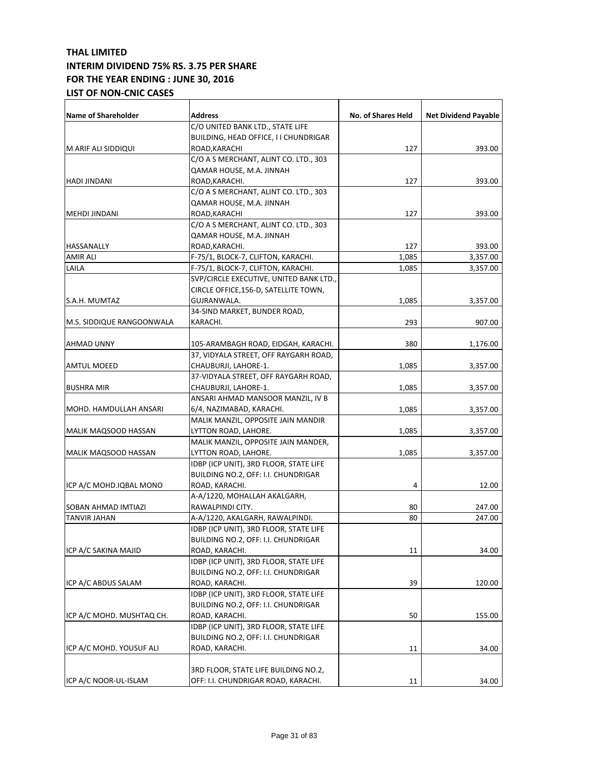| <b>Name of Shareholder</b> | Address                                 | No. of Shares Held | <b>Net Dividend Payable</b> |
|----------------------------|-----------------------------------------|--------------------|-----------------------------|
|                            | C/O UNITED BANK LTD., STATE LIFE        |                    |                             |
|                            | BUILDING, HEAD OFFICE, I I CHUNDRIGAR   |                    |                             |
| M ARIF ALI SIDDIQUI        | ROAD, KARACHI                           | 127                | 393.00                      |
|                            | C/O A S MERCHANT, ALINT CO. LTD., 303   |                    |                             |
|                            | QAMAR HOUSE, M.A. JINNAH                |                    |                             |
| HADI JINDANI               | ROAD, KARACHI.                          | 127                | 393.00                      |
|                            | C/O A S MERCHANT, ALINT CO. LTD., 303   |                    |                             |
|                            | QAMAR HOUSE, M.A. JINNAH                |                    |                             |
| <b>MEHDI JINDANI</b>       | ROAD, KARACHI                           | 127                | 393.00                      |
|                            | C/O A S MERCHANT, ALINT CO. LTD., 303   |                    |                             |
|                            | QAMAR HOUSE, M.A. JINNAH                |                    |                             |
| HASSANALLY                 | ROAD, KARACHI.                          | 127                | 393.00                      |
| <b>AMIR ALI</b>            | F-75/1, BLOCK-7, CLIFTON, KARACHI.      | 1,085              | 3,357.00                    |
| LAILA                      |                                         |                    |                             |
|                            | F-75/1, BLOCK-7, CLIFTON, KARACHI.      | 1,085              | 3,357.00                    |
|                            | SVP/CIRCLE EXECUTIVE, UNITED BANK LTD., |                    |                             |
|                            | CIRCLE OFFICE, 156-D, SATELLITE TOWN,   |                    |                             |
| S.A.H. MUMTAZ              | GUJRANWALA.                             | 1,085              | 3,357.00                    |
|                            | 34-SIND MARKET, BUNDER ROAD,            |                    |                             |
| M.S. SIDDIQUE RANGOONWALA  | KARACHI.                                | 293                | 907.00                      |
|                            |                                         |                    |                             |
| AHMAD UNNY                 | 105-ARAMBAGH ROAD, EIDGAH, KARACHI.     | 380                | 1,176.00                    |
|                            | 37, VIDYALA STREET, OFF RAYGARH ROAD,   |                    |                             |
| <b>AMTUL MOEED</b>         | CHAUBURJI, LAHORE-1.                    | 1,085              | 3,357.00                    |
|                            | 37-VIDYALA STREET, OFF RAYGARH ROAD,    |                    |                             |
| <b>BUSHRA MIR</b>          | CHAUBURJI, LAHORE-1.                    | 1,085              | 3,357.00                    |
|                            | ANSARI AHMAD MANSOOR MANZIL, IV B       |                    |                             |
| MOHD. HAMDULLAH ANSARI     | 6/4, NAZIMABAD, KARACHI.                | 1,085              | 3,357.00                    |
|                            | MALIK MANZIL, OPPOSITE JAIN MANDIR      |                    |                             |
| MALIK MAQSOOD HASSAN       | LYTTON ROAD, LAHORE.                    | 1,085              | 3,357.00                    |
|                            | MALIK MANZIL, OPPOSITE JAIN MANDER,     |                    |                             |
| MALIK MAQSOOD HASSAN       | LYTTON ROAD, LAHORE.                    | 1,085              | 3,357.00                    |
|                            | IDBP (ICP UNIT), 3RD FLOOR, STATE LIFE  |                    |                             |
|                            | BUILDING NO.2, OFF: I.I. CHUNDRIGAR     |                    |                             |
| ICP A/C MOHD.IQBAL MONO    | ROAD, KARACHI.                          | 4                  | 12.00                       |
|                            | A-A/1220, MOHALLAH AKALGARH,            |                    |                             |
| SOBAN AHMAD IMTIAZI        | RAWALPINDI CITY.                        | 80                 | 247.00                      |
| <b>TANVIR JAHAN</b>        | A-A/1220, AKALGARH, RAWALPINDI.         | 80                 | 247.00                      |
|                            | IDBP (ICP UNIT), 3RD FLOOR, STATE LIFE  |                    |                             |
|                            | BUILDING NO.2, OFF: I.I. CHUNDRIGAR     |                    |                             |
| ICP A/C SAKINA MAJID       | ROAD, KARACHI.                          | 11                 | 34.00                       |
|                            | IDBP (ICP UNIT), 3RD FLOOR, STATE LIFE  |                    |                             |
|                            | BUILDING NO.2, OFF: I.I. CHUNDRIGAR     |                    |                             |
| ICP A/C ABDUS SALAM        | ROAD, KARACHI.                          | 39                 | 120.00                      |
|                            | IDBP (ICP UNIT), 3RD FLOOR, STATE LIFE  |                    |                             |
|                            | BUILDING NO.2, OFF: I.I. CHUNDRIGAR     |                    |                             |
| ICP A/C MOHD. MUSHTAQ CH.  | ROAD, KARACHI.                          | 50                 | 155.00                      |
|                            | IDBP (ICP UNIT), 3RD FLOOR, STATE LIFE  |                    |                             |
|                            | BUILDING NO.2, OFF: I.I. CHUNDRIGAR     |                    |                             |
| ICP A/C MOHD. YOUSUF ALI   | ROAD, KARACHI.                          | 11                 | 34.00                       |
|                            |                                         |                    |                             |
|                            | 3RD FLOOR, STATE LIFE BUILDING NO.2,    |                    |                             |
|                            |                                         |                    |                             |
| ICP A/C NOOR-UL-ISLAM      | OFF: I.I. CHUNDRIGAR ROAD, KARACHI.     | 11                 | 34.00                       |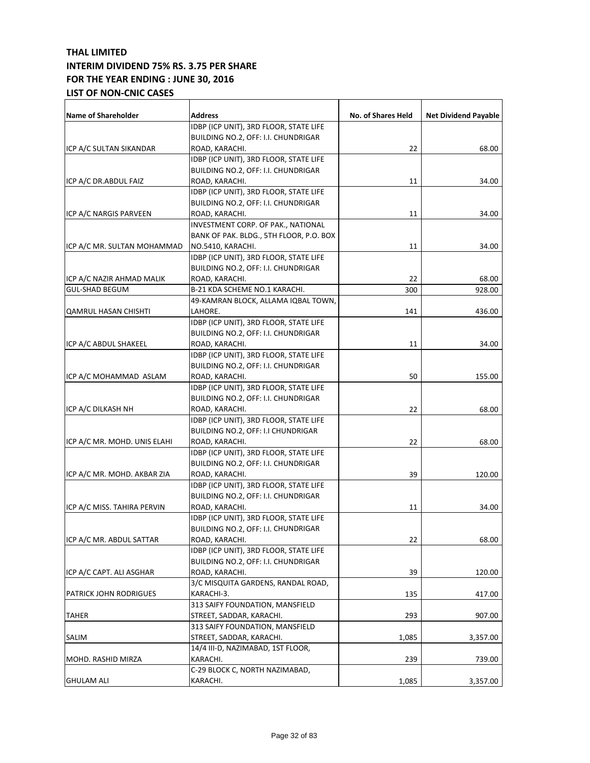| <b>Name of Shareholder</b>   | Address                                 | No. of Shares Held | <b>Net Dividend Payable</b> |
|------------------------------|-----------------------------------------|--------------------|-----------------------------|
|                              | IDBP (ICP UNIT), 3RD FLOOR, STATE LIFE  |                    |                             |
|                              | BUILDING NO.2, OFF: I.I. CHUNDRIGAR     |                    |                             |
| ICP A/C SULTAN SIKANDAR      | ROAD, KARACHI.                          | 22                 | 68.00                       |
|                              | IDBP (ICP UNIT), 3RD FLOOR, STATE LIFE  |                    |                             |
|                              | BUILDING NO.2, OFF: I.I. CHUNDRIGAR     |                    |                             |
| ICP A/C DR.ABDUL FAIZ        | ROAD, KARACHI.                          | 11                 | 34.00                       |
|                              | IDBP (ICP UNIT), 3RD FLOOR, STATE LIFE  |                    |                             |
|                              | BUILDING NO.2, OFF: I.I. CHUNDRIGAR     |                    |                             |
| ICP A/C NARGIS PARVEEN       | ROAD, KARACHI.                          | 11                 | 34.00                       |
|                              | INVESTMENT CORP. OF PAK., NATIONAL      |                    |                             |
|                              | BANK OF PAK. BLDG., 5TH FLOOR, P.O. BOX |                    |                             |
| ICP A/C MR. SULTAN MOHAMMAD  | NO.5410, KARACHI.                       | 11                 | 34.00                       |
|                              | IDBP (ICP UNIT), 3RD FLOOR, STATE LIFE  |                    |                             |
|                              | BUILDING NO.2, OFF: I.I. CHUNDRIGAR     |                    |                             |
| ICP A/C NAZIR AHMAD MALIK    |                                         |                    |                             |
|                              | ROAD, KARACHI.                          | 22                 | 68.00                       |
| <b>GUL-SHAD BEGUM</b>        | B-21 KDA SCHEME NO.1 KARACHI.           | 300                | 928.00                      |
|                              | 49-KAMRAN BLOCK, ALLAMA IQBAL TOWN,     |                    |                             |
| QAMRUL HASAN CHISHTI         | LAHORE.                                 | 141                | 436.00                      |
|                              | IDBP (ICP UNIT), 3RD FLOOR, STATE LIFE  |                    |                             |
|                              | BUILDING NO.2, OFF: I.I. CHUNDRIGAR     |                    |                             |
| ICP A/C ABDUL SHAKEEL        | ROAD, KARACHI.                          | 11                 | 34.00                       |
|                              | IDBP (ICP UNIT), 3RD FLOOR, STATE LIFE  |                    |                             |
|                              | BUILDING NO.2, OFF: I.I. CHUNDRIGAR     |                    |                             |
| ICP A/C MOHAMMAD ASLAM       | ROAD, KARACHI.                          | 50                 | 155.00                      |
|                              | IDBP (ICP UNIT), 3RD FLOOR, STATE LIFE  |                    |                             |
|                              | BUILDING NO.2, OFF: I.I. CHUNDRIGAR     |                    |                             |
| ICP A/C DILKASH NH           | ROAD, KARACHI.                          | 22                 | 68.00                       |
|                              | IDBP (ICP UNIT), 3RD FLOOR, STATE LIFE  |                    |                             |
|                              | BUILDING NO.2, OFF: I.I CHUNDRIGAR      |                    |                             |
| ICP A/C MR. MOHD. UNIS ELAHI | ROAD, KARACHI.                          | 22                 | 68.00                       |
|                              | IDBP (ICP UNIT), 3RD FLOOR, STATE LIFE  |                    |                             |
|                              | BUILDING NO.2, OFF: I.I. CHUNDRIGAR     |                    |                             |
| ICP A/C MR. MOHD. AKBAR ZIA  | ROAD, KARACHI.                          | 39                 | 120.00                      |
|                              | IDBP (ICP UNIT), 3RD FLOOR, STATE LIFE  |                    |                             |
|                              | BUILDING NO.2, OFF: I.I. CHUNDRIGAR     |                    |                             |
| ICP A/C MISS. TAHIRA PERVIN  | ROAD, KARACHI.                          | 11                 | 34.00                       |
|                              | IDBP (ICP UNIT), 3RD FLOOR, STATE LIFE  |                    |                             |
|                              | BUILDING NO.2, OFF: I.I. CHUNDRIGAR     |                    |                             |
| ICP A/C MR. ABDUL SATTAR     | ROAD, KARACHI.                          | 22                 | 68.00                       |
|                              | IDBP (ICP UNIT), 3RD FLOOR, STATE LIFE  |                    |                             |
|                              | BUILDING NO.2, OFF: I.I. CHUNDRIGAR     |                    |                             |
| ICP A/C CAPT. ALI ASGHAR     | ROAD, KARACHI.                          | 39                 | 120.00                      |
|                              | 3/C MISQUITA GARDENS, RANDAL ROAD,      |                    |                             |
| PATRICK JOHN RODRIGUES       | KARACHI-3.                              | 135                | 417.00                      |
|                              | 313 SAIFY FOUNDATION, MANSFIELD         |                    |                             |
| <b>TAHER</b>                 | STREET, SADDAR, KARACHI.                | 293                | 907.00                      |
|                              | 313 SAIFY FOUNDATION, MANSFIELD         |                    |                             |
| SALIM                        | STREET, SADDAR, KARACHI.                | 1,085              | 3,357.00                    |
|                              | 14/4 III-D, NAZIMABAD, 1ST FLOOR,       |                    |                             |
| MOHD. RASHID MIRZA           | KARACHI.                                | 239                | 739.00                      |
|                              | C-29 BLOCK C, NORTH NAZIMABAD,          |                    |                             |
| <b>GHULAM ALI</b>            | KARACHI.                                | 1,085              | 3,357.00                    |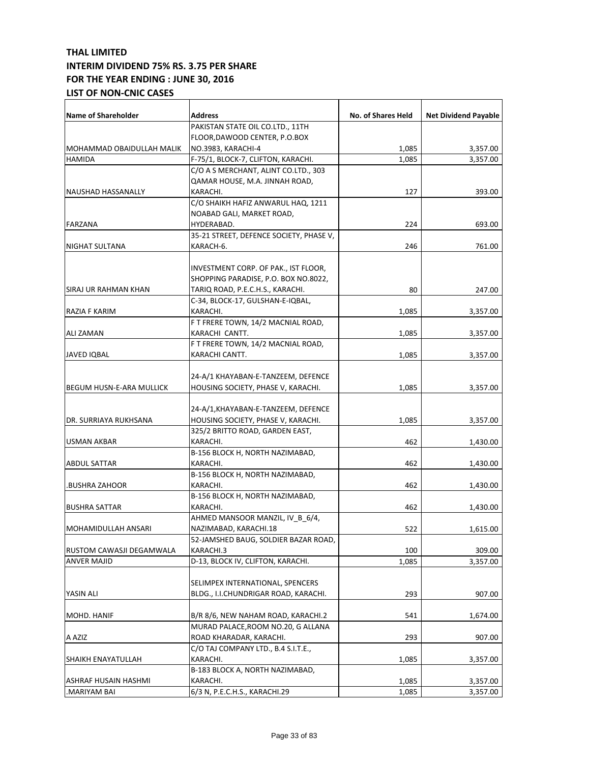| <b>Name of Shareholder</b>                     | <b>Address</b>                                                | No. of Shares Held | <b>Net Dividend Payable</b> |
|------------------------------------------------|---------------------------------------------------------------|--------------------|-----------------------------|
|                                                | PAKISTAN STATE OIL CO.LTD., 11TH                              |                    |                             |
|                                                | FLOOR, DAWOOD CENTER, P.O.BOX                                 |                    |                             |
| MOHAMMAD OBAIDULLAH MALIK                      | NO.3983, KARACHI-4                                            | 1,085              | 3,357.00                    |
| <b>HAMIDA</b>                                  | F-75/1, BLOCK-7, CLIFTON, KARACHI.                            | 1,085              | 3,357.00                    |
|                                                | C/O A S MERCHANT, ALINT CO.LTD., 303                          |                    |                             |
|                                                | QAMAR HOUSE, M.A. JINNAH ROAD,                                |                    |                             |
| NAUSHAD HASSANALLY                             | KARACHI.                                                      | 127                | 393.00                      |
|                                                | C/O SHAIKH HAFIZ ANWARUL HAQ, 1211                            |                    |                             |
|                                                | NOABAD GALI, MARKET ROAD,                                     |                    |                             |
| <b>FARZANA</b>                                 | HYDERABAD.                                                    | 224                | 693.00                      |
|                                                | 35-21 STREET, DEFENCE SOCIETY, PHASE V,                       |                    |                             |
| NIGHAT SULTANA                                 | KARACH-6.                                                     | 246                | 761.00                      |
|                                                |                                                               |                    |                             |
|                                                | INVESTMENT CORP. OF PAK., IST FLOOR,                          |                    |                             |
|                                                | SHOPPING PARADISE, P.O. BOX NO.8022,                          |                    |                             |
| SIRAJ UR RAHMAN KHAN                           | TARIQ ROAD, P.E.C.H.S., KARACHI.                              | 80                 | 247.00                      |
|                                                | C-34, BLOCK-17, GULSHAN-E-IQBAL,                              |                    |                             |
| RAZIA F KARIM                                  | KARACHI.                                                      | 1,085              | 3,357.00                    |
|                                                | F T FRERE TOWN, 14/2 MACNIAL ROAD,                            |                    |                             |
| ALI ZAMAN                                      | KARACHI CANTT.                                                | 1,085              | 3,357.00                    |
|                                                | F T FRERE TOWN, 14/2 MACNIAL ROAD,                            |                    |                             |
| <b>JAVED IQBAL</b>                             | KARACHI CANTT.                                                | 1,085              | 3,357.00                    |
|                                                |                                                               |                    |                             |
|                                                | 24-A/1 KHAYABAN-E-TANZEEM, DEFENCE                            |                    |                             |
| <b>BEGUM HUSN-E-ARA MULLICK</b>                | HOUSING SOCIETY, PHASE V, KARACHI.                            | 1,085              | 3,357.00                    |
|                                                | 24-A/1, KHAYABAN-E-TANZEEM, DEFENCE                           |                    |                             |
| DR. SURRIAYA RUKHSANA                          |                                                               |                    |                             |
|                                                | HOUSING SOCIETY, PHASE V, KARACHI.                            | 1,085              | 3,357.00                    |
| <b>USMAN AKBAR</b>                             | 325/2 BRITTO ROAD, GARDEN EAST,<br>KARACHI.                   | 462                |                             |
|                                                | B-156 BLOCK H, NORTH NAZIMABAD,                               |                    | 1,430.00                    |
|                                                |                                                               |                    |                             |
| <b>ABDUL SATTAR</b>                            | KARACHI.                                                      | 462                | 1,430.00                    |
|                                                | B-156 BLOCK H, NORTH NAZIMABAD,                               |                    |                             |
| BUSHRA ZAHOOR.                                 | KARACHI.<br>B-156 BLOCK H, NORTH NAZIMABAD,                   | 462                | 1,430.00                    |
|                                                |                                                               | 462                |                             |
| <b>BUSHRA SATTAR</b>                           | KARACHI.                                                      |                    | 1,430.00                    |
|                                                | AHMED MANSOOR MANZIL, IV_B_6/4,                               | 522                |                             |
| MOHAMIDULLAH ANSARI                            | NAZIMABAD, KARACHI.18<br>52-JAMSHED BAUG, SOLDIER BAZAR ROAD, |                    | 1,615.00                    |
|                                                |                                                               |                    |                             |
| RUSTOM CAWASJI DEGAMWALA<br><b>ANVER MAJID</b> | KARACHI.3<br>D-13, BLOCK IV, CLIFTON, KARACHI.                | 100                | 309.00                      |
|                                                |                                                               | 1,085              | 3,357.00                    |
|                                                | SELIMPEX INTERNATIONAL, SPENCERS                              |                    |                             |
| YASIN ALI                                      | BLDG., I.I.CHUNDRIGAR ROAD, KARACHI.                          | 293                | 907.00                      |
|                                                |                                                               |                    |                             |
| MOHD. HANIF                                    | B/R 8/6, NEW NAHAM ROAD, KARACHI.2                            | 541                | 1,674.00                    |
|                                                | MURAD PALACE, ROOM NO.20, G ALLANA                            |                    |                             |
| A AZIZ                                         | ROAD KHARADAR, KARACHI.                                       | 293                | 907.00                      |
|                                                | C/O TAJ COMPANY LTD., B.4 S.I.T.E.,                           |                    |                             |
| SHAIKH ENAYATULLAH                             | KARACHI.                                                      | 1,085              | 3,357.00                    |
| ASHRAF HUSAIN HASHMI                           | B-183 BLOCK A, NORTH NAZIMABAD,<br>KARACHI.                   | 1,085              | 3,357.00                    |
| MARIYAM BAI.                                   | 6/3 N, P.E.C.H.S., KARACHI.29                                 | 1,085              | 3,357.00                    |
|                                                |                                                               |                    |                             |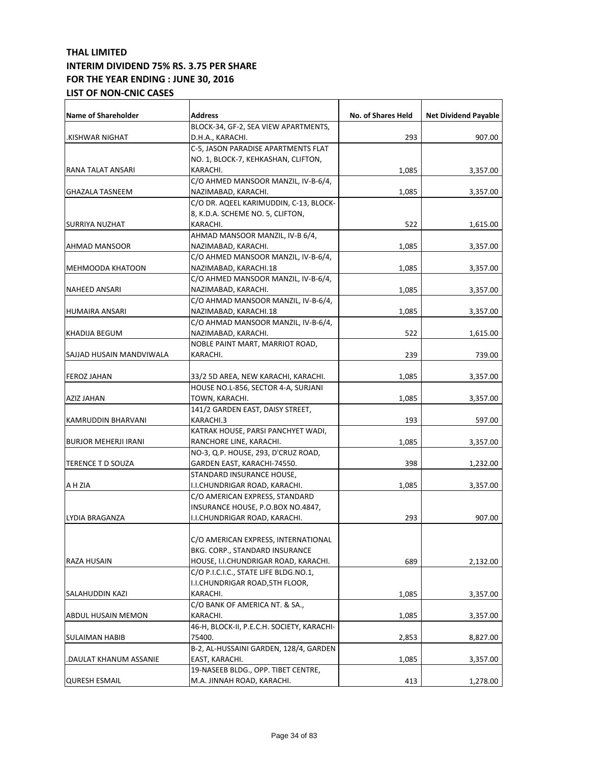| <b>Name of Shareholder</b>  | <b>Address</b>                             | No. of Shares Held | <b>Net Dividend Payable</b> |
|-----------------------------|--------------------------------------------|--------------------|-----------------------------|
|                             | BLOCK-34, GF-2, SEA VIEW APARTMENTS,       |                    |                             |
| .KISHWAR NIGHAT             | D.H.A., KARACHI.                           | 293                | 907.00                      |
|                             | C-5, JASON PARADISE APARTMENTS FLAT        |                    |                             |
|                             | NO. 1, BLOCK-7, KEHKASHAN, CLIFTON,        |                    |                             |
| RANA TALAT ANSARI           | KARACHI.                                   | 1,085              | 3,357.00                    |
|                             | C/O AHMED MANSOOR MANZIL, IV-B-6/4,        |                    |                             |
| <b>GHAZALA TASNEEM</b>      | NAZIMABAD, KARACHI.                        | 1,085              | 3,357.00                    |
|                             | C/O DR. AQEEL KARIMUDDIN, C-13, BLOCK-     |                    |                             |
|                             | 8, K.D.A. SCHEME NO. 5, CLIFTON,           |                    |                             |
| <b>SURRIYA NUZHAT</b>       | KARACHI.                                   | 522                | 1,615.00                    |
|                             | AHMAD MANSOOR MANZIL, IV-B 6/4,            |                    |                             |
| <b>AHMAD MANSOOR</b>        | NAZIMABAD, KARACHI.                        | 1,085              | 3,357.00                    |
|                             | C/O AHMED MANSOOR MANZIL, IV-B-6/4,        |                    |                             |
| <b>MEHMOODA KHATOON</b>     | NAZIMABAD, KARACHI.18                      | 1,085              | 3,357.00                    |
|                             | C/O AHMED MANSOOR MANZIL, IV-B-6/4,        |                    |                             |
| <b>NAHEED ANSARI</b>        | NAZIMABAD, KARACHI.                        | 1,085              | 3,357.00                    |
|                             | C/O AHMAD MANSOOR MANZIL, IV-B-6/4,        |                    |                             |
| <b>HUMAIRA ANSARI</b>       | NAZIMABAD, KARACHI.18                      | 1,085              | 3,357.00                    |
|                             | C/O AHMAD MANSOOR MANZIL, IV-B-6/4,        |                    |                             |
| KHADIJA BEGUM               | NAZIMABAD, KARACHI.                        | 522                | 1,615.00                    |
|                             | NOBLE PAINT MART, MARRIOT ROAD,            |                    |                             |
| SAJJAD HUSAIN MANDVIWALA    | KARACHI.                                   | 239                | 739.00                      |
| <b>FEROZ JAHAN</b>          | 33/2 5D AREA, NEW KARACHI, KARACHI.        | 1,085              | 3,357.00                    |
|                             | HOUSE NO.L-856, SECTOR 4-A, SURJANI        |                    |                             |
| AZIZ JAHAN                  | TOWN, KARACHI.                             | 1,085              | 3,357.00                    |
|                             | 141/2 GARDEN EAST, DAISY STREET,           |                    |                             |
| KAMRUDDIN BHARVANI          | KARACHI.3                                  | 193                |                             |
|                             | KATRAK HOUSE, PARSI PANCHYET WADI,         |                    | 597.00                      |
| <b>BURJOR MEHERJI IRANI</b> | RANCHORE LINE, KARACHI.                    | 1,085              |                             |
|                             | NO-3, Q.P. HOUSE, 293, D'CRUZ ROAD,        |                    | 3,357.00                    |
|                             | GARDEN EAST, KARACHI-74550.                | 398                |                             |
| TERENCE T D SOUZA           | STANDARD INSURANCE HOUSE,                  |                    | 1,232.00                    |
| A H ZIA                     | I.I.CHUNDRIGAR ROAD, KARACHI.              | 1,085              |                             |
|                             | C/O AMERICAN EXPRESS, STANDARD             |                    | 3,357.00                    |
|                             |                                            |                    |                             |
|                             | INSURANCE HOUSE, P.O.BOX NO.4847,          | 293                | 907.00                      |
| LYDIA BRAGANZA              | I.I.CHUNDRIGAR ROAD, KARACHI.              |                    |                             |
|                             |                                            |                    |                             |
|                             | C/O AMERICAN EXPRESS, INTERNATIONAL        |                    |                             |
| <b>RAZA HUSAIN</b>          | BKG. CORP., STANDARD INSURANCE             |                    |                             |
|                             | HOUSE, I.I.CHUNDRIGAR ROAD, KARACHI.       | 689                | 2,132.00                    |
|                             | C/O P.I.C.I.C., STATE LIFE BLDG.NO.1,      |                    |                             |
|                             | I.I.CHUNDRIGAR ROAD, 5TH FLOOR,            |                    |                             |
| SALAHUDDIN KAZI             | KARACHI.                                   | 1,085              | 3,357.00                    |
|                             | C/O BANK OF AMERICA NT. & SA.,             |                    |                             |
| <b>ABDUL HUSAIN MEMON</b>   | KARACHI.                                   | 1,085              | 3,357.00                    |
|                             | 46-H, BLOCK-II, P.E.C.H. SOCIETY, KARACHI- |                    |                             |
| SULAIMAN HABIB              | 75400.                                     | 2,853              | 8,827.00                    |
|                             | B-2, AL-HUSSAINI GARDEN, 128/4, GARDEN     |                    |                             |
| DAULAT KHANUM ASSANIE.      | EAST, KARACHI.                             | 1,085              | 3,357.00                    |
|                             | 19-NASEEB BLDG., OPP. TIBET CENTRE,        |                    |                             |
| <b>QURESH ESMAIL</b>        | M.A. JINNAH ROAD, KARACHI.                 | 413                | 1,278.00                    |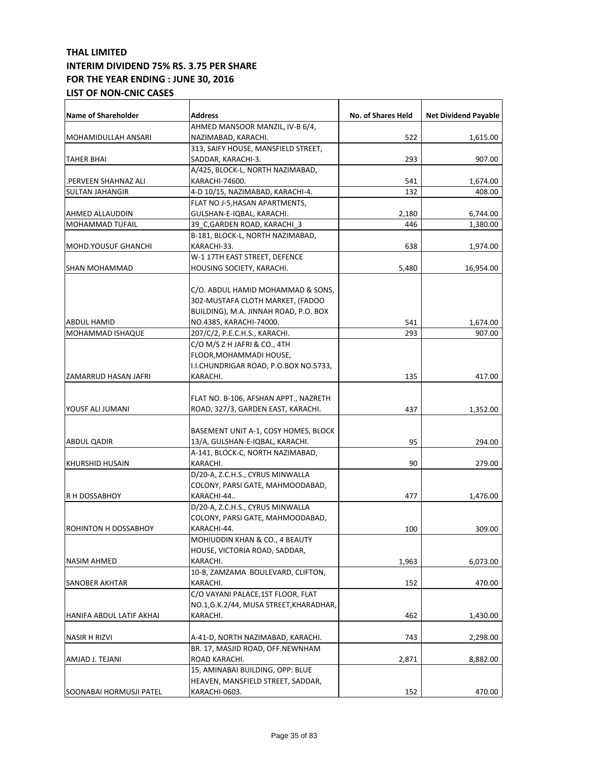| <b>Name of Shareholder</b>  | Address                                        | No. of Shares Held | <b>Net Dividend Payable</b> |
|-----------------------------|------------------------------------------------|--------------------|-----------------------------|
|                             | AHMED MANSOOR MANZIL, IV-B 6/4,                |                    |                             |
| MOHAMIDULLAH ANSARI         | NAZIMABAD, KARACHI.                            | 522                | 1,615.00                    |
|                             | 313, SAIFY HOUSE, MANSFIELD STREET,            |                    |                             |
| <b>TAHER BHAI</b>           | SADDAR, KARACHI-3.                             | 293                | 907.00                      |
|                             | A/425, BLOCK-L, NORTH NAZIMABAD,               |                    |                             |
| .PERVEEN SHAHNAZ ALI        | KARACHI-74600.                                 | 541                | 1,674.00                    |
| <b>SULTAN JAHANGIR</b>      | 4-D 10/15, NAZIMABAD, KARACHI-4.               | 132                | 408.00                      |
|                             | FLAT NO J-5,HASAN APARTMENTS,                  |                    |                             |
| <b>AHMED ALLAUDDIN</b>      | GULSHAN-E-IQBAL, KARACHI.                      | 2,180              | 6,744.00                    |
| MOHAMMAD TUFAIL             | 39 C,GARDEN ROAD, KARACHI 3                    | 446                | 1,380.00                    |
|                             | B-181, BLOCK-L, NORTH NAZIMABAD,               |                    |                             |
| <b>MOHD.YOUSUF GHANCHI</b>  | KARACHI-33.                                    | 638                | 1,974.00                    |
|                             | W-1 17TH EAST STREET, DEFENCE                  |                    |                             |
| <b>SHAN MOHAMMAD</b>        | HOUSING SOCIETY, KARACHI.                      | 5,480              | 16,954.00                   |
|                             |                                                |                    |                             |
|                             | C/O. ABDUL HAMID MOHAMMAD & SONS,              |                    |                             |
|                             | 302-MUSTAFA CLOTH MARKET, (FADOO               |                    |                             |
|                             | BUILDING), M.A. JINNAH ROAD, P.O. BOX          |                    |                             |
| ABDUL HAMID                 | NO.4385, KARACHI-74000.                        | 541                | 1,674.00                    |
| <b>MOHAMMAD ISHAQUE</b>     | 207/C/2, P.E.C.H.S., KARACHI.                  | 293                | 907.00                      |
|                             | C/O M/S Z H JAFRI & CO., 4TH                   |                    |                             |
|                             | FLOOR,MOHAMMADI HOUSE,                         |                    |                             |
|                             | I.I.CHUNDRIGAR ROAD, P.O.BOX NO.5733,          |                    |                             |
| ZAMARRUD HASAN JAFRI        | KARACHI.                                       | 135                | 417.00                      |
|                             |                                                |                    |                             |
|                             | FLAT NO. B-106, AFSHAN APPT., NAZRETH          |                    |                             |
| YOUSF ALI JUMANI            | ROAD, 327/3, GARDEN EAST, KARACHI.             | 437                | 1,352.00                    |
|                             | BASEMENT UNIT A-1, COSY HOMES, BLOCK           |                    |                             |
| <b>ABDUL QADIR</b>          | 13/A, GULSHAN-E-IQBAL, KARACHI.                | 95                 | 294.00                      |
|                             | A-141, BLOCK-C, NORTH NAZIMABAD,               |                    |                             |
| <b>KHURSHID HUSAIN</b>      | KARACHI.                                       | 90                 | 279.00                      |
|                             | D/20-A, Z.C.H.S., CYRUS MINWALLA               |                    |                             |
|                             | COLONY, PARSI GATE, MAHMOODABAD,               |                    |                             |
| <b>R H DOSSABHOY</b>        | KARACHI-44                                     | 477                | 1,476.00                    |
|                             | D/20-A, Z.C.H.S., CYRUS MINWALLA               |                    |                             |
|                             | COLONY, PARSI GATE, MAHMOODABAD,               |                    |                             |
| <b>ROHINTON H DOSSABHOY</b> | KARACHI-44.                                    | 100                | 309.00                      |
|                             |                                                |                    |                             |
|                             | MOHIUDDIN KHAN & CO., 4 BEAUTY                 |                    |                             |
|                             | HOUSE, VICTORIA ROAD, SADDAR,                  |                    |                             |
| <b>NASIM AHMED</b>          | KARACHI.<br>10-B, ZAMZAMA BOULEVARD, CLIFTON,  | 1,963              | 6,073.00                    |
|                             |                                                |                    |                             |
| <b>SANOBER AKHTAR</b>       | KARACHI.<br>C/O VAYANI PALACE, 1ST FLOOR, FLAT | 152                | 470.00                      |
|                             |                                                |                    |                             |
|                             | NO.1, G.K.2/44, MUSA STREET, KHARADHAR,        |                    |                             |
| HANIFA ABDUL LATIF AKHAI    | KARACHI.                                       | 462                | 1,430.00                    |
| NASIR H RIZVI               | A-41-D, NORTH NAZIMABAD, KARACHI.              | 743                | 2,298.00                    |
|                             | BR. 17, MASJID ROAD, OFF.NEWNHAM               |                    |                             |
| AMJAD J. TEJANI             | ROAD KARACHI.                                  | 2,871              | 8,882.00                    |
|                             | 15, AMINABAI BUILDING, OPP: BLUE               |                    |                             |
|                             | HEAVEN, MANSFIELD STREET, SADDAR,              |                    |                             |
| SOONABAI HORMUSJI PATEL     | KARACHI-0603.                                  | 152                | 470.00                      |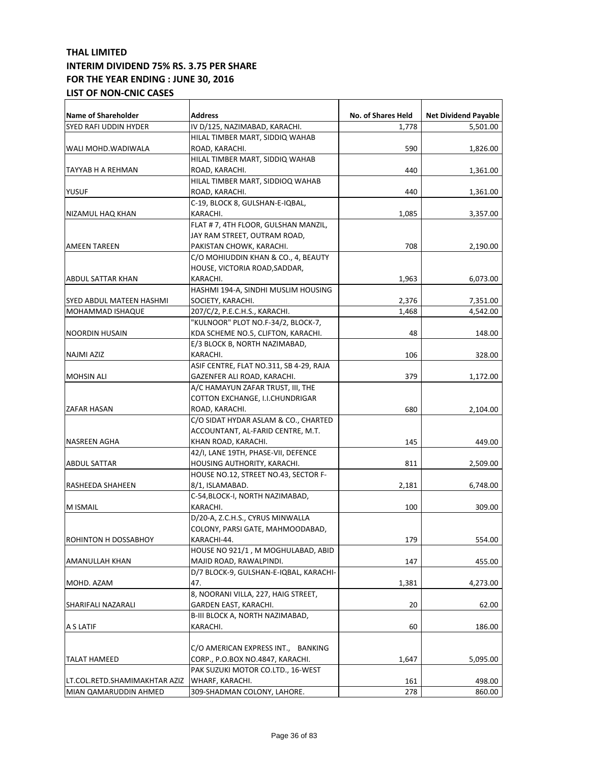| <b>Name of Shareholder</b>    | Address                                 | <b>No. of Shares Held</b> | <b>Net Dividend Payable</b> |
|-------------------------------|-----------------------------------------|---------------------------|-----------------------------|
| SYED RAFI UDDIN HYDER         | IV D/125, NAZIMABAD, KARACHI.           | 1,778                     | 5,501.00                    |
|                               |                                         |                           |                             |
|                               | HILAL TIMBER MART, SIDDIQ WAHAB         |                           |                             |
| WALI MOHD.WADIWALA            | ROAD, KARACHI.                          | 590                       | 1,826.00                    |
|                               | HILAL TIMBER MART, SIDDIQ WAHAB         |                           |                             |
| TAYYAB H A REHMAN             | ROAD, KARACHI.                          | 440                       | 1,361.00                    |
|                               | HILAL TIMBER MART, SIDDIOQ WAHAB        |                           |                             |
| <b>YUSUF</b>                  | ROAD, KARACHI.                          | 440                       | 1,361.00                    |
|                               | C-19, BLOCK 8, GULSHAN-E-IQBAL,         |                           |                             |
| NIZAMUL HAQ KHAN              | KARACHI.                                | 1,085                     | 3,357.00                    |
|                               | FLAT # 7, 4TH FLOOR, GULSHAN MANZIL,    |                           |                             |
|                               | JAY RAM STREET, OUTRAM ROAD,            |                           |                             |
| <b>AMEEN TAREEN</b>           | PAKISTAN CHOWK, KARACHI.                | 708                       | 2,190.00                    |
|                               | C/O MOHIUDDIN KHAN & CO., 4, BEAUTY     |                           |                             |
|                               | HOUSE, VICTORIA ROAD,SADDAR,            |                           |                             |
| ABDUL SATTAR KHAN             | KARACHI.                                | 1,963                     | 6,073.00                    |
|                               | HASHMI 194-A, SINDHI MUSLIM HOUSING     |                           |                             |
| SYED ABDUL MATEEN HASHMI      | SOCIETY, KARACHI.                       | 2,376                     | 7,351.00                    |
| MOHAMMAD ISHAQUE              | 207/C/2, P.E.C.H.S., KARACHI.           | 1,468                     | 4,542.00                    |
|                               | "KULNOOR" PLOT NO.F-34/2, BLOCK-7,      |                           |                             |
| <b>NOORDIN HUSAIN</b>         | KDA SCHEME NO.5, CLIFTON, KARACHI.      | 48                        | 148.00                      |
|                               | E/3 BLOCK B, NORTH NAZIMABAD,           |                           |                             |
| <b>NAJMI AZIZ</b>             | KARACHI.                                | 106                       | 328.00                      |
|                               | ASIF CENTRE, FLAT NO.311, SB 4-29, RAJA |                           |                             |
| <b>MOHSIN ALI</b>             | GAZENFER ALI ROAD, KARACHI.             | 379                       | 1,172.00                    |
|                               | A/C HAMAYUN ZAFAR TRUST, III, THE       |                           |                             |
|                               | COTTON EXCHANGE, I.I.CHUNDRIGAR         |                           |                             |
| ZAFAR HASAN                   | ROAD, KARACHI.                          | 680                       | 2,104.00                    |
|                               | C/O SIDAT HYDAR ASLAM & CO., CHARTED    |                           |                             |
|                               | ACCOUNTANT, AL-FARID CENTRE, M.T.       |                           |                             |
| NASREEN AGHA                  | KHAN ROAD, KARACHI.                     | 145                       | 449.00                      |
|                               | 42/I, LANE 19TH, PHASE-VII, DEFENCE     |                           |                             |
|                               | HOUSING AUTHORITY, KARACHI.             | 811                       |                             |
| ABDUL SATTAR                  |                                         |                           | 2,509.00                    |
|                               | HOUSE NO.12, STREET NO.43, SECTOR F-    |                           |                             |
| RASHEEDA SHAHEEN              | 8/1, ISLAMABAD.                         | 2,181                     | 6,748.00                    |
|                               | C-54, BLOCK-I, NORTH NAZIMABAD,         |                           |                             |
| M ISMAIL                      | KARACHI.                                | 100                       | 309.00                      |
|                               | D/20-A, Z.C.H.S., CYRUS MINWALLA        |                           |                             |
|                               | COLONY, PARSI GATE, MAHMOODABAD,        |                           |                             |
| ROHINTON H DOSSABHOY          | KARACHI-44.                             | 179                       | 554.00                      |
|                               | HOUSE NO 921/1, M MOGHULABAD, ABID      |                           |                             |
| AMANULLAH KHAN                | MAJID ROAD, RAWALPINDI.                 | 147                       | 455.00                      |
|                               | D/7 BLOCK-9, GULSHAN-E-IQBAL, KARACHI-  |                           |                             |
| MOHD. AZAM                    | 47.                                     | 1,381                     | 4,273.00                    |
|                               | 8, NOORANI VILLA, 227, HAIG STREET,     |                           |                             |
| SHARIFALI NAZARALI            | GARDEN EAST, KARACHI.                   | 20                        | 62.00                       |
|                               | B-III BLOCK A, NORTH NAZIMABAD,         |                           |                             |
| A S LATIF                     | KARACHI.                                | 60                        | 186.00                      |
|                               |                                         |                           |                             |
|                               | C/O AMERICAN EXPRESS INT., BANKING      |                           |                             |
| <b>TALAT HAMEED</b>           | CORP., P.O.BOX NO.4847, KARACHI.        | 1,647                     | 5,095.00                    |
|                               | PAK SUZUKI MOTOR CO.LTD., 16-WEST       |                           |                             |
| LT.COL.RETD.SHAMIMAKHTAR AZIZ | WHARF, KARACHI.                         | 161                       | 498.00                      |
| MIAN QAMARUDDIN AHMED         | 309-SHADMAN COLONY, LAHORE.             | 278                       | 860.00                      |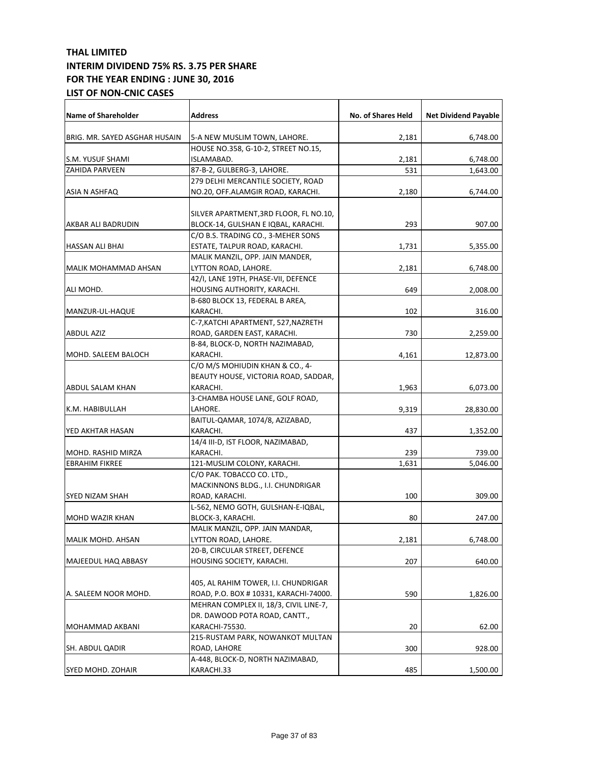| <b>Name of Shareholder</b>    | <b>Address</b>                                       | No. of Shares Held | <b>Net Dividend Payable</b> |
|-------------------------------|------------------------------------------------------|--------------------|-----------------------------|
| BRIG. MR. SAYED ASGHAR HUSAIN | 5-A NEW MUSLIM TOWN, LAHORE.                         | 2,181              | 6,748.00                    |
|                               | HOUSE NO.358, G-10-2, STREET NO.15,                  |                    |                             |
| S.M. YUSUF SHAMI              | ISLAMABAD.                                           | 2,181              | 6,748.00                    |
| <b>ZAHIDA PARVEEN</b>         | 87-B-2, GULBERG-3, LAHORE.                           | 531                | 1,643.00                    |
|                               | 279 DELHI MERCANTILE SOCIETY, ROAD                   |                    |                             |
| ASIA N ASHFAQ                 | NO.20, OFF.ALAMGIR ROAD, KARACHI.                    | 2,180              | 6,744.00                    |
|                               | SILVER APARTMENT, 3RD FLOOR, FL NO.10,               |                    |                             |
| AKBAR ALI BADRUDIN            | BLOCK-14, GULSHAN E IQBAL, KARACHI.                  | 293                | 907.00                      |
|                               | C/O B.S. TRADING CO., 3-MEHER SONS                   |                    |                             |
| <b>HASSAN ALI BHAI</b>        | ESTATE, TALPUR ROAD, KARACHI.                        | 1,731              | 5,355.00                    |
|                               | MALIK MANZIL, OPP. JAIN MANDER,                      |                    |                             |
| <b>MALIK MOHAMMAD AHSAN</b>   | LYTTON ROAD, LAHORE.                                 | 2,181              | 6,748.00                    |
|                               | 42/I, LANE 19TH, PHASE-VII, DEFENCE                  |                    |                             |
| ALI MOHD.                     | HOUSING AUTHORITY, KARACHI.                          | 649                | 2,008.00                    |
|                               | B-680 BLOCK 13, FEDERAL B AREA,                      |                    |                             |
| MANZUR-UL-HAQUE               | KARACHI.                                             | 102                | 316.00                      |
|                               | C-7, KATCHI APARTMENT, 527, NAZRETH                  |                    |                             |
| <b>ABDUL AZIZ</b>             | ROAD, GARDEN EAST, KARACHI.                          | 730                | 2,259.00                    |
|                               | B-84, BLOCK-D, NORTH NAZIMABAD,                      |                    |                             |
| MOHD. SALEEM BALOCH           | KARACHI.                                             | 4,161              | 12,873.00                   |
|                               | C/O M/S MOHIUDIN KHAN & CO., 4-                      |                    |                             |
|                               | BEAUTY HOUSE, VICTORIA ROAD, SADDAR,                 |                    |                             |
| <b>ABDUL SALAM KHAN</b>       | KARACHI.                                             | 1,963              | 6,073.00                    |
|                               | 3-CHAMBA HOUSE LANE, GOLF ROAD,                      |                    |                             |
| K.M. HABIBULLAH               | LAHORE.                                              | 9,319              | 28,830.00                   |
|                               | BAITUL-QAMAR, 1074/8, AZIZABAD,                      |                    |                             |
| YED AKHTAR HASAN              | KARACHI.                                             |                    |                             |
|                               |                                                      | 437                | 1,352.00                    |
| MOHD. RASHID MIRZA            | 14/4 III-D, IST FLOOR, NAZIMABAD,<br>KARACHI.        |                    |                             |
|                               |                                                      | 239                | 739.00                      |
| <b>EBRAHIM FIKREE</b>         | 121-MUSLIM COLONY, KARACHI.                          | 1,631              | 5,046.00                    |
|                               | C/O PAK. TOBACCO CO. LTD.,                           |                    |                             |
|                               | MACKINNONS BLDG., I.I. CHUNDRIGAR                    |                    |                             |
| SYED NIZAM SHAH               | ROAD, KARACHI.<br>L-562, NEMO GOTH, GULSHAN-E-IQBAL, | 100                | 309.00                      |
|                               |                                                      | 80                 |                             |
| <b>MOHD WAZIR KHAN</b>        | BLOCK-3, KARACHI.                                    |                    | 247.00                      |
|                               | MALIK MANZIL, OPP. JAIN MANDAR,                      |                    |                             |
| MALIK MOHD. AHSAN             | LYTTON ROAD, LAHORE.                                 | 2,181              | 6,748.00                    |
|                               | 20-B, CIRCULAR STREET, DEFENCE                       |                    |                             |
| MAJEEDUL HAQ ABBASY           | HOUSING SOCIETY, KARACHI.                            | 207                | 640.00                      |
|                               |                                                      |                    |                             |
|                               | 405, AL RAHIM TOWER, I.I. CHUNDRIGAR                 |                    |                             |
| A. SALEEM NOOR MOHD.          | ROAD, P.O. BOX #10331, KARACHI-74000.                | 590                | 1,826.00                    |
|                               | MEHRAN COMPLEX II, 18/3, CIVIL LINE-7,               |                    |                             |
|                               | DR. DAWOOD POTA ROAD, CANTT.,                        |                    |                             |
| MOHAMMAD AKBANI               | KARACHI-75530.                                       | 20                 | 62.00                       |
|                               | 215-RUSTAM PARK, NOWANKOT MULTAN                     |                    |                             |
| SH. ABDUL QADIR               | ROAD, LAHORE                                         | 300                | 928.00                      |
|                               | A-448, BLOCK-D, NORTH NAZIMABAD,                     |                    |                             |
| SYED MOHD. ZOHAIR             | KARACHI.33                                           | 485                | 1,500.00                    |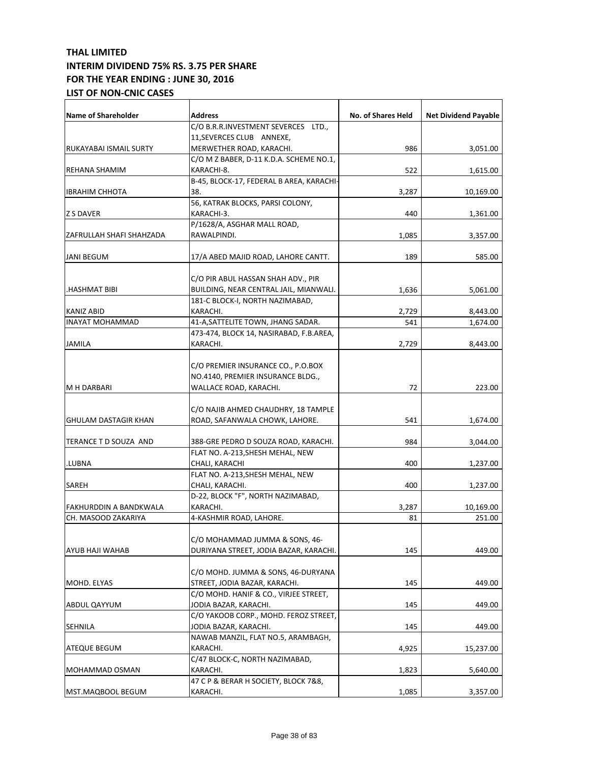| <b>Name of Shareholder</b> | <b>Address</b>                           | No. of Shares Held | <b>Net Dividend Payable</b> |
|----------------------------|------------------------------------------|--------------------|-----------------------------|
|                            | C/O B.R.R.INVESTMENT SEVERCES LTD.,      |                    |                             |
|                            | 11, SEVERCES CLUB ANNEXE,                |                    |                             |
| RUKAYABAI ISMAIL SURTY     | MERWETHER ROAD, KARACHI.                 | 986                | 3,051.00                    |
|                            | C/O M Z BABER, D-11 K.D.A. SCHEME NO.1,  |                    |                             |
| <b>REHANA SHAMIM</b>       | KARACHI-8.                               | 522                | 1,615.00                    |
|                            | B-45, BLOCK-17, FEDERAL B AREA, KARACHI- |                    |                             |
| <b>IBRAHIM CHHOTA</b>      | 38.                                      | 3,287              | 10,169.00                   |
|                            | 56, KATRAK BLOCKS, PARSI COLONY,         |                    |                             |
| <b>Z S DAVER</b>           | KARACHI-3.                               | 440                | 1,361.00                    |
|                            | P/1628/A, ASGHAR MALL ROAD,              |                    |                             |
| ZAFRULLAH SHAFI SHAHZADA   | RAWALPINDI.                              | 1,085              | 3,357.00                    |
|                            |                                          |                    |                             |
| <b>JANI BEGUM</b>          | 17/A ABED MAJID ROAD, LAHORE CANTT.      | 189                | 585.00                      |
|                            | C/O PIR ABUL HASSAN SHAH ADV., PIR       |                    |                             |
| HASHMAT BIBI.              | BUILDING, NEAR CENTRAL JAIL, MIANWALI.   | 1,636              | 5,061.00                    |
|                            | 181-C BLOCK-I, NORTH NAZIMABAD,          |                    |                             |
| <b>KANIZ ABID</b>          | KARACHI.                                 | 2,729              | 8,443.00                    |
| <b>INAYAT MOHAMMAD</b>     | 41-A, SATTELITE TOWN, JHANG SADAR.       | 541                | 1,674.00                    |
|                            | 473-474, BLOCK 14, NASIRABAD, F.B.AREA,  |                    |                             |
| <b>JAMILA</b>              | KARACHI.                                 | 2,729              | 8,443.00                    |
|                            |                                          |                    |                             |
|                            | C/O PREMIER INSURANCE CO., P.O.BOX       |                    |                             |
|                            | NO.4140, PREMIER INSURANCE BLDG.,        |                    |                             |
|                            |                                          |                    |                             |
| <b>M H DARBARI</b>         | WALLACE ROAD, KARACHI.                   | 72                 | 223.00                      |
|                            |                                          |                    |                             |
|                            | C/O NAJIB AHMED CHAUDHRY, 18 TAMPLE      |                    |                             |
| GHULAM DASTAGIR KHAN       | ROAD, SAFANWALA CHOWK, LAHORE.           | 541                | 1,674.00                    |
| TERANCE T D SOUZA AND      | 388-GRE PEDRO D SOUZA ROAD, KARACHI.     | 984                | 3,044.00                    |
|                            | FLAT NO. A-213, SHESH MEHAL, NEW         |                    |                             |
| LUBNA.                     | CHALI, KARACHI                           | 400                | 1,237.00                    |
|                            | FLAT NO. A-213, SHESH MEHAL, NEW         |                    |                             |
| SAREH                      | CHALI, KARACHI.                          | 400                | 1,237.00                    |
|                            | D-22, BLOCK "F", NORTH NAZIMABAD,        |                    |                             |
| FAKHURDDIN A BANDKWALA     | KARACHI.                                 | 3,287              | 10,169.00                   |
| CH. MASOOD ZAKARIYA        | 4-KASHMIR ROAD, LAHORE.                  | 81                 | 251.00                      |
|                            |                                          |                    |                             |
|                            | C/O MOHAMMAD JUMMA & SONS, 46-           |                    |                             |
| <b>AYUB HAJI WAHAB</b>     | DURIYANA STREET, JODIA BAZAR, KARACHI.   |                    |                             |
|                            |                                          | 145                | 449.00                      |
|                            |                                          |                    |                             |
|                            | C/O MOHD. JUMMA & SONS, 46-DURYANA       |                    |                             |
| MOHD. ELYAS                | STREET, JODIA BAZAR, KARACHI.            | 145                | 449.00                      |
|                            | C/O MOHD. HANIF & CO., VIRJEE STREET,    |                    |                             |
| ABDUL QAYYUM               | JODIA BAZAR, KARACHI.                    | 145                | 449.00                      |
|                            | C/O YAKOOB CORP., MOHD. FEROZ STREET,    |                    |                             |
| <b>SEHNILA</b>             | JODIA BAZAR, KARACHI.                    | 145                | 449.00                      |
|                            | NAWAB MANZIL, FLAT NO.5, ARAMBAGH,       |                    |                             |
| <b>ATEQUE BEGUM</b>        | KARACHI.                                 | 4,925              | 15,237.00                   |
|                            | C/47 BLOCK-C, NORTH NAZIMABAD,           |                    |                             |
| MOHAMMAD OSMAN             | KARACHI.                                 | 1,823              | 5,640.00                    |
|                            | 47 C P & BERAR H SOCIETY, BLOCK 7&8,     |                    |                             |
| MST.MAQBOOL BEGUM          | KARACHI.                                 | 1,085              | 3,357.00                    |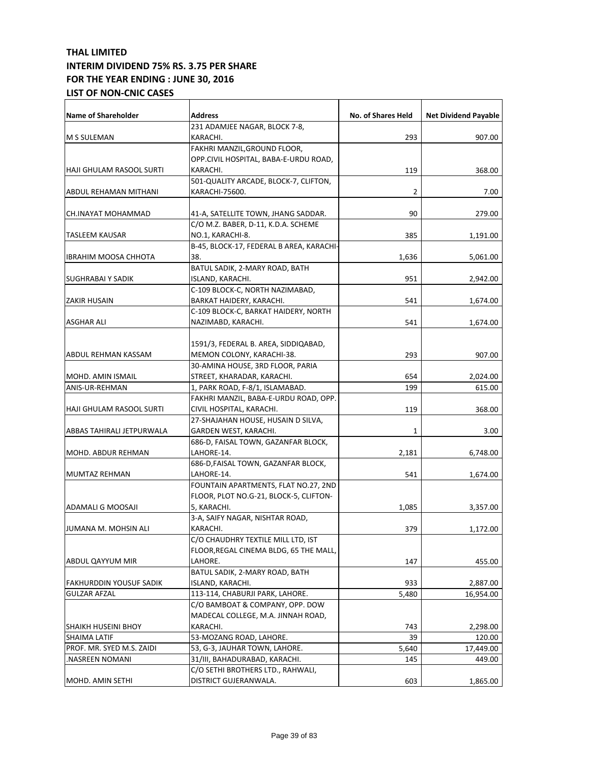| <b>Name of Shareholder</b>     | <b>Address</b>                           | No. of Shares Held | <b>Net Dividend Payable</b> |
|--------------------------------|------------------------------------------|--------------------|-----------------------------|
|                                | 231 ADAMJEE NAGAR, BLOCK 7-8,            |                    |                             |
| <b>M S SULEMAN</b>             | KARACHI.                                 | 293                | 907.00                      |
|                                | FAKHRI MANZIL, GROUND FLOOR,             |                    |                             |
|                                | OPP.CIVIL HOSPITAL, BABA-E-URDU ROAD,    |                    |                             |
| HAJI GHULAM RASOOL SURTI       | KARACHI.                                 | 119                | 368.00                      |
|                                | 501-QUALITY ARCADE, BLOCK-7, CLIFTON,    |                    |                             |
| ABDUL REHAMAN MITHANI          | KARACHI-75600.                           | 2                  | 7.00                        |
| CH.INAYAT MOHAMMAD             | 41-A, SATELLITE TOWN, JHANG SADDAR.      | 90                 | 279.00                      |
|                                | C/O M.Z. BABER, D-11, K.D.A. SCHEME      |                    |                             |
| <b>TASLEEM KAUSAR</b>          | NO.1, KARACHI-8.                         | 385                | 1,191.00                    |
|                                | B-45, BLOCK-17, FEDERAL B AREA, KARACHI- |                    |                             |
| <b>IBRAHIM MOOSA CHHOTA</b>    | 38.                                      | 1,636              | 5,061.00                    |
|                                | BATUL SADIK, 2-MARY ROAD, BATH           |                    |                             |
| SUGHRABAI Y SADIK              | ISLAND, KARACHI.                         | 951                | 2,942.00                    |
|                                | C-109 BLOCK-C, NORTH NAZIMABAD,          |                    |                             |
| <b>ZAKIR HUSAIN</b>            | BARKAT HAIDERY, KARACHI.                 | 541                | 1,674.00                    |
|                                | C-109 BLOCK-C, BARKAT HAIDERY, NORTH     |                    |                             |
| ASGHAR ALI                     | NAZIMABD, KARACHI.                       | 541                | 1,674.00                    |
|                                |                                          |                    |                             |
|                                | 1591/3, FEDERAL B. AREA, SIDDIQABAD,     |                    |                             |
| ABDUL REHMAN KASSAM            | MEMON COLONY, KARACHI-38.                | 293                | 907.00                      |
|                                | 30-AMINA HOUSE, 3RD FLOOR, PARIA         |                    |                             |
| <b>MOHD, AMIN ISMAIL</b>       | STREET, KHARADAR, KARACHI.               | 654                | 2,024.00                    |
| ANIS-UR-REHMAN                 | 1, PARK ROAD, F-8/1, ISLAMABAD.          | 199                | 615.00                      |
|                                | FAKHRI MANZIL, BABA-E-URDU ROAD, OPP.    |                    |                             |
| HAJI GHULAM RASOOL SURTI       | CIVIL HOSPITAL, KARACHI.                 | 119                | 368.00                      |
|                                | 27-SHAJAHAN HOUSE, HUSAIN D SILVA,       |                    |                             |
| ABBAS TAHIRALI JETPURWALA      | GARDEN WEST, KARACHI.                    | 1                  | 3.00                        |
|                                | 686-D, FAISAL TOWN, GAZANFAR BLOCK,      |                    |                             |
| MOHD. ABDUR REHMAN             | LAHORE-14.                               | 2,181              | 6,748.00                    |
|                                | 686-D, FAISAL TOWN, GAZANFAR BLOCK,      |                    |                             |
| <b>MUMTAZ REHMAN</b>           | LAHORE-14.                               | 541                | 1,674.00                    |
|                                | FOUNTAIN APARTMENTS, FLAT NO.27, 2ND     |                    |                             |
|                                | FLOOR, PLOT NO.G-21, BLOCK-5, CLIFTON-   |                    |                             |
| ADAMALI G MOOSAJI              | 5, KARACHI.                              | 1,085              | 3,357.00                    |
|                                | 3-A, SAIFY NAGAR, NISHTAR ROAD,          |                    |                             |
| JUMANA M. MOHSIN ALI           | KARACHI.                                 | 379                | 1,172.00                    |
|                                | C/O CHAUDHRY TEXTILE MILL LTD, IST       |                    |                             |
|                                | FLOOR, REGAL CINEMA BLDG, 65 THE MALL,   |                    |                             |
| ABDUL QAYYUM MIR               | LAHORE.                                  | 147                | 455.00                      |
|                                | BATUL SADIK, 2-MARY ROAD, BATH           |                    |                             |
| <b>FAKHURDDIN YOUSUF SADIK</b> | ISLAND, KARACHI.                         | 933                | 2,887.00                    |
| <b>GULZAR AFZAL</b>            | 113-114, CHABURJI PARK, LAHORE.          | 5,480              | 16,954.00                   |
|                                | C/O BAMBOAT & COMPANY, OPP. DOW          |                    |                             |
|                                | MADECAL COLLEGE, M.A. JINNAH ROAD,       |                    |                             |
| <b>SHAIKH HUSEINI BHOY</b>     | KARACHI.                                 | 743                | 2,298.00                    |
| SHAIMA LATIF                   | 53-MOZANG ROAD, LAHORE.                  | 39                 | 120.00                      |
| PROF. MR. SYED M.S. ZAIDI      | 53, G-3, JAUHAR TOWN, LAHORE.            | 5,640              | 17,449.00                   |
| NASREEN NOMANI.                | 31/III, BAHADURABAD, KARACHI.            | 145                | 449.00                      |
|                                | C/O SETHI BROTHERS LTD., RAHWALI,        |                    |                             |
| MOHD. AMIN SETHI               | DISTRICT GUJERANWALA.                    | 603                | 1,865.00                    |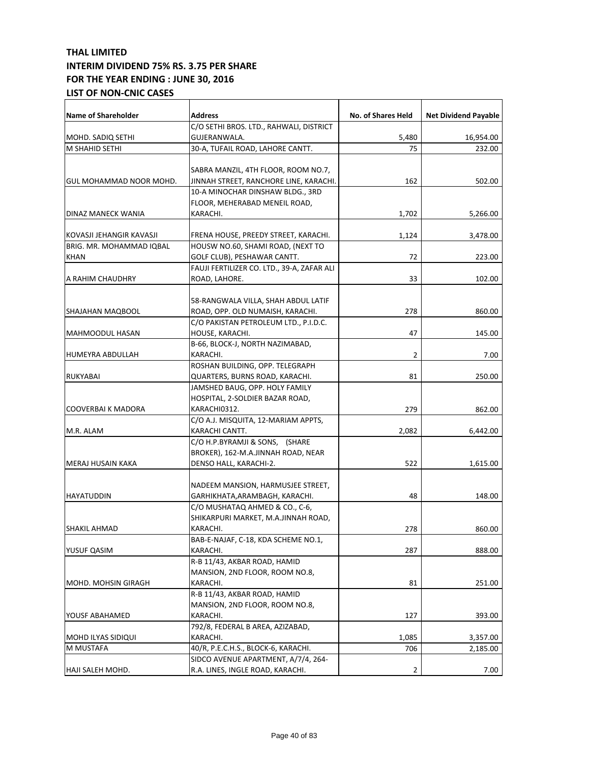| <b>Name of Shareholder</b> | <b>Address</b>                             | No. of Shares Held | <b>Net Dividend Payable</b> |
|----------------------------|--------------------------------------------|--------------------|-----------------------------|
|                            | C/O SETHI BROS. LTD., RAHWALI, DISTRICT    |                    |                             |
| MOHD. SADIQ SETHI          | GUJERANWALA.                               | 5,480              | 16,954.00                   |
| M SHAHID SETHI             | 30-A, TUFAIL ROAD, LAHORE CANTT.           | 75                 | 232.00                      |
|                            |                                            |                    |                             |
|                            | SABRA MANZIL, 4TH FLOOR, ROOM NO.7,        |                    |                             |
| GUL MOHAMMAD NOOR MOHD.    | JINNAH STREET, RANCHORE LINE, KARACHI.     | 162                | 502.00                      |
|                            | 10-A MINOCHAR DINSHAW BLDG., 3RD           |                    |                             |
|                            | FLOOR, MEHERABAD MENEIL ROAD,              |                    |                             |
| DINAZ MANECK WANIA         | KARACHI.                                   | 1,702              | 5,266.00                    |
|                            |                                            |                    |                             |
| KOVASJI JEHANGIR KAVASJI   | FRENA HOUSE, PREEDY STREET, KARACHI.       | 1,124              | 3,478.00                    |
| BRIG. MR. MOHAMMAD IQBAL   | HOUSW NO.60, SHAMI ROAD, (NEXT TO          |                    |                             |
| <b>KHAN</b>                | GOLF CLUB), PESHAWAR CANTT.                | 72                 | 223.00                      |
|                            | FAUJI FERTILIZER CO. LTD., 39-A, ZAFAR ALI |                    |                             |
| A RAHIM CHAUDHRY           | ROAD, LAHORE.                              | 33                 | 102.00                      |
|                            |                                            |                    |                             |
|                            | 58-RANGWALA VILLA, SHAH ABDUL LATIF        |                    |                             |
| SHAJAHAN MAQBOOL           | ROAD, OPP. OLD NUMAISH, KARACHI.           | 278                | 860.00                      |
|                            | C/O PAKISTAN PETROLEUM LTD., P.I.D.C.      |                    |                             |
|                            |                                            |                    |                             |
| MAHMOODUL HASAN            | HOUSE, KARACHI.                            | 47                 | 145.00                      |
|                            | B-66, BLOCK-J, NORTH NAZIMABAD,            |                    |                             |
| HUMEYRA ABDULLAH           | KARACHI.                                   | 2                  | 7.00                        |
|                            | ROSHAN BUILDING, OPP. TELEGRAPH            |                    |                             |
| RUKYABAI                   | QUARTERS, BURNS ROAD, KARACHI.             | 81                 | 250.00                      |
|                            | JAMSHED BAUG, OPP. HOLY FAMILY             |                    |                             |
|                            | HOSPITAL, 2-SOLDIER BAZAR ROAD,            |                    |                             |
| COOVERBAI K MADORA         | KARACHI0312.                               | 279                | 862.00                      |
|                            | C/O A.J. MISQUITA, 12-MARIAM APPTS,        |                    |                             |
| M.R. ALAM                  | KARACHI CANTT.                             | 2,082              | 6,442.00                    |
|                            | C/O H.P.BYRAMJI & SONS, (SHARE             |                    |                             |
|                            | BROKER), 162-M.A.JINNAH ROAD, NEAR         |                    |                             |
| MERAJ HUSAIN KAKA          | DENSO HALL, KARACHI-2.                     | 522                | 1,615.00                    |
|                            |                                            |                    |                             |
|                            | NADEEM MANSION, HARMUSJEE STREET,          |                    |                             |
| <b>HAYATUDDIN</b>          | GARHIKHATA,ARAMBAGH, KARACHI.              | 48                 | 148.00                      |
|                            | C/O MUSHATAQ AHMED & CO., C-6,             |                    |                             |
|                            | SHIKARPURI MARKET, M.A.JINNAH ROAD,        |                    |                             |
| <b>SHAKIL AHMAD</b>        | KARACHI.                                   | 278                | 860.00                      |
|                            | BAB-E-NAJAF, C-18, KDA SCHEME NO.1,        |                    |                             |
| YUSUF QASIM                | KARACHI.                                   | 287                | 888.00                      |
|                            | R-B 11/43, AKBAR ROAD, HAMID               |                    |                             |
|                            | MANSION, 2ND FLOOR, ROOM NO.8,             |                    |                             |
| MOHD. MOHSIN GIRAGH        | KARACHI.                                   | 81                 | 251.00                      |
|                            | R-B 11/43, AKBAR ROAD, HAMID               |                    |                             |
|                            | MANSION, 2ND FLOOR, ROOM NO.8,             |                    |                             |
| YOUSF ABAHAMED             | KARACHI.                                   | 127                | 393.00                      |
|                            | 792/8, FEDERAL B AREA, AZIZABAD,           |                    |                             |
| MOHD ILYAS SIDIQUI         | KARACHI.                                   | 1,085              | 3,357.00                    |
| M MUSTAFA                  | 40/R, P.E.C.H.S., BLOCK-6, KARACHI.        | 706                | 2,185.00                    |
|                            | SIDCO AVENUE APARTMENT, A/7/4, 264-        |                    |                             |
| HAJI SALEH MOHD.           | R.A. LINES, INGLE ROAD, KARACHI.           | 2                  | 7.00                        |
|                            |                                            |                    |                             |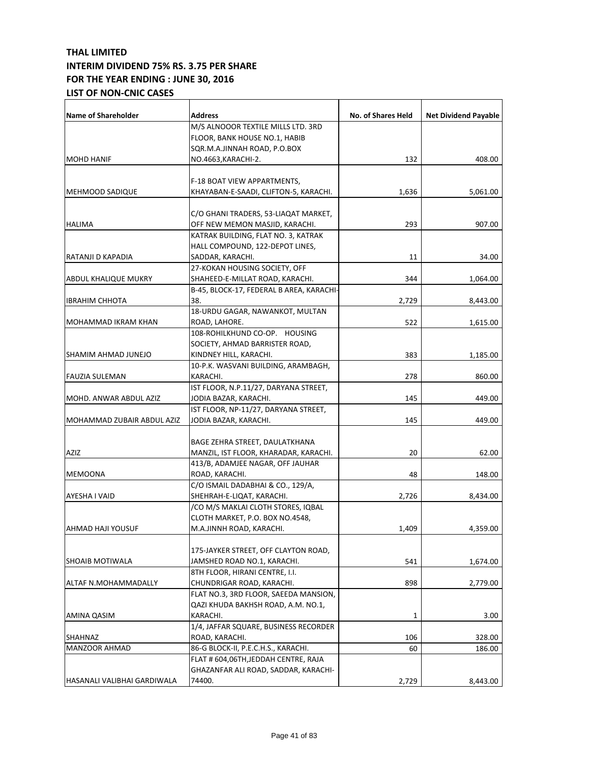| Name of Shareholder         | <b>Address</b>                           | No. of Shares Held | <b>Net Dividend Payable</b> |
|-----------------------------|------------------------------------------|--------------------|-----------------------------|
|                             | M/S ALNOOOR TEXTILE MILLS LTD. 3RD       |                    |                             |
|                             | FLOOR, BANK HOUSE NO.1, HABIB            |                    |                             |
|                             | SQR.M.A.JINNAH ROAD, P.O.BOX             |                    |                             |
| <b>MOHD HANIF</b>           | NO.4663, KARACHI-2.                      | 132                | 408.00                      |
|                             |                                          |                    |                             |
|                             | F-18 BOAT VIEW APPARTMENTS,              |                    |                             |
| <b>MEHMOOD SADIQUE</b>      | KHAYABAN-E-SAADI, CLIFTON-5, KARACHI.    | 1,636              | 5,061.00                    |
|                             | C/O GHANI TRADERS, 53-LIAQAT MARKET,     |                    |                             |
| <b>HALIMA</b>               | OFF NEW MEMON MASJID, KARACHI.           | 293                | 907.00                      |
|                             | KATRAK BUILDING, FLAT NO. 3, KATRAK      |                    |                             |
|                             | HALL COMPOUND, 122-DEPOT LINES,          |                    |                             |
| RATANJI D KAPADIA           | SADDAR, KARACHI.                         | 11                 | 34.00                       |
|                             | 27-KOKAN HOUSING SOCIETY, OFF            |                    |                             |
| ABDUL KHALIQUE MUKRY        | SHAHEED-E-MILLAT ROAD, KARACHI.          | 344                | 1,064.00                    |
|                             | B-45, BLOCK-17, FEDERAL B AREA, KARACHI- |                    |                             |
| <b>IBRAHIM CHHOTA</b>       | 38.                                      | 2,729              | 8,443.00                    |
|                             | 18-URDU GAGAR, NAWANKOT, MULTAN          |                    |                             |
| MOHAMMAD IKRAM KHAN         | ROAD, LAHORE.                            | 522                | 1,615.00                    |
|                             | 108-ROHILKHUND CO-OP. HOUSING            |                    |                             |
|                             | SOCIETY, AHMAD BARRISTER ROAD,           |                    |                             |
| SHAMIM AHMAD JUNEJO         | KINDNEY HILL, KARACHI.                   | 383                | 1,185.00                    |
|                             | 10-P.K. WASVANI BUILDING, ARAMBAGH,      |                    |                             |
| <b>FAUZIA SULEMAN</b>       | KARACHI.                                 | 278                | 860.00                      |
|                             | IST FLOOR, N.P.11/27, DARYANA STREET,    |                    |                             |
| MOHD. ANWAR ABDUL AZIZ      | JODIA BAZAR, KARACHI.                    | 145                | 449.00                      |
|                             | IST FLOOR, NP-11/27, DARYANA STREET,     |                    |                             |
| MOHAMMAD ZUBAIR ABDUL AZIZ  | JODIA BAZAR, KARACHI.                    | 145                | 449.00                      |
|                             |                                          |                    |                             |
|                             | BAGE ZEHRA STREET, DAULATKHANA           |                    |                             |
| <b>AZIZ</b>                 | MANZIL, IST FLOOR, KHARADAR, KARACHI.    | 20                 | 62.00                       |
|                             | 413/B, ADAMJEE NAGAR, OFF JAUHAR         |                    |                             |
| <b>MEMOONA</b>              | ROAD, KARACHI.                           | 48                 | 148.00                      |
|                             | C/O ISMAIL DADABHAI & CO., 129/A,        |                    |                             |
| AYESHA I VAID               | SHEHRAH-E-LIQAT, KARACHI.                | 2,726              | 8,434.00                    |
|                             | /CO M/S MAKLAI CLOTH STORES, IQBAL       |                    |                             |
|                             | CLOTH MARKET, P.O. BOX NO.4548,          |                    |                             |
| AHMAD HAJI YOUSUF           | M.A.JINNH ROAD, KARACHI.                 | 1,409              | 4,359.00                    |
|                             | 175-JAYKER STREET, OFF CLAYTON ROAD,     |                    |                             |
| SHOAIB MOTIWALA             | JAMSHED ROAD NO.1, KARACHI.              | 541                | 1,674.00                    |
|                             | 8TH FLOOR, HIRANI CENTRE, I.I.           |                    |                             |
| ALTAF N.MOHAMMADALLY        | CHUNDRIGAR ROAD, KARACHI.                | 898                | 2,779.00                    |
|                             | FLAT NO.3, 3RD FLOOR, SAEEDA MANSION,    |                    |                             |
|                             | QAZI KHUDA BAKHSH ROAD, A.M. NO.1,       |                    |                             |
| AMINA QASIM                 | KARACHI.                                 | 1                  | 3.00                        |
|                             | 1/4, JAFFAR SQUARE, BUSINESS RECORDER    |                    |                             |
| SHAHNAZ                     | ROAD, KARACHI.                           | 106                | 328.00                      |
| MANZOOR AHMAD               | 86-G BLOCK-II, P.E.C.H.S., KARACHI.      | 60                 | 186.00                      |
|                             | FLAT # 604,06TH,JEDDAH CENTRE, RAJA      |                    |                             |
|                             | GHAZANFAR ALI ROAD, SADDAR, KARACHI-     |                    |                             |
| HASANALI VALIBHAI GARDIWALA | 74400.                                   | 2,729              | 8,443.00                    |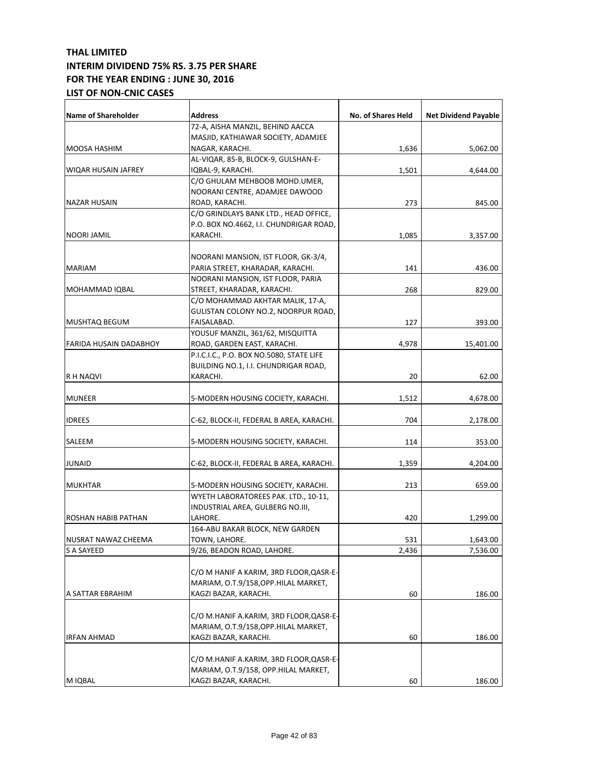| <b>Name of Shareholder</b> | Address                                  | No. of Shares Held | <b>Net Dividend Payable</b> |
|----------------------------|------------------------------------------|--------------------|-----------------------------|
|                            | 72-A, AISHA MANZIL, BEHIND AACCA         |                    |                             |
|                            | MASJID, KATHIAWAR SOCIETY, ADAMJEE       |                    |                             |
| MOOSA HASHIM               | NAGAR, KARACHI.                          | 1,636              | 5,062.00                    |
|                            | AL-VIQAR, 85-B, BLOCK-9, GULSHAN-E-      |                    |                             |
| WIQAR HUSAIN JAFREY        | IQBAL-9, KARACHI.                        | 1,501              | 4,644.00                    |
|                            | C/O GHULAM MEHBOOB MOHD.UMER,            |                    |                             |
|                            | NOORANI CENTRE, ADAMJEE DAWOOD           |                    |                             |
| NAZAR HUSAIN               | ROAD, KARACHI.                           | 273                | 845.00                      |
|                            | C/O GRINDLAYS BANK LTD., HEAD OFFICE,    |                    |                             |
|                            | P.O. BOX NO.4662, I.I. CHUNDRIGAR ROAD,  |                    |                             |
| NOORI JAMIL                | KARACHI.                                 | 1,085              | 3,357.00                    |
|                            |                                          |                    |                             |
|                            | NOORANI MANSION, IST FLOOR, GK-3/4,      |                    |                             |
| <b>MARIAM</b>              | PARIA STREET, KHARADAR, KARACHI.         | 141                | 436.00                      |
|                            | NOORANI MANSION, IST FLOOR, PARIA        |                    |                             |
| MOHAMMAD IQBAL             | STREET, KHARADAR, KARACHI.               | 268                | 829.00                      |
|                            | C/O MOHAMMAD AKHTAR MALIK, 17-A,         |                    |                             |
|                            | GULISTAN COLONY NO.2, NOORPUR ROAD,      |                    |                             |
| MUSHTAQ BEGUM              | FAISALABAD.                              | 127                | 393.00                      |
|                            | YOUSUF MANZIL, 361/62, MISQUITTA         |                    |                             |
| FARIDA HUSAIN DADABHOY     | ROAD, GARDEN EAST, KARACHI.              | 4,978              | 15,401.00                   |
|                            | P.I.C.I.C., P.O. BOX NO.5080, STATE LIFE |                    |                             |
|                            | BUILDING NO.1, I.I. CHUNDRIGAR ROAD,     |                    |                             |
| R H NAQVI                  | KARACHI.                                 | 20                 | 62.00                       |
|                            |                                          |                    |                             |
| <b>MUNEER</b>              | 5-MODERN HOUSING COCIETY, KARACHI.       | 1,512              | 4,678.00                    |
| <b>IDREES</b>              | C-62, BLOCK-II, FEDERAL B AREA, KARACHI. | 704                | 2,178.00                    |
| SALEEM                     | 5-MODERN HOUSING SOCIETY, KARACHI.       | 114                | 353.00                      |
|                            |                                          |                    |                             |
| <b>JUNAID</b>              | C-62, BLOCK-II, FEDERAL B AREA, KARACHI. | 1,359              | 4,204.00                    |
| <b>MUKHTAR</b>             | 5-MODERN HOUSING SOCIETY, KARACHI.       | 213                | 659.00                      |
|                            | WYETH LABORATOREES PAK. LTD., 10-11,     |                    |                             |
|                            | INDUSTRIAL AREA, GULBERG NO.III,         |                    |                             |
| <b>ROSHAN HABIB PATHAN</b> | LAHORE.                                  | 420                | 1,299.00                    |
|                            | 164-ABU BAKAR BLOCK, NEW GARDEN          |                    |                             |
| NUSRAT NAWAZ CHEEMA        | TOWN, LAHORE.                            | 531                | 1,643.00                    |
| <b>S A SAYEED</b>          | 9/26, BEADON ROAD, LAHORE.               | 2,436              | 7,536.00                    |
|                            |                                          |                    |                             |
|                            | C/O M HANIF A KARIM, 3RD FLOOR, QASR-E-  |                    |                             |
|                            | MARIAM, O.T.9/158, OPP. HILAL MARKET,    |                    |                             |
| A SATTAR EBRAHIM           | KAGZI BAZAR, KARACHI.                    | 60                 | 186.00                      |
|                            |                                          |                    |                             |
|                            | C/O M.HANIF A.KARIM, 3RD FLOOR, QASR-E-  |                    |                             |
|                            | MARIAM, O.T.9/158, OPP. HILAL MARKET,    |                    |                             |
| IRFAN AHMAD                | KAGZI BAZAR, KARACHI.                    | 60                 | 186.00                      |
|                            |                                          |                    |                             |
|                            | C/O M.HANIF A.KARIM, 3RD FLOOR, QASR-E-  |                    |                             |
|                            | MARIAM, O.T.9/158, OPP.HILAL MARKET,     |                    |                             |
| M IQBAL                    | KAGZI BAZAR, KARACHI.                    | 60                 | 186.00                      |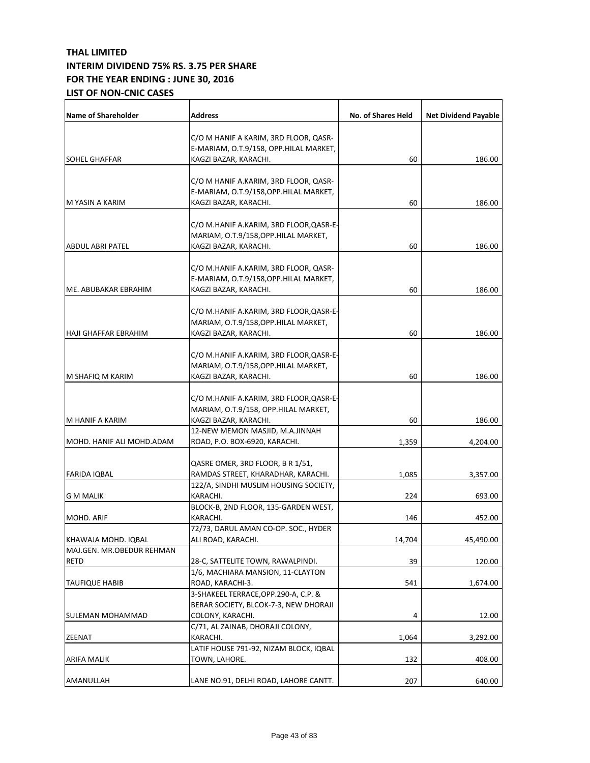| <b>Name of Shareholder</b>  | <b>Address</b>                                            | No. of Shares Held | <b>Net Dividend Payable</b> |
|-----------------------------|-----------------------------------------------------------|--------------------|-----------------------------|
|                             | C/O M HANIF A KARIM, 3RD FLOOR, QASR-                     |                    |                             |
|                             | E-MARIAM, O.T.9/158, OPP.HILAL MARKET,                    |                    |                             |
| <b>SOHEL GHAFFAR</b>        | KAGZI BAZAR, KARACHI.                                     | 60                 | 186.00                      |
|                             |                                                           |                    |                             |
|                             | C/O M HANIF A.KARIM, 3RD FLOOR, QASR-                     |                    |                             |
|                             | E-MARIAM, O.T.9/158, OPP. HILAL MARKET,                   |                    |                             |
| M YASIN A KARIM             | KAGZI BAZAR, KARACHI.                                     | 60                 | 186.00                      |
|                             | C/O M.HANIF A.KARIM, 3RD FLOOR,QASR-E-                    |                    |                             |
|                             | MARIAM, O.T.9/158, OPP. HILAL MARKET,                     |                    |                             |
| <b>ABDUL ABRI PATEL</b>     | KAGZI BAZAR, KARACHI.                                     | 60                 | 186.00                      |
|                             |                                                           |                    |                             |
|                             | C/O M.HANIF A.KARIM, 3RD FLOOR, QASR-                     |                    |                             |
|                             | E-MARIAM, O.T.9/158,OPP.HILAL MARKET,                     |                    |                             |
| ME. ABUBAKAR EBRAHIM        | KAGZI BAZAR, KARACHI.                                     | 60                 | 186.00                      |
|                             |                                                           |                    |                             |
|                             | C/O M.HANIF A.KARIM, 3RD FLOOR,QASR-E-                    |                    |                             |
|                             | MARIAM, O.T.9/158, OPP. HILAL MARKET,                     |                    |                             |
| <b>HAJI GHAFFAR EBRAHIM</b> | KAGZI BAZAR, KARACHI.                                     | 60                 | 186.00                      |
|                             | C/O M.HANIF A.KARIM, 3RD FLOOR,QASR-E-                    |                    |                             |
|                             | MARIAM, O.T.9/158, OPP. HILAL MARKET,                     |                    |                             |
|                             |                                                           |                    |                             |
| M SHAFIQ M KARIM            | KAGZI BAZAR, KARACHI.                                     | 60                 | 186.00                      |
|                             | C/O M.HANIF A.KARIM, 3RD FLOOR,QASR-E-                    |                    |                             |
|                             | MARIAM, O.T.9/158, OPP.HILAL MARKET,                      |                    |                             |
| M HANIF A KARIM             | KAGZI BAZAR, KARACHI.                                     | 60                 | 186.00                      |
|                             | 12-NEW MEMON MASJID, M.A.JINNAH                           |                    |                             |
| MOHD. HANIF ALI MOHD.ADAM   | ROAD, P.O. BOX-6920, KARACHI.                             | 1,359              | 4,204.00                    |
|                             |                                                           |                    |                             |
|                             | QASRE OMER, 3RD FLOOR, B R 1/51,                          |                    |                             |
| <b>FARIDA IQBAL</b>         | RAMDAS STREET, KHARADHAR, KARACHI.                        | 1,085              | 3,357.00                    |
|                             | 122/A, SINDHI MUSLIM HOUSING SOCIETY,                     |                    |                             |
| G M MALIK                   | KARACHI.                                                  | 224                | 693.00                      |
|                             | BLOCK-B, 2ND FLOOR, 135-GARDEN WEST,                      |                    |                             |
| MOHD. ARIF                  | KARACHI.                                                  | 146                | 452.00                      |
|                             | 72/73, DARUL AMAN CO-OP. SOC., HYDER                      |                    |                             |
| KHAWAJA MOHD. IQBAL         | ALI ROAD, KARACHI.                                        | 14,704             | 45,490.00                   |
| MAJ.GEN. MR.OBEDUR REHMAN   |                                                           |                    |                             |
| RETD                        | 28-C, SATTELITE TOWN, RAWALPINDI.                         | 39                 | 120.00                      |
|                             | 1/6, MACHIARA MANSION, 11-CLAYTON                         |                    |                             |
| <b>TAUFIQUE HABIB</b>       | ROAD, KARACHI-3.                                          | 541                | 1,674.00                    |
|                             | 3-SHAKEEL TERRACE, OPP.290-A, C.P. &                      |                    |                             |
| SULEMAN MOHAMMAD            | BERAR SOCIETY, BLCOK-7-3, NEW DHORAJI<br>COLONY, KARACHI. | 4                  | 12.00                       |
|                             | C/71, AL ZAINAB, DHORAJI COLONY,                          |                    |                             |
| <b>ZEENAT</b>               | KARACHI.                                                  | 1,064              | 3,292.00                    |
|                             | LATIF HOUSE 791-92, NIZAM BLOCK, IQBAL                    |                    |                             |
| ARIFA MALIK                 | TOWN, LAHORE.                                             | 132                | 408.00                      |
|                             |                                                           |                    |                             |
| AMANULLAH                   | LANE NO.91, DELHI ROAD, LAHORE CANTT.                     | 207                | 640.00                      |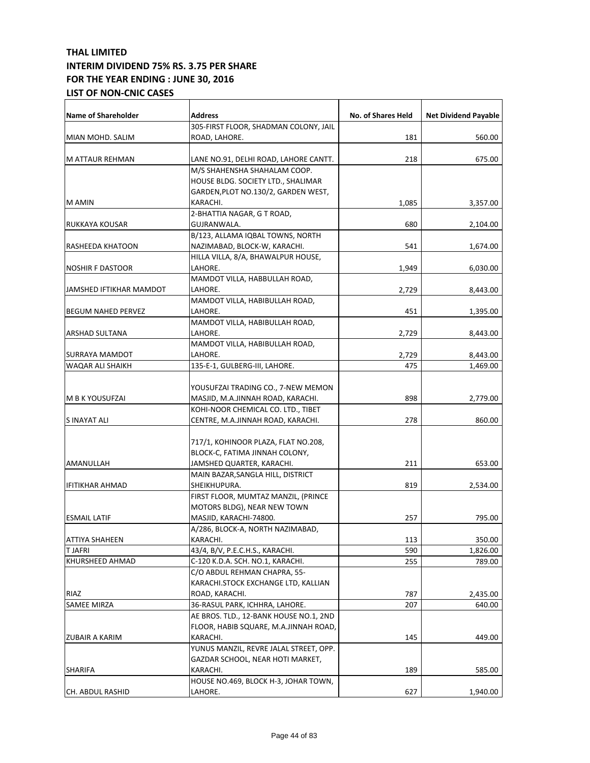| <b>Name of Shareholder</b> | <b>Address</b>                                                           | No. of Shares Held | <b>Net Dividend Payable</b> |
|----------------------------|--------------------------------------------------------------------------|--------------------|-----------------------------|
| MIAN MOHD. SALIM           | 305-FIRST FLOOR, SHADMAN COLONY, JAIL<br>ROAD, LAHORE.                   | 181                | 560.00                      |
|                            |                                                                          |                    |                             |
| <b>M ATTAUR REHMAN</b>     | LANE NO.91, DELHI ROAD, LAHORE CANTT.                                    | 218                | 675.00                      |
|                            | M/S SHAHENSHA SHAHALAM COOP.                                             |                    |                             |
|                            | HOUSE BLDG. SOCIETY LTD., SHALIMAR                                       |                    |                             |
|                            | GARDEN, PLOT NO.130/2, GARDEN WEST,                                      |                    |                             |
| M AMIN                     | KARACHI.                                                                 | 1,085              | 3,357.00                    |
|                            | 2-BHATTIA NAGAR, G T ROAD,                                               |                    |                             |
| RUKKAYA KOUSAR             | GUJRANWALA.                                                              | 680                | 2,104.00                    |
|                            | B/123, ALLAMA IQBAL TOWNS, NORTH                                         |                    |                             |
| RASHEEDA KHATOON           | NAZIMABAD, BLOCK-W, KARACHI.                                             | 541                | 1,674.00                    |
|                            | HILLA VILLA, 8/A, BHAWALPUR HOUSE,                                       |                    |                             |
| <b>NOSHIR F DASTOOR</b>    | LAHORE.                                                                  | 1,949              | 6,030.00                    |
|                            | MAMDOT VILLA, HABBULLAH ROAD,                                            |                    |                             |
| JAMSHED IFTIKHAR MAMDOT    | LAHORE.                                                                  | 2,729              | 8,443.00                    |
|                            | MAMDOT VILLA, HABIBULLAH ROAD,                                           |                    |                             |
| <b>BEGUM NAHED PERVEZ</b>  | LAHORE.                                                                  | 451                | 1,395.00                    |
|                            | MAMDOT VILLA, HABIBULLAH ROAD,                                           |                    |                             |
| <b>ARSHAD SULTANA</b>      | LAHORE.                                                                  | 2,729              | 8,443.00                    |
|                            | MAMDOT VILLA, HABIBULLAH ROAD,                                           |                    |                             |
| SURRAYA MAMDOT             | LAHORE.                                                                  | 2,729              | 8,443.00                    |
| WAQAR ALI SHAIKH           | 135-E-1, GULBERG-III, LAHORE.                                            | 475                | 1,469.00                    |
|                            |                                                                          |                    |                             |
|                            | YOUSUFZAI TRADING CO., 7-NEW MEMON                                       |                    |                             |
| M B K YOUSUFZAI            | MASJID, M.A.JINNAH ROAD, KARACHI.                                        | 898                | 2,779.00                    |
|                            | KOHI-NOOR CHEMICAL CO. LTD., TIBET                                       |                    |                             |
| S INAYAT ALI               | CENTRE, M.A.JINNAH ROAD, KARACHI.                                        | 278                | 860.00                      |
|                            |                                                                          |                    |                             |
|                            | 717/1, KOHINOOR PLAZA, FLAT NO.208,                                      |                    |                             |
|                            | BLOCK-C, FATIMA JINNAH COLONY,                                           |                    |                             |
| AMANULLAH                  | JAMSHED QUARTER, KARACHI.                                                | 211                | 653.00                      |
|                            | MAIN BAZAR, SANGLA HILL, DISTRICT                                        |                    |                             |
| <b>IFITIKHAR AHMAD</b>     | SHEIKHUPURA.                                                             | 819                | 2,534.00                    |
|                            | FIRST FLOOR, MUMTAZ MANZIL, (PRINCE                                      |                    |                             |
|                            | MOTORS BLDG), NEAR NEW TOWN                                              |                    |                             |
| <b>ESMAIL LATIF</b>        | MASJID, KARACHI-74800.                                                   | 257                | 795.00                      |
|                            | A/286, BLOCK-A, NORTH NAZIMABAD,<br>KARACHI.                             |                    |                             |
| <b>ATTIYA SHAHEEN</b>      |                                                                          | 113                | 350.00                      |
| T JAFRI                    | 43/4, B/V, P.E.C.H.S., KARACHI.                                          | 590                | 1,826.00                    |
| KHURSHEED AHMAD            | C-120 K.D.A. SCH. NO.1, KARACHI.                                         | 255                | 789.00                      |
|                            | C/O ABDUL REHMAN CHAPRA, 55-                                             |                    |                             |
|                            | KARACHI.STOCK EXCHANGE LTD, KALLIAN                                      |                    |                             |
| RIAZ                       | ROAD, KARACHI.                                                           | 787                | 2,435.00                    |
| SAMEE MIRZA                | 36-RASUL PARK, ICHHRA, LAHORE.<br>AE BROS. TLD., 12-BANK HOUSE NO.1, 2ND | 207                | 640.00                      |
|                            |                                                                          |                    |                             |
|                            | FLOOR, HABIB SQUARE, M.A.JINNAH ROAD,                                    |                    |                             |
| ZUBAIR A KARIM             | KARACHI.                                                                 | 145                | 449.00                      |
|                            | YUNUS MANZIL, REVRE JALAL STREET, OPP.                                   |                    |                             |
|                            | GAZDAR SCHOOL, NEAR HOTI MARKET,<br>KARACHI.                             |                    |                             |
| <b>SHARIFA</b>             | HOUSE NO.469, BLOCK H-3, JOHAR TOWN,                                     | 189                | 585.00                      |
|                            | LAHORE.                                                                  |                    |                             |
| CH. ABDUL RASHID           |                                                                          | 627                | 1,940.00                    |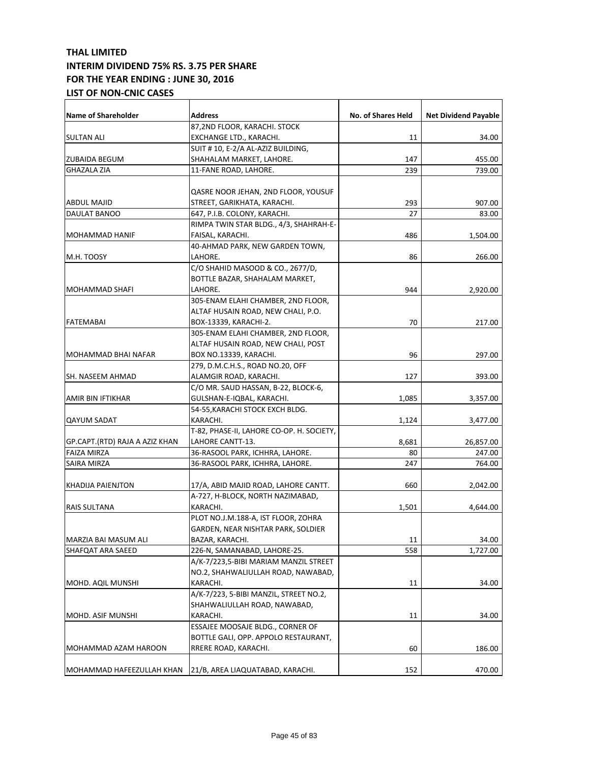| <b>Name of Shareholder</b>     | Address                                   | No. of Shares Held | <b>Net Dividend Payable</b> |
|--------------------------------|-------------------------------------------|--------------------|-----------------------------|
|                                | 87,2ND FLOOR, KARACHI. STOCK              |                    |                             |
| SULTAN ALI                     | EXCHANGE LTD., KARACHI.                   | 11                 | 34.00                       |
|                                | SUIT # 10, E-2/A AL-AZIZ BUILDING,        |                    |                             |
| ZUBAIDA BEGUM                  | SHAHALAM MARKET, LAHORE.                  | 147                | 455.00                      |
| <b>GHAZALA ZIA</b>             | 11-FANE ROAD, LAHORE.                     | 239                | 739.00                      |
|                                |                                           |                    |                             |
|                                | QASRE NOOR JEHAN, 2ND FLOOR, YOUSUF       |                    |                             |
| ABDUL MAJID                    | STREET, GARIKHATA, KARACHI.               | 293                | 907.00                      |
| DAULAT BANOO                   | 647, P.I.B. COLONY, KARACHI.              | 27                 | 83.00                       |
|                                | RIMPA TWIN STAR BLDG., 4/3, SHAHRAH-E-    |                    |                             |
| MOHAMMAD HANIF                 | FAISAL, KARACHI.                          | 486                | 1,504.00                    |
|                                | 40-AHMAD PARK, NEW GARDEN TOWN,           |                    |                             |
| M.H. TOOSY                     | LAHORE.                                   | 86                 | 266.00                      |
|                                | C/O SHAHID MASOOD & CO., 2677/D,          |                    |                             |
|                                | BOTTLE BAZAR, SHAHALAM MARKET,            |                    |                             |
| MOHAMMAD SHAFI                 | LAHORE.                                   | 944                | 2,920.00                    |
|                                | 305-ENAM ELAHI CHAMBER, 2ND FLOOR,        |                    |                             |
|                                | ALTAF HUSAIN ROAD, NEW CHALI, P.O.        |                    |                             |
| <b>FATEMABAI</b>               | BOX-13339, KARACHI-2.                     | 70                 | 217.00                      |
|                                | 305-ENAM ELAHI CHAMBER, 2ND FLOOR,        |                    |                             |
|                                | ALTAF HUSAIN ROAD, NEW CHALI, POST        |                    |                             |
| MOHAMMAD BHAI NAFAR            | BOX NO.13339, KARACHI.                    | 96                 | 297.00                      |
|                                | 279, D.M.C.H.S., ROAD NO.20, OFF          |                    |                             |
| SH. NASEEM AHMAD               | ALAMGIR ROAD, KARACHI.                    | 127                | 393.00                      |
|                                | C/O MR. SAUD HASSAN, B-22, BLOCK-6,       |                    |                             |
| AMIR BIN IFTIKHAR              | GULSHAN-E-IQBAL, KARACHI.                 | 1,085              | 3,357.00                    |
|                                | 54-55, KARACHI STOCK EXCH BLDG.           |                    |                             |
| <b>QAYUM SADAT</b>             | KARACHI.                                  | 1,124              | 3,477.00                    |
|                                | T-82, PHASE-II, LAHORE CO-OP. H. SOCIETY, |                    |                             |
| GP.CAPT.(RTD) RAJA A AZIZ KHAN | LAHORE CANTT-13.                          | 8,681              | 26,857.00                   |
| <b>FAIZA MIRZA</b>             | 36-RASOOL PARK, ICHHRA, LAHORE.           | 80                 | 247.00                      |
| SAIRA MIRZA                    | 36-RASOOL PARK, ICHHRA, LAHORE.           | 247                | 764.00                      |
|                                |                                           |                    |                             |
| KHADIJA PAIENJTON              | 17/A, ABID MAJID ROAD, LAHORE CANTT.      | 660                | 2,042.00                    |
|                                | A-727, H-BLOCK, NORTH NAZIMABAD,          |                    |                             |
| RAIS SULTANA                   | KARACHI.                                  | 1,501              | 4,644.00                    |
|                                | PLOT NO.J.M.188-A, IST FLOOR, ZOHRA       |                    |                             |
|                                | GARDEN, NEAR NISHTAR PARK, SOLDIER        |                    |                             |
| MARZIA BAI MASUM ALI           | BAZAR, KARACHI.                           | 11                 | 34.00                       |
| SHAFQAT ARA SAEED              | 226-N, SAMANABAD, LAHORE-25.              | 558                | 1,727.00                    |
|                                | A/K-7/223,5-BIBI MARIAM MANZIL STREET     |                    |                             |
|                                | NO.2, SHAHWALIULLAH ROAD, NAWABAD,        |                    |                             |
| MOHD. AQIL MUNSHI              | KARACHI.                                  | 11                 | 34.00                       |
|                                | A/K-7/223, 5-BIBI MANZIL, STREET NO.2,    |                    |                             |
|                                | SHAHWALIULLAH ROAD, NAWABAD,              |                    |                             |
| MOHD. ASIF MUNSHI              | KARACHI.                                  | 11                 | 34.00                       |
|                                | ESSAJEE MOOSAJE BLDG., CORNER OF          |                    |                             |
|                                | BOTTLE GALI, OPP. APPOLO RESTAURANT,      |                    |                             |
| MOHAMMAD AZAM HAROON           | RRERE ROAD, KARACHI.                      | 60                 | 186.00                      |
|                                |                                           |                    |                             |
| MOHAMMAD HAFEEZULLAH KHAN      | 21/B, AREA LIAQUATABAD, KARACHI.          | 152                | 470.00                      |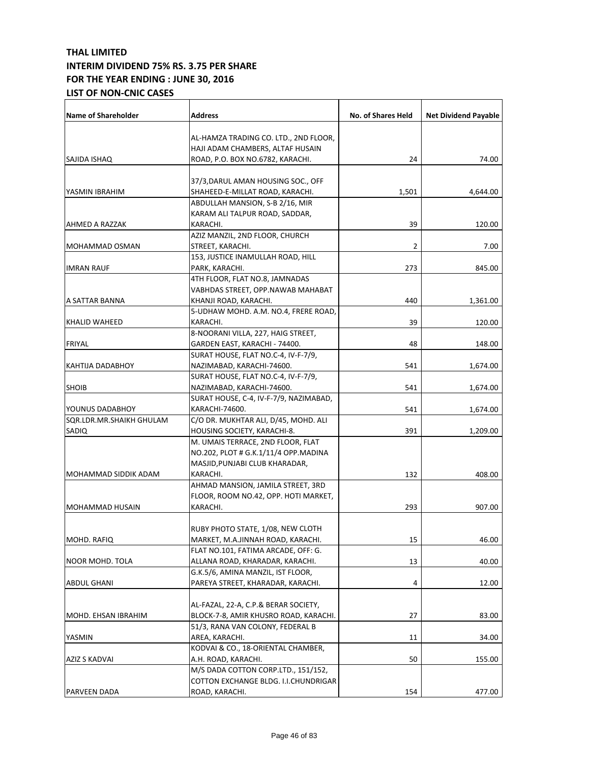| <b>Name of Shareholder</b> | <b>Address</b>                         | No. of Shares Held | <b>Net Dividend Payable</b> |
|----------------------------|----------------------------------------|--------------------|-----------------------------|
|                            | AL-HAMZA TRADING CO. LTD., 2ND FLOOR,  |                    |                             |
|                            | HAJI ADAM CHAMBERS, ALTAF HUSAIN       |                    |                             |
| SAJIDA ISHAQ               | ROAD, P.O. BOX NO.6782, KARACHI.       | 24                 | 74.00                       |
|                            |                                        |                    |                             |
|                            | 37/3, DARUL AMAN HOUSING SOC., OFF     |                    |                             |
| YASMIN IBRAHIM             | SHAHEED-E-MILLAT ROAD, KARACHI.        | 1,501              | 4,644.00                    |
|                            | ABDULLAH MANSION, S-B 2/16, MIR        |                    |                             |
|                            | KARAM ALI TALPUR ROAD, SADDAR,         |                    |                             |
| AHMED A RAZZAK             | KARACHI.                               | 39                 | 120.00                      |
|                            | AZIZ MANZIL, 2ND FLOOR, CHURCH         |                    |                             |
| <b>MOHAMMAD OSMAN</b>      | STREET, KARACHI.                       | $\overline{2}$     | 7.00                        |
|                            | 153, JUSTICE INAMULLAH ROAD, HILL      |                    |                             |
| <b>IMRAN RAUF</b>          | PARK, KARACHI.                         | 273                | 845.00                      |
|                            | 4TH FLOOR, FLAT NO.8, JAMNADAS         |                    |                             |
|                            | VABHDAS STREET, OPP.NAWAB MAHABAT      |                    |                             |
| A SATTAR BANNA             | KHANJI ROAD, KARACHI.                  | 440                | 1,361.00                    |
|                            | 5-UDHAW MOHD. A.M. NO.4, FRERE ROAD,   |                    |                             |
| <b>KHALID WAHEED</b>       | KARACHI.                               | 39                 | 120.00                      |
|                            | 8-NOORANI VILLA, 227, HAIG STREET,     |                    |                             |
| FRIYAL                     | GARDEN EAST, KARACHI - 74400.          | 48                 | 148.00                      |
|                            | SURAT HOUSE, FLAT NO.C-4, IV-F-7/9,    |                    |                             |
| <b>KAHTIJA DADABHOY</b>    | NAZIMABAD, KARACHI-74600.              | 541                | 1,674.00                    |
|                            | SURAT HOUSE, FLAT NO.C-4, IV-F-7/9,    |                    |                             |
| <b>SHOIB</b>               | NAZIMABAD, KARACHI-74600.              | 541                | 1,674.00                    |
|                            | SURAT HOUSE, C-4, IV-F-7/9, NAZIMABAD, |                    |                             |
| YOUNUS DADABHOY            | KARACHI-74600.                         | 541                | 1,674.00                    |
| SQR.LDR.MR.SHAIKH GHULAM   | C/O DR. MUKHTAR ALI, D/45, MOHD. ALI   |                    |                             |
| SADIQ                      | HOUSING SOCIETY, KARACHI-8.            | 391                | 1,209.00                    |
|                            | M. UMAIS TERRACE, 2ND FLOOR, FLAT      |                    |                             |
|                            | NO.202, PLOT # G.K.1/11/4 OPP.MADINA   |                    |                             |
|                            | MASJID, PUNJABI CLUB KHARADAR,         |                    |                             |
| MOHAMMAD SIDDIK ADAM       | KARACHI.                               | 132                | 408.00                      |
|                            | AHMAD MANSION, JAMILA STREET, 3RD      |                    |                             |
|                            | FLOOR, ROOM NO.42, OPP. HOTI MARKET,   |                    |                             |
| MOHAMMAD HUSAIN            | KARACHI.                               | 293                | 907.00                      |
|                            | RUBY PHOTO STATE, 1/08, NEW CLOTH      |                    |                             |
| MOHD. RAFIQ                | MARKET, M.A.JINNAH ROAD, KARACHI.      | 15                 | 46.00                       |
|                            | FLAT NO.101, FATIMA ARCADE, OFF: G.    |                    |                             |
| NOOR MOHD. TOLA            | ALLANA ROAD, KHARADAR, KARACHI.        | 13                 | 40.00                       |
|                            | G.K.5/6, AMINA MANZIL, IST FLOOR,      |                    |                             |
| <b>ABDUL GHANI</b>         | PAREYA STREET, KHARADAR, KARACHI.      | 4                  | 12.00                       |
|                            |                                        |                    |                             |
|                            | AL-FAZAL, 22-A, C.P.& BERAR SOCIETY,   |                    |                             |
| MOHD. EHSAN IBRAHIM        | BLOCK-7-8, AMIR KHUSRO ROAD, KARACHI.  | 27                 | 83.00                       |
|                            | 51/3, RANA VAN COLONY, FEDERAL B       |                    |                             |
| YASMIN                     | AREA, KARACHI.                         | 11                 | 34.00                       |
|                            | KODVAI & CO., 18-ORIENTAL CHAMBER,     |                    |                             |
| AZIZ S KADVAI              | A.H. ROAD, KARACHI.                    | 50                 | 155.00                      |
|                            | M/S DADA COTTON CORP.LTD., 151/152,    |                    |                             |
|                            | COTTON EXCHANGE BLDG. I.I.CHUNDRIGAR   |                    |                             |
| PARVEEN DADA               | ROAD, KARACHI.                         | 154                | 477.00                      |
|                            |                                        |                    |                             |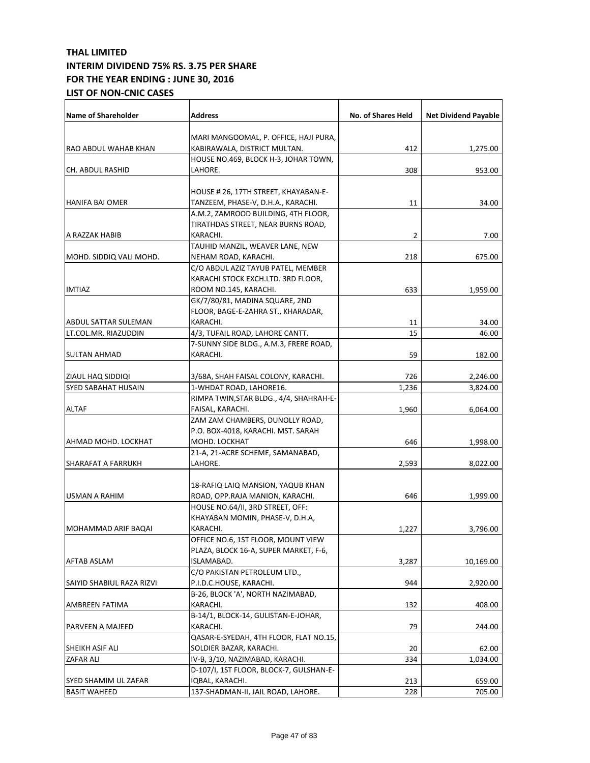| <b>Name of Shareholder</b> | <b>Address</b>                          | <b>No. of Shares Held</b> | <b>Net Dividend Payable</b> |
|----------------------------|-----------------------------------------|---------------------------|-----------------------------|
|                            | MARI MANGOOMAL, P. OFFICE, HAJI PURA,   |                           |                             |
| RAO ABDUL WAHAB KHAN       | KABIRAWALA, DISTRICT MULTAN.            | 412                       | 1,275.00                    |
|                            | HOUSE NO.469, BLOCK H-3, JOHAR TOWN,    |                           |                             |
| CH. ABDUL RASHID           | LAHORE.                                 | 308                       | 953.00                      |
|                            |                                         |                           |                             |
|                            | HOUSE # 26, 17TH STREET, KHAYABAN-E-    |                           |                             |
| HANIFA BAI OMER            | TANZEEM, PHASE-V, D.H.A., KARACHI.      | 11                        | 34.00                       |
|                            | A.M.2, ZAMROOD BUILDING, 4TH FLOOR,     |                           |                             |
|                            | TIRATHDAS STREET, NEAR BURNS ROAD,      |                           |                             |
| A RAZZAK HABIB             | KARACHI.                                | $\overline{2}$            | 7.00                        |
|                            | TAUHID MANZIL, WEAVER LANE, NEW         |                           |                             |
| MOHD. SIDDIQ VALI MOHD.    | NEHAM ROAD, KARACHI.                    | 218                       | 675.00                      |
|                            | C/O ABDUL AZIZ TAYUB PATEL, MEMBER      |                           |                             |
|                            | KARACHI STOCK EXCH.LTD. 3RD FLOOR,      |                           |                             |
| <b>IMTIAZ</b>              | ROOM NO.145, KARACHI.                   | 633                       | 1,959.00                    |
|                            | GK/7/80/81, MADINA SQUARE, 2ND          |                           |                             |
|                            | FLOOR, BAGE-E-ZAHRA ST., KHARADAR,      |                           |                             |
| ABDUL SATTAR SULEMAN       | KARACHI.                                | 11                        | 34.00                       |
| LT.COL.MR. RIAZUDDIN       | 4/3, TUFAIL ROAD, LAHORE CANTT.         | 15                        | 46.00                       |
|                            | 7-SUNNY SIDE BLDG., A.M.3, FRERE ROAD,  |                           |                             |
| SULTAN AHMAD               | KARACHI.                                | 59                        | 182.00                      |
|                            |                                         |                           |                             |
| ZIAUL HAQ SIDDIQI          | 3/68A, SHAH FAISAL COLONY, KARACHI.     | 726                       | 2,246.00                    |
| <b>SYED SABAHAT HUSAIN</b> | 1-WHDAT ROAD, LAHORE16.                 | 1,236                     | 3,824.00                    |
|                            | RIMPA TWIN, STAR BLDG., 4/4, SHAHRAH-E- |                           |                             |
| <b>ALTAF</b>               | FAISAL, KARACHI.                        | 1,960                     | 6,064.00                    |
|                            | ZAM ZAM CHAMBERS, DUNOLLY ROAD,         |                           |                             |
|                            | P.O. BOX-4018, KARACHI. MST. SARAH      |                           |                             |
| AHMAD MOHD. LOCKHAT        | MOHD. LOCKHAT                           | 646                       | 1,998.00                    |
|                            | 21-A, 21-ACRE SCHEME, SAMANABAD,        |                           |                             |
| SHARAFAT A FARRUKH         | LAHORE.                                 | 2,593                     | 8,022.00                    |
|                            |                                         |                           |                             |
|                            | 18-RAFIQ LAIQ MANSION, YAQUB KHAN       |                           |                             |
| USMAN A RAHIM              | ROAD, OPP.RAJA MANION, KARACHI.         | 646                       | 1,999.00                    |
|                            | HOUSE NO.64/II, 3RD STREET, OFF:        |                           |                             |
|                            | KHAYABAN MOMIN, PHASE-V, D.H.A,         |                           |                             |
| MOHAMMAD ARIF BAQAI        | KARACHI.                                | 1,227                     | 3,796.00                    |
|                            | OFFICE NO.6, 1ST FLOOR, MOUNT VIEW      |                           |                             |
|                            | PLAZA, BLOCK 16-A, SUPER MARKET, F-6,   |                           |                             |
| <b>AFTAB ASLAM</b>         | ISLAMABAD.                              | 3,287                     | 10,169.00                   |
|                            | C/O PAKISTAN PETROLEUM LTD.,            |                           |                             |
| SAIYID SHABIUL RAZA RIZVI  | P.I.D.C.HOUSE, KARACHI.                 | 944                       | 2,920.00                    |
|                            | B-26, BLOCK 'A', NORTH NAZIMABAD,       |                           |                             |
| AMBREEN FATIMA             | KARACHI.                                | 132                       | 408.00                      |
|                            | B-14/1, BLOCK-14, GULISTAN-E-JOHAR,     |                           |                             |
| PARVEEN A MAJEED           | KARACHI.                                | 79                        | 244.00                      |
|                            | QASAR-E-SYEDAH, 4TH FLOOR, FLAT NO.15,  |                           |                             |
| SHEIKH ASIF ALI            | SOLDIER BAZAR, KARACHI.                 | 20                        | 62.00                       |
| ZAFAR ALI                  | IV-B, 3/10, NAZIMABAD, KARACHI.         | 334                       | 1,034.00                    |
|                            | D-107/I, 1ST FLOOR, BLOCK-7, GULSHAN-E- |                           |                             |
| SYED SHAMIM UL ZAFAR       | IQBAL, KARACHI.                         | 213                       | 659.00                      |
| <b>BASIT WAHEED</b>        | 137-SHADMAN-II, JAIL ROAD, LAHORE.      | 228                       | 705.00                      |
|                            |                                         |                           |                             |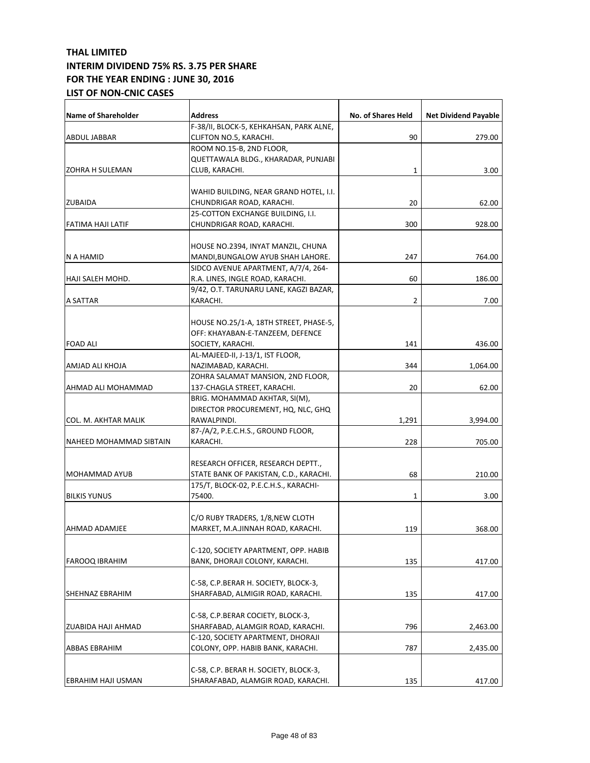| <b>Name of Shareholder</b> | <b>Address</b>                          | No. of Shares Held | <b>Net Dividend Payable</b> |
|----------------------------|-----------------------------------------|--------------------|-----------------------------|
|                            | F-38/II, BLOCK-5, KEHKAHSAN, PARK ALNE, |                    |                             |
| <b>ABDUL JABBAR</b>        | CLIFTON NO.5, KARACHI.                  | 90                 | 279.00                      |
|                            | ROOM NO.15-B, 2ND FLOOR,                |                    |                             |
|                            | QUETTAWALA BLDG., KHARADAR, PUNJABI     |                    |                             |
| <b>ZOHRA H SULEMAN</b>     | CLUB, KARACHI.                          | 1                  | 3.00                        |
|                            | WAHID BUILDING, NEAR GRAND HOTEL, I.I.  |                    |                             |
|                            | CHUNDRIGAR ROAD, KARACHI.               |                    | 62.00                       |
| <b>ZUBAIDA</b>             |                                         | 20                 |                             |
|                            | 25-COTTON EXCHANGE BUILDING, I.I.       |                    |                             |
| FATIMA HAJI LATIF          | CHUNDRIGAR ROAD, KARACHI.               | 300                | 928.00                      |
|                            | HOUSE NO.2394, INYAT MANZIL, CHUNA      |                    |                             |
| N A HAMID                  | MANDI, BUNGALOW AYUB SHAH LAHORE.       | 247                | 764.00                      |
|                            | SIDCO AVENUE APARTMENT, A/7/4, 264-     |                    |                             |
| HAJI SALEH MOHD.           | R.A. LINES, INGLE ROAD, KARACHI.        | 60                 | 186.00                      |
|                            | 9/42, O.T. TARUNARU LANE, KAGZI BAZAR,  |                    |                             |
| A SATTAR                   | KARACHI.                                |                    |                             |
|                            |                                         | 2                  | 7.00                        |
|                            | HOUSE NO.25/1-A, 18TH STREET, PHASE-5,  |                    |                             |
|                            | OFF: KHAYABAN-E-TANZEEM, DEFENCE        |                    |                             |
| <b>FOAD ALI</b>            | SOCIETY, KARACHI.                       | 141                | 436.00                      |
|                            | AL-MAJEED-II, J-13/1, IST FLOOR,        |                    |                             |
|                            |                                         |                    |                             |
| AMJAD ALI KHOJA            | NAZIMABAD, KARACHI.                     | 344                | 1,064.00                    |
|                            | ZOHRA SALAMAT MANSION, 2ND FLOOR,       |                    |                             |
| AHMAD ALI MOHAMMAD         | 137-CHAGLA STREET, KARACHI.             | 20                 | 62.00                       |
|                            | BRIG. MOHAMMAD AKHTAR, SI(M),           |                    |                             |
|                            | DIRECTOR PROCUREMENT, HQ, NLC, GHQ      |                    |                             |
| COL. M. AKHTAR MALIK       | RAWALPINDI.                             | 1,291              | 3,994.00                    |
|                            | 87-/A/2, P.E.C.H.S., GROUND FLOOR,      |                    |                             |
| NAHEED MOHAMMAD SIBTAIN    | KARACHI.                                | 228                | 705.00                      |
|                            |                                         |                    |                             |
|                            | RESEARCH OFFICER, RESEARCH DEPTT.,      |                    |                             |
| MOHAMMAD AYUB              | STATE BANK OF PAKISTAN, C.D., KARACHI.  | 68                 | 210.00                      |
|                            | 175/T, BLOCK-02, P.E.C.H.S., KARACHI-   |                    |                             |
| <b>BILKIS YUNUS</b>        | 75400.                                  | 1                  | 3.00                        |
|                            | C/O RUBY TRADERS, 1/8,NEW CLOTH         |                    |                             |
| AHMAD ADAMJEE              | MARKET, M.A.JINNAH ROAD, KARACHI.       | 119                | 368.00                      |
|                            |                                         |                    |                             |
|                            | C-120, SOCIETY APARTMENT, OPP. HABIB    |                    |                             |
| <b>FAROOQ IBRAHIM</b>      | BANK, DHORAJI COLONY, KARACHI.          | 135                | 417.00                      |
|                            |                                         |                    |                             |
|                            | C-58, C.P.BERAR H. SOCIETY, BLOCK-3,    |                    |                             |
| SHEHNAZ EBRAHIM            | SHARFABAD, ALMIGIR ROAD, KARACHI.       | 135                | 417.00                      |
|                            |                                         |                    |                             |
|                            | C-58, C.P.BERAR COCIETY, BLOCK-3,       |                    |                             |
| ZUABIDA HAJI AHMAD         | SHARFABAD, ALAMGIR ROAD, KARACHI.       | 796                | 2,463.00                    |
|                            | C-120, SOCIETY APARTMENT, DHORAJI       |                    |                             |
| <b>ABBAS EBRAHIM</b>       | COLONY, OPP. HABIB BANK, KARACHI.       | 787                | 2,435.00                    |
|                            |                                         |                    |                             |
|                            | C-58, C.P. BERAR H. SOCIETY, BLOCK-3,   |                    |                             |
| EBRAHIM HAJI USMAN         | SHARAFABAD, ALAMGIR ROAD, KARACHI.      | 135                | 417.00                      |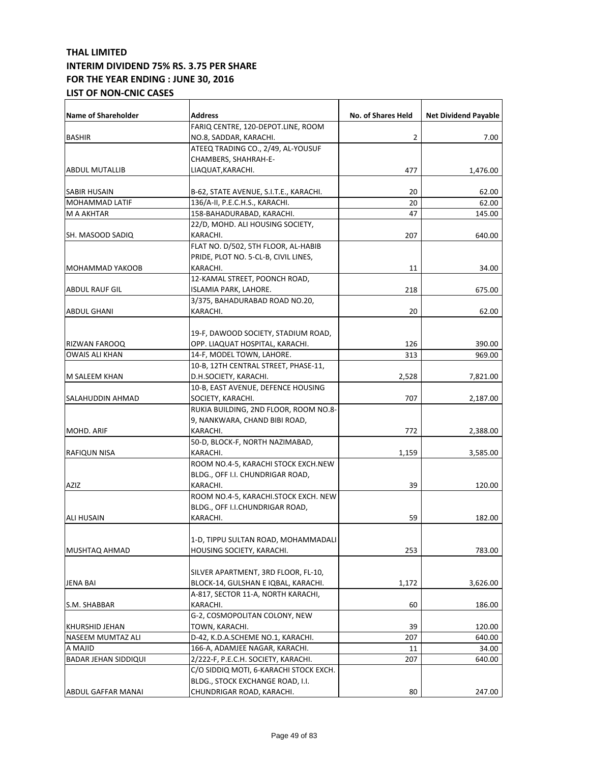| <b>Name of Shareholder</b>          | Address                                                             | No. of Shares Held | <b>Net Dividend Payable</b> |
|-------------------------------------|---------------------------------------------------------------------|--------------------|-----------------------------|
|                                     | FARIQ CENTRE, 120-DEPOT.LINE, ROOM                                  |                    |                             |
| <b>BASHIR</b>                       | NO.8, SADDAR, KARACHI.                                              | 2                  | 7.00                        |
|                                     | ATEEQ TRADING CO., 2/49, AL-YOUSUF                                  |                    |                             |
|                                     | CHAMBERS, SHAHRAH-E-                                                |                    |                             |
| <b>ABDUL MUTALLIB</b>               | LIAQUAT, KARACHI.                                                   | 477                | 1,476.00                    |
|                                     |                                                                     |                    |                             |
| SABIR HUSAIN                        | B-62, STATE AVENUE, S.I.T.E., KARACHI.                              | 20                 | 62.00                       |
| MOHAMMAD LATIF                      | 136/A-II, P.E.C.H.S., KARACHI.                                      | 20                 | 62.00                       |
| M A AKHTAR                          | 158-BAHADURABAD, KARACHI.                                           | 47                 | 145.00                      |
|                                     | 22/D, MOHD. ALI HOUSING SOCIETY,<br>KARACHI.                        | 207                | 640.00                      |
| SH. MASOOD SADIQ                    | FLAT NO. D/502, 5TH FLOOR, AL-HABIB                                 |                    |                             |
|                                     | PRIDE, PLOT NO. 5-CL-B, CIVIL LINES,                                |                    |                             |
| MOHAMMAD YAKOOB                     | KARACHI.                                                            | 11                 | 34.00                       |
|                                     | 12-KAMAL STREET, POONCH ROAD,                                       |                    |                             |
| ABDUL RAUF GIL                      | ISLAMIA PARK, LAHORE.                                               | 218                | 675.00                      |
|                                     | 3/375, BAHADURABAD ROAD NO.20,                                      |                    |                             |
| ABDUL GHANI                         | KARACHI.                                                            | 20                 | 62.00                       |
|                                     |                                                                     |                    |                             |
|                                     | 19-F, DAWOOD SOCIETY, STADIUM ROAD,                                 |                    |                             |
| RIZWAN FAROOQ                       | OPP. LIAQUAT HOSPITAL, KARACHI.                                     | 126                | 390.00                      |
| <b>OWAIS ALI KHAN</b>               | 14-F, MODEL TOWN, LAHORE.                                           | 313                | 969.00                      |
|                                     | 10-B, 12TH CENTRAL STREET, PHASE-11,                                |                    |                             |
| M SALEEM KHAN                       | D.H.SOCIETY, KARACHI.                                               | 2,528              | 7,821.00                    |
|                                     | 10-B, EAST AVENUE, DEFENCE HOUSING                                  |                    |                             |
| SALAHUDDIN AHMAD                    | SOCIETY, KARACHI.                                                   | 707                | 2,187.00                    |
|                                     | RUKIA BUILDING, 2ND FLOOR, ROOM NO.8-                               |                    |                             |
|                                     | 9, NANKWARA, CHAND BIBI ROAD,                                       |                    |                             |
| MOHD. ARIF                          | KARACHI.                                                            | 772                | 2,388.00                    |
|                                     | 50-D, BLOCK-F, NORTH NAZIMABAD,                                     |                    |                             |
| RAFIQUN NISA                        | KARACHI.                                                            | 1,159              | 3,585.00                    |
|                                     | ROOM NO.4-5, KARACHI STOCK EXCH.NEW                                 |                    |                             |
|                                     | BLDG., OFF I.I. CHUNDRIGAR ROAD,                                    |                    |                             |
| AZIZ                                | KARACHI.                                                            | 39                 | 120.00                      |
|                                     | ROOM NO.4-5, KARACHI.STOCK EXCH. NEW                                |                    |                             |
|                                     | BLDG., OFF I.I.CHUNDRIGAR ROAD,                                     |                    |                             |
| <b>ALI HUSAIN</b>                   | KARACHI.                                                            | 59                 | 182.00                      |
|                                     |                                                                     |                    |                             |
|                                     | 1-D, TIPPU SULTAN ROAD, MOHAMMADALI                                 |                    |                             |
| MUSHTAQ AHMAD                       | HOUSING SOCIETY, KARACHI.                                           | 253                | 783.00                      |
|                                     |                                                                     |                    |                             |
|                                     | SILVER APARTMENT, 3RD FLOOR, FL-10,                                 |                    |                             |
| JENA BAI                            | BLOCK-14, GULSHAN E IQBAL, KARACHI.                                 | 1,172              | 3,626.00                    |
|                                     | A-817, SECTOR 11-A, NORTH KARACHI,                                  |                    |                             |
| S.M. SHABBAR                        | KARACHI.                                                            | 60                 | 186.00                      |
|                                     | G-2, COSMOPOLITAN COLONY, NEW                                       |                    |                             |
| KHURSHID JEHAN<br>NASEEM MUMTAZ ALI | TOWN, KARACHI.                                                      | 39<br>207          | 120.00<br>640.00            |
| A MAJID                             | D-42, K.D.A.SCHEME NO.1, KARACHI.<br>166-A, ADAMJEE NAGAR, KARACHI. | 11                 | 34.00                       |
| <b>BADAR JEHAN SIDDIQUI</b>         | 2/222-F, P.E.C.H. SOCIETY, KARACHI.                                 | 207                | 640.00                      |
|                                     | C/O SIDDIQ MOTI, 6-KARACHI STOCK EXCH.                              |                    |                             |
|                                     | BLDG., STOCK EXCHANGE ROAD, I.I.                                    |                    |                             |
| ABDUL GAFFAR MANAI                  | CHUNDRIGAR ROAD, KARACHI.                                           | 80                 | 247.00                      |
|                                     |                                                                     |                    |                             |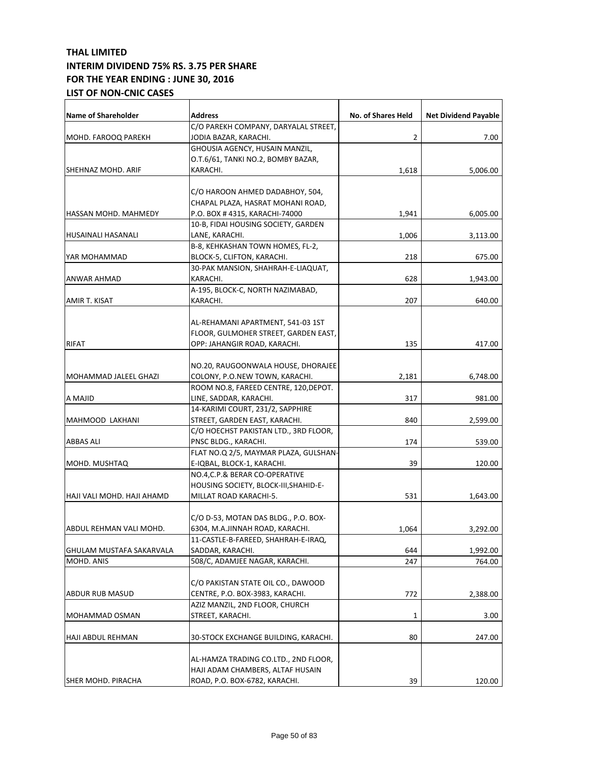| Name of Shareholder        | <b>Address</b>                                                          | No. of Shares Held | <b>Net Dividend Payable</b> |
|----------------------------|-------------------------------------------------------------------------|--------------------|-----------------------------|
|                            | C/O PAREKH COMPANY, DARYALAL STREET,                                    |                    |                             |
| MOHD. FAROOQ PAREKH        | JODIA BAZAR, KARACHI.                                                   | 2                  | 7.00                        |
|                            | GHOUSIA AGENCY, HUSAIN MANZIL,                                          |                    |                             |
|                            | O.T.6/61, TANKI NO.2, BOMBY BAZAR,                                      |                    |                             |
| SHEHNAZ MOHD. ARIF         | KARACHI.                                                                | 1,618              | 5,006.00                    |
|                            |                                                                         |                    |                             |
|                            | C/O HAROON AHMED DADABHOY, 504,                                         |                    |                             |
|                            | CHAPAL PLAZA, HASRAT MOHANI ROAD,                                       |                    |                             |
| HASSAN MOHD. MAHMEDY       | P.O. BOX # 4315, KARACHI-74000                                          | 1,941              | 6,005.00                    |
|                            | 10-B, FIDAI HOUSING SOCIETY, GARDEN                                     |                    |                             |
| HUSAINALI HASANALI         | LANE, KARACHI.                                                          | 1,006              | 3,113.00                    |
|                            | B-8, KEHKASHAN TOWN HOMES, FL-2,                                        |                    |                             |
| YAR MOHAMMAD               | BLOCK-5, CLIFTON, KARACHI.                                              | 218                | 675.00                      |
|                            | 30-PAK MANSION, SHAHRAH-E-LIAQUAT,                                      |                    |                             |
| <b>ANWAR AHMAD</b>         | KARACHI.                                                                | 628                | 1,943.00                    |
|                            | A-195, BLOCK-C, NORTH NAZIMABAD,                                        |                    |                             |
| AMIR T. KISAT              | KARACHI.                                                                | 207                | 640.00                      |
|                            |                                                                         |                    |                             |
|                            | AL-REHAMANI APARTMENT, 541-03 1ST                                       |                    |                             |
|                            | FLOOR, GULMOHER STREET, GARDEN EAST,                                    |                    |                             |
| <b>RIFAT</b>               | OPP: JAHANGIR ROAD, KARACHI.                                            | 135                | 417.00                      |
|                            |                                                                         |                    |                             |
|                            | NO.20, RAUGOONWALA HOUSE, DHORAJEE                                      |                    |                             |
| MOHAMMAD JALEEL GHAZI      | COLONY, P.O.NEW TOWN, KARACHI.                                          | 2,181              | 6,748.00                    |
|                            | ROOM NO.8, FAREED CENTRE, 120, DEPOT.                                   |                    |                             |
| A MAJID                    | LINE, SADDAR, KARACHI.                                                  | 317                | 981.00                      |
|                            | 14-KARIMI COURT, 231/2, SAPPHIRE                                        |                    |                             |
| MAHMOOD LAKHANI            | STREET, GARDEN EAST, KARACHI.                                           | 840                | 2,599.00                    |
|                            | C/O HOECHST PAKISTAN LTD., 3RD FLOOR,                                   |                    |                             |
| <b>ABBAS ALI</b>           | PNSC BLDG., KARACHI.                                                    | 174                | 539.00                      |
|                            | FLAT NO.Q 2/5, MAYMAR PLAZA, GULSHAN-                                   | 39                 |                             |
| MOHD. MUSHTAQ              | E-IQBAL, BLOCK-1, KARACHI.                                              |                    | 120.00                      |
|                            | NO.4, C.P.& BERAR CO-OPERATIVE                                          |                    |                             |
|                            | HOUSING SOCIETY, BLOCK-III, SHAHID-E-                                   |                    |                             |
| HAJI VALI MOHD. HAJI AHAMD | MILLAT ROAD KARACHI-5.                                                  | 531                | 1,643.00                    |
|                            |                                                                         |                    |                             |
| IABDUL REHMAN VALI MOHD.   | C/O D-53, MOTAN DAS BLDG., P.O. BOX-<br>6304, M.A.JINNAH ROAD, KARACHI. | 1,064              |                             |
|                            | 11-CASTLE-B-FAREED, SHAHRAH-E-IRAQ,                                     |                    | 3,292.00                    |
| GHULAM MUSTAFA SAKARVALA   | SADDAR, KARACHI.                                                        | 644                | 1,992.00                    |
| MOHD, ANIS                 | 508/C, ADAMJEE NAGAR, KARACHI.                                          | 247                | 764.00                      |
|                            |                                                                         |                    |                             |
|                            | C/O PAKISTAN STATE OIL CO., DAWOOD                                      |                    |                             |
| ABDUR RUB MASUD            | CENTRE, P.O. BOX-3983, KARACHI.                                         | 772                | 2,388.00                    |
|                            | AZIZ MANZIL, 2ND FLOOR, CHURCH                                          |                    |                             |
| MOHAMMAD OSMAN             | STREET, KARACHI.                                                        | 1                  | 3.00                        |
|                            |                                                                         |                    |                             |
| HAJI ABDUL REHMAN          | 30-STOCK EXCHANGE BUILDING, KARACHI.                                    | 80                 | 247.00                      |
|                            |                                                                         |                    |                             |
|                            | AL-HAMZA TRADING CO.LTD., 2ND FLOOR,                                    |                    |                             |
|                            | HAJI ADAM CHAMBERS, ALTAF HUSAIN                                        |                    |                             |
| <b>SHER MOHD. PIRACHA</b>  | ROAD, P.O. BOX-6782, KARACHI.                                           | 39                 | 120.00                      |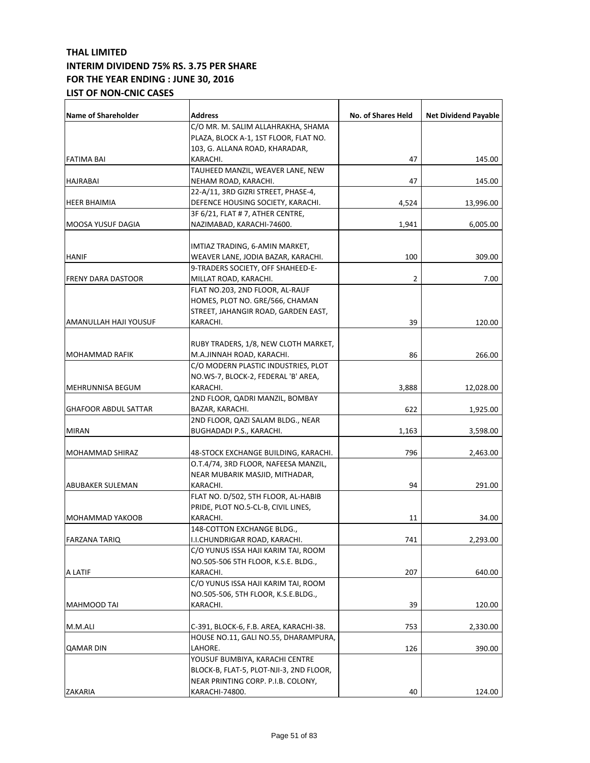|                |                                                                                                                                                                                                                                                                                                                                                                                                                                                                                                                                                                                                                                                                                                                                                                                                                                                                                                                                                                                                                                                                                                                                                                                                                                                                                                                                                                                                                                                                                                                                                                                   | <b>Net Dividend Payable</b>                                                                                                                     |
|----------------|-----------------------------------------------------------------------------------------------------------------------------------------------------------------------------------------------------------------------------------------------------------------------------------------------------------------------------------------------------------------------------------------------------------------------------------------------------------------------------------------------------------------------------------------------------------------------------------------------------------------------------------------------------------------------------------------------------------------------------------------------------------------------------------------------------------------------------------------------------------------------------------------------------------------------------------------------------------------------------------------------------------------------------------------------------------------------------------------------------------------------------------------------------------------------------------------------------------------------------------------------------------------------------------------------------------------------------------------------------------------------------------------------------------------------------------------------------------------------------------------------------------------------------------------------------------------------------------|-------------------------------------------------------------------------------------------------------------------------------------------------|
|                |                                                                                                                                                                                                                                                                                                                                                                                                                                                                                                                                                                                                                                                                                                                                                                                                                                                                                                                                                                                                                                                                                                                                                                                                                                                                                                                                                                                                                                                                                                                                                                                   |                                                                                                                                                 |
|                |                                                                                                                                                                                                                                                                                                                                                                                                                                                                                                                                                                                                                                                                                                                                                                                                                                                                                                                                                                                                                                                                                                                                                                                                                                                                                                                                                                                                                                                                                                                                                                                   |                                                                                                                                                 |
|                |                                                                                                                                                                                                                                                                                                                                                                                                                                                                                                                                                                                                                                                                                                                                                                                                                                                                                                                                                                                                                                                                                                                                                                                                                                                                                                                                                                                                                                                                                                                                                                                   |                                                                                                                                                 |
|                |                                                                                                                                                                                                                                                                                                                                                                                                                                                                                                                                                                                                                                                                                                                                                                                                                                                                                                                                                                                                                                                                                                                                                                                                                                                                                                                                                                                                                                                                                                                                                                                   | 145.00                                                                                                                                          |
|                |                                                                                                                                                                                                                                                                                                                                                                                                                                                                                                                                                                                                                                                                                                                                                                                                                                                                                                                                                                                                                                                                                                                                                                                                                                                                                                                                                                                                                                                                                                                                                                                   |                                                                                                                                                 |
|                |                                                                                                                                                                                                                                                                                                                                                                                                                                                                                                                                                                                                                                                                                                                                                                                                                                                                                                                                                                                                                                                                                                                                                                                                                                                                                                                                                                                                                                                                                                                                                                                   | 145.00                                                                                                                                          |
|                |                                                                                                                                                                                                                                                                                                                                                                                                                                                                                                                                                                                                                                                                                                                                                                                                                                                                                                                                                                                                                                                                                                                                                                                                                                                                                                                                                                                                                                                                                                                                                                                   |                                                                                                                                                 |
|                |                                                                                                                                                                                                                                                                                                                                                                                                                                                                                                                                                                                                                                                                                                                                                                                                                                                                                                                                                                                                                                                                                                                                                                                                                                                                                                                                                                                                                                                                                                                                                                                   | 13,996.00                                                                                                                                       |
|                |                                                                                                                                                                                                                                                                                                                                                                                                                                                                                                                                                                                                                                                                                                                                                                                                                                                                                                                                                                                                                                                                                                                                                                                                                                                                                                                                                                                                                                                                                                                                                                                   |                                                                                                                                                 |
|                |                                                                                                                                                                                                                                                                                                                                                                                                                                                                                                                                                                                                                                                                                                                                                                                                                                                                                                                                                                                                                                                                                                                                                                                                                                                                                                                                                                                                                                                                                                                                                                                   | 6,005.00                                                                                                                                        |
|                |                                                                                                                                                                                                                                                                                                                                                                                                                                                                                                                                                                                                                                                                                                                                                                                                                                                                                                                                                                                                                                                                                                                                                                                                                                                                                                                                                                                                                                                                                                                                                                                   |                                                                                                                                                 |
|                |                                                                                                                                                                                                                                                                                                                                                                                                                                                                                                                                                                                                                                                                                                                                                                                                                                                                                                                                                                                                                                                                                                                                                                                                                                                                                                                                                                                                                                                                                                                                                                                   |                                                                                                                                                 |
|                |                                                                                                                                                                                                                                                                                                                                                                                                                                                                                                                                                                                                                                                                                                                                                                                                                                                                                                                                                                                                                                                                                                                                                                                                                                                                                                                                                                                                                                                                                                                                                                                   | 309.00                                                                                                                                          |
|                |                                                                                                                                                                                                                                                                                                                                                                                                                                                                                                                                                                                                                                                                                                                                                                                                                                                                                                                                                                                                                                                                                                                                                                                                                                                                                                                                                                                                                                                                                                                                                                                   |                                                                                                                                                 |
|                |                                                                                                                                                                                                                                                                                                                                                                                                                                                                                                                                                                                                                                                                                                                                                                                                                                                                                                                                                                                                                                                                                                                                                                                                                                                                                                                                                                                                                                                                                                                                                                                   | 7.00                                                                                                                                            |
|                |                                                                                                                                                                                                                                                                                                                                                                                                                                                                                                                                                                                                                                                                                                                                                                                                                                                                                                                                                                                                                                                                                                                                                                                                                                                                                                                                                                                                                                                                                                                                                                                   |                                                                                                                                                 |
|                |                                                                                                                                                                                                                                                                                                                                                                                                                                                                                                                                                                                                                                                                                                                                                                                                                                                                                                                                                                                                                                                                                                                                                                                                                                                                                                                                                                                                                                                                                                                                                                                   |                                                                                                                                                 |
|                |                                                                                                                                                                                                                                                                                                                                                                                                                                                                                                                                                                                                                                                                                                                                                                                                                                                                                                                                                                                                                                                                                                                                                                                                                                                                                                                                                                                                                                                                                                                                                                                   |                                                                                                                                                 |
|                |                                                                                                                                                                                                                                                                                                                                                                                                                                                                                                                                                                                                                                                                                                                                                                                                                                                                                                                                                                                                                                                                                                                                                                                                                                                                                                                                                                                                                                                                                                                                                                                   |                                                                                                                                                 |
|                |                                                                                                                                                                                                                                                                                                                                                                                                                                                                                                                                                                                                                                                                                                                                                                                                                                                                                                                                                                                                                                                                                                                                                                                                                                                                                                                                                                                                                                                                                                                                                                                   | 120.00                                                                                                                                          |
|                |                                                                                                                                                                                                                                                                                                                                                                                                                                                                                                                                                                                                                                                                                                                                                                                                                                                                                                                                                                                                                                                                                                                                                                                                                                                                                                                                                                                                                                                                                                                                                                                   |                                                                                                                                                 |
|                |                                                                                                                                                                                                                                                                                                                                                                                                                                                                                                                                                                                                                                                                                                                                                                                                                                                                                                                                                                                                                                                                                                                                                                                                                                                                                                                                                                                                                                                                                                                                                                                   |                                                                                                                                                 |
|                |                                                                                                                                                                                                                                                                                                                                                                                                                                                                                                                                                                                                                                                                                                                                                                                                                                                                                                                                                                                                                                                                                                                                                                                                                                                                                                                                                                                                                                                                                                                                                                                   | 266.00                                                                                                                                          |
|                |                                                                                                                                                                                                                                                                                                                                                                                                                                                                                                                                                                                                                                                                                                                                                                                                                                                                                                                                                                                                                                                                                                                                                                                                                                                                                                                                                                                                                                                                                                                                                                                   |                                                                                                                                                 |
|                |                                                                                                                                                                                                                                                                                                                                                                                                                                                                                                                                                                                                                                                                                                                                                                                                                                                                                                                                                                                                                                                                                                                                                                                                                                                                                                                                                                                                                                                                                                                                                                                   |                                                                                                                                                 |
|                |                                                                                                                                                                                                                                                                                                                                                                                                                                                                                                                                                                                                                                                                                                                                                                                                                                                                                                                                                                                                                                                                                                                                                                                                                                                                                                                                                                                                                                                                                                                                                                                   | 12,028.00                                                                                                                                       |
|                |                                                                                                                                                                                                                                                                                                                                                                                                                                                                                                                                                                                                                                                                                                                                                                                                                                                                                                                                                                                                                                                                                                                                                                                                                                                                                                                                                                                                                                                                                                                                                                                   |                                                                                                                                                 |
|                |                                                                                                                                                                                                                                                                                                                                                                                                                                                                                                                                                                                                                                                                                                                                                                                                                                                                                                                                                                                                                                                                                                                                                                                                                                                                                                                                                                                                                                                                                                                                                                                   | 1,925.00                                                                                                                                        |
|                |                                                                                                                                                                                                                                                                                                                                                                                                                                                                                                                                                                                                                                                                                                                                                                                                                                                                                                                                                                                                                                                                                                                                                                                                                                                                                                                                                                                                                                                                                                                                                                                   |                                                                                                                                                 |
|                |                                                                                                                                                                                                                                                                                                                                                                                                                                                                                                                                                                                                                                                                                                                                                                                                                                                                                                                                                                                                                                                                                                                                                                                                                                                                                                                                                                                                                                                                                                                                                                                   | 3,598.00                                                                                                                                        |
|                |                                                                                                                                                                                                                                                                                                                                                                                                                                                                                                                                                                                                                                                                                                                                                                                                                                                                                                                                                                                                                                                                                                                                                                                                                                                                                                                                                                                                                                                                                                                                                                                   | 2,463.00                                                                                                                                        |
|                |                                                                                                                                                                                                                                                                                                                                                                                                                                                                                                                                                                                                                                                                                                                                                                                                                                                                                                                                                                                                                                                                                                                                                                                                                                                                                                                                                                                                                                                                                                                                                                                   |                                                                                                                                                 |
|                |                                                                                                                                                                                                                                                                                                                                                                                                                                                                                                                                                                                                                                                                                                                                                                                                                                                                                                                                                                                                                                                                                                                                                                                                                                                                                                                                                                                                                                                                                                                                                                                   |                                                                                                                                                 |
|                |                                                                                                                                                                                                                                                                                                                                                                                                                                                                                                                                                                                                                                                                                                                                                                                                                                                                                                                                                                                                                                                                                                                                                                                                                                                                                                                                                                                                                                                                                                                                                                                   | 291.00                                                                                                                                          |
|                |                                                                                                                                                                                                                                                                                                                                                                                                                                                                                                                                                                                                                                                                                                                                                                                                                                                                                                                                                                                                                                                                                                                                                                                                                                                                                                                                                                                                                                                                                                                                                                                   |                                                                                                                                                 |
|                |                                                                                                                                                                                                                                                                                                                                                                                                                                                                                                                                                                                                                                                                                                                                                                                                                                                                                                                                                                                                                                                                                                                                                                                                                                                                                                                                                                                                                                                                                                                                                                                   |                                                                                                                                                 |
|                |                                                                                                                                                                                                                                                                                                                                                                                                                                                                                                                                                                                                                                                                                                                                                                                                                                                                                                                                                                                                                                                                                                                                                                                                                                                                                                                                                                                                                                                                                                                                                                                   | 34.00                                                                                                                                           |
|                |                                                                                                                                                                                                                                                                                                                                                                                                                                                                                                                                                                                                                                                                                                                                                                                                                                                                                                                                                                                                                                                                                                                                                                                                                                                                                                                                                                                                                                                                                                                                                                                   |                                                                                                                                                 |
|                |                                                                                                                                                                                                                                                                                                                                                                                                                                                                                                                                                                                                                                                                                                                                                                                                                                                                                                                                                                                                                                                                                                                                                                                                                                                                                                                                                                                                                                                                                                                                                                                   | 2,293.00                                                                                                                                        |
|                |                                                                                                                                                                                                                                                                                                                                                                                                                                                                                                                                                                                                                                                                                                                                                                                                                                                                                                                                                                                                                                                                                                                                                                                                                                                                                                                                                                                                                                                                                                                                                                                   |                                                                                                                                                 |
|                |                                                                                                                                                                                                                                                                                                                                                                                                                                                                                                                                                                                                                                                                                                                                                                                                                                                                                                                                                                                                                                                                                                                                                                                                                                                                                                                                                                                                                                                                                                                                                                                   |                                                                                                                                                 |
|                |                                                                                                                                                                                                                                                                                                                                                                                                                                                                                                                                                                                                                                                                                                                                                                                                                                                                                                                                                                                                                                                                                                                                                                                                                                                                                                                                                                                                                                                                                                                                                                                   |                                                                                                                                                 |
|                |                                                                                                                                                                                                                                                                                                                                                                                                                                                                                                                                                                                                                                                                                                                                                                                                                                                                                                                                                                                                                                                                                                                                                                                                                                                                                                                                                                                                                                                                                                                                                                                   | 640.00                                                                                                                                          |
|                |                                                                                                                                                                                                                                                                                                                                                                                                                                                                                                                                                                                                                                                                                                                                                                                                                                                                                                                                                                                                                                                                                                                                                                                                                                                                                                                                                                                                                                                                                                                                                                                   |                                                                                                                                                 |
|                |                                                                                                                                                                                                                                                                                                                                                                                                                                                                                                                                                                                                                                                                                                                                                                                                                                                                                                                                                                                                                                                                                                                                                                                                                                                                                                                                                                                                                                                                                                                                                                                   |                                                                                                                                                 |
|                |                                                                                                                                                                                                                                                                                                                                                                                                                                                                                                                                                                                                                                                                                                                                                                                                                                                                                                                                                                                                                                                                                                                                                                                                                                                                                                                                                                                                                                                                                                                                                                                   | 120.00                                                                                                                                          |
|                |                                                                                                                                                                                                                                                                                                                                                                                                                                                                                                                                                                                                                                                                                                                                                                                                                                                                                                                                                                                                                                                                                                                                                                                                                                                                                                                                                                                                                                                                                                                                                                                   | 2,330.00                                                                                                                                        |
|                |                                                                                                                                                                                                                                                                                                                                                                                                                                                                                                                                                                                                                                                                                                                                                                                                                                                                                                                                                                                                                                                                                                                                                                                                                                                                                                                                                                                                                                                                                                                                                                                   |                                                                                                                                                 |
| LAHORE.        | 126                                                                                                                                                                                                                                                                                                                                                                                                                                                                                                                                                                                                                                                                                                                                                                                                                                                                                                                                                                                                                                                                                                                                                                                                                                                                                                                                                                                                                                                                                                                                                                               | 390.00                                                                                                                                          |
|                |                                                                                                                                                                                                                                                                                                                                                                                                                                                                                                                                                                                                                                                                                                                                                                                                                                                                                                                                                                                                                                                                                                                                                                                                                                                                                                                                                                                                                                                                                                                                                                                   |                                                                                                                                                 |
|                |                                                                                                                                                                                                                                                                                                                                                                                                                                                                                                                                                                                                                                                                                                                                                                                                                                                                                                                                                                                                                                                                                                                                                                                                                                                                                                                                                                                                                                                                                                                                                                                   |                                                                                                                                                 |
|                |                                                                                                                                                                                                                                                                                                                                                                                                                                                                                                                                                                                                                                                                                                                                                                                                                                                                                                                                                                                                                                                                                                                                                                                                                                                                                                                                                                                                                                                                                                                                                                                   |                                                                                                                                                 |
| KARACHI-74800. | 40                                                                                                                                                                                                                                                                                                                                                                                                                                                                                                                                                                                                                                                                                                                                                                                                                                                                                                                                                                                                                                                                                                                                                                                                                                                                                                                                                                                                                                                                                                                                                                                | 124.00                                                                                                                                          |
|                | Address<br>C/O MR. M. SALIM ALLAHRAKHA, SHAMA<br>PLAZA, BLOCK A-1, 1ST FLOOR, FLAT NO.<br>103, G. ALLANA ROAD, KHARADAR,<br>KARACHI.<br>TAUHEED MANZIL, WEAVER LANE, NEW<br>NEHAM ROAD, KARACHI.<br>22-A/11, 3RD GIZRI STREET, PHASE-4,<br>DEFENCE HOUSING SOCIETY, KARACHI.<br>3F 6/21, FLAT #7, ATHER CENTRE,<br>NAZIMABAD, KARACHI-74600.<br>IMTIAZ TRADING, 6-AMIN MARKET,<br>WEAVER LANE, JODIA BAZAR, KARACHI.<br>9-TRADERS SOCIETY, OFF SHAHEED-E-<br>MILLAT ROAD, KARACHI.<br>FLAT NO.203, 2ND FLOOR, AL-RAUF<br>HOMES, PLOT NO. GRE/566, CHAMAN<br>STREET, JAHANGIR ROAD, GARDEN EAST,<br>KARACHI.<br>RUBY TRADERS, 1/8, NEW CLOTH MARKET,<br>M.A.JINNAH ROAD, KARACHI.<br>C/O MODERN PLASTIC INDUSTRIES, PLOT<br>NO.WS-7, BLOCK-2, FEDERAL 'B' AREA,<br>KARACHI.<br>2ND FLOOR, QADRI MANZIL, BOMBAY<br>BAZAR, KARACHI.<br>2ND FLOOR, QAZI SALAM BLDG., NEAR<br>BUGHADADI P.S., KARACHI.<br>48-STOCK EXCHANGE BUILDING, KARACHI.<br>O.T.4/74, 3RD FLOOR, NAFEESA MANZIL,<br>NEAR MUBARIK MASJID, MITHADAR,<br>KARACHI.<br>FLAT NO. D/502, 5TH FLOOR, AL-HABIB<br>PRIDE, PLOT NO.5-CL-B, CIVIL LINES,<br>KARACHI.<br>148-COTTON EXCHANGE BLDG.,<br>I.I.CHUNDRIGAR ROAD, KARACHI.<br>C/O YUNUS ISSA HAJI KARIM TAI, ROOM<br>NO.505-506 5TH FLOOR, K.S.E. BLDG.,<br>KARACHI.<br>C/O YUNUS ISSA HAJI KARIM TAI, ROOM<br>NO.505-506, 5TH FLOOR, K.S.E.BLDG.,<br>KARACHI.<br>C-391, BLOCK-6, F.B. AREA, KARACHI-38.<br>HOUSE NO.11, GALI NO.55, DHARAMPURA,<br>YOUSUF BUMBIYA, KARACHI CENTRE<br>BLOCK-B, FLAT-5, PLOT-NJI-3, 2ND FLOOR,<br>NEAR PRINTING CORP. P.I.B. COLONY, | No. of Shares Held<br>47<br>47<br>4,524<br>1,941<br>100<br>2<br>39<br>86<br>3,888<br>622<br>1,163<br>796<br>94<br>11<br>741<br>207<br>39<br>753 |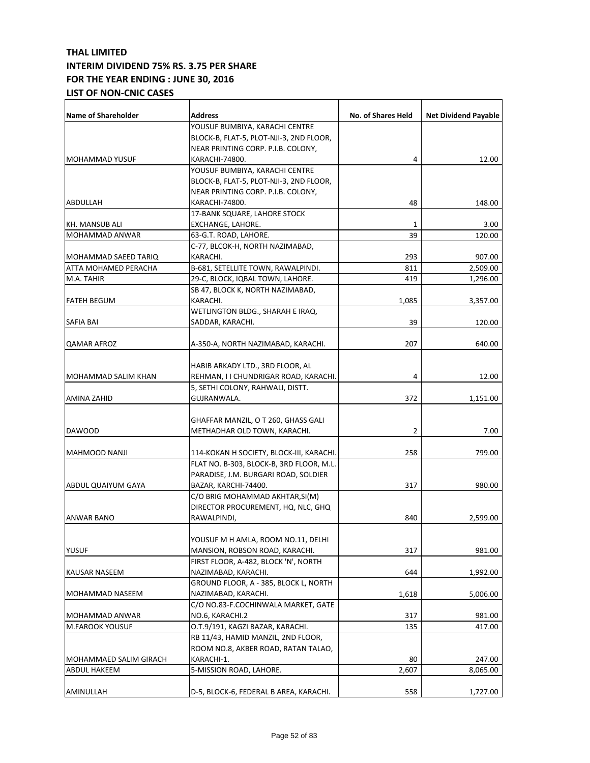| <b>Name of Shareholder</b> | <b>Address</b>                           | <b>No. of Shares Held</b> | <b>Net Dividend Payable</b> |
|----------------------------|------------------------------------------|---------------------------|-----------------------------|
|                            | YOUSUF BUMBIYA, KARACHI CENTRE           |                           |                             |
|                            | BLOCK-B, FLAT-5, PLOT-NJI-3, 2ND FLOOR,  |                           |                             |
|                            | NEAR PRINTING CORP. P.I.B. COLONY,       |                           |                             |
| MOHAMMAD YUSUF             | KARACHI-74800.                           | 4                         | 12.00                       |
|                            | YOUSUF BUMBIYA, KARACHI CENTRE           |                           |                             |
|                            | BLOCK-B, FLAT-5, PLOT-NJI-3, 2ND FLOOR,  |                           |                             |
|                            | NEAR PRINTING CORP. P.I.B. COLONY,       |                           |                             |
| ABDULLAH                   | KARACHI-74800.                           | 48                        | 148.00                      |
|                            | 17-BANK SQUARE, LAHORE STOCK             |                           |                             |
| KH. MANSUB ALI             | EXCHANGE, LAHORE.                        | $\mathbf{1}$              | 3.00                        |
| MOHAMMAD ANWAR             | 63-G.T. ROAD, LAHORE.                    | 39                        | 120.00                      |
|                            | C-77, BLCOK-H, NORTH NAZIMABAD,          |                           |                             |
| MOHAMMAD SAEED TARIQ       | KARACHI.                                 | 293                       | 907.00                      |
| ATTA MOHAMED PERACHA       | B-681, SETELLITE TOWN, RAWALPINDI.       | 811                       | 2,509.00                    |
| M.A. TAHIR                 | 29-C, BLOCK, IQBAL TOWN, LAHORE.         | 419                       | 1,296.00                    |
|                            | SB 47, BLOCK K, NORTH NAZIMABAD,         |                           |                             |
| <b>FATEH BEGUM</b>         | KARACHI.                                 | 1,085                     | 3,357.00                    |
|                            | WETLINGTON BLDG., SHARAH E IRAQ,         |                           |                             |
|                            |                                          | 39                        |                             |
| SAFIA BAI                  | SADDAR, KARACHI.                         |                           | 120.00                      |
|                            |                                          |                           |                             |
| <b>QAMAR AFROZ</b>         | A-350-A, NORTH NAZIMABAD, KARACHI.       | 207                       | 640.00                      |
|                            |                                          |                           |                             |
|                            | HABIB ARKADY LTD., 3RD FLOOR, AL         |                           |                             |
| MOHAMMAD SALIM KHAN        | REHMAN, I I CHUNDRIGAR ROAD, KARACHI.    | 4                         | 12.00                       |
|                            | 5, SETHI COLONY, RAHWALI, DISTT.         |                           |                             |
| AMINA ZAHID                | GUJRANWALA.                              | 372                       | 1,151.00                    |
|                            |                                          |                           |                             |
|                            | GHAFFAR MANZIL, O T 260, GHASS GALI      |                           |                             |
| <b>DAWOOD</b>              | METHADHAR OLD TOWN, KARACHI.             | 2                         | 7.00                        |
|                            |                                          |                           |                             |
| MAHMOOD NANJI              | 114-KOKAN H SOCIETY, BLOCK-III, KARACHI. | 258                       | 799.00                      |
|                            | FLAT NO. B-303, BLOCK-B, 3RD FLOOR, M.L. |                           |                             |
|                            | PARADISE, J.M. BURGARI ROAD, SOLDIER     |                           |                             |
| ABDUL QUAIYUM GAYA         | BAZAR, KARCHI-74400.                     | 317                       | 980.00                      |
|                            | C/O BRIG MOHAMMAD AKHTAR, SI(M)          |                           |                             |
|                            | DIRECTOR PROCUREMENT, HQ, NLC, GHQ       |                           |                             |
| ANWAR BANO                 | RAWALPINDI,                              | 840                       | 2,599.00                    |
|                            |                                          |                           |                             |
|                            | YOUSUF M H AMLA, ROOM NO.11, DELHI       |                           |                             |
| YUSUF                      | MANSION, ROBSON ROAD, KARACHI.           | 317                       | 981.00                      |
|                            | FIRST FLOOR, A-482, BLOCK 'N', NORTH     |                           |                             |
| KAUSAR NASEEM              | NAZIMABAD, KARACHI.                      | 644                       | 1,992.00                    |
|                            | GROUND FLOOR, A - 385, BLOCK L, NORTH    |                           |                             |
| MOHAMMAD NASEEM            | NAZIMABAD, KARACHI.                      | 1,618                     | 5,006.00                    |
|                            | C/O NO.83-F.COCHINWALA MARKET, GATE      |                           |                             |
| MOHAMMAD ANWAR             | NO.6, KARACHI.2                          | 317                       | 981.00                      |
| M.FAROOK YOUSUF            | O.T.9/191, KAGZI BAZAR, KARACHI.         | 135                       | 417.00                      |
|                            | RB 11/43, HAMID MANZIL, 2ND FLOOR,       |                           |                             |
|                            | ROOM NO.8, AKBER ROAD, RATAN TALAO,      |                           |                             |
| MOHAMMAED SALIM GIRACH     | KARACHI-1.                               | 80                        | 247.00                      |
| ABDUL HAKEEM               | 5-MISSION ROAD, LAHORE.                  | 2,607                     | 8,065.00                    |
|                            |                                          |                           |                             |
| AMINULLAH                  | D-5, BLOCK-6, FEDERAL B AREA, KARACHI.   | 558                       | 1,727.00                    |
|                            |                                          |                           |                             |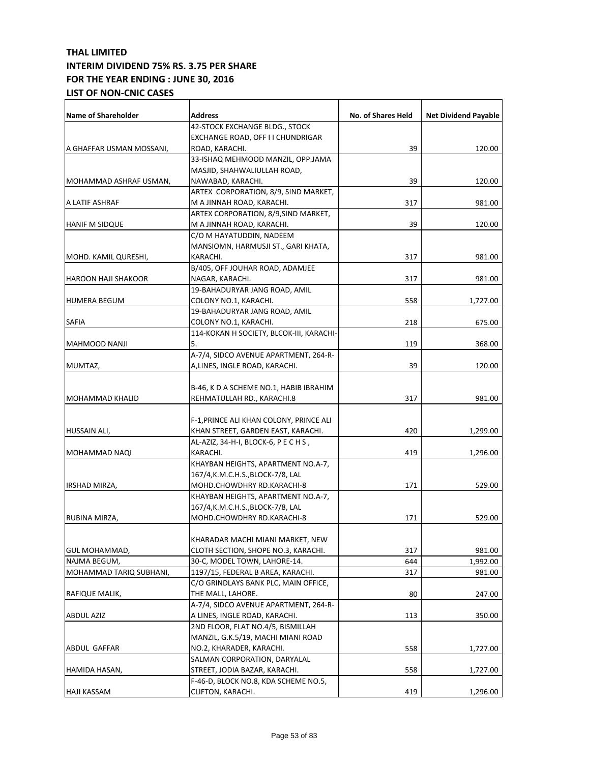| <b>Name of Shareholder</b> | <b>Address</b>                           | No. of Shares Held | <b>Net Dividend Payable</b> |
|----------------------------|------------------------------------------|--------------------|-----------------------------|
|                            | 42-STOCK EXCHANGE BLDG., STOCK           |                    |                             |
|                            | EXCHANGE ROAD, OFF I I CHUNDRIGAR        |                    |                             |
| A GHAFFAR USMAN MOSSANI,   | ROAD, KARACHI.                           | 39                 | 120.00                      |
|                            | 33-ISHAQ MEHMOOD MANZIL, OPP.JAMA        |                    |                             |
|                            | MASJID, SHAHWALIULLAH ROAD,              |                    |                             |
| MOHAMMAD ASHRAF USMAN,     | NAWABAD, KARACHI.                        | 39                 | 120.00                      |
|                            | ARTEX CORPORATION, 8/9, SIND MARKET,     |                    |                             |
| A LATIF ASHRAF             | M A JINNAH ROAD, KARACHI.                | 317                | 981.00                      |
|                            | ARTEX CORPORATION, 8/9, SIND MARKET,     |                    |                             |
| <b>HANIF M SIDQUE</b>      | M A JINNAH ROAD, KARACHI.                | 39                 | 120.00                      |
|                            | C/O M HAYATUDDIN, NADEEM                 |                    |                             |
|                            | MANSIOMN, HARMUSJI ST., GARI KHATA,      |                    |                             |
| MOHD. KAMIL QURESHI,       | KARACHI.                                 | 317                | 981.00                      |
|                            | B/405, OFF JOUHAR ROAD, ADAMJEE          |                    |                             |
| <b>HAROON HAJI SHAKOOR</b> | NAGAR, KARACHI.                          | 317                | 981.00                      |
|                            | 19-BAHADURYAR JANG ROAD, AMIL            |                    |                             |
| <b>HUMERA BEGUM</b>        | COLONY NO.1, KARACHI.                    | 558                | 1,727.00                    |
|                            | 19-BAHADURYAR JANG ROAD, AMIL            |                    |                             |
| SAFIA                      | COLONY NO.1, KARACHI.                    | 218                | 675.00                      |
|                            | 114-KOKAN H SOCIETY, BLCOK-III, KARACHI- |                    |                             |
| <b>MAHMOOD NANJI</b>       | 5.                                       | 119                | 368.00                      |
|                            | A-7/4, SIDCO AVENUE APARTMENT, 264-R-    |                    |                             |
|                            | A,LINES, INGLE ROAD, KARACHI.            | 39                 |                             |
| MUMTAZ,                    |                                          |                    | 120.00                      |
|                            |                                          |                    |                             |
|                            | B-46, K D A SCHEME NO.1, HABIB IBRAHIM   |                    |                             |
| MOHAMMAD KHALID            | REHMATULLAH RD., KARACHI.8               | 317                | 981.00                      |
|                            |                                          |                    |                             |
|                            | F-1, PRINCE ALI KHAN COLONY, PRINCE ALI  |                    |                             |
| HUSSAIN ALI,               | KHAN STREET, GARDEN EAST, KARACHI.       | 420                | 1,299.00                    |
|                            | AL-AZIZ, 34-H-I, BLOCK-6, PECHS,         |                    |                             |
| MOHAMMAD NAQI              | KARACHI.                                 | 419                | 1,296.00                    |
|                            | KHAYBAN HEIGHTS, APARTMENT NO.A-7,       |                    |                             |
|                            | 167/4, K.M.C.H.S., BLOCK-7/8, LAL        |                    |                             |
| <b>IRSHAD MIRZA,</b>       | MOHD.CHOWDHRY RD.KARACHI-8               | 171                | 529.00                      |
|                            | KHAYBAN HEIGHTS, APARTMENT NO.A-7,       |                    |                             |
|                            | 167/4, K.M.C.H.S., BLOCK-7/8, LAL        |                    |                             |
| RUBINA MIRZA,              | MOHD.CHOWDHRY RD.KARACHI-8               | 171                | 529.00                      |
|                            |                                          |                    |                             |
|                            | KHARADAR MACHI MIANI MARKET, NEW         |                    |                             |
| GUL MOHAMMAD,              | CLOTH SECTION, SHOPE NO.3, KARACHI.      | 317                | 981.00                      |
| NAJMA BEGUM,               | 30-C, MODEL TOWN, LAHORE-14.             | 644                | 1,992.00                    |
| MOHAMMAD TARIQ SUBHANI,    | 1197/15, FEDERAL B AREA, KARACHI.        | 317                | 981.00                      |
|                            | C/O GRINDLAYS BANK PLC, MAIN OFFICE,     |                    |                             |
| RAFIQUE MALIK,             | THE MALL, LAHORE.                        | 80                 | 247.00                      |
|                            | A-7/4, SIDCO AVENUE APARTMENT, 264-R-    |                    |                             |
| <b>ABDUL AZIZ</b>          | A LINES, INGLE ROAD, KARACHI.            | 113                | 350.00                      |
|                            | 2ND FLOOR, FLAT NO.4/5, BISMILLAH        |                    |                             |
|                            | MANZIL, G.K.5/19, MACHI MIANI ROAD       |                    |                             |
| ABDUL GAFFAR               | NO.2, KHARADER, KARACHI.                 | 558                | 1,727.00                    |
|                            | SALMAN CORPORATION, DARYALAL             |                    |                             |
| HAMIDA HASAN,              | STREET, JODIA BAZAR, KARACHI.            | 558                | 1,727.00                    |
|                            | F-46-D, BLOCK NO.8, KDA SCHEME NO.5,     |                    |                             |
| <b>HAJI KASSAM</b>         | CLIFTON, KARACHI.                        | 419                | 1,296.00                    |
|                            |                                          |                    |                             |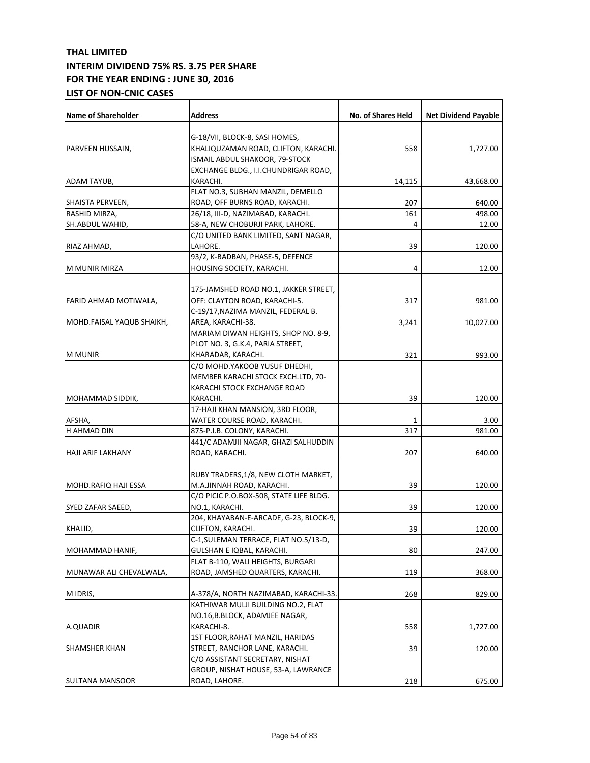| <b>Name of Shareholder</b> | <b>Address</b>                          | No. of Shares Held | <b>Net Dividend Payable</b> |
|----------------------------|-----------------------------------------|--------------------|-----------------------------|
|                            |                                         |                    |                             |
|                            | G-18/VII, BLOCK-8, SASI HOMES,          |                    |                             |
| PARVEEN HUSSAIN,           | KHALIQUZAMAN ROAD, CLIFTON, KARACHI.    | 558                | 1,727.00                    |
|                            | ISMAIL ABDUL SHAKOOR, 79-STOCK          |                    |                             |
|                            | EXCHANGE BLDG., I.I.CHUNDRIGAR ROAD,    |                    |                             |
| ADAM TAYUB,                | KARACHI.                                | 14,115             | 43,668.00                   |
|                            | FLAT NO.3, SUBHAN MANZIL, DEMELLO       |                    |                             |
| SHAISTA PERVEEN,           | ROAD, OFF BURNS ROAD, KARACHI.          | 207                | 640.00                      |
| RASHID MIRZA,              | 26/18, III-D, NAZIMABAD, KARACHI.       | 161                | 498.00                      |
| SH.ABDUL WAHID,            | 58-A, NEW CHOBURJI PARK, LAHORE.        | 4                  | 12.00                       |
|                            | C/O UNITED BANK LIMITED, SANT NAGAR,    |                    |                             |
| RIAZ AHMAD,                | LAHORE.                                 | 39                 | 120.00                      |
|                            | 93/2, K-BADBAN, PHASE-5, DEFENCE        |                    |                             |
| M MUNIR MIRZA              | HOUSING SOCIETY, KARACHI.               | 4                  | 12.00                       |
|                            | 175-JAMSHED ROAD NO.1, JAKKER STREET,   |                    |                             |
| FARID AHMAD MOTIWALA,      | OFF: CLAYTON ROAD, KARACHI-5.           | 317                | 981.00                      |
|                            | C-19/17, NAZIMA MANZIL, FEDERAL B.      |                    |                             |
| MOHD.FAISAL YAQUB SHAIKH,  | AREA, KARACHI-38.                       | 3,241              | 10,027.00                   |
|                            | MARIAM DIWAN HEIGHTS, SHOP NO. 8-9,     |                    |                             |
|                            | PLOT NO. 3, G.K.4, PARIA STREET,        |                    |                             |
| <b>M MUNIR</b>             | KHARADAR, KARACHI.                      | 321                | 993.00                      |
|                            | C/O MOHD.YAKOOB YUSUF DHEDHI,           |                    |                             |
|                            | MEMBER KARACHI STOCK EXCH.LTD, 70-      |                    |                             |
|                            | KARACHI STOCK EXCHANGE ROAD             |                    |                             |
| <b>MOHAMMAD SIDDIK,</b>    | KARACHI.                                | 39                 | 120.00                      |
|                            | 17-HAJI KHAN MANSION, 3RD FLOOR,        |                    |                             |
| AFSHA,                     | WATER COURSE ROAD, KARACHI.             | 1                  | 3.00                        |
| H AHMAD DIN                | 875-P.I.B. COLONY, KARACHI.             | 317                | 981.00                      |
|                            | 441/C ADAMJII NAGAR, GHAZI SALHUDDIN    |                    |                             |
| <b>HAJI ARIF LAKHANY</b>   | ROAD, KARACHI.                          | 207                | 640.00                      |
|                            |                                         |                    |                             |
|                            | RUBY TRADERS,1/8, NEW CLOTH MARKET,     |                    |                             |
| MOHD.RAFIQ HAJI ESSA       | M.A.JINNAH ROAD, KARACHI.               | 39                 | 120.00                      |
|                            | C/O PICIC P.O.BOX-508, STATE LIFE BLDG. |                    |                             |
| SYED ZAFAR SAEED,          | NO.1, KARACHI.                          | 39                 | 120.00                      |
|                            | 204, KHAYABAN-E-ARCADE, G-23, BLOCK-9,  |                    |                             |
| KHALID,                    | CLIFTON, KARACHI.                       | 39                 | 120.00                      |
|                            | C-1, SULEMAN TERRACE, FLAT NO.5/13-D,   |                    |                             |
| MOHAMMAD HANIF,            | GULSHAN E IQBAL, KARACHI.               | 80                 | 247.00                      |
|                            | FLAT B-110, WALI HEIGHTS, BURGARI       |                    |                             |
| MUNAWAR ALI CHEVALWALA,    | ROAD, JAMSHED QUARTERS, KARACHI.        | 119                | 368.00                      |
| M IDRIS,                   | A-378/A, NORTH NAZIMABAD, KARACHI-33.   | 268                | 829.00                      |
|                            | KATHIWAR MULJI BUILDING NO.2, FLAT      |                    |                             |
|                            | NO.16,B.BLOCK, ADAMJEE NAGAR,           |                    |                             |
| A.QUADIR                   | KARACHI-8.                              | 558                | 1,727.00                    |
|                            | 1ST FLOOR, RAHAT MANZIL, HARIDAS        |                    |                             |
| <b>SHAMSHER KHAN</b>       | STREET, RANCHOR LANE, KARACHI.          | 39                 | 120.00                      |
|                            | C/O ASSISTANT SECRETARY, NISHAT         |                    |                             |
|                            | GROUP, NISHAT HOUSE, 53-A, LAWRANCE     |                    |                             |
| <b>SULTANA MANSOOR</b>     | ROAD, LAHORE.                           | 218                |                             |
|                            |                                         |                    | 675.00                      |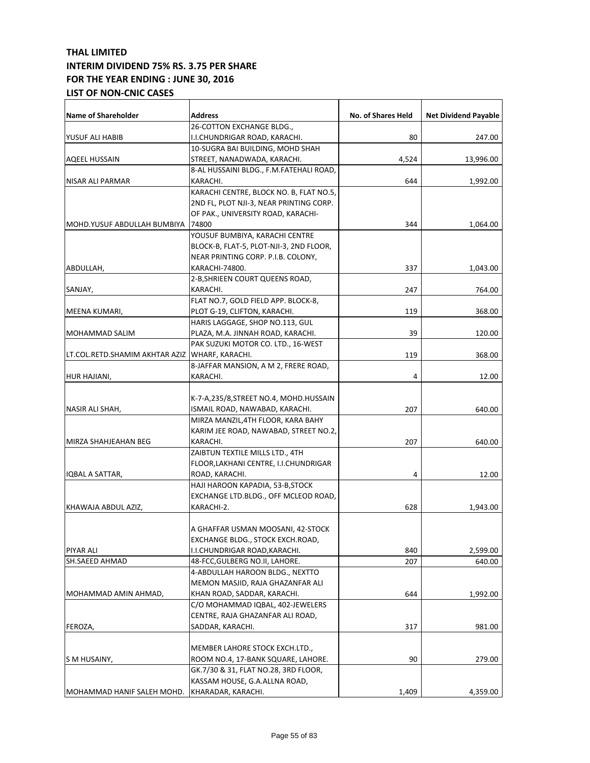| <b>Name of Shareholder</b>                       | <b>Address</b>                          | No. of Shares Held | <b>Net Dividend Payable</b> |
|--------------------------------------------------|-----------------------------------------|--------------------|-----------------------------|
|                                                  | 26-COTTON EXCHANGE BLDG.,               |                    |                             |
| YUSUF ALI HABIB                                  | I.I.CHUNDRIGAR ROAD, KARACHI.           | 80                 | 247.00                      |
|                                                  | 10-SUGRA BAI BUILDING, MOHD SHAH        |                    |                             |
| <b>AQEEL HUSSAIN</b>                             | STREET, NANADWADA, KARACHI.             | 4,524              | 13,996.00                   |
|                                                  | 8-AL HUSSAINI BLDG., F.M.FATEHALI ROAD, |                    |                             |
| NISAR ALI PARMAR                                 | KARACHI.                                | 644                | 1,992.00                    |
|                                                  | KARACHI CENTRE, BLOCK NO. B, FLAT NO.5, |                    |                             |
|                                                  | 2ND FL, PLOT NJI-3, NEAR PRINTING CORP. |                    |                             |
|                                                  | OF PAK., UNIVERSITY ROAD, KARACHI-      |                    |                             |
| MOHD.YUSUF ABDULLAH BUMBIYA                      | 74800                                   | 344                | 1,064.00                    |
|                                                  | YOUSUF BUMBIYA, KARACHI CENTRE          |                    |                             |
|                                                  | BLOCK-B, FLAT-5, PLOT-NJI-3, 2ND FLOOR, |                    |                             |
|                                                  | NEAR PRINTING CORP. P.I.B. COLONY,      |                    |                             |
| ABDULLAH,                                        | KARACHI-74800.                          | 337                | 1,043.00                    |
|                                                  | 2-B, SHRIEEN COURT QUEENS ROAD,         |                    |                             |
| SANJAY,                                          | KARACHI.                                | 247                | 764.00                      |
|                                                  | FLAT NO.7, GOLD FIELD APP. BLOCK-8,     |                    |                             |
| MEENA KUMARI,                                    | PLOT G-19, CLIFTON, KARACHI.            | 119                | 368.00                      |
|                                                  | HARIS LAGGAGE, SHOP NO.113, GUL         |                    |                             |
| MOHAMMAD SALIM                                   | PLAZA, M.A. JINNAH ROAD, KARACHI.       | 39                 | 120.00                      |
|                                                  | PAK SUZUKI MOTOR CO. LTD., 16-WEST      |                    |                             |
| LT.COL.RETD.SHAMIM AKHTAR AZIZ   WHARF, KARACHI. |                                         | 119                | 368.00                      |
|                                                  | 8-JAFFAR MANSION, A M 2, FRERE ROAD,    |                    |                             |
| HUR HAJIANI,                                     | KARACHI.                                | 4                  | 12.00                       |
|                                                  |                                         |                    |                             |
|                                                  | K-7-A,235/8,STREET NO.4, MOHD.HUSSAIN   |                    |                             |
| NASIR ALI SHAH,                                  | ISMAIL ROAD, NAWABAD, KARACHI.          | 207                | 640.00                      |
|                                                  | MIRZA MANZIL, 4TH FLOOR, KARA BAHY      |                    |                             |
|                                                  | KARIM JEE ROAD, NAWABAD, STREET NO.2,   |                    |                             |
| MIRZA SHAHJEAHAN BEG                             | KARACHI.                                | 207                | 640.00                      |
|                                                  | ZAIBTUN TEXTILE MILLS LTD., 4TH         |                    |                             |
|                                                  | FLOOR, LAKHANI CENTRE, I.I. CHUNDRIGAR  |                    |                             |
| IQBAL A SATTAR,                                  | ROAD, KARACHI.                          | 4                  | 12.00                       |
|                                                  | HAJI HAROON KAPADIA, 53-B, STOCK        |                    |                             |
|                                                  | EXCHANGE LTD.BLDG., OFF MCLEOD ROAD,    |                    |                             |
| KHAWAJA ABDUL AZIZ,                              | KARACHI-2.                              | 628                | 1,943.00                    |
|                                                  |                                         |                    |                             |
|                                                  | A GHAFFAR USMAN MOOSANI, 42-STOCK       |                    |                             |
|                                                  | EXCHANGE BLDG., STOCK EXCH.ROAD,        |                    |                             |
| PIYAR ALI                                        | I.I.CHUNDRIGAR ROAD,KARACHI.            | 840                | 2,599.00                    |
| SH.SAEED AHMAD                                   | 48-FCC, GULBERG NO.II, LAHORE.          | 207                | 640.00                      |
|                                                  | 4-ABDULLAH HAROON BLDG., NEXTTO         |                    |                             |
|                                                  | MEMON MASJID, RAJA GHAZANFAR ALI        |                    |                             |
| MOHAMMAD AMIN AHMAD,                             | KHAN ROAD, SADDAR, KARACHI.             | 644                | 1,992.00                    |
|                                                  | C/O MOHAMMAD IQBAL, 402-JEWELERS        |                    |                             |
|                                                  | CENTRE, RAJA GHAZANFAR ALI ROAD,        |                    |                             |
| FEROZA,                                          | SADDAR, KARACHI.                        | 317                | 981.00                      |
|                                                  |                                         |                    |                             |
|                                                  | MEMBER LAHORE STOCK EXCH.LTD.,          |                    |                             |
| S M HUSAINY,                                     | ROOM NO.4, 17-BANK SQUARE, LAHORE.      | 90                 | 279.00                      |
|                                                  | GK.7/30 & 31, FLAT NO.28, 3RD FLOOR,    |                    |                             |
|                                                  | KASSAM HOUSE, G.A.ALLNA ROAD,           |                    |                             |
| MOHAMMAD HANIF SALEH MOHD.                       | KHARADAR, KARACHI.                      | 1,409              | 4,359.00                    |
|                                                  |                                         |                    |                             |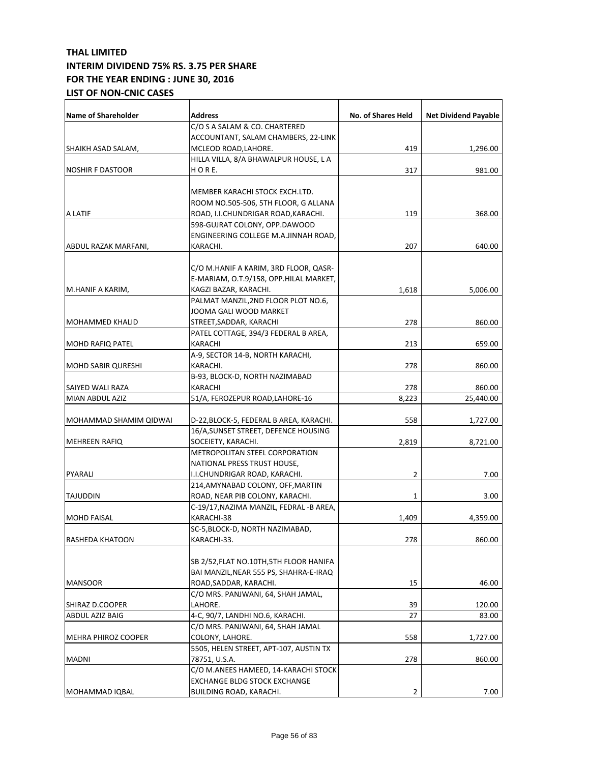| <b>Name of Shareholder</b> | <b>Address</b>                                        | <b>No. of Shares Held</b> | <b>Net Dividend Payable</b> |
|----------------------------|-------------------------------------------------------|---------------------------|-----------------------------|
|                            | C/O S A SALAM & CO. CHARTERED                         |                           |                             |
|                            | ACCOUNTANT, SALAM CHAMBERS, 22-LINK                   |                           |                             |
| SHAIKH ASAD SALAM,         | MCLEOD ROAD, LAHORE.                                  | 419                       | 1,296.00                    |
|                            | HILLA VILLA, 8/A BHAWALPUR HOUSE, L A                 |                           |                             |
| <b>NOSHIR F DASTOOR</b>    | HORE.                                                 | 317                       | 981.00                      |
|                            |                                                       |                           |                             |
|                            | MEMBER KARACHI STOCK EXCH.LTD.                        |                           |                             |
|                            | ROOM NO.505-506, 5TH FLOOR, G ALLANA                  |                           |                             |
| A LATIF                    | ROAD, I.I.CHUNDRIGAR ROAD, KARACHI.                   | 119                       | 368.00                      |
|                            | 598-GUJRAT COLONY, OPP.DAWOOD                         |                           |                             |
|                            | ENGINEERING COLLEGE M.A.JINNAH ROAD,                  |                           |                             |
| ABDUL RAZAK MARFANI,       | KARACHI.                                              | 207                       | 640.00                      |
|                            |                                                       |                           |                             |
|                            | C/O M.HANIF A KARIM, 3RD FLOOR, QASR-                 |                           |                             |
|                            | E-MARIAM, O.T.9/158, OPP.HILAL MARKET,                |                           |                             |
| M.HANIF A KARIM,           | KAGZI BAZAR, KARACHI.                                 | 1,618                     | 5,006.00                    |
|                            | PALMAT MANZIL, 2ND FLOOR PLOT NO.6,                   |                           |                             |
|                            | JOOMA GALI WOOD MARKET                                |                           |                             |
| <b>MOHAMMED KHALID</b>     | STREET, SADDAR, KARACHI                               | 278                       | 860.00                      |
|                            | PATEL COTTAGE, 394/3 FEDERAL B AREA,                  |                           |                             |
| <b>MOHD RAFIQ PATEL</b>    | KARACHI                                               | 213                       | 659.00                      |
|                            | A-9, SECTOR 14-B, NORTH KARACHI,                      |                           |                             |
| <b>MOHD SABIR QURESHI</b>  | KARACHI.                                              | 278                       | 860.00                      |
|                            | B-93, BLOCK-D, NORTH NAZIMABAD                        |                           |                             |
| SAIYED WALI RAZA           | KARACHI                                               | 278                       | 860.00                      |
| MIAN ABDUL AZIZ            | 51/A, FEROZEPUR ROAD, LAHORE-16                       | 8,223                     | 25,440.00                   |
| MOHAMMAD SHAMIM QIDWAI     | D-22, BLOCK-5, FEDERAL B AREA, KARACHI.               | 558                       | 1,727.00                    |
|                            | 16/A, SUNSET STREET, DEFENCE HOUSING                  |                           |                             |
| <b>MEHREEN RAFIQ</b>       | SOCEIETY, KARACHI.                                    | 2,819                     | 8,721.00                    |
|                            | METROPOLITAN STEEL CORPORATION                        |                           |                             |
|                            | NATIONAL PRESS TRUST HOUSE,                           |                           |                             |
| PYARALI                    | I.I.CHUNDRIGAR ROAD, KARACHI.                         | 2                         | 7.00                        |
|                            | 214, AMYNABAD COLONY, OFF, MARTIN                     |                           |                             |
| <b>TAJUDDIN</b>            | ROAD, NEAR PIB COLONY, KARACHI.                       | 1                         | 3.00                        |
|                            | C-19/17, NAZIMA MANZIL, FEDRAL -B AREA,               |                           |                             |
| <b>MOHD FAISAL</b>         | KARACHI-38                                            | 1,409                     | 4,359.00                    |
|                            | SC-5, BLOCK-D, NORTH NAZIMABAD,                       |                           |                             |
| RASHEDA KHATOON            | KARACHI-33.                                           | 278                       | 860.00                      |
|                            |                                                       |                           |                             |
|                            | SB 2/52, FLAT NO.10TH, 5TH FLOOR HANIFA               |                           |                             |
|                            | BAI MANZIL, NEAR 555 PS, SHAHRA-E-IRAQ                |                           |                             |
| <b>MANSOOR</b>             | ROAD, SADDAR, KARACHI.                                | 15                        | 46.00                       |
|                            | C/O MRS. PANJWANI, 64, SHAH JAMAL,                    |                           |                             |
| SHIRAZ D.COOPER            | LAHORE.                                               | 39                        | 120.00                      |
| <b>ABDUL AZIZ BAIG</b>     | 4-C, 90/7, LANDHI NO.6, KARACHI.                      | 27                        | 83.00                       |
|                            | C/O MRS. PANJWANI, 64, SHAH JAMAL                     |                           |                             |
| MEHRA PHIROZ COOPER        | COLONY, LAHORE.                                       | 558                       | 1,727.00                    |
|                            | 5505, HELEN STREET, APT-107, AUSTIN TX                | 278                       |                             |
| <b>MADNI</b>               | 78751, U.S.A.<br>C/O M.ANEES HAMEED, 14-KARACHI STOCK |                           | 860.00                      |
|                            | <b>EXCHANGE BLDG STOCK EXCHANGE</b>                   |                           |                             |
| MOHAMMAD IQBAL             | BUILDING ROAD, KARACHI.                               | 2                         | 7.00                        |
|                            |                                                       |                           |                             |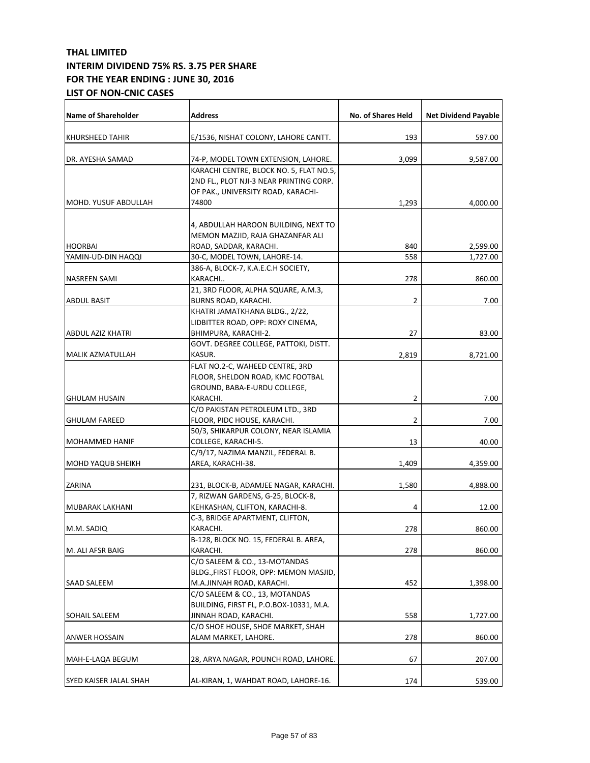| <b>Name of Shareholder</b> | <b>Address</b>                                                          | No. of Shares Held | <b>Net Dividend Payable</b> |
|----------------------------|-------------------------------------------------------------------------|--------------------|-----------------------------|
| <b>KHURSHEED TAHIR</b>     | E/1536, NISHAT COLONY, LAHORE CANTT.                                    | 193                | 597.00                      |
| DR. AYESHA SAMAD           | 74-P, MODEL TOWN EXTENSION, LAHORE.                                     | 3,099              | 9,587.00                    |
|                            | KARACHI CENTRE, BLOCK NO. 5, FLAT NO.5,                                 |                    |                             |
|                            | 2ND FL., PLOT NJI-3 NEAR PRINTING CORP.                                 |                    |                             |
|                            | OF PAK., UNIVERSITY ROAD, KARACHI-                                      |                    |                             |
| MOHD. YUSUF ABDULLAH       | 74800                                                                   | 1,293              | 4,000.00                    |
|                            |                                                                         |                    |                             |
|                            | 4, ABDULLAH HAROON BUILDING, NEXT TO                                    |                    |                             |
|                            | MEMON MAZJID, RAJA GHAZANFAR ALI                                        |                    |                             |
| <b>HOORBAI</b>             | ROAD, SADDAR, KARACHI.                                                  | 840                | 2,599.00                    |
| YAMIN-UD-DIN HAQQI         | 30-C, MODEL TOWN, LAHORE-14.                                            | 558                | 1,727.00                    |
|                            | 386-A, BLOCK-7, K.A.E.C.H SOCIETY,                                      |                    |                             |
| <b>NASREEN SAMI</b>        | KARACHI                                                                 | 278                | 860.00                      |
|                            | 21, 3RD FLOOR, ALPHA SQUARE, A.M.3,                                     |                    |                             |
| <b>ABDUL BASIT</b>         | BURNS ROAD, KARACHI.                                                    | 2                  | 7.00                        |
|                            | KHATRI JAMATKHANA BLDG., 2/22,                                          |                    |                             |
|                            | LIDBITTER ROAD, OPP: ROXY CINEMA,                                       |                    |                             |
| <b>ABDUL AZIZ KHATRI</b>   | BHIMPURA, KARACHI-2.                                                    | 27                 | 83.00                       |
|                            | GOVT. DEGREE COLLEGE, PATTOKI, DISTT.                                   |                    |                             |
| MALIK AZMATULLAH           | KASUR.                                                                  | 2,819              | 8,721.00                    |
|                            | FLAT NO.2-C, WAHEED CENTRE, 3RD                                         |                    |                             |
|                            | FLOOR, SHELDON ROAD, KMC FOOTBAL                                        |                    |                             |
|                            | GROUND, BABA-E-URDU COLLEGE,                                            |                    |                             |
| <b>GHULAM HUSAIN</b>       | KARACHI.                                                                | 2                  | 7.00                        |
|                            | C/O PAKISTAN PETROLEUM LTD., 3RD                                        |                    |                             |
| <b>GHULAM FAREED</b>       | FLOOR, PIDC HOUSE, KARACHI.                                             | 2                  | 7.00                        |
|                            | 50/3, SHIKARPUR COLONY, NEAR ISLAMIA                                    |                    |                             |
| MOHAMMED HANIF             | COLLEGE, KARACHI-5.                                                     | 13                 | 40.00                       |
|                            | C/9/17, NAZIMA MANZIL, FEDERAL B.                                       |                    |                             |
| <b>MOHD YAQUB SHEIKH</b>   | AREA, KARACHI-38.                                                       | 1,409              | 4,359.00                    |
|                            |                                                                         |                    |                             |
| ZARINA                     | 231, BLOCK-B, ADAMJEE NAGAR, KARACHI.                                   | 1,580              | 4,888.00                    |
|                            | 7, RIZWAN GARDENS, G-25, BLOCK-8,                                       |                    |                             |
| MUBARAK LAKHANI            | KEHKASHAN, CLIFTON, KARACHI-8.                                          | 4                  | 12.00                       |
|                            | C-3, BRIDGE APARTMENT, CLIFTON,                                         |                    |                             |
| M.M. SADIQ                 | KARACHI.                                                                | 278                | 860.00                      |
|                            | B-128, BLOCK NO. 15, FEDERAL B. AREA,                                   |                    |                             |
| M. ALI AFSR BAIG           | KARACHI.                                                                | 278                | 860.00                      |
|                            | C/O SALEEM & CO., 13-MOTANDAS<br>BLDG., FIRST FLOOR, OPP: MEMON MASJID, |                    |                             |
| SAAD SALEEM                | M.A.JINNAH ROAD, KARACHI.                                               | 452                |                             |
|                            | C/O SALEEM & CO., 13, MOTANDAS                                          |                    | 1,398.00                    |
|                            | BUILDING, FIRST FL, P.O.BOX-10331, M.A.                                 |                    |                             |
| SOHAIL SALEEM              | JINNAH ROAD, KARACHI.                                                   | 558                | 1,727.00                    |
|                            | C/O SHOE HOUSE, SHOE MARKET, SHAH                                       |                    |                             |
| ANWER HOSSAIN              | ALAM MARKET, LAHORE.                                                    | 278                | 860.00                      |
|                            |                                                                         |                    |                             |
| MAH-E-LAQA BEGUM           | 28, ARYA NAGAR, POUNCH ROAD, LAHORE.                                    | 67                 | 207.00                      |
| SYED KAISER JALAL SHAH     | AL-KIRAN, 1, WAHDAT ROAD, LAHORE-16.                                    | 174                | 539.00                      |
|                            |                                                                         |                    |                             |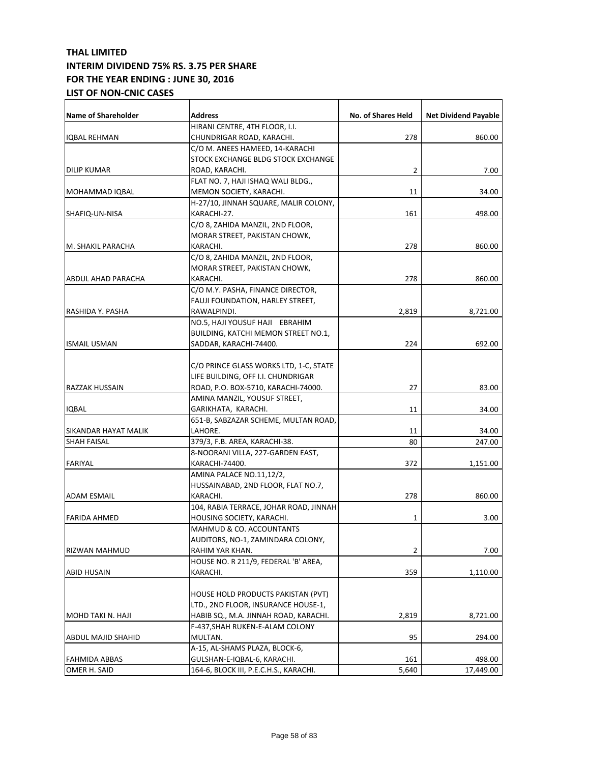| <b>Name of Shareholder</b> | <b>Address</b>                         | <b>No. of Shares Held</b> | <b>Net Dividend Payable</b> |
|----------------------------|----------------------------------------|---------------------------|-----------------------------|
|                            | HIRANI CENTRE, 4TH FLOOR, I.I.         |                           |                             |
| IQBAL REHMAN               | CHUNDRIGAR ROAD, KARACHI.              | 278                       | 860.00                      |
|                            | C/O M. ANEES HAMEED, 14-KARACHI        |                           |                             |
|                            | STOCK EXCHANGE BLDG STOCK EXCHANGE     |                           |                             |
| DILIP KUMAR                | ROAD, KARACHI.                         | 2                         | 7.00                        |
|                            | FLAT NO. 7, HAJI ISHAQ WALI BLDG.,     |                           |                             |
| MOHAMMAD IQBAL             | MEMON SOCIETY, KARACHI.                | 11                        | 34.00                       |
|                            | H-27/10, JINNAH SQUARE, MALIR COLONY,  |                           |                             |
| SHAFIQ-UN-NISA             | KARACHI-27.                            | 161                       | 498.00                      |
|                            | C/O 8, ZAHIDA MANZIL, 2ND FLOOR,       |                           |                             |
|                            | MORAR STREET, PAKISTAN CHOWK,          |                           |                             |
| M. SHAKIL PARACHA          | KARACHI.                               | 278                       | 860.00                      |
|                            | C/O 8, ZAHIDA MANZIL, 2ND FLOOR,       |                           |                             |
|                            | MORAR STREET, PAKISTAN CHOWK,          |                           |                             |
| ABDUL AHAD PARACHA         | KARACHI.                               | 278                       | 860.00                      |
|                            | C/O M.Y. PASHA, FINANCE DIRECTOR,      |                           |                             |
|                            | FAUJI FOUNDATION, HARLEY STREET,       |                           |                             |
| RASHIDA Y. PASHA           | RAWALPINDI.                            | 2,819                     | 8,721.00                    |
|                            | NO.5, HAJI YOUSUF HAJI EBRAHIM         |                           |                             |
|                            | BUILDING, KATCHI MEMON STREET NO.1,    |                           |                             |
| <b>ISMAIL USMAN</b>        | SADDAR, KARACHI-74400.                 | 224                       | 692.00                      |
|                            |                                        |                           |                             |
|                            | C/O PRINCE GLASS WORKS LTD, 1-C, STATE |                           |                             |
|                            | LIFE BUILDING, OFF I.I. CHUNDRIGAR     |                           |                             |
| RAZZAK HUSSAIN             | ROAD, P.O. BOX-5710, KARACHI-74000.    | 27                        | 83.00                       |
|                            | AMINA MANZIL, YOUSUF STREET,           |                           |                             |
| <b>IQBAL</b>               | GARIKHATA, KARACHI.                    | 11                        | 34.00                       |
|                            | 651-B, SABZAZAR SCHEME, MULTAN ROAD,   |                           |                             |
| SIKANDAR HAYAT MALIK       | LAHORE.                                | 11                        | 34.00                       |
| SHAH FAISAL                | 379/3, F.B. AREA, KARACHI-38.          | 80                        | 247.00                      |
|                            | 8-NOORANI VILLA, 227-GARDEN EAST,      |                           |                             |
| FARIYAL                    | KARACHI-74400.                         | 372                       | 1,151.00                    |
|                            | AMINA PALACE NO.11,12/2,               |                           |                             |
|                            | HUSSAINABAD, 2ND FLOOR, FLAT NO.7,     |                           |                             |
| <b>ADAM ESMAIL</b>         | KARACHI.                               | 278                       | 860.00                      |
|                            | 104, RABIA TERRACE, JOHAR ROAD, JINNAH |                           |                             |
| <b>FARIDA AHMED</b>        | HOUSING SOCIETY, KARACHI.              | 1                         | 3.00                        |
|                            | <b>MAHMUD &amp; CO. ACCOUNTANTS</b>    |                           |                             |
|                            | AUDITORS, NO-1, ZAMINDARA COLONY,      |                           |                             |
| RIZWAN MAHMUD              | RAHIM YAR KHAN.                        | 2                         | 7.00                        |
|                            | HOUSE NO. R 211/9, FEDERAL 'B' AREA,   |                           |                             |
| <b>ABID HUSAIN</b>         | KARACHI.                               | 359                       | 1,110.00                    |
|                            |                                        |                           |                             |
|                            | HOUSE HOLD PRODUCTS PAKISTAN (PVT)     |                           |                             |
|                            | LTD., 2ND FLOOR, INSURANCE HOUSE-1,    |                           |                             |
| MOHD TAKI N. HAJI          | HABIB SQ., M.A. JINNAH ROAD, KARACHI.  | 2,819                     | 8,721.00                    |
|                            | F-437, SHAH RUKEN-E-ALAM COLONY        |                           |                             |
| ABDUL MAJID SHAHID         | MULTAN.                                | 95                        | 294.00                      |
|                            | A-15, AL-SHAMS PLAZA, BLOCK-6,         |                           |                             |
| <b>FAHMIDA ABBAS</b>       | GULSHAN-E-IQBAL-6, KARACHI.            | 161                       | 498.00                      |
| OMER H. SAID               | 164-6, BLOCK III, P.E.C.H.S., KARACHI. | 5,640                     | 17,449.00                   |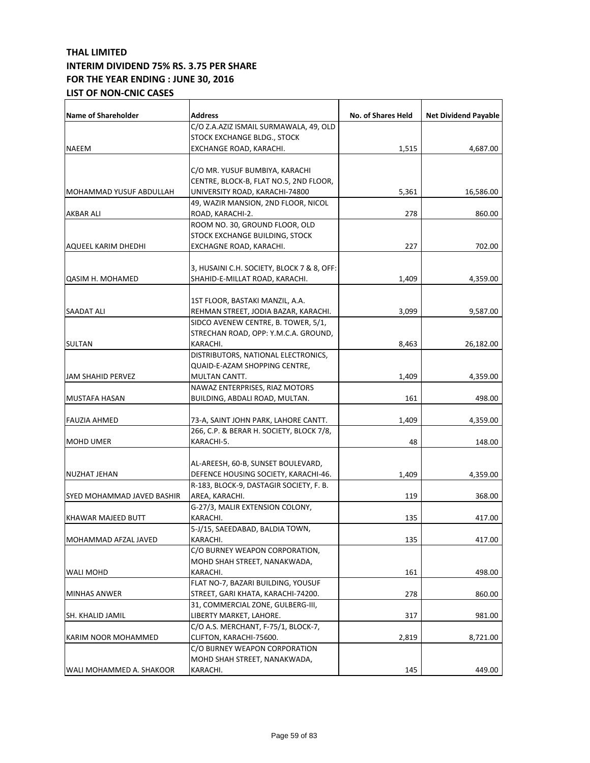| <b>Name of Shareholder</b> | <b>Address</b>                             | <b>No. of Shares Held</b> | <b>Net Dividend Payable</b> |
|----------------------------|--------------------------------------------|---------------------------|-----------------------------|
|                            | C/O Z.A.AZIZ ISMAIL SURMAWALA, 49, OLD     |                           |                             |
|                            | STOCK EXCHANGE BLDG., STOCK                |                           |                             |
| NAEEM                      | EXCHANGE ROAD, KARACHI.                    | 1,515                     | 4,687.00                    |
|                            |                                            |                           |                             |
|                            | C/O MR. YUSUF BUMBIYA, KARACHI             |                           |                             |
|                            | CENTRE, BLOCK-B, FLAT NO.5, 2ND FLOOR,     |                           |                             |
| MOHAMMAD YUSUF ABDULLAH    | UNIVERSITY ROAD, KARACHI-74800             | 5,361                     | 16,586.00                   |
|                            | 49, WAZIR MANSION, 2ND FLOOR, NICOL        |                           |                             |
| AKBAR ALI                  | ROAD, KARACHI-2.                           | 278                       | 860.00                      |
|                            | ROOM NO. 30, GROUND FLOOR, OLD             |                           |                             |
|                            | STOCK EXCHANGE BUILDING, STOCK             |                           |                             |
| AQUEEL KARIM DHEDHI        | EXCHAGNE ROAD, KARACHI.                    | 227                       | 702.00                      |
|                            |                                            |                           |                             |
|                            | 3, HUSAINI C.H. SOCIETY, BLOCK 7 & 8, OFF: |                           |                             |
| <b>QASIM H. MOHAMED</b>    | SHAHID-E-MILLAT ROAD, KARACHI.             | 1,409                     | 4,359.00                    |
|                            |                                            |                           |                             |
|                            | 1ST FLOOR, BASTAKI MANZIL, A.A.            |                           |                             |
| SAADAT ALI                 | REHMAN STREET, JODIA BAZAR, KARACHI.       | 3,099                     | 9,587.00                    |
|                            | SIDCO AVENEW CENTRE, B. TOWER, 5/1,        |                           |                             |
|                            | STRECHAN ROAD, OPP: Y.M.C.A. GROUND,       |                           |                             |
| <b>SULTAN</b>              | KARACHI.                                   | 8,463                     | 26,182.00                   |
|                            | DISTRIBUTORS, NATIONAL ELECTRONICS,        |                           |                             |
|                            | <b>QUAID-E-AZAM SHOPPING CENTRE,</b>       |                           |                             |
| JAM SHAHID PERVEZ          | MULTAN CANTT.                              | 1,409                     | 4,359.00                    |
|                            | NAWAZ ENTERPRISES, RIAZ MOTORS             |                           |                             |
| MUSTAFA HASAN              | BUILDING, ABDALI ROAD, MULTAN.             | 161                       | 498.00                      |
| FAUZIA AHMED               | 73-A, SAINT JOHN PARK, LAHORE CANTT.       | 1,409                     | 4,359.00                    |
|                            | 266, C.P. & BERAR H. SOCIETY, BLOCK 7/8,   |                           |                             |
| <b>MOHD UMER</b>           | KARACHI-5.                                 | 48                        | 148.00                      |
|                            |                                            |                           |                             |
|                            | AL-AREESH, 60-B, SUNSET BOULEVARD,         |                           |                             |
| NUZHAT JEHAN               | DEFENCE HOUSING SOCIETY, KARACHI-46.       | 1,409                     | 4,359.00                    |
|                            | R-183, BLOCK-9, DASTAGIR SOCIETY, F. B.    |                           |                             |
| SYED MOHAMMAD JAVED BASHIR | AREA, KARACHI.                             | 119                       | 368.00                      |
|                            | G-27/3, MALIR EXTENSION COLONY,            |                           |                             |
| KHAWAR MAJEED BUTT         | KARACHI.                                   | 135                       | 417.00                      |
|                            | 5-J/15, SAEEDABAD, BALDIA TOWN,            |                           |                             |
| MOHAMMAD AFZAL JAVED       | KARACHI.                                   | 135                       | 417.00                      |
|                            | C/O BURNEY WEAPON CORPORATION,             |                           |                             |
|                            | MOHD SHAH STREET, NANAKWADA,               |                           |                             |
| <b>WALI MOHD</b>           | KARACHI.                                   | 161                       | 498.00                      |
|                            | FLAT NO-7, BAZARI BUILDING, YOUSUF         |                           |                             |
| <b>MINHAS ANWER</b>        | STREET, GARI KHATA, KARACHI-74200.         | 278                       | 860.00                      |
|                            | 31, COMMERCIAL ZONE, GULBERG-III,          |                           |                             |
| SH. KHALID JAMIL           | LIBERTY MARKET, LAHORE.                    | 317                       | 981.00                      |
|                            | C/O A.S. MERCHANT, F-75/1, BLOCK-7,        |                           |                             |
| KARIM NOOR MOHAMMED        | CLIFTON, KARACHI-75600.                    | 2,819                     | 8,721.00                    |
|                            | C/O BIJRNEY WEAPON CORPORATION             |                           |                             |
|                            | MOHD SHAH STREET, NANAKWADA,               |                           |                             |
| WALI MOHAMMED A. SHAKOOR   | KARACHI.                                   | 145                       | 449.00                      |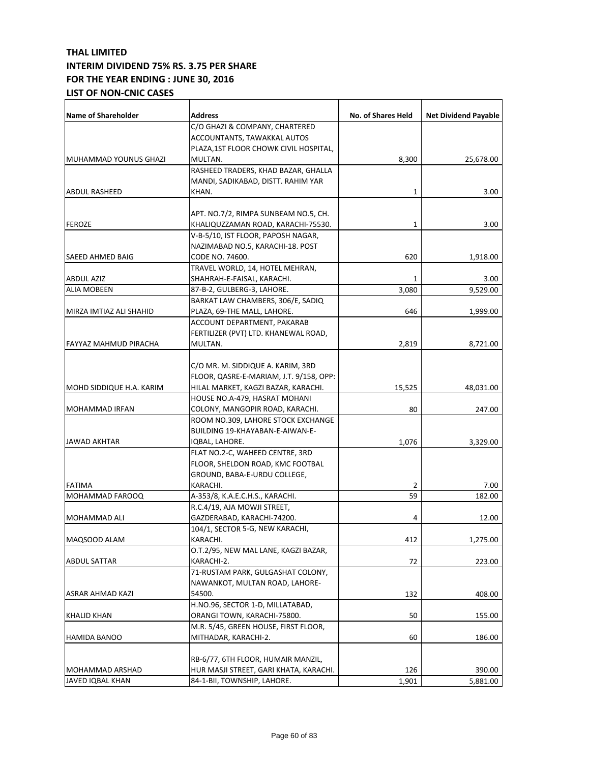| <b>Name of Shareholder</b> | <b>Address</b>                          | No. of Shares Held | <b>Net Dividend Payable</b> |
|----------------------------|-----------------------------------------|--------------------|-----------------------------|
|                            | C/O GHAZI & COMPANY, CHARTERED          |                    |                             |
|                            | ACCOUNTANTS, TAWAKKAL AUTOS             |                    |                             |
|                            | PLAZA,1ST FLOOR CHOWK CIVIL HOSPITAL,   |                    |                             |
| MUHAMMAD YOUNUS GHAZI      | MULTAN.                                 | 8,300              | 25,678.00                   |
|                            | RASHEED TRADERS, KHAD BAZAR, GHALLA     |                    |                             |
|                            | MANDI, SADIKABAD, DISTT. RAHIM YAR      |                    |                             |
| <b>ABDUL RASHEED</b>       | KHAN.                                   | 1                  | 3.00                        |
|                            |                                         |                    |                             |
|                            | APT. NO.7/2, RIMPA SUNBEAM NO.5, CH.    |                    |                             |
| <b>FEROZE</b>              | KHALIQUZZAMAN ROAD, KARACHI-75530.      | 1                  | 3.00                        |
|                            | V-B-5/10, IST FLOOR, PAPOSH NAGAR,      |                    |                             |
|                            | NAZIMABAD NO.5, KARACHI-18. POST        |                    |                             |
| <b>SAEED AHMED BAIG</b>    | CODE NO. 74600.                         | 620                | 1,918.00                    |
|                            | TRAVEL WORLD, 14, HOTEL MEHRAN,         |                    |                             |
| <b>ABDUL AZIZ</b>          | SHAHRAH-E-FAISAL, KARACHI.              | 1                  | 3.00                        |
| <b>ALIA MOBEEN</b>         | 87-B-2, GULBERG-3, LAHORE.              | 3,080              | 9,529.00                    |
|                            | BARKAT LAW CHAMBERS, 306/E, SADIQ       |                    |                             |
| MIRZA IMTIAZ ALI SHAHID    | PLAZA, 69-THE MALL, LAHORE.             | 646                | 1,999.00                    |
|                            | ACCOUNT DEPARTMENT, PAKARAB             |                    |                             |
|                            | FERTILIZER (PVT) LTD. KHANEWAL ROAD,    |                    |                             |
| FAYYAZ MAHMUD PIRACHA      | MULTAN.                                 | 2,819              |                             |
|                            |                                         |                    | 8,721.00                    |
|                            |                                         |                    |                             |
|                            | C/O MR. M. SIDDIQUE A. KARIM, 3RD       |                    |                             |
|                            | FLOOR, QASRE-E-MARIAM, J.T. 9/158, OPP: |                    |                             |
| MOHD SIDDIQUE H.A. KARIM   | HILAL MARKET, KAGZI BAZAR, KARACHI.     | 15,525             | 48,031.00                   |
|                            | HOUSE NO.A-479, HASRAT MOHANI           |                    |                             |
| MOHAMMAD IRFAN             | COLONY, MANGOPIR ROAD, KARACHI.         | 80                 | 247.00                      |
|                            | ROOM NO.309, LAHORE STOCK EXCHANGE      |                    |                             |
|                            | BUILDING 19-KHAYABAN-E-AIWAN-E-         |                    |                             |
| <b>JAWAD AKHTAR</b>        | IQBAL, LAHORE.                          | 1,076              | 3,329.00                    |
|                            | FLAT NO.2-C, WAHEED CENTRE, 3RD         |                    |                             |
|                            | FLOOR, SHELDON ROAD, KMC FOOTBAL        |                    |                             |
|                            | GROUND, BABA-E-URDU COLLEGE,            |                    |                             |
| <b>FATIMA</b>              | KARACHI.                                | 2                  | 7.00                        |
| MOHAMMAD FAROOQ            | A-353/8, K.A.E.C.H.S., KARACHI.         | 59                 | 182.00                      |
|                            | R.C.4/19, AJA MOWJI STREET,             |                    |                             |
| MOHAMMAD ALI               | GAZDERABAD, KARACHI-74200.              | 4                  | 12.00                       |
|                            | 104/1, SECTOR 5-G, NEW KARACHI,         |                    |                             |
| MAQSOOD ALAM               | KARACHI.                                | 412                | 1,275.00                    |
|                            | O.T.2/95, NEW MAL LANE, KAGZI BAZAR,    |                    |                             |
| <b>ABDUL SATTAR</b>        | KARACHI-2.                              | 72                 | 223.00                      |
|                            | 71-RUSTAM PARK, GULGASHAT COLONY,       |                    |                             |
|                            | NAWANKOT, MULTAN ROAD, LAHORE-          |                    |                             |
| ASRAR AHMAD KAZI           | 54500.                                  | 132                | 408.00                      |
|                            | H.NO.96, SECTOR 1-D, MILLATABAD,        |                    |                             |
| <b>KHALID KHAN</b>         | ORANGI TOWN, KARACHI-75800.             | 50                 | 155.00                      |
|                            | M.R. 5/45, GREEN HOUSE, FIRST FLOOR,    |                    |                             |
| HAMIDA BANOO               | MITHADAR, KARACHI-2.                    | 60                 | 186.00                      |
|                            |                                         |                    |                             |
|                            | RB-6/77, 6TH FLOOR, HUMAIR MANZIL,      |                    |                             |
| MOHAMMAD ARSHAD            | HUR MASJI STREET, GARI KHATA, KARACHI.  | 126                | 390.00                      |
| JAVED IQBAL KHAN           | 84-1-BII, TOWNSHIP, LAHORE.             | 1,901              | 5,881.00                    |
|                            |                                         |                    |                             |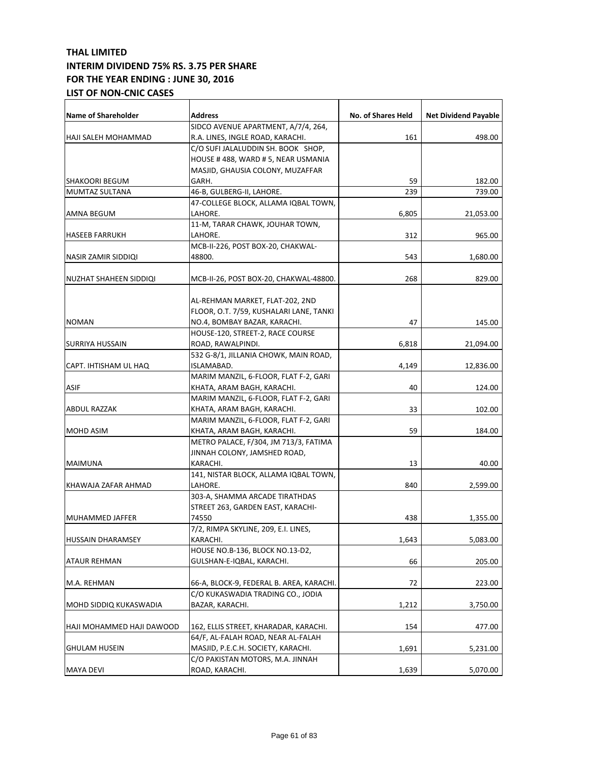| Name of Shareholder        | <b>Address</b>                                             | No. of Shares Held | <b>Net Dividend Payable</b> |
|----------------------------|------------------------------------------------------------|--------------------|-----------------------------|
|                            | SIDCO AVENUE APARTMENT, A/7/4, 264,                        |                    |                             |
| <b>HAJI SALEH MOHAMMAD</b> | R.A. LINES, INGLE ROAD, KARACHI.                           | 161                | 498.00                      |
|                            | C/O SUFI JALALUDDIN SH. BOOK SHOP,                         |                    |                             |
|                            | HOUSE #488, WARD #5, NEAR USMANIA                          |                    |                             |
|                            | MASJID, GHAUSIA COLONY, MUZAFFAR                           |                    |                             |
| <b>SHAKOORI BEGUM</b>      | GARH.                                                      | 59                 | 182.00                      |
| MUMTAZ SULTANA             | 46-B, GULBERG-II, LAHORE.                                  | 239                | 739.00                      |
|                            | 47-COLLEGE BLOCK, ALLAMA IQBAL TOWN,                       |                    |                             |
| AMNA BEGUM                 | LAHORE.                                                    | 6,805              | 21,053.00                   |
|                            | 11-M, TARAR CHAWK, JOUHAR TOWN,                            |                    |                             |
| <b>HASEEB FARRUKH</b>      | LAHORE.                                                    | 312                | 965.00                      |
|                            | MCB-II-226, POST BOX-20, CHAKWAL-                          |                    |                             |
| NASIR ZAMIR SIDDIQI        | 48800.                                                     | 543                | 1,680.00                    |
|                            |                                                            |                    |                             |
| NUZHAT SHAHEEN SIDDIQI     | MCB-II-26, POST BOX-20, CHAKWAL-48800.                     | 268                | 829.00                      |
|                            | AL-REHMAN MARKET, FLAT-202, 2ND                            |                    |                             |
|                            | FLOOR, O.T. 7/59, KUSHALARI LANE, TANKI                    |                    |                             |
| <b>NOMAN</b>               | NO.4, BOMBAY BAZAR, KARACHI.                               | 47                 | 145.00                      |
|                            | HOUSE-120, STREET-2, RACE COURSE                           |                    |                             |
|                            |                                                            |                    |                             |
| SURRIYA HUSSAIN            | ROAD, RAWALPINDI.<br>532 G-8/1, JILLANIA CHOWK, MAIN ROAD, | 6,818              | 21,094.00                   |
|                            |                                                            |                    |                             |
| CAPT. IHTISHAM UL HAQ      | ISLAMABAD.                                                 | 4,149              | 12,836.00                   |
|                            | MARIM MANZIL, 6-FLOOR, FLAT F-2, GARI                      |                    |                             |
| <b>ASIF</b>                | KHATA, ARAM BAGH, KARACHI.                                 | 40                 | 124.00                      |
|                            | MARIM MANZIL, 6-FLOOR, FLAT F-2, GARI                      |                    |                             |
| ABDUL RAZZAK               | KHATA, ARAM BAGH, KARACHI.                                 | 33                 | 102.00                      |
|                            | MARIM MANZIL, 6-FLOOR, FLAT F-2, GARI                      |                    |                             |
| <b>MOHD ASIM</b>           | KHATA, ARAM BAGH, KARACHI.                                 | 59                 | 184.00                      |
|                            | METRO PALACE, F/304, JM 713/3, FATIMA                      |                    |                             |
|                            | JINNAH COLONY, JAMSHED ROAD,                               |                    |                             |
| MAIMUNA                    | KARACHI.                                                   | 13                 | 40.00                       |
|                            | 141, NISTAR BLOCK, ALLAMA IQBAL TOWN,                      |                    |                             |
| KHAWAJA ZAFAR AHMAD        | LAHORE.                                                    | 840                | 2,599.00                    |
|                            | 303-A, SHAMMA ARCADE TIRATHDAS                             |                    |                             |
|                            | STREET 263, GARDEN EAST, KARACHI-                          |                    |                             |
| <b>MUHAMMED JAFFER</b>     | 74550                                                      | 438                | 1,355.00                    |
|                            | 7/2, RIMPA SKYLINE, 209, E.I. LINES,                       |                    |                             |
| <b>HUSSAIN DHARAMSEY</b>   | KARACHI.                                                   | 1,643              | 5,083.00                    |
|                            | HOUSE NO.B-136, BLOCK NO.13-D2,                            |                    |                             |
| <b>ATAUR REHMAN</b>        | GULSHAN-E-IQBAL, KARACHI.                                  | 66                 | 205.00                      |
| M.A. REHMAN                | 66-A, BLOCK-9, FEDERAL B. AREA, KARACHI.                   | 72                 | 223.00                      |
|                            | C/O KUKASWADIA TRADING CO., JODIA                          |                    |                             |
|                            |                                                            |                    |                             |
| MOHD SIDDIQ KUKASWADIA     | BAZAR, KARACHI.                                            | 1,212              | 3,750.00                    |
| HAJI MOHAMMED HAJI DAWOOD  | 162, ELLIS STREET, KHARADAR, KARACHI.                      | 154                | 477.00                      |
|                            | 64/F, AL-FALAH ROAD, NEAR AL-FALAH                         |                    |                             |
| <b>GHULAM HUSEIN</b>       | MASJID, P.E.C.H. SOCIETY, KARACHI.                         | 1,691              | 5,231.00                    |
|                            | C/O PAKISTAN MOTORS, M.A. JINNAH                           |                    |                             |
| <b>MAYA DEVI</b>           | ROAD, KARACHI.                                             | 1,639              | 5,070.00                    |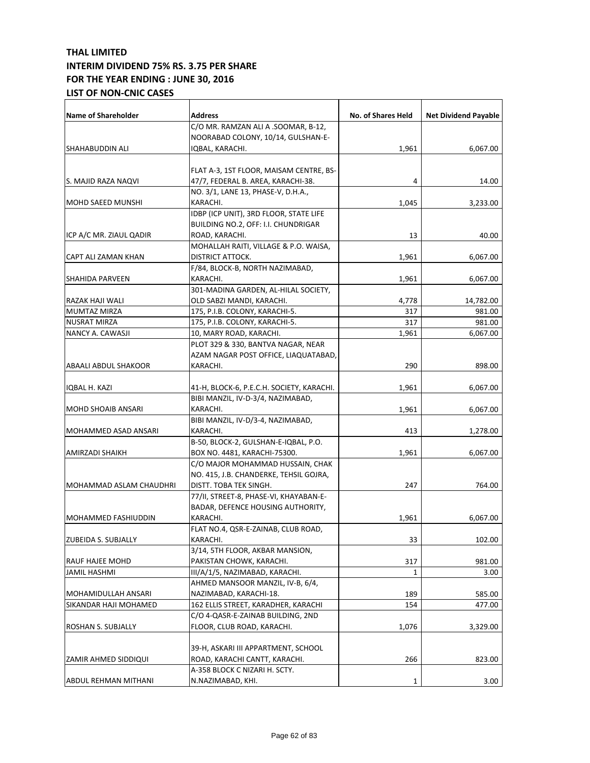| <b>Name of Shareholder</b> | Address                                   | No. of Shares Held | <b>Net Dividend Payable</b> |
|----------------------------|-------------------------------------------|--------------------|-----------------------------|
|                            | C/O MR. RAMZAN ALI A .SOOMAR, B-12,       |                    |                             |
|                            | NOORABAD COLONY, 10/14, GULSHAN-E-        |                    |                             |
| SHAHABUDDIN ALI            | IQBAL, KARACHI.                           | 1,961              | 6,067.00                    |
|                            |                                           |                    |                             |
|                            | FLAT A-3, 1ST FLOOR, MAISAM CENTRE, BS-   |                    |                             |
| S. MAJID RAZA NAQVI        | 47/7, FEDERAL B. AREA, KARACHI-38.        | 4                  | 14.00                       |
|                            | NO. 3/1, LANE 13, PHASE-V, D.H.A.,        |                    |                             |
| MOHD SAEED MUNSHI          | KARACHI.                                  | 1,045              | 3,233.00                    |
|                            | IDBP (ICP UNIT), 3RD FLOOR, STATE LIFE    |                    |                             |
|                            | BUILDING NO.2, OFF: I.I. CHUNDRIGAR       |                    |                             |
| ICP A/C MR. ZIAUL QADIR    | ROAD, KARACHI.                            | 13                 | 40.00                       |
|                            | MOHALLAH RAITI, VILLAGE & P.O. WAISA,     |                    |                             |
| CAPT ALI ZAMAN KHAN        | DISTRICT ATTOCK.                          | 1,961              | 6,067.00                    |
|                            | F/84, BLOCK-B, NORTH NAZIMABAD,           |                    |                             |
| SHAHIDA PARVEEN            | KARACHI.                                  | 1,961              | 6,067.00                    |
|                            | 301-MADINA GARDEN, AL-HILAL SOCIETY,      |                    |                             |
| RAZAK HAJI WALI            | OLD SABZI MANDI, KARACHI.                 | 4,778              | 14,782.00                   |
| <b>MUMTAZ MIRZA</b>        | 175, P.I.B. COLONY, KARACHI-5.            | 317                | 981.00                      |
| NUSRAT MIRZA               | 175, P.I.B. COLONY, KARACHI-5.            | 317                | 981.00                      |
| NANCY A. CAWASJI           | 10, MARY ROAD, KARACHI.                   | 1,961              | 6,067.00                    |
|                            | PLOT 329 & 330, BANTVA NAGAR, NEAR        |                    |                             |
|                            | AZAM NAGAR POST OFFICE, LIAQUATABAD,      |                    |                             |
| ABAALI ABDUL SHAKOOR       | KARACHI.                                  | 290                | 898.00                      |
| IQBAL H. KAZI              | 41-H, BLOCK-6, P.E.C.H. SOCIETY, KARACHI. | 1,961              | 6,067.00                    |
|                            | BIBI MANZIL, IV-D-3/4, NAZIMABAD,         |                    |                             |
| MOHD SHOAIB ANSARI         | KARACHI.                                  | 1,961              | 6,067.00                    |
|                            | BIBI MANZIL, IV-D/3-4, NAZIMABAD,         |                    |                             |
| MOHAMMED ASAD ANSARI       | KARACHI.                                  | 413                | 1,278.00                    |
|                            | B-50, BLOCK-2, GULSHAN-E-IQBAL, P.O.      |                    |                             |
| AMIRZADI SHAIKH            | BOX NO. 4481, KARACHI-75300.              | 1,961              | 6,067.00                    |
|                            | C/O MAJOR MOHAMMAD HUSSAIN, CHAK          |                    |                             |
|                            | NO. 415, J.B. CHANDERKE, TEHSIL GOJRA,    |                    |                             |
| MOHAMMAD ASLAM CHAUDHRI    | DISTT. TOBA TEK SINGH.                    | 247                | 764.00                      |
|                            | 77/II, STREET-8, PHASE-VI, KHAYABAN-E-    |                    |                             |
|                            | BADAR, DEFENCE HOUSING AUTHORITY,         |                    |                             |
| <b>MOHAMMED FASHIUDDIN</b> | KARACHI.                                  | 1,961              | 6,067.00                    |
|                            | FLAT NO.4, QSR-E-ZAINAB, CLUB ROAD,       |                    |                             |
| ZUBEIDA S. SUBJALLY        | KARACHI.                                  | 33                 | 102.00                      |
|                            | 3/14, 5TH FLOOR, AKBAR MANSION,           |                    |                             |
| RAUF HAJEE MOHD            | PAKISTAN CHOWK, KARACHI.                  | 317                | 981.00                      |
| JAMIL HASHMI               | III/A/1/5, NAZIMABAD, KARACHI.            | 1                  | 3.00                        |
|                            | AHMED MANSOOR MANZIL, IV-B, 6/4,          |                    |                             |
| MOHAMIDULLAH ANSARI        | NAZIMABAD, KARACHI-18.                    | 189                | 585.00                      |
| SIKANDAR HAJI MOHAMED      | 162 ELLIS STREET, KARADHER, KARACHI       | 154                | 477.00                      |
|                            | C/O 4-QASR-E-ZAINAB BUILDING, 2ND         |                    |                             |
| ROSHAN S. SUBJALLY         | FLOOR, CLUB ROAD, KARACHI.                | 1,076              | 3,329.00                    |
|                            |                                           |                    |                             |
|                            | 39-H, ASKARI III APPARTMENT, SCHOOL       |                    |                             |
| ZAMIR AHMED SIDDIQUI       | ROAD, KARACHI CANTT, KARACHI.             | 266                | 823.00                      |
|                            | A-358 BLOCK C NIZARI H. SCTY.             |                    |                             |
| ABDUL REHMAN MITHANI       | N.NAZIMABAD, KHI.                         | 1                  | 3.00                        |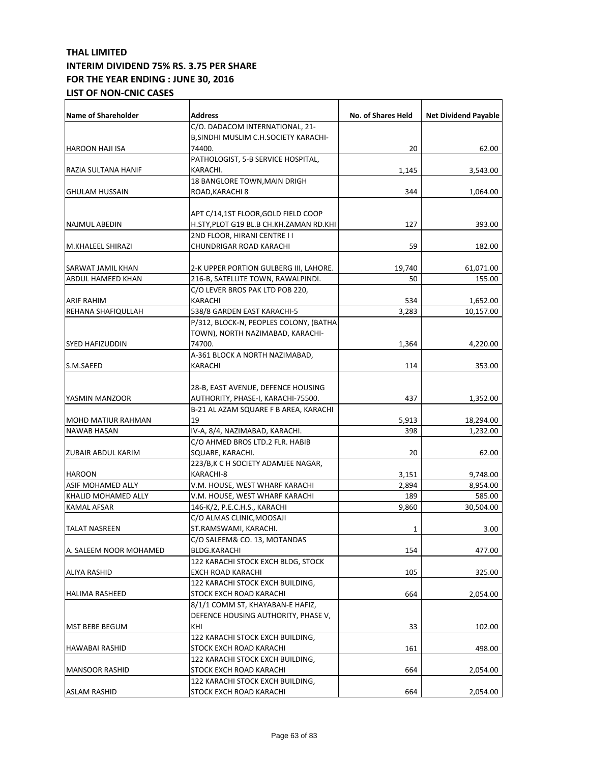| <b>Name of Shareholder</b> | Address                                 | No. of Shares Held | <b>Net Dividend Payable</b> |
|----------------------------|-----------------------------------------|--------------------|-----------------------------|
|                            | C/O. DADACOM INTERNATIONAL, 21-         |                    |                             |
|                            | B, SINDHI MUSLIM C.H.SOCIETY KARACHI-   |                    |                             |
| HAROON HAJI ISA            | 74400.                                  | 20                 | 62.00                       |
|                            | PATHOLOGIST, 5-B SERVICE HOSPITAL,      |                    |                             |
| RAZIA SULTANA HANIF        | KARACHI.                                | 1,145              | 3,543.00                    |
|                            | 18 BANGLORE TOWN, MAIN DRIGH            |                    |                             |
| <b>GHULAM HUSSAIN</b>      | ROAD, KARACHI 8                         | 344                | 1,064.00                    |
|                            |                                         |                    |                             |
|                            | APT C/14,1ST FLOOR, GOLD FIELD COOP     |                    |                             |
| NAJMUL ABEDIN              | H.STY, PLOT G19 BL.B CH.KH.ZAMAN RD.KHI | 127                | 393.00                      |
|                            | 2ND FLOOR, HIRANI CENTRE I I            |                    |                             |
| M.KHALEEL SHIRAZI          | CHUNDRIGAR ROAD KARACHI                 | 59                 | 182.00                      |
|                            |                                         |                    |                             |
| SARWAT JAMIL KHAN          | 2-K UPPER PORTION GULBERG III, LAHORE.  | 19,740             | 61,071.00                   |
| ABDUL HAMEED KHAN          | 216-B, SATELLITE TOWN, RAWALPINDI.      | 50                 | 155.00                      |
|                            | C/O LEVER BROS PAK LTD POB 220,         |                    |                             |
| ARIF RAHIM                 | KARACHI                                 | 534                | 1,652.00                    |
| REHANA SHAFIQULLAH         | 538/8 GARDEN EAST KARACHI-5             | 3,283              | 10,157.00                   |
|                            | P/312, BLOCK-N, PEOPLES COLONY, (BATHA  |                    |                             |
|                            | TOWN), NORTH NAZIMABAD, KARACHI-        |                    |                             |
| SYED HAFIZUDDIN            | 74700.                                  | 1,364              | 4,220.00                    |
|                            | A-361 BLOCK A NORTH NAZIMABAD,          |                    |                             |
| S.M.SAEED                  | KARACHI                                 | 114                | 353.00                      |
|                            |                                         |                    |                             |
|                            | 28-B, EAST AVENUE, DEFENCE HOUSING      |                    |                             |
| YASMIN MANZOOR             | AUTHORITY, PHASE-I, KARACHI-75500.      | 437                | 1,352.00                    |
|                            | B-21 AL AZAM SQUARE F B AREA, KARACHI   |                    |                             |
| <b>MOHD MATIUR RAHMAN</b>  | 19                                      | 5,913              | 18,294.00                   |
| <b>NAWAB HASAN</b>         | IV-A, 8/4, NAZIMABAD, KARACHI.          | 398                | 1,232.00                    |
|                            | C/O AHMED BROS LTD.2 FLR. HABIB         |                    |                             |
| ZUBAIR ABDUL KARIM         | SQUARE, KARACHI.                        | 20                 | 62.00                       |
|                            | 223/B,K C H SOCIETY ADAMJEE NAGAR,      |                    |                             |
| <b>HAROON</b>              | KARACHI-8                               | 3,151              | 9,748.00                    |
| ASIF MOHAMED ALLY          | V.M. HOUSE, WEST WHARF KARACHI          | 2,894              | 8,954.00                    |
| KHALID MOHAMED ALLY        | V.M. HOUSE, WEST WHARF KARACHI          | 189                | 585.00                      |
| KAMAL AFSAR                | 146-K/2, P.E.C.H.S., KARACHI            | 9,860              | 30,504.00                   |
|                            | C/O ALMAS CLINIC, MOOSAJI               |                    |                             |
| <b>TALAT NASREEN</b>       | ST.RAMSWAMI, KARACHI.                   | 1                  | 3.00                        |
|                            | C/O SALEEM& CO. 13, MOTANDAS            |                    |                             |
| A. SALEEM NOOR MOHAMED     | <b>BLDG.KARACHI</b>                     | 154                | 477.00                      |
|                            | 122 KARACHI STOCK EXCH BLDG, STOCK      |                    |                             |
| ALIYA RASHID               | EXCH ROAD KARACHI                       | 105                | 325.00                      |
|                            | 122 KARACHI STOCK EXCH BUILDING,        |                    |                             |
| HALIMA RASHEED             | STOCK EXCH ROAD KARACHI                 | 664                | 2,054.00                    |
|                            | 8/1/1 COMM ST, KHAYABAN-E HAFIZ,        |                    |                             |
|                            | DEFENCE HOUSING AUTHORITY, PHASE V,     |                    |                             |
| MST BEBE BEGUM             | KHI                                     | 33                 | 102.00                      |
|                            | 122 KARACHI STOCK EXCH BUILDING,        |                    |                             |
| HAWABAI RASHID             | STOCK EXCH ROAD KARACHI                 | 161                | 498.00                      |
|                            | 122 KARACHI STOCK EXCH BUILDING,        |                    |                             |
| <b>MANSOOR RASHID</b>      | STOCK EXCH ROAD KARACHI                 | 664                | 2,054.00                    |
|                            | 122 KARACHI STOCK EXCH BUILDING,        |                    |                             |
| <b>ASLAM RASHID</b>        | STOCK EXCH ROAD KARACHI                 | 664                | 2,054.00                    |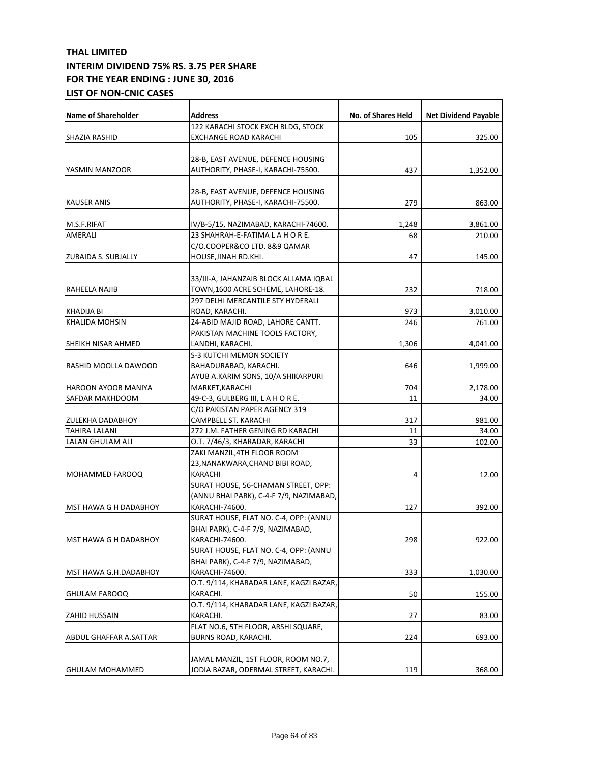| <b>Name of Shareholder</b>   | <b>Address</b>                          | <b>No. of Shares Held</b> | <b>Net Dividend Payable</b> |
|------------------------------|-----------------------------------------|---------------------------|-----------------------------|
|                              | 122 KARACHI STOCK EXCH BLDG, STOCK      |                           |                             |
| <b>SHAZIA RASHID</b>         | EXCHANGE ROAD KARACHI                   | 105                       | 325.00                      |
|                              |                                         |                           |                             |
|                              | 28-B, EAST AVENUE, DEFENCE HOUSING      |                           |                             |
| YASMIN MANZOOR               | AUTHORITY, PHASE-I, KARACHI-75500.      | 437                       | 1,352.00                    |
|                              |                                         |                           |                             |
|                              | 28-B, EAST AVENUE, DEFENCE HOUSING      |                           |                             |
| <b>KAUSER ANIS</b>           | AUTHORITY, PHASE-I, KARACHI-75500.      | 279                       | 863.00                      |
|                              |                                         |                           |                             |
| M.S.F.RIFAT                  | IV/B-5/15, NAZIMABAD, KARACHI-74600.    | 1,248                     | 3,861.00                    |
| AMERALI                      | 23 SHAHRAH-E-FATIMA LAHORE.             | 68                        | 210.00                      |
|                              | C/O.COOPER&CO LTD. 8&9 QAMAR            |                           |                             |
| <b>ZUBAIDA S. SUBJALLY</b>   | HOUSE, JINAH RD.KHI.                    | 47                        | 145.00                      |
|                              |                                         |                           |                             |
|                              | 33/III-A, JAHANZAIB BLOCK ALLAMA IQBAL  |                           |                             |
| RAHEELA NAJIB                | TOWN,1600 ACRE SCHEME, LAHORE-18.       | 232                       | 718.00                      |
|                              | 297 DELHI MERCANTILE STY HYDERALI       |                           |                             |
| <b>KHADIJA BI</b>            | ROAD, KARACHI.                          | 973                       | 3,010.00                    |
| KHALIDA MOHSIN               | 24-ABID MAJID ROAD, LAHORE CANTT.       | 246                       | 761.00                      |
|                              | PAKISTAN MACHINE TOOLS FACTORY,         |                           |                             |
| SHEIKH NISAR AHMED           | LANDHI, KARACHI.                        | 1,306                     | 4,041.00                    |
|                              | <b>S-3 KUTCHI MEMON SOCIETY</b>         |                           |                             |
| RASHID MOOLLA DAWOOD         | BAHADURABAD, KARACHI.                   | 646                       | 1,999.00                    |
|                              | AYUB A.KARIM SONS, 10/A SHIKARPURI      |                           |                             |
| HAROON AYOOB MANIYA          | MARKET, KARACHI                         | 704                       | 2,178.00                    |
| SAFDAR MAKHDOOM              | 49-C-3, GULBERG III, LAHORE.            | 11                        | 34.00                       |
|                              | C/O PAKISTAN PAPER AGENCY 319           |                           |                             |
| ZULEKHA DADABHOY             | CAMPBELL ST. KARACHI                    | 317                       | 981.00                      |
| TAHIRA LALANI                | 272 J.M. FATHER GENING RD KARACHI       | 11                        | 34.00                       |
| LALAN GHULAM ALI             | O.T. 7/46/3, KHARADAR, KARACHI          | 33                        | 102.00                      |
|                              | ZAKI MANZIL, 4TH FLOOR ROOM             |                           |                             |
|                              | 23, NANAKWARA, CHAND BIBI ROAD,         |                           |                             |
| MOHAMMED FAROOQ              | KARACHI                                 | 4                         | 12.00                       |
|                              | SURAT HOUSE, 56-CHAMAN STREET, OPP:     |                           |                             |
|                              | (ANNU BHAI PARK), C-4-F 7/9, NAZIMABAD, |                           |                             |
| <b>MST HAWA G H DADABHOY</b> | KARACHI-74600.                          | 127                       | 392.00                      |
|                              | SURAT HOUSE, FLAT NO. C-4, OPP: (ANNU   |                           |                             |
|                              | BHAI PARK), C-4-F 7/9, NAZIMABAD,       |                           |                             |
| MST HAWA G H DADABHOY        | KARACHI-74600.                          | 298                       | 922.00                      |
|                              | SURAT HOUSE, FLAT NO. C-4, OPP: (ANNU   |                           |                             |
|                              | BHAI PARK), C-4-F 7/9, NAZIMABAD,       |                           |                             |
| MST HAWA G.H.DADABHOY        | KARACHI-74600.                          | 333                       | 1,030.00                    |
|                              | O.T. 9/114, KHARADAR LANE, KAGZI BAZAR, |                           |                             |
| <b>GHULAM FAROOQ</b>         | KARACHI.                                | 50                        | 155.00                      |
|                              | O.T. 9/114, KHARADAR LANE, KAGZI BAZAR, |                           |                             |
| ZAHID HUSSAIN                | KARACHI.                                | 27                        | 83.00                       |
|                              | FLAT NO.6, 5TH FLOOR, ARSHI SQUARE,     |                           |                             |
|                              |                                         |                           | 693.00                      |
| ABDUL GHAFFAR A.SATTAR       | BURNS ROAD, KARACHI.                    | 224                       |                             |
|                              | JAMAL MANZIL, 1ST FLOOR, ROOM NO.7,     |                           |                             |
| <b>GHULAM MOHAMMED</b>       | JODIA BAZAR, ODERMAL STREET, KARACHI.   | 119                       | 368.00                      |
|                              |                                         |                           |                             |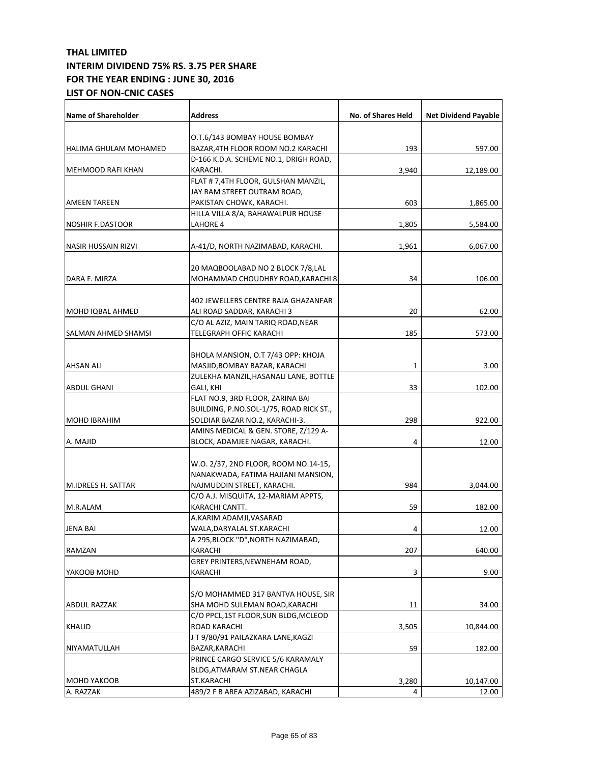| <b>Name of Shareholder</b> | <b>Address</b>                          | No. of Shares Held | <b>Net Dividend Payable</b> |
|----------------------------|-----------------------------------------|--------------------|-----------------------------|
|                            | O.T.6/143 BOMBAY HOUSE BOMBAY           |                    |                             |
| HALIMA GHULAM MOHAMED      | BAZAR,4TH FLOOR ROOM NO.2 KARACHI       | 193                | 597.00                      |
|                            | D-166 K.D.A. SCHEME NO.1, DRIGH ROAD,   |                    |                             |
| <b>MEHMOOD RAFI KHAN</b>   | KARACHI.                                | 3,940              | 12,189.00                   |
|                            | FLAT # 7,4TH FLOOR, GULSHAN MANZIL,     |                    |                             |
|                            | JAY RAM STREET OUTRAM ROAD,             |                    |                             |
| <b>AMEEN TAREEN</b>        | PAKISTAN CHOWK, KARACHI.                | 603                | 1,865.00                    |
|                            | HILLA VILLA 8/A, BAHAWALPUR HOUSE       |                    |                             |
| <b>NOSHIR F.DASTOOR</b>    | LAHORE 4                                | 1,805              | 5,584.00                    |
|                            |                                         |                    |                             |
| <b>NASIR HUSSAIN RIZVI</b> | A-41/D, NORTH NAZIMABAD, KARACHI.       | 1,961              | 6,067.00                    |
|                            | 20 MAQBOOLABAD NO 2 BLOCK 7/8,LAL       |                    |                             |
| DARA F. MIRZA              | MOHAMMAD CHOUDHRY ROAD, KARACHI 8       | 34                 | 106.00                      |
|                            |                                         |                    |                             |
|                            | 402 JEWELLERS CENTRE RAJA GHAZANFAR     |                    |                             |
| MOHD IQBAL AHMED           | ALI ROAD SADDAR, KARACHI 3              | 20                 | 62.00                       |
|                            | C/O AL AZIZ, MAIN TARIQ ROAD, NEAR      |                    |                             |
| SALMAN AHMED SHAMSI        | TELEGRAPH OFFIC KARACHI                 | 185                | 573.00                      |
|                            |                                         |                    |                             |
|                            | BHOLA MANSION, O.T 7/43 OPP: KHOJA      |                    |                             |
| <b>AHSAN ALI</b>           | MASJID, BOMBAY BAZAR, KARACHI           | 1                  | 3.00                        |
|                            | ZULEKHA MANZIL, HASANALI LANE, BOTTLE   |                    |                             |
| <b>ABDUL GHANI</b>         | GALI, KHI                               | 33                 | 102.00                      |
|                            | FLAT NO.9, 3RD FLOOR, ZARINA BAI        |                    |                             |
|                            | BUILDING, P.NO.SOL-1/75, ROAD RICK ST., |                    |                             |
| <b>MOHD IBRAHIM</b>        | SOLDIAR BAZAR NO.2, KARACHI-3.          | 298                | 922.00                      |
|                            | AMINS MEDICAL & GEN. STORE, Z/129 A-    |                    |                             |
| A. MAJID                   | BLOCK, ADAMJEE NAGAR, KARACHI.          | 4                  | 12.00                       |
|                            |                                         |                    |                             |
|                            | W.O. 2/37, 2ND FLOOR, ROOM NO.14-15,    |                    |                             |
|                            | NANAKWADA, FATIMA HAJIANI MANSION,      |                    |                             |
| M.IDREES H. SATTAR         | NAJMUDDIN STREET, KARACHI.              | 984                | 3,044.00                    |
|                            | C/O A.J. MISQUITA, 12-MARIAM APPTS,     |                    |                             |
| M.R.ALAM                   | KARACHI CANTT.                          | 59                 | 182.00                      |
|                            | A.KARIM ADAMJI, VASARAD                 |                    |                             |
| <b>JENA BAI</b>            | WALA, DARYALAL ST. KARACHI              | 4                  | 12.00                       |
|                            | A 295, BLOCK "D", NORTH NAZIMABAD,      |                    |                             |
| RAMZAN                     | KARACHI                                 | 207                | 640.00                      |
|                            | GREY PRINTERS, NEWNEHAM ROAD,           |                    |                             |
| YAKOOB MOHD                | KARACHI                                 | 3                  | 9.00                        |
|                            |                                         |                    |                             |
|                            | S/O MOHAMMED 317 BANTVA HOUSE, SIR      |                    |                             |
| ABDUL RAZZAK               | SHA MOHD SULEMAN ROAD, KARACHI          | 11                 | 34.00                       |
|                            | C/O PPCL,1ST FLOOR,SUN BLDG,MCLEOD      |                    |                             |
| <b>KHALID</b>              | ROAD KARACHI                            | 3,505              | 10,844.00                   |
|                            | JT9/80/91 PAILAZKARA LANE, KAGZI        |                    |                             |
| NIYAMATULLAH               | BAZAR, KARACHI                          | 59                 | 182.00                      |
|                            | PRINCE CARGO SERVICE 5/6 KARAMALY       |                    |                             |
|                            | BLDG, ATMARAM ST. NEAR CHAGLA           |                    |                             |
| <b>MOHD YAKOOB</b>         | ST.KARACHI                              | 3,280              | 10,147.00                   |
| A. RAZZAK                  | 489/2 F B AREA AZIZABAD, KARACHI        | 4                  | 12.00                       |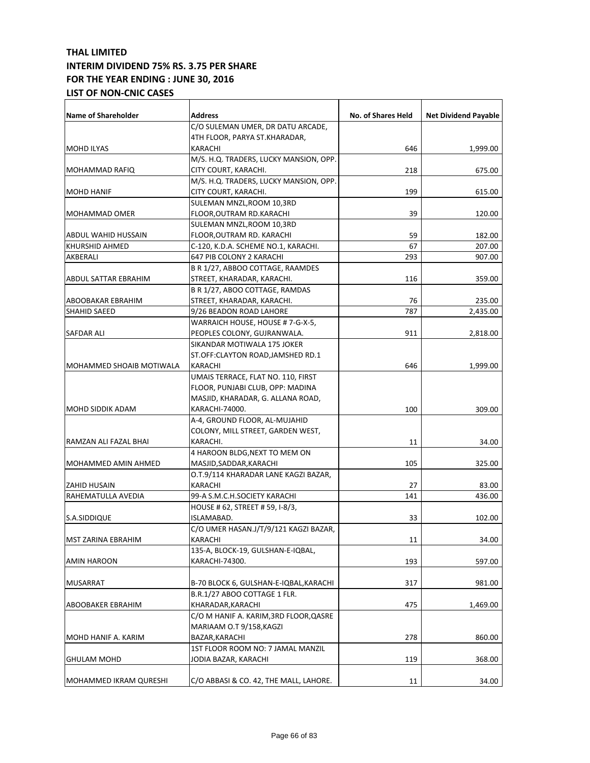| <b>Name of Shareholder</b> | Address                                | No. of Shares Held | <b>Net Dividend Payable</b> |
|----------------------------|----------------------------------------|--------------------|-----------------------------|
|                            | C/O SULEMAN UMER, DR DATU ARCADE,      |                    |                             |
|                            | 4TH FLOOR, PARYA ST.KHARADAR,          |                    |                             |
| <b>MOHD ILYAS</b>          | KARACHI                                | 646                | 1,999.00                    |
|                            | M/S. H.Q. TRADERS, LUCKY MANSION, OPP. |                    |                             |
| <b>MOHAMMAD RAFIQ</b>      | CITY COURT, KARACHI.                   | 218                | 675.00                      |
|                            | M/S. H.Q. TRADERS, LUCKY MANSION, OPP. |                    |                             |
| <b>MOHD HANIF</b>          | CITY COURT, KARACHI.                   | 199                | 615.00                      |
|                            | SULEMAN MNZL,ROOM 10,3RD               |                    |                             |
| <b>MOHAMMAD OMER</b>       | FLOOR,OUTRAM RD.KARACHI                | 39                 | 120.00                      |
|                            | SULEMAN MNZL, ROOM 10, 3RD             |                    |                             |
| <b>ABDUL WAHID HUSSAIN</b> | FLOOR,OUTRAM RD. KARACHI               | 59                 | 182.00                      |
| KHURSHID AHMED             | C-120, K.D.A. SCHEME NO.1, KARACHI.    | 67                 | 207.00                      |
| AKBERALI                   | 647 PIB COLONY 2 KARACHI               | 293                | 907.00                      |
|                            | B R 1/27, ABBOO COTTAGE, RAAMDES       |                    |                             |
| ABDUL SATTAR EBRAHIM       | STREET, KHARADAR, KARACHI.             | 116                | 359.00                      |
|                            | B R 1/27, ABOO COTTAGE, RAMDAS         |                    |                             |
| ABOOBAKAR EBRAHIM          | STREET, KHARADAR, KARACHI.             | 76                 | 235.00                      |
| SHAHID SAEED               | 9/26 BEADON ROAD LAHORE                | 787                | 2,435.00                    |
|                            | WARRAICH HOUSE, HOUSE # 7-G-X-5,       |                    |                             |
| <b>SAFDAR ALI</b>          | PEOPLES COLONY, GUJRANWALA.            | 911                | 2,818.00                    |
|                            | SIKANDAR MOTIWALA 175 JOKER            |                    |                             |
|                            | ST.OFF:CLAYTON ROAD, JAMSHED RD.1      |                    |                             |
| MOHAMMED SHOAIB MOTIWALA   | KARACHI                                | 646                | 1,999.00                    |
|                            | UMAIS TERRACE, FLAT NO. 110, FIRST     |                    |                             |
|                            | FLOOR, PUNJABI CLUB, OPP: MADINA       |                    |                             |
|                            | MASJID, KHARADAR, G. ALLANA ROAD,      |                    |                             |
| <b>MOHD SIDDIK ADAM</b>    | KARACHI-74000.                         | 100                | 309.00                      |
|                            | A-4, GROUND FLOOR, AL-MUJAHID          |                    |                             |
|                            | COLONY, MILL STREET, GARDEN WEST,      |                    |                             |
| RAMZAN ALI FAZAL BHAI      | KARACHI.                               | 11                 | 34.00                       |
|                            | 4 HAROON BLDG, NEXT TO MEM ON          |                    |                             |
| MOHAMMED AMIN AHMED        | MASJID, SADDAR, KARACHI                | 105                | 325.00                      |
|                            | O.T.9/114 KHARADAR LANE KAGZI BAZAR,   |                    |                             |
| <b>ZAHID HUSAIN</b>        | KARACHI                                | 27                 | 83.00                       |
| RAHEMATULLA AVEDIA         | 99-A S.M.C.H.SOCIETY KARACHI           | 141                | 436.00                      |
|                            | HOUSE # 62, STREET # 59, I-8/3,        |                    |                             |
| S.A.SIDDIQUE               | ISLAMABAD.                             | 33                 | 102.00                      |
|                            | C/O UMER HASAN.J/T/9/121 KAGZI BAZAR,  |                    |                             |
| MST ZARINA EBRAHIM         | KARACHI                                | 11                 | 34.00                       |
|                            | 135-A, BLOCK-19, GULSHAN-E-IQBAL,      |                    |                             |
| AMIN HAROON                | KARACHI-74300.                         | 193                | 597.00                      |
| <b>MUSARRAT</b>            | B-70 BLOCK 6, GULSHAN-E-IQBAL,KARACHI  | 317                | 981.00                      |
|                            | B.R.1/27 ABOO COTTAGE 1 FLR.           |                    |                             |
| ABOOBAKER EBRAHIM          | KHARADAR,KARACHI                       | 475                | 1,469.00                    |
|                            | C/O M HANIF A. KARIM, 3RD FLOOR, QASRE |                    |                             |
|                            | MARIAAM O.T 9/158,KAGZI                |                    |                             |
| MOHD HANIF A. KARIM        | BAZAR,KARACHI                          | 278                | 860.00                      |
|                            | 1ST FLOOR ROOM NO: 7 JAMAL MANZIL      |                    |                             |
| <b>GHULAM MOHD</b>         | JODIA BAZAR, KARACHI                   | 119                | 368.00                      |
|                            |                                        |                    |                             |
| MOHAMMED IKRAM QURESHI     | C/O ABBASI & CO. 42, THE MALL, LAHORE. | 11                 | 34.00                       |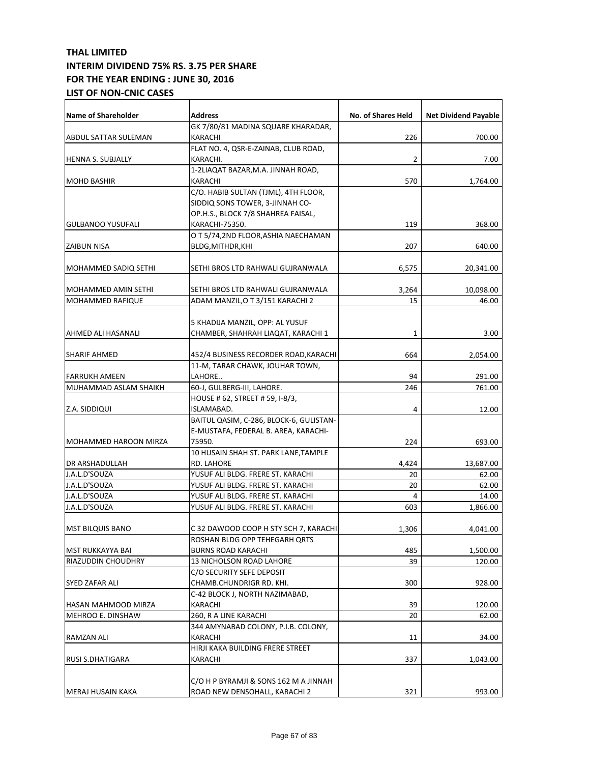| Name of Shareholder          | <b>Address</b>                          | No. of Shares Held | <b>Net Dividend Payable</b> |
|------------------------------|-----------------------------------------|--------------------|-----------------------------|
|                              | GK 7/80/81 MADINA SQUARE KHARADAR,      |                    |                             |
| ABDUL SATTAR SULEMAN         | KARACHI                                 | 226                | 700.00                      |
|                              | FLAT NO. 4, QSR-E-ZAINAB, CLUB ROAD,    |                    |                             |
| <b>HENNA S. SUBJALLY</b>     | KARACHI.                                | 2                  | 7.00                        |
|                              | 1-2LIAQAT BAZAR, M.A. JINNAH ROAD,      |                    |                             |
| <b>MOHD BASHIR</b>           | KARACHI                                 | 570                | 1,764.00                    |
|                              | C/O. HABIB SULTAN (TJML), 4TH FLOOR,    |                    |                             |
|                              | SIDDIQ SONS TOWER, 3-JINNAH CO-         |                    |                             |
|                              | OP.H.S., BLOCK 7/8 SHAHREA FAISAL,      |                    |                             |
| <b>GULBANOO YUSUFALI</b>     | KARACHI-75350.                          | 119                | 368.00                      |
|                              | O T 5/74,2ND FLOOR, ASHIA NAECHAMAN     |                    |                             |
| <b>ZAIBUN NISA</b>           | BLDG, MITHDR, KHI                       | 207                | 640.00                      |
| MOHAMMED SADIQ SETHI         | SETHI BROS LTD RAHWALI GUJRANWALA       | 6,575              | 20,341.00                   |
| <b>MOHAMMED AMIN SETHI</b>   | SETHI BROS LTD RAHWALI GUJRANWALA       | 3,264              | 10,098.00                   |
| <b>MOHAMMED RAFIQUE</b>      | ADAM MANZIL, O T 3/151 KARACHI 2        | 15                 | 46.00                       |
|                              |                                         |                    |                             |
|                              | 5 KHADIJA MANZIL, OPP: AL YUSUF         |                    |                             |
| AHMED ALI HASANALI           | CHAMBER, SHAHRAH LIAQAT, KARACHI 1      | 1                  | 3.00                        |
|                              |                                         |                    |                             |
| <b>SHARIF AHMED</b>          | 452/4 BUSINESS RECORDER ROAD, KARACHI   | 664                | 2,054.00                    |
|                              | 11-M, TARAR CHAWK, JOUHAR TOWN,         |                    |                             |
| <b>FARRUKH AMEEN</b>         | LAHORE                                  | 94                 | 291.00                      |
| MUHAMMAD ASLAM SHAIKH        | 60-J, GULBERG-III, LAHORE.              | 246                | 761.00                      |
|                              | HOUSE # 62, STREET # 59, I-8/3,         |                    |                             |
| Z.A. SIDDIQUI                | ISLAMABAD.                              | 4                  | 12.00                       |
|                              | BAITUL QASIM, C-286, BLOCK-6, GULISTAN- |                    |                             |
|                              | E-MUSTAFA, FEDERAL B. AREA, KARACHI-    |                    |                             |
| <b>MOHAMMED HAROON MIRZA</b> | 75950.                                  | 224                | 693.00                      |
|                              | 10 HUSAIN SHAH ST. PARK LANE, TAMPLE    |                    |                             |
| DR ARSHADULLAH               | RD. LAHORE                              | 4,424              | 13,687.00                   |
| J.A.L.D'SOUZA                | YUSUF ALI BLDG. FRERE ST. KARACHI       | 20                 | 62.00                       |
| J.A.L.D'SOUZA                | YUSUF ALI BLDG. FRERE ST. KARACHI       | 20                 | 62.00                       |
| J.A.L.D'SOUZA                | YUSUF ALI BLDG. FRERE ST. KARACHI       | 4                  | 14.00                       |
| J.A.L.D'SOUZA                | YUSUF ALI BLDG. FRERE ST. KARACHI       | 603                | 1,866.00                    |
| <b>MST BILQUIS BANO</b>      | C32 DAWOOD COOP H STY SCH 7, KARACHI    | 1,306              | 4,041.00                    |
|                              | ROSHAN BLDG OPP TEHEGARH QRTS           |                    |                             |
| MST RUKKAYYA BAI             | <b>BURNS ROAD KARACHI</b>               | 485                | 1,500.00                    |
| RIAZUDDIN CHOUDHRY           | 13 NICHOLSON ROAD LAHORE                | 39                 | 120.00                      |
|                              | C/O SECURITY SEFE DEPOSIT               |                    |                             |
| SYED ZAFAR ALI               | CHAMB.CHUNDRIGR RD. KHI.                | 300                | 928.00                      |
|                              | C-42 BLOCK J, NORTH NAZIMABAD,          |                    |                             |
| HASAN MAHMOOD MIRZA          | KARACHI                                 | 39                 | 120.00                      |
| <b>MEHROO E. DINSHAW</b>     | 260, R A LINE KARACHI                   | 20                 | 62.00                       |
|                              | 344 AMYNABAD COLONY, P.I.B. COLONY,     |                    |                             |
| RAMZAN ALI                   | KARACHI                                 | 11                 | 34.00                       |
|                              | HIRJI KAKA BUILDING FRERE STREET        |                    |                             |
| <b>RUSI S.DHATIGARA</b>      | KARACHI                                 | 337                | 1,043.00                    |
|                              |                                         |                    |                             |
|                              | C/O H P BYRAMJI & SONS 162 M A JINNAH   |                    |                             |
| MERAJ HUSAIN KAKA            | ROAD NEW DENSOHALL, KARACHI 2           | 321                | 993.00                      |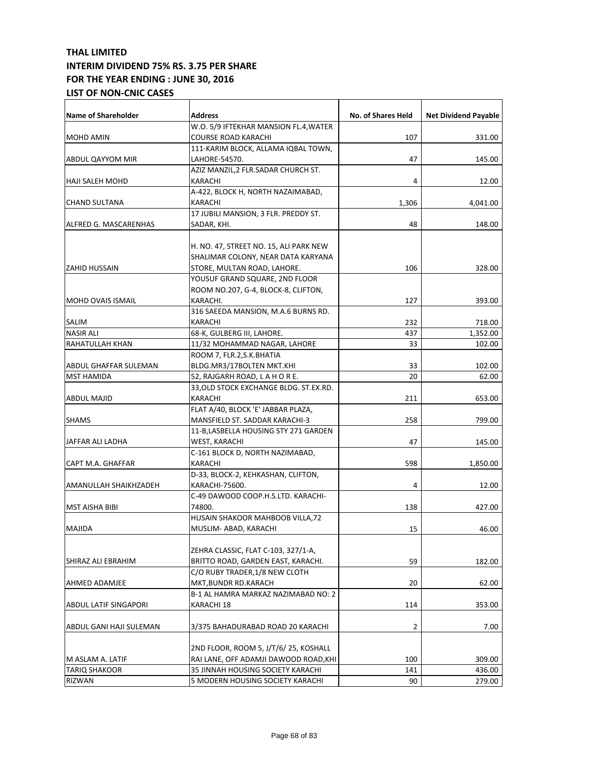| Name of Shareholder          | <b>Address</b>                         | No. of Shares Held | <b>Net Dividend Payable</b> |
|------------------------------|----------------------------------------|--------------------|-----------------------------|
|                              | W.O. 5/9 IFTEKHAR MANSION FL.4, WATER  |                    |                             |
| MOHD AMIN                    | COURSE ROAD KARACHI                    | 107                | 331.00                      |
|                              | 111-KARIM BLOCK, ALLAMA IQBAL TOWN,    |                    |                             |
| ABDUL QAYYOM MIR             | LAHORE-54570.                          | 47                 | 145.00                      |
|                              | AZIZ MANZIL, 2 FLR. SADAR CHURCH ST.   |                    |                             |
| HAJI SALEH MOHD              | KARACHI                                | 4                  | 12.00                       |
|                              | A-422, BLOCK H, NORTH NAZAIMABAD,      |                    |                             |
| <b>CHAND SULTANA</b>         | KARACHI                                | 1,306              | 4,041.00                    |
|                              | 17 JUBILI MANSION, 3 FLR. PREDDY ST.   |                    |                             |
| <b>ALFRED G. MASCARENHAS</b> | SADAR, KHI.                            | 48                 | 148.00                      |
|                              |                                        |                    |                             |
|                              | H. NO. 47, STREET NO. 15, ALI PARK NEW |                    |                             |
|                              | SHALIMAR COLONY, NEAR DATA KARYANA     |                    |                             |
| <b>ZAHID HUSSAIN</b>         | STORE, MULTAN ROAD, LAHORE.            | 106                | 328.00                      |
|                              | YOUSUF GRAND SQUARE, 2ND FLOOR         |                    |                             |
|                              | ROOM NO.207, G-4, BLOCK-8, CLIFTON,    |                    |                             |
| <b>MOHD OVAIS ISMAIL</b>     | KARACHI.                               | 127                | 393.00                      |
|                              | 316 SAEEDA MANSION, M.A.6 BURNS RD.    |                    |                             |
| SALIM                        | KARACHI                                | 232                | 718.00                      |
| <b>NASIR ALI</b>             | 68-K, GULBERG III, LAHORE.             | 437                | 1,352.00                    |
| RAHATULLAH KHAN              | 11/32 MOHAMMAD NAGAR, LAHORE           | 33                 | 102.00                      |
|                              | ROOM 7, FLR.2,S.K.BHATIA               |                    |                             |
| ABDUL GHAFFAR SULEMAN        | BLDG.MR3/17BOLTEN MKT.KHI              | 33                 | 102.00                      |
| <b>MST HAMIDA</b>            | 52, RAJGARH ROAD, LAHORE.              | 20                 | 62.00                       |
|                              | 33,OLD STOCK EXCHANGE BLDG. ST.EX.RD.  |                    |                             |
| <b>ABDUL MAJID</b>           | KARACHI                                | 211                | 653.00                      |
|                              | FLAT A/40, BLOCK 'E' JABBAR PLAZA,     |                    |                             |
| <b>SHAMS</b>                 |                                        |                    |                             |
|                              | MANSFIELD ST. SADDAR KARACHI-3         | 258                | 799.00                      |
|                              | 11-B, LASBELLA HOUSING STY 271 GARDEN  |                    |                             |
| JAFFAR ALI LADHA             | WEST, KARACHI                          | 47                 | 145.00                      |
|                              | C-161 BLOCK D, NORTH NAZIMABAD,        |                    |                             |
| CAPT M.A. GHAFFAR            | KARACHI                                | 598                | 1,850.00                    |
|                              | D-33, BLOCK-2, KEHKASHAN, CLIFTON,     |                    |                             |
| AMANULLAH SHAIKHZADEH        | KARACHI-75600.                         | 4                  | 12.00                       |
|                              | C-49 DAWOOD COOP.H.S.LTD. KARACHI-     |                    |                             |
| <b>MST AISHA BIBI</b>        | 74800.                                 | 138                | 427.00                      |
|                              | HUSAIN SHAKOOR MAHBOOB VILLA, 72       |                    |                             |
| <b>MAJIDA</b>                | MUSLIM-ABAD, KARACHI                   | 15                 | 46.00                       |
|                              |                                        |                    |                             |
|                              | ZEHRA CLASSIC, FLAT C-103, 327/1-A,    |                    |                             |
| SHIRAZ ALI EBRAHIM           | BRITTO ROAD, GARDEN EAST, KARACHI.     | 59                 | 182.00                      |
|                              | C/O RUBY TRADER,1/8 NEW CLOTH          |                    |                             |
| AHMED ADAMJEE                | MKT, BUNDR RD. KARACH                  | 20                 | 62.00                       |
|                              | B-1 AL HAMRA MARKAZ NAZIMABAD NO: 2    |                    |                             |
| <b>ABDUL LATIF SINGAPORI</b> | KARACHI 18                             | 114                | 353.00                      |
|                              |                                        |                    |                             |
| ABDUL GANI HAJI SULEMAN      | 3/375 BAHADURABAD ROAD 20 KARACHI      | 2                  | 7.00                        |
|                              |                                        |                    |                             |
|                              | 2ND FLOOR, ROOM 5, J/T/6/ 25, KOSHALL  |                    |                             |
| M ASLAM A. LATIF             | RAI LANE, OFF ADAMJI DAWOOD ROAD,KHI   | 100                | 309.00                      |
| TARIQ SHAKOOR                | 35 JINNAH HOUSING SOCIETY KARACHI      | 141                | 436.00                      |
| RIZWAN                       | 5 MODERN HOUSING SOCIETY KARACHI       | 90                 | 279.00                      |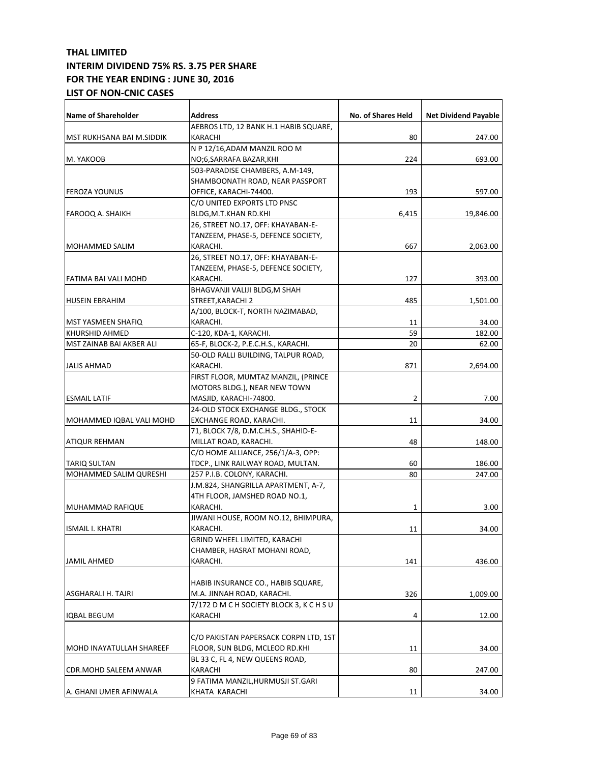| Name of Shareholder           | <b>Address</b>                           | No. of Shares Held | <b>Net Dividend Payable</b> |
|-------------------------------|------------------------------------------|--------------------|-----------------------------|
|                               | AEBROS LTD, 12 BANK H.1 HABIB SQUARE,    |                    |                             |
| MST RUKHSANA BAI M.SIDDIK     | KARACHI                                  | 80                 | 247.00                      |
|                               | N P 12/16, ADAM MANZIL ROO M             |                    |                             |
| M. YAKOOB                     | NO;6,SARRAFA BAZAR,KHI                   | 224                | 693.00                      |
|                               | 503-PARADISE CHAMBERS, A.M-149,          |                    |                             |
|                               | SHAMBOONATH ROAD, NEAR PASSPORT          |                    |                             |
| <b>FEROZA YOUNUS</b>          | OFFICE, KARACHI-74400.                   | 193                | 597.00                      |
|                               | C/O UNITED EXPORTS LTD PNSC              |                    |                             |
| FAROOQ A. SHAIKH              | BLDG,M.T.KHAN RD.KHI                     | 6,415              | 19,846.00                   |
|                               | 26, STREET NO.17, OFF: KHAYABAN-E-       |                    |                             |
|                               | TANZEEM, PHASE-5, DEFENCE SOCIETY,       |                    |                             |
| <b>MOHAMMED SALIM</b>         | KARACHI.                                 | 667                | 2,063.00                    |
|                               | 26, STREET NO.17, OFF: KHAYABAN-E-       |                    |                             |
|                               | TANZEEM, PHASE-5, DEFENCE SOCIETY,       |                    |                             |
| FATIMA BAI VALI MOHD          | KARACHI.                                 | 127                | 393.00                      |
|                               | BHAGVANJI VALIJI BLDG,M SHAH             |                    |                             |
| <b>HUSEIN EBRAHIM</b>         | STREET,KARACHI 2                         | 485                | 1,501.00                    |
|                               | A/100, BLOCK-T, NORTH NAZIMABAD,         |                    |                             |
| <b>MST YASMEEN SHAFIQ</b>     | KARACHI.                                 | 11                 | 34.00                       |
| KHURSHID AHMED                | C-120, KDA-1, KARACHI.                   | 59                 | 182.00                      |
| MST ZAINAB BAI AKBER ALI      | 65-F, BLOCK-2, P.E.C.H.S., KARACHI.      | 20                 | 62.00                       |
|                               | 50-OLD RALLI BUILDING, TALPUR ROAD,      |                    |                             |
| <b>JALIS AHMAD</b>            | KARACHI.                                 | 871                | 2,694.00                    |
|                               | FIRST FLOOR, MUMTAZ MANZIL, (PRINCE      |                    |                             |
|                               | MOTORS BLDG.), NEAR NEW TOWN             |                    |                             |
| <b>ESMAIL LATIF</b>           | MASJID, KARACHI-74800.                   | 2                  | 7.00                        |
|                               | 24-OLD STOCK EXCHANGE BLDG., STOCK       |                    |                             |
| MOHAMMED IQBAL VALI MOHD      | EXCHANGE ROAD, KARACHI.                  | 11                 | 34.00                       |
|                               | 71, BLOCK 7/8, D.M.C.H.S., SHAHID-E-     |                    |                             |
| <b>ATIQUR REHMAN</b>          | MILLAT ROAD, KARACHI.                    | 48                 | 148.00                      |
|                               | C/O HOME ALLIANCE, 256/1/A-3, OPP:       |                    |                             |
| <b>TARIQ SULTAN</b>           | TDCP., LINK RAILWAY ROAD, MULTAN.        | 60                 | 186.00                      |
| <b>MOHAMMED SALIM QURESHI</b> | 257 P.I.B. COLONY, KARACHI.              | 80                 | 247.00                      |
|                               | J.M.824, SHANGRILLA APARTMENT, A-7,      |                    |                             |
|                               | 4TH FLOOR, JAMSHED ROAD NO.1,            |                    |                             |
| MUHAMMAD RAFIQUE              |                                          | 1                  | 3.00                        |
|                               | KARACHI.                                 |                    |                             |
| <b>ISMAIL I. KHATRI</b>       | JIWANI HOUSE, ROOM NO.12, BHIMPURA,      |                    |                             |
|                               | KARACHI.                                 | 11                 | 34.00                       |
|                               | GRIND WHEEL LIMITED, KARACHI             |                    |                             |
|                               | CHAMBER, HASRAT MOHANI ROAD,             |                    |                             |
| <b>JAMIL AHMED</b>            | KARACHI.                                 | 141                | 436.00                      |
|                               |                                          |                    |                             |
|                               | HABIB INSURANCE CO., HABIB SQUARE,       |                    |                             |
| ASGHARALI H. TAJRI            | M.A. JINNAH ROAD, KARACHI.               | 326                | 1,009.00                    |
|                               | 7/172 D M C H SOCIETY BLOCK 3, K C H S U |                    |                             |
| IQBAL BEGUM                   | KARACHI                                  | 4                  | 12.00                       |
|                               |                                          |                    |                             |
|                               | C/O PAKISTAN PAPERSACK CORPN LTD, 1ST    |                    |                             |
| MOHD INAYATULLAH SHAREEF      | FLOOR, SUN BLDG, MCLEOD RD.KHI           | 11                 | 34.00                       |
|                               | BL 33 C, FL 4, NEW QUEENS ROAD,          |                    |                             |
| CDR.MOHD SALEEM ANWAR         | KARACHI                                  | 80                 | 247.00                      |
|                               | 9 FATIMA MANZIL, HURMUSJI ST.GARI        |                    |                             |
| A. GHANI UMER AFINWALA        | KHATA KARACHI                            | 11                 | 34.00                       |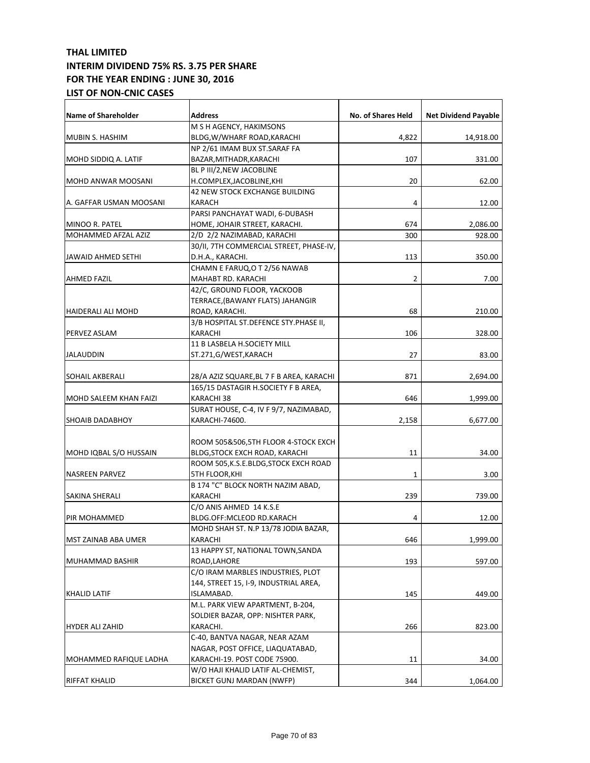| M S H AGENCY, HAKIMSONS<br>BLDG,W/WHARF ROAD,KARACHI<br>4,822<br>14,918.00<br>NP 2/61 IMAM BUX ST.SARAF FA<br>BAZAR, MITHADR, KARACHI<br>107<br>331.00<br>BL P III/2, NEW JACOBLINE<br>H.COMPLEX,JACOBLINE,KHI<br>20<br>62.00<br>42 NEW STOCK EXCHANGE BUILDING<br>4<br>KARACH<br>12.00<br>PARSI PANCHAYAT WADI, 6-DUBASH<br>674<br>HOME, JOHAIR STREET, KARACHI.<br>2,086.00<br>MOHAMMED AFZAL AZIZ<br>300<br>2/D 2/2 NAZIMABAD, KARACHI<br>928.00<br>30/II, 7TH COMMERCIAL STREET, PHASE-IV,<br>113<br>D.H.A., KARACHI.<br>350.00<br>CHAMN E FARUQ, O T 2/56 NAWAB<br>MAHABT RD. KARACHI<br>2<br>7.00<br>42/C, GROUND FLOOR, YACKOOB<br>TERRACE, (BAWANY FLATS) JAHANGIR<br>ROAD, KARACHI.<br>68<br>210.00<br>3/B HOSPITAL ST.DEFENCE STY.PHASE II,<br>KARACHI<br>106<br>328.00<br>11 B LASBELA H.SOCIETY MILL<br>27<br>ST.271,G/WEST,KARACH<br>83.00<br><b>SOHAIL AKBERALI</b><br>28/A AZIZ SQUARE, BL 7 F B AREA, KARACHI<br>871<br>2,694.00<br>165/15 DASTAGIR H.SOCIETY F B AREA,<br><b>MOHD SALEEM KHAN FAIZI</b><br>KARACHI 38<br>646<br>1,999.00<br>SURAT HOUSE, C-4, IV F 9/7, NAZIMABAD,<br>KARACHI-74600.<br><b>SHOAIB DADABHOY</b><br>2,158<br>6,677.00<br>ROOM 505&506,5TH FLOOR 4-STOCK EXCH<br>MOHD IQBAL S/O HUSSAIN<br>BLDG,STOCK EXCH ROAD, KARACHI<br>11<br>34.00<br>ROOM 505,K.S.E.BLDG,STOCK EXCH ROAD<br><b>NASREEN PARVEZ</b><br>5TH FLOOR,KHI<br>1<br>3.00<br>B 174 "C" BLOCK NORTH NAZIM ABAD,<br>239<br>KARACHI<br>739.00<br>SAKINA SHERALI<br>C/O ANIS AHMED 14 K.S.E<br>BLDG.OFF:MCLEOD RD.KARACH<br>4<br>12.00<br>MOHD SHAH ST. N.P 13/78 JODIA BAZAR,<br>1,999.00<br>KARACHI<br>MST ZAINAB ABA UMER<br>646<br>13 HAPPY ST, NATIONAL TOWN, SANDA<br>ROAD,LAHORE<br>193<br>597.00<br>C/O IRAM MARBLES INDUSTRIES, PLOT<br>144, STREET 15, I-9, INDUSTRIAL AREA,<br>449.00<br>KHALID LATIF<br>ISLAMABAD.<br>145<br>M.L. PARK VIEW APARTMENT, B-204,<br>SOLDIER BAZAR, OPP: NISHTER PARK,<br>KARACHI.<br>266<br>823.00<br>C-40, BANTVA NAGAR, NEAR AZAM<br>NAGAR, POST OFFICE, LIAQUATABAD,<br>KARACHI-19. POST CODE 75900.<br>11<br>34.00<br>W/O HAJI KHALID LATIF AL-CHEMIST,<br>BICKET GUNJ MARDAN (NWFP)<br>344<br>1,064.00 | <b>Name of Shareholder</b> | <b>Address</b> | No. of Shares Held | <b>Net Dividend Payable</b> |
|------------------------------------------------------------------------------------------------------------------------------------------------------------------------------------------------------------------------------------------------------------------------------------------------------------------------------------------------------------------------------------------------------------------------------------------------------------------------------------------------------------------------------------------------------------------------------------------------------------------------------------------------------------------------------------------------------------------------------------------------------------------------------------------------------------------------------------------------------------------------------------------------------------------------------------------------------------------------------------------------------------------------------------------------------------------------------------------------------------------------------------------------------------------------------------------------------------------------------------------------------------------------------------------------------------------------------------------------------------------------------------------------------------------------------------------------------------------------------------------------------------------------------------------------------------------------------------------------------------------------------------------------------------------------------------------------------------------------------------------------------------------------------------------------------------------------------------------------------------------------------------------------------------------------------------------------------------------------------------------------------------------------------------------------------------------------------------------------------------------------------------------------------------|----------------------------|----------------|--------------------|-----------------------------|
|                                                                                                                                                                                                                                                                                                                                                                                                                                                                                                                                                                                                                                                                                                                                                                                                                                                                                                                                                                                                                                                                                                                                                                                                                                                                                                                                                                                                                                                                                                                                                                                                                                                                                                                                                                                                                                                                                                                                                                                                                                                                                                                                                            |                            |                |                    |                             |
|                                                                                                                                                                                                                                                                                                                                                                                                                                                                                                                                                                                                                                                                                                                                                                                                                                                                                                                                                                                                                                                                                                                                                                                                                                                                                                                                                                                                                                                                                                                                                                                                                                                                                                                                                                                                                                                                                                                                                                                                                                                                                                                                                            | MUBIN S. HASHIM            |                |                    |                             |
|                                                                                                                                                                                                                                                                                                                                                                                                                                                                                                                                                                                                                                                                                                                                                                                                                                                                                                                                                                                                                                                                                                                                                                                                                                                                                                                                                                                                                                                                                                                                                                                                                                                                                                                                                                                                                                                                                                                                                                                                                                                                                                                                                            |                            |                |                    |                             |
|                                                                                                                                                                                                                                                                                                                                                                                                                                                                                                                                                                                                                                                                                                                                                                                                                                                                                                                                                                                                                                                                                                                                                                                                                                                                                                                                                                                                                                                                                                                                                                                                                                                                                                                                                                                                                                                                                                                                                                                                                                                                                                                                                            | MOHD SIDDIQ A. LATIF       |                |                    |                             |
|                                                                                                                                                                                                                                                                                                                                                                                                                                                                                                                                                                                                                                                                                                                                                                                                                                                                                                                                                                                                                                                                                                                                                                                                                                                                                                                                                                                                                                                                                                                                                                                                                                                                                                                                                                                                                                                                                                                                                                                                                                                                                                                                                            |                            |                |                    |                             |
|                                                                                                                                                                                                                                                                                                                                                                                                                                                                                                                                                                                                                                                                                                                                                                                                                                                                                                                                                                                                                                                                                                                                                                                                                                                                                                                                                                                                                                                                                                                                                                                                                                                                                                                                                                                                                                                                                                                                                                                                                                                                                                                                                            | MOHD ANWAR MOOSANI         |                |                    |                             |
|                                                                                                                                                                                                                                                                                                                                                                                                                                                                                                                                                                                                                                                                                                                                                                                                                                                                                                                                                                                                                                                                                                                                                                                                                                                                                                                                                                                                                                                                                                                                                                                                                                                                                                                                                                                                                                                                                                                                                                                                                                                                                                                                                            |                            |                |                    |                             |
|                                                                                                                                                                                                                                                                                                                                                                                                                                                                                                                                                                                                                                                                                                                                                                                                                                                                                                                                                                                                                                                                                                                                                                                                                                                                                                                                                                                                                                                                                                                                                                                                                                                                                                                                                                                                                                                                                                                                                                                                                                                                                                                                                            | A. GAFFAR USMAN MOOSANI    |                |                    |                             |
|                                                                                                                                                                                                                                                                                                                                                                                                                                                                                                                                                                                                                                                                                                                                                                                                                                                                                                                                                                                                                                                                                                                                                                                                                                                                                                                                                                                                                                                                                                                                                                                                                                                                                                                                                                                                                                                                                                                                                                                                                                                                                                                                                            |                            |                |                    |                             |
|                                                                                                                                                                                                                                                                                                                                                                                                                                                                                                                                                                                                                                                                                                                                                                                                                                                                                                                                                                                                                                                                                                                                                                                                                                                                                                                                                                                                                                                                                                                                                                                                                                                                                                                                                                                                                                                                                                                                                                                                                                                                                                                                                            | MINOO R. PATEL             |                |                    |                             |
|                                                                                                                                                                                                                                                                                                                                                                                                                                                                                                                                                                                                                                                                                                                                                                                                                                                                                                                                                                                                                                                                                                                                                                                                                                                                                                                                                                                                                                                                                                                                                                                                                                                                                                                                                                                                                                                                                                                                                                                                                                                                                                                                                            |                            |                |                    |                             |
|                                                                                                                                                                                                                                                                                                                                                                                                                                                                                                                                                                                                                                                                                                                                                                                                                                                                                                                                                                                                                                                                                                                                                                                                                                                                                                                                                                                                                                                                                                                                                                                                                                                                                                                                                                                                                                                                                                                                                                                                                                                                                                                                                            |                            |                |                    |                             |
|                                                                                                                                                                                                                                                                                                                                                                                                                                                                                                                                                                                                                                                                                                                                                                                                                                                                                                                                                                                                                                                                                                                                                                                                                                                                                                                                                                                                                                                                                                                                                                                                                                                                                                                                                                                                                                                                                                                                                                                                                                                                                                                                                            | JAWAID AHMED SETHI         |                |                    |                             |
|                                                                                                                                                                                                                                                                                                                                                                                                                                                                                                                                                                                                                                                                                                                                                                                                                                                                                                                                                                                                                                                                                                                                                                                                                                                                                                                                                                                                                                                                                                                                                                                                                                                                                                                                                                                                                                                                                                                                                                                                                                                                                                                                                            |                            |                |                    |                             |
|                                                                                                                                                                                                                                                                                                                                                                                                                                                                                                                                                                                                                                                                                                                                                                                                                                                                                                                                                                                                                                                                                                                                                                                                                                                                                                                                                                                                                                                                                                                                                                                                                                                                                                                                                                                                                                                                                                                                                                                                                                                                                                                                                            | <b>AHMED FAZIL</b>         |                |                    |                             |
|                                                                                                                                                                                                                                                                                                                                                                                                                                                                                                                                                                                                                                                                                                                                                                                                                                                                                                                                                                                                                                                                                                                                                                                                                                                                                                                                                                                                                                                                                                                                                                                                                                                                                                                                                                                                                                                                                                                                                                                                                                                                                                                                                            |                            |                |                    |                             |
|                                                                                                                                                                                                                                                                                                                                                                                                                                                                                                                                                                                                                                                                                                                                                                                                                                                                                                                                                                                                                                                                                                                                                                                                                                                                                                                                                                                                                                                                                                                                                                                                                                                                                                                                                                                                                                                                                                                                                                                                                                                                                                                                                            |                            |                |                    |                             |
|                                                                                                                                                                                                                                                                                                                                                                                                                                                                                                                                                                                                                                                                                                                                                                                                                                                                                                                                                                                                                                                                                                                                                                                                                                                                                                                                                                                                                                                                                                                                                                                                                                                                                                                                                                                                                                                                                                                                                                                                                                                                                                                                                            | HAIDERALI ALI MOHD         |                |                    |                             |
|                                                                                                                                                                                                                                                                                                                                                                                                                                                                                                                                                                                                                                                                                                                                                                                                                                                                                                                                                                                                                                                                                                                                                                                                                                                                                                                                                                                                                                                                                                                                                                                                                                                                                                                                                                                                                                                                                                                                                                                                                                                                                                                                                            |                            |                |                    |                             |
|                                                                                                                                                                                                                                                                                                                                                                                                                                                                                                                                                                                                                                                                                                                                                                                                                                                                                                                                                                                                                                                                                                                                                                                                                                                                                                                                                                                                                                                                                                                                                                                                                                                                                                                                                                                                                                                                                                                                                                                                                                                                                                                                                            | PERVEZ ASLAM               |                |                    |                             |
|                                                                                                                                                                                                                                                                                                                                                                                                                                                                                                                                                                                                                                                                                                                                                                                                                                                                                                                                                                                                                                                                                                                                                                                                                                                                                                                                                                                                                                                                                                                                                                                                                                                                                                                                                                                                                                                                                                                                                                                                                                                                                                                                                            |                            |                |                    |                             |
|                                                                                                                                                                                                                                                                                                                                                                                                                                                                                                                                                                                                                                                                                                                                                                                                                                                                                                                                                                                                                                                                                                                                                                                                                                                                                                                                                                                                                                                                                                                                                                                                                                                                                                                                                                                                                                                                                                                                                                                                                                                                                                                                                            | <b>JALAUDDIN</b>           |                |                    |                             |
|                                                                                                                                                                                                                                                                                                                                                                                                                                                                                                                                                                                                                                                                                                                                                                                                                                                                                                                                                                                                                                                                                                                                                                                                                                                                                                                                                                                                                                                                                                                                                                                                                                                                                                                                                                                                                                                                                                                                                                                                                                                                                                                                                            |                            |                |                    |                             |
|                                                                                                                                                                                                                                                                                                                                                                                                                                                                                                                                                                                                                                                                                                                                                                                                                                                                                                                                                                                                                                                                                                                                                                                                                                                                                                                                                                                                                                                                                                                                                                                                                                                                                                                                                                                                                                                                                                                                                                                                                                                                                                                                                            |                            |                |                    |                             |
|                                                                                                                                                                                                                                                                                                                                                                                                                                                                                                                                                                                                                                                                                                                                                                                                                                                                                                                                                                                                                                                                                                                                                                                                                                                                                                                                                                                                                                                                                                                                                                                                                                                                                                                                                                                                                                                                                                                                                                                                                                                                                                                                                            |                            |                |                    |                             |
|                                                                                                                                                                                                                                                                                                                                                                                                                                                                                                                                                                                                                                                                                                                                                                                                                                                                                                                                                                                                                                                                                                                                                                                                                                                                                                                                                                                                                                                                                                                                                                                                                                                                                                                                                                                                                                                                                                                                                                                                                                                                                                                                                            |                            |                |                    |                             |
|                                                                                                                                                                                                                                                                                                                                                                                                                                                                                                                                                                                                                                                                                                                                                                                                                                                                                                                                                                                                                                                                                                                                                                                                                                                                                                                                                                                                                                                                                                                                                                                                                                                                                                                                                                                                                                                                                                                                                                                                                                                                                                                                                            |                            |                |                    |                             |
|                                                                                                                                                                                                                                                                                                                                                                                                                                                                                                                                                                                                                                                                                                                                                                                                                                                                                                                                                                                                                                                                                                                                                                                                                                                                                                                                                                                                                                                                                                                                                                                                                                                                                                                                                                                                                                                                                                                                                                                                                                                                                                                                                            |                            |                |                    |                             |
|                                                                                                                                                                                                                                                                                                                                                                                                                                                                                                                                                                                                                                                                                                                                                                                                                                                                                                                                                                                                                                                                                                                                                                                                                                                                                                                                                                                                                                                                                                                                                                                                                                                                                                                                                                                                                                                                                                                                                                                                                                                                                                                                                            |                            |                |                    |                             |
|                                                                                                                                                                                                                                                                                                                                                                                                                                                                                                                                                                                                                                                                                                                                                                                                                                                                                                                                                                                                                                                                                                                                                                                                                                                                                                                                                                                                                                                                                                                                                                                                                                                                                                                                                                                                                                                                                                                                                                                                                                                                                                                                                            |                            |                |                    |                             |
|                                                                                                                                                                                                                                                                                                                                                                                                                                                                                                                                                                                                                                                                                                                                                                                                                                                                                                                                                                                                                                                                                                                                                                                                                                                                                                                                                                                                                                                                                                                                                                                                                                                                                                                                                                                                                                                                                                                                                                                                                                                                                                                                                            |                            |                |                    |                             |
|                                                                                                                                                                                                                                                                                                                                                                                                                                                                                                                                                                                                                                                                                                                                                                                                                                                                                                                                                                                                                                                                                                                                                                                                                                                                                                                                                                                                                                                                                                                                                                                                                                                                                                                                                                                                                                                                                                                                                                                                                                                                                                                                                            |                            |                |                    |                             |
|                                                                                                                                                                                                                                                                                                                                                                                                                                                                                                                                                                                                                                                                                                                                                                                                                                                                                                                                                                                                                                                                                                                                                                                                                                                                                                                                                                                                                                                                                                                                                                                                                                                                                                                                                                                                                                                                                                                                                                                                                                                                                                                                                            |                            |                |                    |                             |
|                                                                                                                                                                                                                                                                                                                                                                                                                                                                                                                                                                                                                                                                                                                                                                                                                                                                                                                                                                                                                                                                                                                                                                                                                                                                                                                                                                                                                                                                                                                                                                                                                                                                                                                                                                                                                                                                                                                                                                                                                                                                                                                                                            |                            |                |                    |                             |
|                                                                                                                                                                                                                                                                                                                                                                                                                                                                                                                                                                                                                                                                                                                                                                                                                                                                                                                                                                                                                                                                                                                                                                                                                                                                                                                                                                                                                                                                                                                                                                                                                                                                                                                                                                                                                                                                                                                                                                                                                                                                                                                                                            |                            |                |                    |                             |
|                                                                                                                                                                                                                                                                                                                                                                                                                                                                                                                                                                                                                                                                                                                                                                                                                                                                                                                                                                                                                                                                                                                                                                                                                                                                                                                                                                                                                                                                                                                                                                                                                                                                                                                                                                                                                                                                                                                                                                                                                                                                                                                                                            | <b>PIR MOHAMMED</b>        |                |                    |                             |
|                                                                                                                                                                                                                                                                                                                                                                                                                                                                                                                                                                                                                                                                                                                                                                                                                                                                                                                                                                                                                                                                                                                                                                                                                                                                                                                                                                                                                                                                                                                                                                                                                                                                                                                                                                                                                                                                                                                                                                                                                                                                                                                                                            |                            |                |                    |                             |
|                                                                                                                                                                                                                                                                                                                                                                                                                                                                                                                                                                                                                                                                                                                                                                                                                                                                                                                                                                                                                                                                                                                                                                                                                                                                                                                                                                                                                                                                                                                                                                                                                                                                                                                                                                                                                                                                                                                                                                                                                                                                                                                                                            |                            |                |                    |                             |
|                                                                                                                                                                                                                                                                                                                                                                                                                                                                                                                                                                                                                                                                                                                                                                                                                                                                                                                                                                                                                                                                                                                                                                                                                                                                                                                                                                                                                                                                                                                                                                                                                                                                                                                                                                                                                                                                                                                                                                                                                                                                                                                                                            |                            |                |                    |                             |
|                                                                                                                                                                                                                                                                                                                                                                                                                                                                                                                                                                                                                                                                                                                                                                                                                                                                                                                                                                                                                                                                                                                                                                                                                                                                                                                                                                                                                                                                                                                                                                                                                                                                                                                                                                                                                                                                                                                                                                                                                                                                                                                                                            | MUHAMMAD BASHIR            |                |                    |                             |
|                                                                                                                                                                                                                                                                                                                                                                                                                                                                                                                                                                                                                                                                                                                                                                                                                                                                                                                                                                                                                                                                                                                                                                                                                                                                                                                                                                                                                                                                                                                                                                                                                                                                                                                                                                                                                                                                                                                                                                                                                                                                                                                                                            |                            |                |                    |                             |
|                                                                                                                                                                                                                                                                                                                                                                                                                                                                                                                                                                                                                                                                                                                                                                                                                                                                                                                                                                                                                                                                                                                                                                                                                                                                                                                                                                                                                                                                                                                                                                                                                                                                                                                                                                                                                                                                                                                                                                                                                                                                                                                                                            |                            |                |                    |                             |
|                                                                                                                                                                                                                                                                                                                                                                                                                                                                                                                                                                                                                                                                                                                                                                                                                                                                                                                                                                                                                                                                                                                                                                                                                                                                                                                                                                                                                                                                                                                                                                                                                                                                                                                                                                                                                                                                                                                                                                                                                                                                                                                                                            |                            |                |                    |                             |
|                                                                                                                                                                                                                                                                                                                                                                                                                                                                                                                                                                                                                                                                                                                                                                                                                                                                                                                                                                                                                                                                                                                                                                                                                                                                                                                                                                                                                                                                                                                                                                                                                                                                                                                                                                                                                                                                                                                                                                                                                                                                                                                                                            |                            |                |                    |                             |
|                                                                                                                                                                                                                                                                                                                                                                                                                                                                                                                                                                                                                                                                                                                                                                                                                                                                                                                                                                                                                                                                                                                                                                                                                                                                                                                                                                                                                                                                                                                                                                                                                                                                                                                                                                                                                                                                                                                                                                                                                                                                                                                                                            |                            |                |                    |                             |
|                                                                                                                                                                                                                                                                                                                                                                                                                                                                                                                                                                                                                                                                                                                                                                                                                                                                                                                                                                                                                                                                                                                                                                                                                                                                                                                                                                                                                                                                                                                                                                                                                                                                                                                                                                                                                                                                                                                                                                                                                                                                                                                                                            | <b>HYDER ALI ZAHID</b>     |                |                    |                             |
|                                                                                                                                                                                                                                                                                                                                                                                                                                                                                                                                                                                                                                                                                                                                                                                                                                                                                                                                                                                                                                                                                                                                                                                                                                                                                                                                                                                                                                                                                                                                                                                                                                                                                                                                                                                                                                                                                                                                                                                                                                                                                                                                                            |                            |                |                    |                             |
|                                                                                                                                                                                                                                                                                                                                                                                                                                                                                                                                                                                                                                                                                                                                                                                                                                                                                                                                                                                                                                                                                                                                                                                                                                                                                                                                                                                                                                                                                                                                                                                                                                                                                                                                                                                                                                                                                                                                                                                                                                                                                                                                                            |                            |                |                    |                             |
|                                                                                                                                                                                                                                                                                                                                                                                                                                                                                                                                                                                                                                                                                                                                                                                                                                                                                                                                                                                                                                                                                                                                                                                                                                                                                                                                                                                                                                                                                                                                                                                                                                                                                                                                                                                                                                                                                                                                                                                                                                                                                                                                                            | MOHAMMED RAFIQUE LADHA     |                |                    |                             |
|                                                                                                                                                                                                                                                                                                                                                                                                                                                                                                                                                                                                                                                                                                                                                                                                                                                                                                                                                                                                                                                                                                                                                                                                                                                                                                                                                                                                                                                                                                                                                                                                                                                                                                                                                                                                                                                                                                                                                                                                                                                                                                                                                            |                            |                |                    |                             |
|                                                                                                                                                                                                                                                                                                                                                                                                                                                                                                                                                                                                                                                                                                                                                                                                                                                                                                                                                                                                                                                                                                                                                                                                                                                                                                                                                                                                                                                                                                                                                                                                                                                                                                                                                                                                                                                                                                                                                                                                                                                                                                                                                            | <b>RIFFAT KHALID</b>       |                |                    |                             |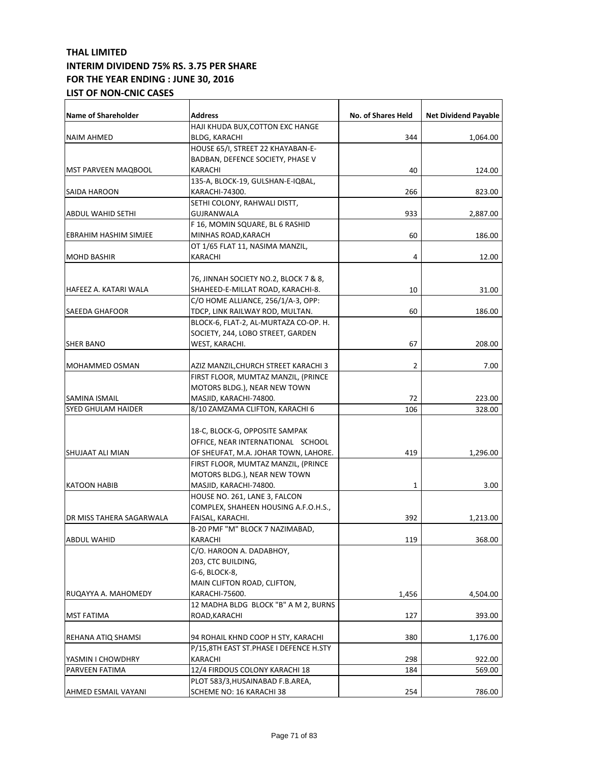| <b>Name of Shareholder</b>   | <b>Address</b>                         | No. of Shares Held | <b>Net Dividend Payable</b> |
|------------------------------|----------------------------------------|--------------------|-----------------------------|
|                              | HAJI KHUDA BUX,COTTON EXC HANGE        |                    |                             |
| NAIM AHMED                   | <b>BLDG, KARACHI</b>                   | 344                | 1,064.00                    |
|                              | HOUSE 65/I, STREET 22 KHAYABAN-E-      |                    |                             |
|                              | BADBAN, DEFENCE SOCIETY, PHASE V       |                    |                             |
| <b>MST PARVEEN MAQBOOL</b>   | KARACHI                                | 40                 | 124.00                      |
|                              | 135-A, BLOCK-19, GULSHAN-E-IQBAL,      |                    |                             |
| SAIDA HAROON                 | KARACHI-74300.                         | 266                | 823.00                      |
|                              | SETHI COLONY, RAHWALI DISTT,           |                    |                             |
| <b>ABDUL WAHID SETHI</b>     | GUJRANWALA                             | 933                | 2,887.00                    |
|                              | F 16, MOMIN SQUARE, BL 6 RASHID        |                    |                             |
| <b>EBRAHIM HASHIM SIMJEE</b> | MINHAS ROAD, KARACH                    | 60                 | 186.00                      |
|                              | OT 1/65 FLAT 11, NASIMA MANZIL,        |                    |                             |
| <b>MOHD BASHIR</b>           | KARACHI                                | 4                  | 12.00                       |
|                              |                                        |                    |                             |
|                              | 76, JINNAH SOCIETY NO.2, BLOCK 7 & 8,  |                    |                             |
| HAFEEZ A. KATARI WALA        | SHAHEED-E-MILLAT ROAD, KARACHI-8.      | 10                 | 31.00                       |
|                              | $C/O$ HOME ALLIANCE, 256/1/A-3, OPP:   |                    |                             |
| <b>SAEEDA GHAFOOR</b>        | TDCP, LINK RAILWAY ROD, MULTAN.        | 60                 | 186.00                      |
|                              | BLOCK-6, FLAT-2, AL-MURTAZA CO-OP. H.  |                    |                             |
|                              | SOCIETY, 244, LOBO STREET, GARDEN      |                    |                             |
| <b>SHER BANO</b>             | WEST, KARACHI.                         | 67                 | 208.00                      |
|                              |                                        |                    |                             |
| <b>MOHAMMED OSMAN</b>        | AZIZ MANZIL,CHURCH STREET KARACHI 3    | 2                  | 7.00                        |
|                              | FIRST FLOOR, MUMTAZ MANZIL, (PRINCE    |                    |                             |
|                              | MOTORS BLDG.), NEAR NEW TOWN           |                    |                             |
| SAMINA ISMAIL                | MASJID, KARACHI-74800.                 | 72                 | 223.00                      |
| SYED GHULAM HAIDER           | 8/10 ZAMZAMA CLIFTON, KARACHI 6        | 106                | 328.00                      |
|                              |                                        |                    |                             |
|                              | 18-C, BLOCK-G, OPPOSITE SAMPAK         |                    |                             |
|                              | OFFICE, NEAR INTERNATIONAL SCHOOL      |                    |                             |
| SHUJAAT ALI MIAN             | OF SHEUFAT, M.A. JOHAR TOWN, LAHORE.   | 419                | 1,296.00                    |
|                              | FIRST FLOOR, MUMTAZ MANZIL, (PRINCE    |                    |                             |
|                              | MOTORS BLDG.), NEAR NEW TOWN           |                    |                             |
| <b>KATOON HABIB</b>          | MASJID, KARACHI-74800.                 | $\mathbf{1}$       | 3.00                        |
|                              | HOUSE NO. 261, LANE 3, FALCON          |                    |                             |
|                              | COMPLEX, SHAHEEN HOUSING A.F.O.H.S.,   |                    |                             |
| DR MISS TAHERA SAGARWALA     | FAISAL, KARACHI.                       | 392                | 1,213.00                    |
|                              | B-20 PMF "M" BLOCK 7 NAZIMABAD,        |                    |                             |
| ABDUL WAHID                  | KARACHI                                | 119                | 368.00                      |
|                              | C/O. HAROON A. DADABHOY,               |                    |                             |
|                              | 203, CTC BUILDING,                     |                    |                             |
|                              | G-6, BLOCK-8,                          |                    |                             |
|                              | MAIN CLIFTON ROAD, CLIFTON,            |                    |                             |
| RUQAYYA A. MAHOMEDY          | KARACHI-75600.                         | 1,456              | 4,504.00                    |
|                              | 12 MADHA BLDG BLOCK "B" A M 2, BURNS   |                    |                             |
| <b>MST FATIMA</b>            | ROAD, KARACHI                          | 127                | 393.00                      |
|                              |                                        |                    |                             |
| REHANA ATIQ SHAMSI           | 94 ROHAIL KHND COOP H STY, KARACHI     | 380                | 1,176.00                    |
|                              | P/15,8TH EAST ST.PHASE I DEFENCE H.STY |                    |                             |
| YASMIN I CHOWDHRY            | KARACHI                                | 298                | 922.00                      |
| PARVEEN FATIMA               | 12/4 FIRDOUS COLONY KARACHI 18         | 184                | 569.00                      |
|                              | PLOT 583/3, HUSAINABAD F.B. AREA,      |                    |                             |
|                              | SCHEME NO: 16 KARACHI 38               |                    |                             |
| AHMED ESMAIL VAYANI          |                                        | 254                | 786.00                      |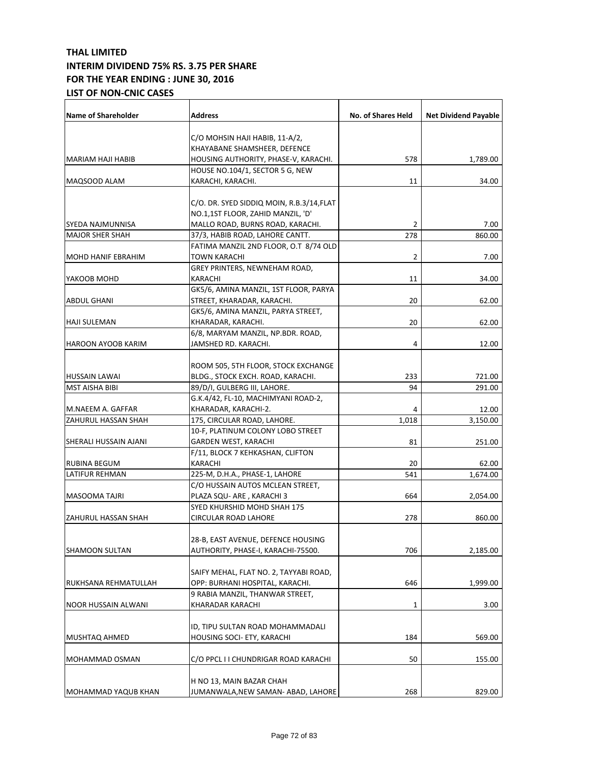| <b>Name of Shareholder</b> | Address                                  | No. of Shares Held | <b>Net Dividend Payable</b> |
|----------------------------|------------------------------------------|--------------------|-----------------------------|
|                            | C/O MOHSIN HAJI HABIB, 11-A/2,           |                    |                             |
|                            | KHAYABANE SHAMSHEER, DEFENCE             |                    |                             |
| MARIAM HAJI HABIB          | HOUSING AUTHORITY, PHASE-V, KARACHI.     | 578                | 1,789.00                    |
|                            | HOUSE NO.104/1, SECTOR 5 G, NEW          |                    |                             |
| MAQSOOD ALAM               | KARACHI, KARACHI.                        |                    |                             |
|                            |                                          | 11                 | 34.00                       |
|                            | C/O. DR. SYED SIDDIQ MOIN, R.B.3/14,FLAT |                    |                             |
|                            | NO.1,1ST FLOOR, ZAHID MANZIL, 'D'        |                    |                             |
| SYEDA NAJMUNNISA           | MALLO ROAD, BURNS ROAD, KARACHI.         | 2                  | 7.00                        |
| <b>MAJOR SHER SHAH</b>     | 37/3, HABIB ROAD, LAHORE CANTT.          | 278                | 860.00                      |
|                            | FATIMA MANZIL 2ND FLOOR, O.T 8/74 OLD    |                    |                             |
| <b>MOHD HANIF EBRAHIM</b>  | TOWN KARACHI                             | $\overline{2}$     | 7.00                        |
|                            | GREY PRINTERS, NEWNEHAM ROAD,            |                    |                             |
|                            |                                          |                    |                             |
| YAKOOB MOHD                | KARACHI                                  | 11                 | 34.00                       |
|                            | GK5/6, AMINA MANZIL, 1ST FLOOR, PARYA    |                    |                             |
| ABDUL GHANI                | STREET, KHARADAR, KARACHI.               | 20                 | 62.00                       |
|                            | GK5/6, AMINA MANZIL, PARYA STREET,       |                    |                             |
| <b>HAJI SULEMAN</b>        | KHARADAR, KARACHI.                       | 20                 | 62.00                       |
|                            | 6/8, MARYAM MANZIL, NP.BDR. ROAD,        |                    |                             |
| HAROON AYOOB KARIM         | JAMSHED RD. KARACHI.                     | 4                  | 12.00                       |
|                            |                                          |                    |                             |
|                            | ROOM 505, 5TH FLOOR, STOCK EXCHANGE      |                    |                             |
| <b>HUSSAIN LAWAI</b>       | BLDG., STOCK EXCH. ROAD, KARACHI.        | 233                | 721.00                      |
| <b>MST AISHA BIBI</b>      | 89/D/I, GULBERG III, LAHORE.             | 94                 | 291.00                      |
|                            | G.K.4/42, FL-10, MACHIMYANI ROAD-2,      |                    |                             |
| M.NAEEM A. GAFFAR          | KHARADAR, KARACHI-2.                     | 4                  | 12.00                       |
| <b>ZAHURUL HASSAN SHAH</b> | 175, CIRCULAR ROAD, LAHORE.              | 1,018              | 3,150.00                    |
|                            | 10-F, PLATINUM COLONY LOBO STREET        |                    |                             |
| SHERALI HUSSAIN AJANI      | <b>GARDEN WEST, KARACHI</b>              | 81                 | 251.00                      |
|                            | F/11, BLOCK 7 KEHKASHAN, CLIFTON         |                    |                             |
| RUBINA BEGUM               | KARACHI                                  | 20                 | 62.00                       |
| LATIFUR REHMAN             | 225-M, D.H.A., PHASE-1, LAHORE           | 541                | 1,674.00                    |
|                            | C/O HUSSAIN AUTOS MCLEAN STREET,         |                    |                             |
| <b>MASOOMA TAJRI</b>       | PLAZA SQU- ARE, KARACHI 3                | 664                | 2,054.00                    |
|                            | SYED KHURSHID MOHD SHAH 175              |                    |                             |
| <b>ZAHURUL HASSAN SHAH</b> | <b>CIRCULAR ROAD LAHORE</b>              | 278                | 860.00                      |
|                            |                                          |                    |                             |
|                            | 28-B, EAST AVENUE, DEFENCE HOUSING       |                    |                             |
| SHAMOON SULTAN             | AUTHORITY, PHASE-I, KARACHI-75500.       | 706                | 2,185.00                    |
|                            |                                          |                    |                             |
|                            | SAIFY MEHAL, FLAT NO. 2, TAYYABI ROAD,   |                    |                             |
| RUKHSANA REHMATULLAH       | OPP: BURHANI HOSPITAL, KARACHI.          | 646                | 1,999.00                    |
|                            | 9 RABIA MANZIL, THANWAR STREET,          |                    |                             |
| NOOR HUSSAIN ALWANI        | KHARADAR KARACHI                         | 1                  | 3.00                        |
|                            |                                          |                    |                             |
|                            | ID, TIPU SULTAN ROAD MOHAMMADALI         |                    |                             |
| <b>MUSHTAQ AHMED</b>       | HOUSING SOCI- ETY, KARACHI               | 184                | 569.00                      |
|                            |                                          |                    |                             |
| MOHAMMAD OSMAN             | C/O PPCL I I CHUNDRIGAR ROAD KARACHI     | 50                 | 155.00                      |
|                            |                                          |                    |                             |
|                            | H NO 13, MAIN BAZAR CHAH                 |                    |                             |
| MOHAMMAD YAQUB KHAN        | JUMANWALA, NEW SAMAN-ABAD, LAHORE        | 268                | 829.00                      |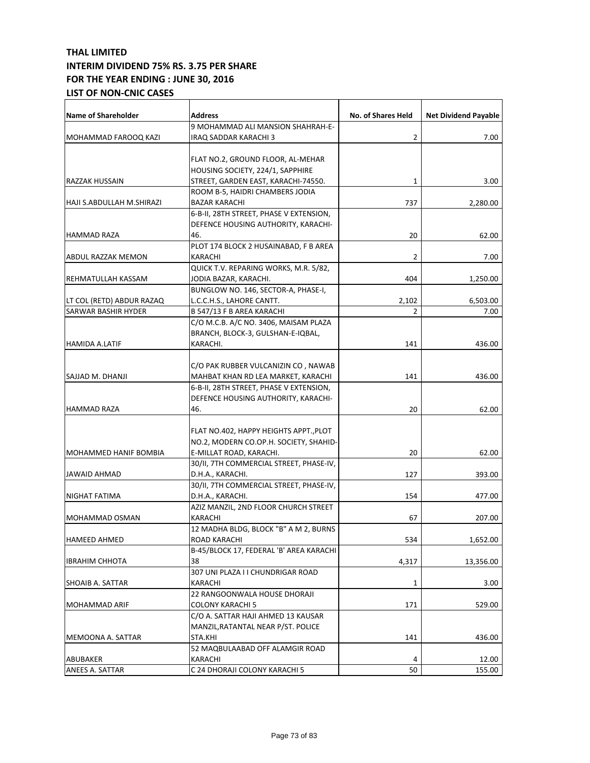| Name of Shareholder          | <b>Address</b>                          | No. of Shares Held | <b>Net Dividend Payable</b> |
|------------------------------|-----------------------------------------|--------------------|-----------------------------|
|                              | 9 MOHAMMAD ALI MANSION SHAHRAH-E-       |                    |                             |
| MOHAMMAD FAROOQ KAZI         | IRAQ SADDAR KARACHI 3                   | 2                  | 7.00                        |
|                              |                                         |                    |                             |
|                              | FLAT NO.2, GROUND FLOOR, AL-MEHAR       |                    |                             |
|                              | HOUSING SOCIETY, 224/1, SAPPHIRE        |                    |                             |
| RAZZAK HUSSAIN               | STREET, GARDEN EAST, KARACHI-74550.     | 1                  | 3.00                        |
|                              | ROOM B-5, HAIDRI CHAMBERS JODIA         |                    |                             |
| HAJI S.ABDULLAH M.SHIRAZI    | <b>BAZAR KARACHI</b>                    | 737                | 2,280.00                    |
|                              | 6-B-II, 28TH STREET, PHASE V EXTENSION, |                    |                             |
|                              | DEFENCE HOUSING AUTHORITY, KARACHI-     |                    |                             |
| <b>HAMMAD RAZA</b>           | 46.                                     | 20                 | 62.00                       |
|                              | PLOT 174 BLOCK 2 HUSAINABAD, F B AREA   |                    |                             |
| ABDUL RAZZAK MEMON           | KARACHI                                 | 2                  | 7.00                        |
|                              | QUICK T.V. REPARING WORKS, M.R. 5/82,   |                    |                             |
| REHMATULLAH KASSAM           | JODIA BAZAR, KARACHI.                   | 404                | 1,250.00                    |
|                              | BUNGLOW NO. 146, SECTOR-A, PHASE-I,     |                    |                             |
| LT COL (RETD) ABDUR RAZAQ    | L.C.C.H.S., LAHORE CANTT.               | 2,102              | 6,503.00                    |
| <b>SARWAR BASHIR HYDER</b>   | B 547/13 F B AREA KARACHI               | 2                  | 7.00                        |
|                              | C/O M.C.B. A/C NO. 3406, MAISAM PLAZA   |                    |                             |
|                              | BRANCH, BLOCK-3, GULSHAN-E-IQBAL,       |                    |                             |
| HAMIDA A.LATIF               | KARACHI.                                | 141                | 436.00                      |
|                              |                                         |                    |                             |
|                              | C/O PAK RUBBER VULCANIZIN CO , NAWAB    |                    |                             |
| SAJJAD M. DHANJI             | MAHBAT KHAN RD LEA MARKET, KARACHI      | 141                | 436.00                      |
|                              | 6-B-II, 28TH STREET, PHASE V EXTENSION, |                    |                             |
|                              | DEFENCE HOUSING AUTHORITY, KARACHI-     |                    |                             |
| <b>HAMMAD RAZA</b>           | 46.                                     | 20                 | 62.00                       |
|                              |                                         |                    |                             |
|                              | FLAT NO.402, HAPPY HEIGHTS APPT., PLOT  |                    |                             |
|                              | NO.2, MODERN CO.OP.H. SOCIETY, SHAHID-  |                    |                             |
| <b>MOHAMMED HANIF BOMBIA</b> | E-MILLAT ROAD, KARACHI.                 | 20                 | 62.00                       |
|                              | 30/II, 7TH COMMERCIAL STREET, PHASE-IV, |                    |                             |
| JAWAID AHMAD                 | D.H.A., KARACHI.                        | 127                | 393.00                      |
|                              | 30/II, 7TH COMMERCIAL STREET, PHASE-IV, |                    |                             |
| NIGHAT FATIMA                | D.H.A., KARACHI.                        | 154                | 477.00                      |
|                              | AZIZ MANZIL, 2ND FLOOR CHURCH STREET    |                    |                             |
| <b>MOHAMMAD OSMAN</b>        | KARACHI                                 | 67                 | 207.00                      |
|                              | 12 MADHA BLDG, BLOCK "B" A M 2, BURNS   |                    |                             |
| <b>HAMEED AHMED</b>          | ROAD KARACHI                            | 534                | 1,652.00                    |
|                              | B-45/BLOCK 17, FEDERAL 'B' AREA KARACHI |                    |                             |
| <b>IBRAHIM CHHOTA</b>        | 38                                      | 4,317              | 13,356.00                   |
|                              | 307 UNI PLAZA I I CHUNDRIGAR ROAD       |                    |                             |
| SHOAIB A. SATTAR             | KARACHI                                 | 1                  | 3.00                        |
|                              | 22 RANGOONWALA HOUSE DHORAJI            |                    |                             |
| MOHAMMAD ARIF                | COLONY KARACHI 5                        | 171                | 529.00                      |
|                              | C/O A. SATTAR HAJI AHMED 13 KAUSAR      |                    |                             |
|                              | MANZIL, RATANTAL NEAR P/ST. POLICE      |                    |                             |
| MEMOONA A. SATTAR            | STA.KHI                                 | 141                | 436.00                      |
|                              | 52 MAQBULAABAD OFF ALAMGIR ROAD         |                    |                             |
| ABUBAKER                     | KARACHI                                 | 4                  | 12.00                       |
| ANEES A. SATTAR              | C 24 DHORAJI COLONY KARACHI 5           | 50                 | 155.00                      |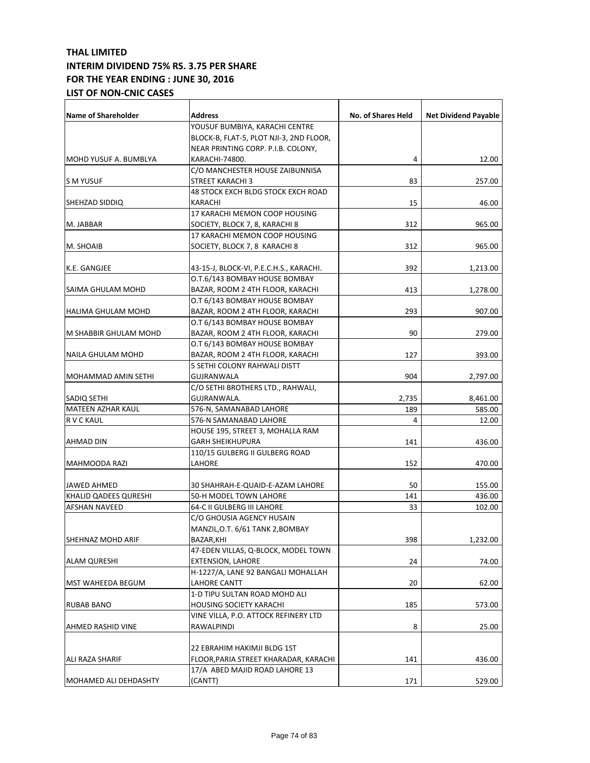| <b>Name of Shareholder</b> | <b>Address</b>                          | No. of Shares Held | <b>Net Dividend Payable</b> |
|----------------------------|-----------------------------------------|--------------------|-----------------------------|
|                            | YOUSUF BUMBIYA, KARACHI CENTRE          |                    |                             |
|                            | BLOCK-B, FLAT-5, PLOT NJI-3, 2ND FLOOR, |                    |                             |
|                            | NEAR PRINTING CORP. P.I.B. COLONY,      |                    |                             |
| IMOHD YUSUF A. BUMBLYA     | KARACHI-74800.                          | 4                  | 12.00                       |
|                            | C/O MANCHESTER HOUSE ZAIBUNNISA         |                    |                             |
| IS M YUSUF                 | STREET KARACHI 3                        | 83                 | 257.00                      |
|                            | 48 STOCK EXCH BLDG STOCK EXCH ROAD      |                    |                             |
| SHEHZAD SIDDIQ             | KARACHI                                 | 15                 | 46.00                       |
|                            | 17 KARACHI MEMON COOP HOUSING           |                    |                             |
| M. JABBAR                  | SOCIETY, BLOCK 7, 8, KARACHI 8          | 312                | 965.00                      |
|                            | 17 KARACHI MEMON COOP HOUSING           |                    |                             |
| M. SHOAIB                  | SOCIETY, BLOCK 7, 8 KARACHI 8           | 312                | 965.00                      |
| K.E. GANGJEE               | 43-15-J, BLOCK-VI, P.E.C.H.S., KARACHI. | 392                | 1,213.00                    |
|                            | O.T.6/143 BOMBAY HOUSE BOMBAY           |                    |                             |
| SAIMA GHULAM MOHD          | BAZAR, ROOM 2 4TH FLOOR, KARACHI        | 413                | 1,278.00                    |
|                            | O.T 6/143 BOMBAY HOUSE BOMBAY           |                    |                             |
| HALIMA GHULAM MOHD         | BAZAR, ROOM 2 4TH FLOOR, KARACHI        | 293                | 907.00                      |
|                            | O.T 6/143 BOMBAY HOUSE BOMBAY           |                    |                             |
| M SHABBIR GHULAM MOHD      | BAZAR, ROOM 2 4TH FLOOR, KARACHI        | 90                 | 279.00                      |
|                            | O.T 6/143 BOMBAY HOUSE BOMBAY           |                    |                             |
| NAILA GHULAM MOHD          | BAZAR, ROOM 2 4TH FLOOR, KARACHI        | 127                | 393.00                      |
|                            | 5 SETHI COLONY RAHWALI DISTT            |                    |                             |
| <b>MOHAMMAD AMIN SETHI</b> | GUJRANWALA                              | 904                | 2,797.00                    |
|                            | C/O SETHI BROTHERS LTD., RAHWALI,       |                    |                             |
| <b>SADIQ SETHI</b>         | GUJRANWALA.                             | 2,735              | 8,461.00                    |
| MATEEN AZHAR KAUL          | 576-N, SAMANABAD LAHORE                 | 189                | 585.00                      |
| R V C KAUL                 | 576-N SAMANABAD LAHORE                  | 4                  | 12.00                       |
|                            | HOUSE 195, STREET 3, MOHALLA RAM        |                    |                             |
| <b>AHMAD DIN</b>           | <b>GARH SHEIKHUPURA</b>                 | 141                | 436.00                      |
|                            | 110/15 GULBERG II GULBERG ROAD          |                    |                             |
| MAHMOODA RAZI              | LAHORE                                  | 152                | 470.00                      |
| <b>JAWED AHMED</b>         | 30 SHAHRAH-E-QUAID-E-AZAM LAHORE        | 50                 | 155.00                      |
| KHALID QADEES QURESHI      | 50-H MODEL TOWN LAHORE                  | 141                | 436.00                      |
| <b>AFSHAN NAVEED</b>       | 64-C II GULBERG III LAHORE              | 33                 | 102.00                      |
|                            | C/O GHOUSIA AGENCY HUSAIN               |                    |                             |
|                            | MANZIL, O.T. 6/61 TANK 2, BOMBAY        |                    |                             |
| SHEHNAZ MOHD ARIF          | BAZAR, KHI                              | 398                | 1,232.00                    |
|                            | 47-EDEN VILLAS, Q-BLOCK, MODEL TOWN     |                    |                             |
| <b>ALAM QURESHI</b>        | EXTENSION, LAHORE                       | 24                 | 74.00                       |
|                            | H-1227/A, LANE 92 BANGALI MOHALLAH      |                    |                             |
| <b>MST WAHEEDA BEGUM</b>   | LAHORE CANTT                            | 20                 | 62.00                       |
|                            | 1-D TIPU SULTAN ROAD MOHD ALI           |                    |                             |
| <b>RUBAB BANO</b>          | HOUSING SOCIETY KARACHI                 | 185                | 573.00                      |
|                            | VINE VILLA, P.O. ATTOCK REFINERY LTD    |                    |                             |
| AHMED RASHID VINE          | RAWALPINDI                              | 8                  | 25.00                       |
|                            |                                         |                    |                             |
|                            | 22 EBRAHIM HAKIMJI BLDG 1ST             |                    |                             |
| ALI RAZA SHARIF            | FLOOR, PARIA STREET KHARADAR, KARACHI   | 141                | 436.00                      |
|                            | 17/A ABED MAJID ROAD LAHORE 13          |                    |                             |
| MOHAMED ALI DEHDASHTY      | (CANTT)                                 | 171                | 529.00                      |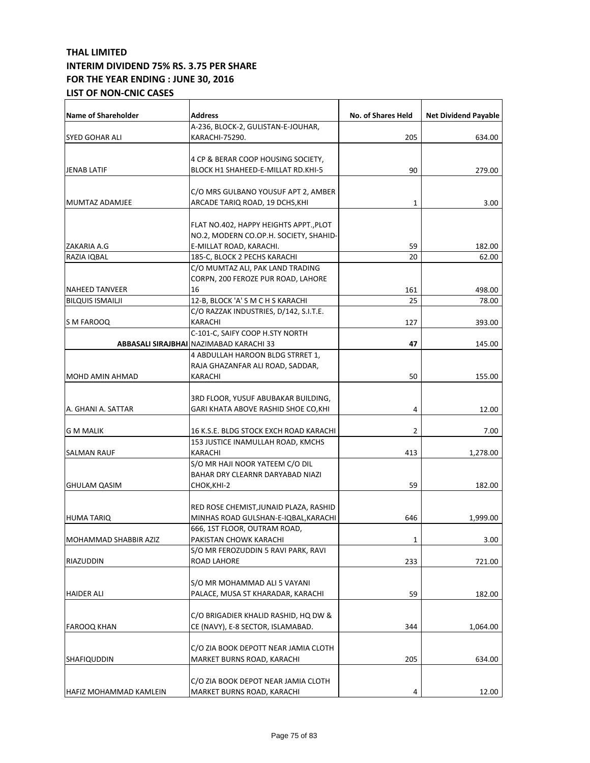| Name of Shareholder     | <b>Address</b>                                                         | <b>No. of Shares Held</b> | <b>Net Dividend Payable</b> |
|-------------------------|------------------------------------------------------------------------|---------------------------|-----------------------------|
|                         | A-236, BLOCK-2, GULISTAN-E-JOUHAR,                                     |                           |                             |
| SYED GOHAR ALI          | KARACHI-75290.                                                         | 205                       | 634.00                      |
|                         |                                                                        |                           |                             |
|                         | 4 CP & BERAR COOP HOUSING SOCIETY,                                     |                           |                             |
| <b>JENAB LATIF</b>      | BLOCK H1 SHAHEED-E-MILLAT RD.KHI-5                                     | 90                        | 279.00                      |
|                         |                                                                        |                           |                             |
| MUMTAZ ADAMJEE          | C/O MRS GULBANO YOUSUF APT 2, AMBER<br>ARCADE TARIQ ROAD, 19 DCHS, KHI | 1                         | 3.00                        |
|                         |                                                                        |                           |                             |
|                         | FLAT NO.402, HAPPY HEIGHTS APPT., PLOT                                 |                           |                             |
|                         | NO.2, MODERN CO.OP.H. SOCIETY, SHAHID-                                 |                           |                             |
| ZAKARIA A.G             | E-MILLAT ROAD, KARACHI.                                                | 59                        | 182.00                      |
| RAZIA IQBAL             | 185-C, BLOCK 2 PECHS KARACHI                                           | 20                        | 62.00                       |
|                         | C/O MUMTAZ ALI, PAK LAND TRADING                                       |                           |                             |
|                         | CORPN, 200 FEROZE PUR ROAD, LAHORE                                     |                           |                             |
| <b>NAHEED TANVEER</b>   | 16                                                                     | 161                       | 498.00                      |
| <b>BILQUIS ISMAILJI</b> | 12-B, BLOCK 'A' S M C H S KARACHI                                      | 25                        | 78.00                       |
|                         | C/O RAZZAK INDUSTRIES, D/142, S.I.T.E.                                 |                           |                             |
| S M FAROOQ              | KARACHI                                                                | 127                       | 393.00                      |
|                         | C-101-C, SAIFY COOP H.STY NORTH                                        |                           |                             |
|                         | ABBASALI SIRAJBHAI NAZIMABAD KARACHI 33                                | 47                        | 145.00                      |
|                         | 4 ABDULLAH HAROON BLDG STRRET 1,                                       |                           |                             |
|                         | RAJA GHAZANFAR ALI ROAD, SADDAR,                                       |                           |                             |
| MOHD AMIN AHMAD         | KARACHI                                                                | 50                        | 155.00                      |
|                         |                                                                        |                           |                             |
|                         | 3RD FLOOR, YUSUF ABUBAKAR BUILDING,                                    |                           |                             |
| A. GHANI A. SATTAR      | GARI KHATA ABOVE RASHID SHOE CO, KHI                                   | 4                         | 12.00                       |
|                         |                                                                        |                           |                             |
| <b>G M MALIK</b>        | 16 K.S.E. BLDG STOCK EXCH ROAD KARACHI                                 | $\overline{2}$            | 7.00                        |
|                         | 153 JUSTICE INAMULLAH ROAD, KMCHS                                      |                           |                             |
| <b>SALMAN RAUF</b>      | KARACHI                                                                | 413                       | 1,278.00                    |
|                         | S/O MR HAJI NOOR YATEEM C/O DIL                                        |                           |                             |
|                         | BAHAR DRY CLEARNR DARYABAD NIAZI                                       |                           |                             |
| <b>GHULAM QASIM</b>     | CHOK,KHI-2                                                             | 59                        | 182.00                      |
|                         |                                                                        |                           |                             |
|                         | RED ROSE CHEMIST, JUNAID PLAZA, RASHID                                 |                           |                             |
| HUMA TARIQ              | MINHAS ROAD GULSHAN-E-IQBAL, KARACHI                                   | 646                       | 1,999.00                    |
|                         | 666, 1ST FLOOR, OUTRAM ROAD,                                           |                           |                             |
| MOHAMMAD SHABBIR AZIZ   | PAKISTAN CHOWK KARACHI                                                 | 1                         | 3.00                        |
|                         | S/O MR FEROZUDDIN 5 RAVI PARK, RAVI                                    |                           |                             |
| RIAZUDDIN               | <b>ROAD LAHORE</b>                                                     | 233                       | 721.00                      |
|                         |                                                                        |                           |                             |
|                         | S/O MR MOHAMMAD ALI 5 VAYANI                                           |                           |                             |
| <b>HAIDER ALI</b>       | PALACE, MUSA ST KHARADAR, KARACHI                                      | 59                        | 182.00                      |
|                         |                                                                        |                           |                             |
|                         | C/O BRIGADIER KHALID RASHID, HQ DW &                                   |                           |                             |
| <b>FAROOQ KHAN</b>      | CE (NAVY), E-8 SECTOR, ISLAMABAD.                                      | 344                       | 1,064.00                    |
|                         |                                                                        |                           |                             |
|                         | C/O ZIA BOOK DEPOTT NEAR JAMIA CLOTH                                   |                           |                             |
| SHAFIQUDDIN             | MARKET BURNS ROAD, KARACHI                                             | 205                       | 634.00                      |
|                         |                                                                        |                           |                             |
|                         | C/O ZIA BOOK DEPOT NEAR JAMIA CLOTH                                    |                           |                             |
| HAFIZ MOHAMMAD KAMLEIN  | MARKET BURNS ROAD, KARACHI                                             | 4                         | 12.00                       |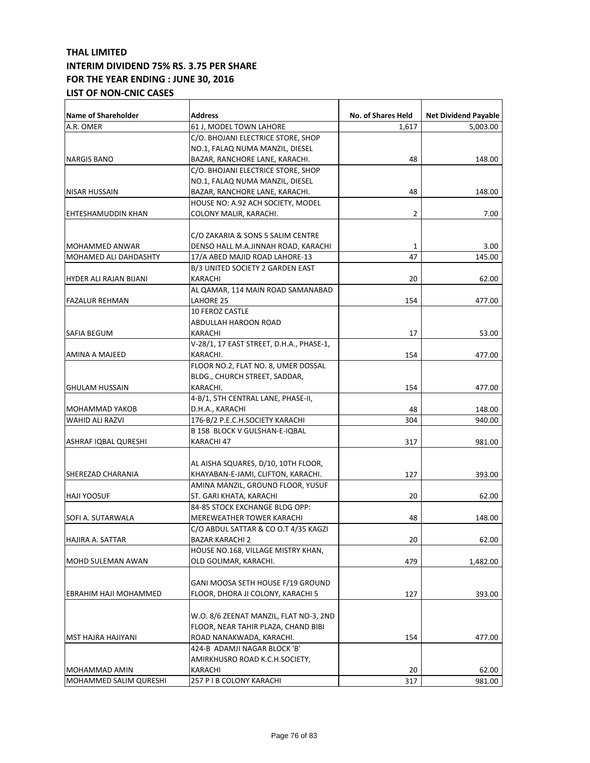| A.R. OMER<br>61 J, MODEL TOWN LAHORE<br>1,617<br>5,003.00<br>C/O. BHOJANI ELECTRICE STORE, SHOP<br>NO.1, FALAQ NUMA MANZIL, DIESEL<br><b>NARGIS BANO</b><br>BAZAR, RANCHORE LANE, KARACHI.<br>48<br>148.00<br>C/O. BHOJANI ELECTRICE STORE, SHOP<br>NO.1, FALAQ NUMA MANZIL, DIESEL<br>48<br>BAZAR, RANCHORE LANE, KARACHI.<br>148.00<br>NISAR HUSSAIN<br>HOUSE NO: A.92 ACH SOCIETY, MODEL<br>2<br>7.00<br>COLONY MALIR, KARACHI.<br>C/O ZAKARIA & SONS 5 SALIM CENTRE<br>3.00<br>MOHAMMED ANWAR<br>DENSO HALL M.A.JINNAH ROAD, KARACHI<br>1<br>47<br>145.00<br>MOHAMED ALI DAHDASHTY<br>17/A ABED MAJID ROAD LAHORE-13<br>B/3 UNITED SOCIETY 2 GARDEN EAST<br>HYDER ALI RAJAN BIJANI<br>KARACHI<br>20<br>62.00<br>AL QAMAR, 114 MAIN ROAD SAMANABAD<br>LAHORE 25<br><b>FAZALUR REHMAN</b><br>154<br>477.00<br><b>10 FEROZ CASTLE</b><br>ABDULLAH HAROON ROAD<br>17<br>53.00<br>KARACHI<br>V-28/1, 17 EAST STREET, D.H.A., PHASE-1,<br>KARACHI.<br>154<br>477.00<br>FLOOR NO.2, FLAT NO. 8, UMER DOSSAL<br>BLDG., CHURCH STREET, SADDAR,<br>KARACHI.<br>154<br>477.00<br><b>GHULAM HUSSAIN</b><br>4-B/1, 5TH CENTRAL LANE, PHASE-II,<br>D.H.A., KARACHI<br>48<br>148.00<br>MOHAMMAD YAKOB<br><b>WAHID ALI RAZVI</b><br>176-B/2 P.E.C.H.SOCIETY KARACHI<br>304<br>940.00<br>B 158 BLOCK V GULSHAN-E-IQBAL<br>ASHRAF IQBAL QURESHI<br>KARACHI 47<br>317<br>981.00<br>AL AISHA SQUARES, D/10, 10TH FLOOR,<br>KHAYABAN-E-JAMI, CLIFTON, KARACHI.<br>127<br>SHEREZAD CHARANIA<br>393.00<br>AMINA MANZIL, GROUND FLOOR, YUSUF<br>20<br>ST. GARI KHATA, KARACHI<br>62.00<br><b>HAJI YOOSUF</b><br>84-85 STOCK EXCHANGE BLDG OPP:<br>48<br><b>MEREWEATHER TOWER KARACHI</b><br>148.00<br>C/O ABDUL SATTAR & CO O.T 4/35 KAGZI<br>HAJIRA A. SATTAR<br><b>BAZAR KARACHI 2</b><br>62.00<br>20<br>HOUSE NO.168, VILLAGE MISTRY KHAN,<br>OLD GOLIMAR, KARACHI.<br>MOHD SULEMAN AWAN<br>479<br>1,482.00<br>GANI MOOSA SETH HOUSE F/19 GROUND<br>FLOOR, DHORA JI COLONY, KARACHI 5<br>127<br>393.00<br>EBRAHIM HAJI MOHAMMED<br>W.O. 8/6 ZEENAT MANZIL, FLAT NO-3, 2ND<br>FLOOR, NEAR TAHIR PLAZA, CHAND BIBI<br>ROAD NANAKWADA, KARACHI.<br>477.00<br>MST HAJRA HAJIYANI<br>154<br>424-B ADAMJI NAGAR BLOCK 'B'<br>AMIRKHUSRO ROAD K.C.H.SOCIETY,<br>MOHAMMAD AMIN<br>KARACHI<br>20<br>62.00<br>257 P I B COLONY KARACHI<br>317<br>MOHAMMED SALIM QURESHI<br>981.00 | <b>Name of Shareholder</b> | <b>Address</b> | No. of Shares Held | <b>Net Dividend Payable</b> |
|--------------------------------------------------------------------------------------------------------------------------------------------------------------------------------------------------------------------------------------------------------------------------------------------------------------------------------------------------------------------------------------------------------------------------------------------------------------------------------------------------------------------------------------------------------------------------------------------------------------------------------------------------------------------------------------------------------------------------------------------------------------------------------------------------------------------------------------------------------------------------------------------------------------------------------------------------------------------------------------------------------------------------------------------------------------------------------------------------------------------------------------------------------------------------------------------------------------------------------------------------------------------------------------------------------------------------------------------------------------------------------------------------------------------------------------------------------------------------------------------------------------------------------------------------------------------------------------------------------------------------------------------------------------------------------------------------------------------------------------------------------------------------------------------------------------------------------------------------------------------------------------------------------------------------------------------------------------------------------------------------------------------------------------------------------------------------------------------------------------------------------------------------------------------------------------------------------------------------------------------------------------------------------------------------------------------------------------------------------|----------------------------|----------------|--------------------|-----------------------------|
|                                                                                                                                                                                                                                                                                                                                                                                                                                                                                                                                                                                                                                                                                                                                                                                                                                                                                                                                                                                                                                                                                                                                                                                                                                                                                                                                                                                                                                                                                                                                                                                                                                                                                                                                                                                                                                                                                                                                                                                                                                                                                                                                                                                                                                                                                                                                                        |                            |                |                    |                             |
|                                                                                                                                                                                                                                                                                                                                                                                                                                                                                                                                                                                                                                                                                                                                                                                                                                                                                                                                                                                                                                                                                                                                                                                                                                                                                                                                                                                                                                                                                                                                                                                                                                                                                                                                                                                                                                                                                                                                                                                                                                                                                                                                                                                                                                                                                                                                                        |                            |                |                    |                             |
|                                                                                                                                                                                                                                                                                                                                                                                                                                                                                                                                                                                                                                                                                                                                                                                                                                                                                                                                                                                                                                                                                                                                                                                                                                                                                                                                                                                                                                                                                                                                                                                                                                                                                                                                                                                                                                                                                                                                                                                                                                                                                                                                                                                                                                                                                                                                                        |                            |                |                    |                             |
|                                                                                                                                                                                                                                                                                                                                                                                                                                                                                                                                                                                                                                                                                                                                                                                                                                                                                                                                                                                                                                                                                                                                                                                                                                                                                                                                                                                                                                                                                                                                                                                                                                                                                                                                                                                                                                                                                                                                                                                                                                                                                                                                                                                                                                                                                                                                                        |                            |                |                    |                             |
|                                                                                                                                                                                                                                                                                                                                                                                                                                                                                                                                                                                                                                                                                                                                                                                                                                                                                                                                                                                                                                                                                                                                                                                                                                                                                                                                                                                                                                                                                                                                                                                                                                                                                                                                                                                                                                                                                                                                                                                                                                                                                                                                                                                                                                                                                                                                                        |                            |                |                    |                             |
|                                                                                                                                                                                                                                                                                                                                                                                                                                                                                                                                                                                                                                                                                                                                                                                                                                                                                                                                                                                                                                                                                                                                                                                                                                                                                                                                                                                                                                                                                                                                                                                                                                                                                                                                                                                                                                                                                                                                                                                                                                                                                                                                                                                                                                                                                                                                                        |                            |                |                    |                             |
|                                                                                                                                                                                                                                                                                                                                                                                                                                                                                                                                                                                                                                                                                                                                                                                                                                                                                                                                                                                                                                                                                                                                                                                                                                                                                                                                                                                                                                                                                                                                                                                                                                                                                                                                                                                                                                                                                                                                                                                                                                                                                                                                                                                                                                                                                                                                                        |                            |                |                    |                             |
|                                                                                                                                                                                                                                                                                                                                                                                                                                                                                                                                                                                                                                                                                                                                                                                                                                                                                                                                                                                                                                                                                                                                                                                                                                                                                                                                                                                                                                                                                                                                                                                                                                                                                                                                                                                                                                                                                                                                                                                                                                                                                                                                                                                                                                                                                                                                                        |                            |                |                    |                             |
|                                                                                                                                                                                                                                                                                                                                                                                                                                                                                                                                                                                                                                                                                                                                                                                                                                                                                                                                                                                                                                                                                                                                                                                                                                                                                                                                                                                                                                                                                                                                                                                                                                                                                                                                                                                                                                                                                                                                                                                                                                                                                                                                                                                                                                                                                                                                                        |                            |                |                    |                             |
|                                                                                                                                                                                                                                                                                                                                                                                                                                                                                                                                                                                                                                                                                                                                                                                                                                                                                                                                                                                                                                                                                                                                                                                                                                                                                                                                                                                                                                                                                                                                                                                                                                                                                                                                                                                                                                                                                                                                                                                                                                                                                                                                                                                                                                                                                                                                                        | EHTESHAMUDDIN KHAN         |                |                    |                             |
|                                                                                                                                                                                                                                                                                                                                                                                                                                                                                                                                                                                                                                                                                                                                                                                                                                                                                                                                                                                                                                                                                                                                                                                                                                                                                                                                                                                                                                                                                                                                                                                                                                                                                                                                                                                                                                                                                                                                                                                                                                                                                                                                                                                                                                                                                                                                                        |                            |                |                    |                             |
|                                                                                                                                                                                                                                                                                                                                                                                                                                                                                                                                                                                                                                                                                                                                                                                                                                                                                                                                                                                                                                                                                                                                                                                                                                                                                                                                                                                                                                                                                                                                                                                                                                                                                                                                                                                                                                                                                                                                                                                                                                                                                                                                                                                                                                                                                                                                                        |                            |                |                    |                             |
|                                                                                                                                                                                                                                                                                                                                                                                                                                                                                                                                                                                                                                                                                                                                                                                                                                                                                                                                                                                                                                                                                                                                                                                                                                                                                                                                                                                                                                                                                                                                                                                                                                                                                                                                                                                                                                                                                                                                                                                                                                                                                                                                                                                                                                                                                                                                                        |                            |                |                    |                             |
|                                                                                                                                                                                                                                                                                                                                                                                                                                                                                                                                                                                                                                                                                                                                                                                                                                                                                                                                                                                                                                                                                                                                                                                                                                                                                                                                                                                                                                                                                                                                                                                                                                                                                                                                                                                                                                                                                                                                                                                                                                                                                                                                                                                                                                                                                                                                                        |                            |                |                    |                             |
|                                                                                                                                                                                                                                                                                                                                                                                                                                                                                                                                                                                                                                                                                                                                                                                                                                                                                                                                                                                                                                                                                                                                                                                                                                                                                                                                                                                                                                                                                                                                                                                                                                                                                                                                                                                                                                                                                                                                                                                                                                                                                                                                                                                                                                                                                                                                                        |                            |                |                    |                             |
|                                                                                                                                                                                                                                                                                                                                                                                                                                                                                                                                                                                                                                                                                                                                                                                                                                                                                                                                                                                                                                                                                                                                                                                                                                                                                                                                                                                                                                                                                                                                                                                                                                                                                                                                                                                                                                                                                                                                                                                                                                                                                                                                                                                                                                                                                                                                                        |                            |                |                    |                             |
|                                                                                                                                                                                                                                                                                                                                                                                                                                                                                                                                                                                                                                                                                                                                                                                                                                                                                                                                                                                                                                                                                                                                                                                                                                                                                                                                                                                                                                                                                                                                                                                                                                                                                                                                                                                                                                                                                                                                                                                                                                                                                                                                                                                                                                                                                                                                                        |                            |                |                    |                             |
|                                                                                                                                                                                                                                                                                                                                                                                                                                                                                                                                                                                                                                                                                                                                                                                                                                                                                                                                                                                                                                                                                                                                                                                                                                                                                                                                                                                                                                                                                                                                                                                                                                                                                                                                                                                                                                                                                                                                                                                                                                                                                                                                                                                                                                                                                                                                                        |                            |                |                    |                             |
|                                                                                                                                                                                                                                                                                                                                                                                                                                                                                                                                                                                                                                                                                                                                                                                                                                                                                                                                                                                                                                                                                                                                                                                                                                                                                                                                                                                                                                                                                                                                                                                                                                                                                                                                                                                                                                                                                                                                                                                                                                                                                                                                                                                                                                                                                                                                                        |                            |                |                    |                             |
|                                                                                                                                                                                                                                                                                                                                                                                                                                                                                                                                                                                                                                                                                                                                                                                                                                                                                                                                                                                                                                                                                                                                                                                                                                                                                                                                                                                                                                                                                                                                                                                                                                                                                                                                                                                                                                                                                                                                                                                                                                                                                                                                                                                                                                                                                                                                                        |                            |                |                    |                             |
|                                                                                                                                                                                                                                                                                                                                                                                                                                                                                                                                                                                                                                                                                                                                                                                                                                                                                                                                                                                                                                                                                                                                                                                                                                                                                                                                                                                                                                                                                                                                                                                                                                                                                                                                                                                                                                                                                                                                                                                                                                                                                                                                                                                                                                                                                                                                                        | SAFIA BEGUM                |                |                    |                             |
|                                                                                                                                                                                                                                                                                                                                                                                                                                                                                                                                                                                                                                                                                                                                                                                                                                                                                                                                                                                                                                                                                                                                                                                                                                                                                                                                                                                                                                                                                                                                                                                                                                                                                                                                                                                                                                                                                                                                                                                                                                                                                                                                                                                                                                                                                                                                                        |                            |                |                    |                             |
|                                                                                                                                                                                                                                                                                                                                                                                                                                                                                                                                                                                                                                                                                                                                                                                                                                                                                                                                                                                                                                                                                                                                                                                                                                                                                                                                                                                                                                                                                                                                                                                                                                                                                                                                                                                                                                                                                                                                                                                                                                                                                                                                                                                                                                                                                                                                                        | <b>AMINA A MAJEED</b>      |                |                    |                             |
|                                                                                                                                                                                                                                                                                                                                                                                                                                                                                                                                                                                                                                                                                                                                                                                                                                                                                                                                                                                                                                                                                                                                                                                                                                                                                                                                                                                                                                                                                                                                                                                                                                                                                                                                                                                                                                                                                                                                                                                                                                                                                                                                                                                                                                                                                                                                                        |                            |                |                    |                             |
|                                                                                                                                                                                                                                                                                                                                                                                                                                                                                                                                                                                                                                                                                                                                                                                                                                                                                                                                                                                                                                                                                                                                                                                                                                                                                                                                                                                                                                                                                                                                                                                                                                                                                                                                                                                                                                                                                                                                                                                                                                                                                                                                                                                                                                                                                                                                                        |                            |                |                    |                             |
|                                                                                                                                                                                                                                                                                                                                                                                                                                                                                                                                                                                                                                                                                                                                                                                                                                                                                                                                                                                                                                                                                                                                                                                                                                                                                                                                                                                                                                                                                                                                                                                                                                                                                                                                                                                                                                                                                                                                                                                                                                                                                                                                                                                                                                                                                                                                                        |                            |                |                    |                             |
|                                                                                                                                                                                                                                                                                                                                                                                                                                                                                                                                                                                                                                                                                                                                                                                                                                                                                                                                                                                                                                                                                                                                                                                                                                                                                                                                                                                                                                                                                                                                                                                                                                                                                                                                                                                                                                                                                                                                                                                                                                                                                                                                                                                                                                                                                                                                                        |                            |                |                    |                             |
|                                                                                                                                                                                                                                                                                                                                                                                                                                                                                                                                                                                                                                                                                                                                                                                                                                                                                                                                                                                                                                                                                                                                                                                                                                                                                                                                                                                                                                                                                                                                                                                                                                                                                                                                                                                                                                                                                                                                                                                                                                                                                                                                                                                                                                                                                                                                                        |                            |                |                    |                             |
|                                                                                                                                                                                                                                                                                                                                                                                                                                                                                                                                                                                                                                                                                                                                                                                                                                                                                                                                                                                                                                                                                                                                                                                                                                                                                                                                                                                                                                                                                                                                                                                                                                                                                                                                                                                                                                                                                                                                                                                                                                                                                                                                                                                                                                                                                                                                                        |                            |                |                    |                             |
|                                                                                                                                                                                                                                                                                                                                                                                                                                                                                                                                                                                                                                                                                                                                                                                                                                                                                                                                                                                                                                                                                                                                                                                                                                                                                                                                                                                                                                                                                                                                                                                                                                                                                                                                                                                                                                                                                                                                                                                                                                                                                                                                                                                                                                                                                                                                                        |                            |                |                    |                             |
|                                                                                                                                                                                                                                                                                                                                                                                                                                                                                                                                                                                                                                                                                                                                                                                                                                                                                                                                                                                                                                                                                                                                                                                                                                                                                                                                                                                                                                                                                                                                                                                                                                                                                                                                                                                                                                                                                                                                                                                                                                                                                                                                                                                                                                                                                                                                                        |                            |                |                    |                             |
|                                                                                                                                                                                                                                                                                                                                                                                                                                                                                                                                                                                                                                                                                                                                                                                                                                                                                                                                                                                                                                                                                                                                                                                                                                                                                                                                                                                                                                                                                                                                                                                                                                                                                                                                                                                                                                                                                                                                                                                                                                                                                                                                                                                                                                                                                                                                                        |                            |                |                    |                             |
|                                                                                                                                                                                                                                                                                                                                                                                                                                                                                                                                                                                                                                                                                                                                                                                                                                                                                                                                                                                                                                                                                                                                                                                                                                                                                                                                                                                                                                                                                                                                                                                                                                                                                                                                                                                                                                                                                                                                                                                                                                                                                                                                                                                                                                                                                                                                                        |                            |                |                    |                             |
|                                                                                                                                                                                                                                                                                                                                                                                                                                                                                                                                                                                                                                                                                                                                                                                                                                                                                                                                                                                                                                                                                                                                                                                                                                                                                                                                                                                                                                                                                                                                                                                                                                                                                                                                                                                                                                                                                                                                                                                                                                                                                                                                                                                                                                                                                                                                                        |                            |                |                    |                             |
|                                                                                                                                                                                                                                                                                                                                                                                                                                                                                                                                                                                                                                                                                                                                                                                                                                                                                                                                                                                                                                                                                                                                                                                                                                                                                                                                                                                                                                                                                                                                                                                                                                                                                                                                                                                                                                                                                                                                                                                                                                                                                                                                                                                                                                                                                                                                                        |                            |                |                    |                             |
|                                                                                                                                                                                                                                                                                                                                                                                                                                                                                                                                                                                                                                                                                                                                                                                                                                                                                                                                                                                                                                                                                                                                                                                                                                                                                                                                                                                                                                                                                                                                                                                                                                                                                                                                                                                                                                                                                                                                                                                                                                                                                                                                                                                                                                                                                                                                                        |                            |                |                    |                             |
|                                                                                                                                                                                                                                                                                                                                                                                                                                                                                                                                                                                                                                                                                                                                                                                                                                                                                                                                                                                                                                                                                                                                                                                                                                                                                                                                                                                                                                                                                                                                                                                                                                                                                                                                                                                                                                                                                                                                                                                                                                                                                                                                                                                                                                                                                                                                                        |                            |                |                    |                             |
|                                                                                                                                                                                                                                                                                                                                                                                                                                                                                                                                                                                                                                                                                                                                                                                                                                                                                                                                                                                                                                                                                                                                                                                                                                                                                                                                                                                                                                                                                                                                                                                                                                                                                                                                                                                                                                                                                                                                                                                                                                                                                                                                                                                                                                                                                                                                                        |                            |                |                    |                             |
|                                                                                                                                                                                                                                                                                                                                                                                                                                                                                                                                                                                                                                                                                                                                                                                                                                                                                                                                                                                                                                                                                                                                                                                                                                                                                                                                                                                                                                                                                                                                                                                                                                                                                                                                                                                                                                                                                                                                                                                                                                                                                                                                                                                                                                                                                                                                                        | SOFI A. SUTARWALA          |                |                    |                             |
|                                                                                                                                                                                                                                                                                                                                                                                                                                                                                                                                                                                                                                                                                                                                                                                                                                                                                                                                                                                                                                                                                                                                                                                                                                                                                                                                                                                                                                                                                                                                                                                                                                                                                                                                                                                                                                                                                                                                                                                                                                                                                                                                                                                                                                                                                                                                                        |                            |                |                    |                             |
|                                                                                                                                                                                                                                                                                                                                                                                                                                                                                                                                                                                                                                                                                                                                                                                                                                                                                                                                                                                                                                                                                                                                                                                                                                                                                                                                                                                                                                                                                                                                                                                                                                                                                                                                                                                                                                                                                                                                                                                                                                                                                                                                                                                                                                                                                                                                                        |                            |                |                    |                             |
|                                                                                                                                                                                                                                                                                                                                                                                                                                                                                                                                                                                                                                                                                                                                                                                                                                                                                                                                                                                                                                                                                                                                                                                                                                                                                                                                                                                                                                                                                                                                                                                                                                                                                                                                                                                                                                                                                                                                                                                                                                                                                                                                                                                                                                                                                                                                                        |                            |                |                    |                             |
|                                                                                                                                                                                                                                                                                                                                                                                                                                                                                                                                                                                                                                                                                                                                                                                                                                                                                                                                                                                                                                                                                                                                                                                                                                                                                                                                                                                                                                                                                                                                                                                                                                                                                                                                                                                                                                                                                                                                                                                                                                                                                                                                                                                                                                                                                                                                                        |                            |                |                    |                             |
|                                                                                                                                                                                                                                                                                                                                                                                                                                                                                                                                                                                                                                                                                                                                                                                                                                                                                                                                                                                                                                                                                                                                                                                                                                                                                                                                                                                                                                                                                                                                                                                                                                                                                                                                                                                                                                                                                                                                                                                                                                                                                                                                                                                                                                                                                                                                                        |                            |                |                    |                             |
|                                                                                                                                                                                                                                                                                                                                                                                                                                                                                                                                                                                                                                                                                                                                                                                                                                                                                                                                                                                                                                                                                                                                                                                                                                                                                                                                                                                                                                                                                                                                                                                                                                                                                                                                                                                                                                                                                                                                                                                                                                                                                                                                                                                                                                                                                                                                                        |                            |                |                    |                             |
|                                                                                                                                                                                                                                                                                                                                                                                                                                                                                                                                                                                                                                                                                                                                                                                                                                                                                                                                                                                                                                                                                                                                                                                                                                                                                                                                                                                                                                                                                                                                                                                                                                                                                                                                                                                                                                                                                                                                                                                                                                                                                                                                                                                                                                                                                                                                                        |                            |                |                    |                             |
|                                                                                                                                                                                                                                                                                                                                                                                                                                                                                                                                                                                                                                                                                                                                                                                                                                                                                                                                                                                                                                                                                                                                                                                                                                                                                                                                                                                                                                                                                                                                                                                                                                                                                                                                                                                                                                                                                                                                                                                                                                                                                                                                                                                                                                                                                                                                                        |                            |                |                    |                             |
|                                                                                                                                                                                                                                                                                                                                                                                                                                                                                                                                                                                                                                                                                                                                                                                                                                                                                                                                                                                                                                                                                                                                                                                                                                                                                                                                                                                                                                                                                                                                                                                                                                                                                                                                                                                                                                                                                                                                                                                                                                                                                                                                                                                                                                                                                                                                                        |                            |                |                    |                             |
|                                                                                                                                                                                                                                                                                                                                                                                                                                                                                                                                                                                                                                                                                                                                                                                                                                                                                                                                                                                                                                                                                                                                                                                                                                                                                                                                                                                                                                                                                                                                                                                                                                                                                                                                                                                                                                                                                                                                                                                                                                                                                                                                                                                                                                                                                                                                                        |                            |                |                    |                             |
|                                                                                                                                                                                                                                                                                                                                                                                                                                                                                                                                                                                                                                                                                                                                                                                                                                                                                                                                                                                                                                                                                                                                                                                                                                                                                                                                                                                                                                                                                                                                                                                                                                                                                                                                                                                                                                                                                                                                                                                                                                                                                                                                                                                                                                                                                                                                                        |                            |                |                    |                             |
|                                                                                                                                                                                                                                                                                                                                                                                                                                                                                                                                                                                                                                                                                                                                                                                                                                                                                                                                                                                                                                                                                                                                                                                                                                                                                                                                                                                                                                                                                                                                                                                                                                                                                                                                                                                                                                                                                                                                                                                                                                                                                                                                                                                                                                                                                                                                                        |                            |                |                    |                             |
|                                                                                                                                                                                                                                                                                                                                                                                                                                                                                                                                                                                                                                                                                                                                                                                                                                                                                                                                                                                                                                                                                                                                                                                                                                                                                                                                                                                                                                                                                                                                                                                                                                                                                                                                                                                                                                                                                                                                                                                                                                                                                                                                                                                                                                                                                                                                                        |                            |                |                    |                             |
|                                                                                                                                                                                                                                                                                                                                                                                                                                                                                                                                                                                                                                                                                                                                                                                                                                                                                                                                                                                                                                                                                                                                                                                                                                                                                                                                                                                                                                                                                                                                                                                                                                                                                                                                                                                                                                                                                                                                                                                                                                                                                                                                                                                                                                                                                                                                                        |                            |                |                    |                             |
|                                                                                                                                                                                                                                                                                                                                                                                                                                                                                                                                                                                                                                                                                                                                                                                                                                                                                                                                                                                                                                                                                                                                                                                                                                                                                                                                                                                                                                                                                                                                                                                                                                                                                                                                                                                                                                                                                                                                                                                                                                                                                                                                                                                                                                                                                                                                                        |                            |                |                    |                             |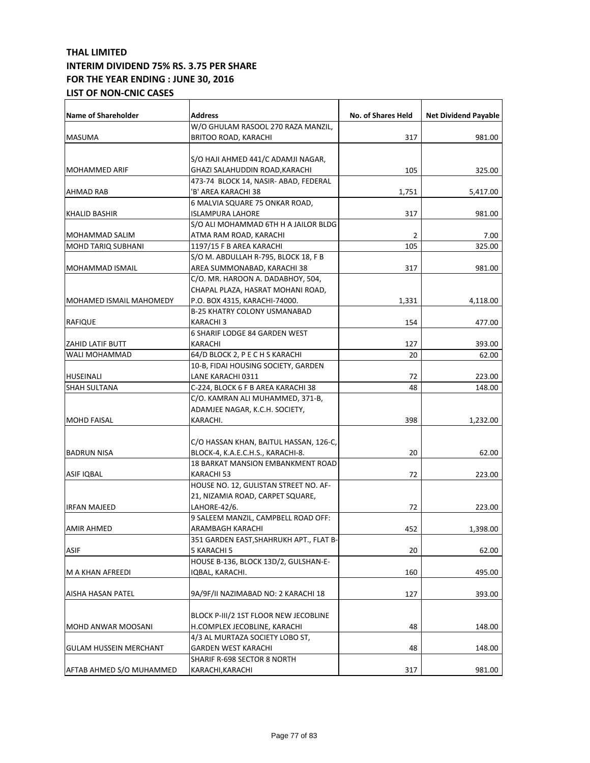| Name of Shareholder           | <b>Address</b>                          | No. of Shares Held | <b>Net Dividend Payable</b> |
|-------------------------------|-----------------------------------------|--------------------|-----------------------------|
|                               | W/O GHULAM RASOOL 270 RAZA MANZIL,      |                    |                             |
| <b>MASUMA</b>                 | BRITOO ROAD, KARACHI                    | 317                | 981.00                      |
|                               |                                         |                    |                             |
|                               | S/O HAJI AHMED 441/C ADAMJI NAGAR,      |                    |                             |
| <b>MOHAMMED ARIF</b>          | GHAZI SALAHUDDIN ROAD, KARACHI          | 105                | 325.00                      |
|                               | 473-74 BLOCK 14, NASIR- ABAD, FEDERAL   |                    |                             |
| AHMAD RAB                     | 'B' AREA KARACHI 38                     | 1,751              | 5,417.00                    |
|                               | 6 MALVIA SQUARE 75 ONKAR ROAD,          |                    |                             |
| KHALID BASHIR                 | <b>ISLAMPURA LAHORE</b>                 | 317                | 981.00                      |
|                               | S/O ALI MOHAMMAD 6TH H A JAILOR BLDG    |                    |                             |
| MOHAMMAD SALIM                | ATMA RAM ROAD, KARACHI                  | $\overline{2}$     | 7.00                        |
| <b>MOHD TARIQ SUBHANI</b>     | 1197/15 F B AREA KARACHI                | 105                | 325.00                      |
|                               | S/O M. ABDULLAH R-795, BLOCK 18, F B    |                    |                             |
| MOHAMMAD ISMAIL               | AREA SUMMONABAD, KARACHI 38             | 317                | 981.00                      |
|                               | C/O. MR. HAROON A. DADABHOY, 504,       |                    |                             |
|                               | CHAPAL PLAZA, HASRAT MOHANI ROAD,       |                    |                             |
| MOHAMED ISMAIL MAHOMEDY       | P.O. BOX 4315, KARACHI-74000.           | 1,331              | 4,118.00                    |
|                               | B-25 KHATRY COLONY USMANABAD            |                    |                             |
| <b>RAFIQUE</b>                | KARACHI 3                               | 154                | 477.00                      |
|                               | 6 SHARIF LODGE 84 GARDEN WEST           |                    |                             |
| <b>ZAHID LATIF BUTT</b>       | KARACHI                                 | 127                | 393.00                      |
| WALI MOHAMMAD                 | 64/D BLOCK 2, P E C H S KARACHI         | 20                 | 62.00                       |
|                               | 10-B, FIDAI HOUSING SOCIETY, GARDEN     |                    |                             |
| HUSEINALI                     | LANE KARACHI 0311                       | 72                 | 223.00                      |
| <b>SHAH SULTANA</b>           | C-224, BLOCK 6 F B AREA KARACHI 38      | 48                 | 148.00                      |
|                               | C/O. KAMRAN ALI MUHAMMED, 371-B,        |                    |                             |
|                               | ADAMJEE NAGAR, K.C.H. SOCIETY,          |                    |                             |
| <b>MOHD FAISAL</b>            | KARACHI.                                | 398                | 1,232.00                    |
|                               |                                         |                    |                             |
|                               | C/O HASSAN KHAN, BAITUL HASSAN, 126-C,  |                    |                             |
| <b>BADRUN NISA</b>            | BLOCK-4, K.A.E.C.H.S., KARACHI-8.       | 20                 | 62.00                       |
|                               | 18 BARKAT MANSION EMBANKMENT ROAD       |                    |                             |
| <b>ASIF IQBAL</b>             | KARACHI 53                              | 72                 | 223.00                      |
|                               | HOUSE NO. 12, GULISTAN STREET NO. AF-   |                    |                             |
|                               | 21, NIZAMIA ROAD, CARPET SQUARE,        |                    |                             |
| <b>IRFAN MAJEED</b>           | LAHORE-42/6.                            | 72                 | 223.00                      |
|                               | 9 SALEEM MANZIL, CAMPBELL ROAD OFF:     |                    |                             |
| <b>AMIR AHMED</b>             | ARAMBAGH KARACHI                        | 452                | 1,398.00                    |
|                               | 351 GARDEN EAST, SHAHRUKH APT., FLAT B- |                    |                             |
| <b>ASIF</b>                   | 5 KARACHI 5                             | 20                 | 62.00                       |
|                               | HOUSE B-136, BLOCK 13D/2, GULSHAN-E-    |                    |                             |
| M A KHAN AFREEDI              | IQBAL, KARACHI.                         | 160                | 495.00                      |
|                               |                                         |                    |                             |
| AISHA HASAN PATEL             | 9A/9F/II NAZIMABAD NO: 2 KARACHI 18     | 127                | 393.00                      |
|                               |                                         |                    |                             |
|                               | BLOCK P-III/2 1ST FLOOR NEW JECOBLINE   |                    |                             |
| <b>MOHD ANWAR MOOSANI</b>     | H.COMPLEX JECOBLINE, KARACHI            | 48                 | 148.00                      |
|                               | 4/3 AL MURTAZA SOCIETY LOBO ST,         |                    |                             |
| <b>GULAM HUSSEIN MERCHANT</b> | GARDEN WEST KARACHI                     | 48                 | 148.00                      |
|                               | SHARIF R-698 SECTOR 8 NORTH             |                    |                             |
| AFTAB AHMED S/O MUHAMMED      | KARACHI, KARACHI                        | 317                | 981.00                      |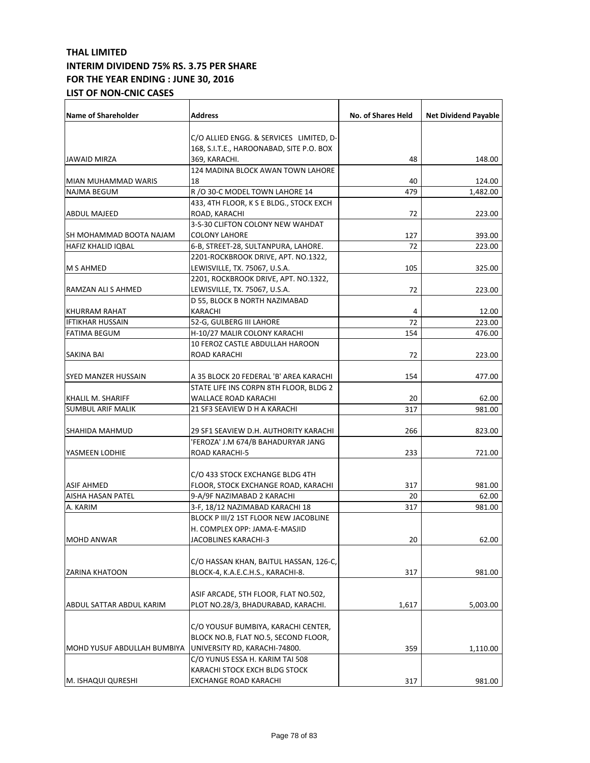| <b>Name of Shareholder</b>  | Address                                  | <b>No. of Shares Held</b> | <b>Net Dividend Payable</b> |
|-----------------------------|------------------------------------------|---------------------------|-----------------------------|
|                             |                                          |                           |                             |
|                             | C/O ALLIED ENGG. & SERVICES LIMITED, D-  |                           |                             |
|                             | 168, S.I.T.E., HAROONABAD, SITE P.O. BOX |                           |                             |
| JAWAID MIRZA                | 369, KARACHI.                            | 48                        | 148.00                      |
|                             | 124 MADINA BLOCK AWAN TOWN LAHORE        |                           |                             |
| MIAN MUHAMMAD WARIS         | 18                                       | 40                        | 124.00                      |
| NAJMA BEGUM                 | R /O 30-C MODEL TOWN LAHORE 14           | 479                       | 1,482.00                    |
|                             | 433, 4TH FLOOR, K S E BLDG., STOCK EXCH  |                           |                             |
| <b>ABDUL MAJEED</b>         | ROAD, KARACHI                            | 72                        | 223.00                      |
|                             | 3-S-30 CLIFTON COLONY NEW WAHDAT         |                           |                             |
| SH MOHAMMAD BOOTA NAJAM     | <b>COLONY LAHORE</b>                     | 127                       | 393.00                      |
| HAFIZ KHALID IQBAL          | 6-B, STREET-28, SULTANPURA, LAHORE.      | 72                        | 223.00                      |
|                             | 2201-ROCKBROOK DRIVE, APT. NO.1322,      |                           |                             |
| <b>M S AHMED</b>            | LEWISVILLE, TX. 75067, U.S.A.            | 105                       | 325.00                      |
|                             | 2201, ROCKBROOK DRIVE, APT. NO.1322,     |                           |                             |
| RAMZAN ALI S AHMED          | LEWISVILLE, TX. 75067, U.S.A.            | 72                        | 223.00                      |
|                             | D 55, BLOCK B NORTH NAZIMABAD            |                           |                             |
| KHURRAM RAHAT               | KARACHI                                  | 4                         | 12.00                       |
| <b>IFTIKHAR HUSSAIN</b>     | 52-G, GULBERG III LAHORE                 | 72                        | 223.00                      |
| <b>FATIMA BEGUM</b>         | H-10/27 MALIR COLONY KARACHI             | 154                       | 476.00                      |
|                             | 10 FEROZ CASTLE ABDULLAH HAROON          |                           |                             |
| SAKINA BAI                  | ROAD KARACHI                             | 72                        | 223.00                      |
| SYED MANZER HUSSAIN         | A 35 BLOCK 20 FEDERAL 'B' AREA KARACHI   | 154                       | 477.00                      |
|                             | STATE LIFE INS CORPN 8TH FLOOR, BLDG 2   |                           |                             |
| KHALIL M. SHARIFF           | WALLACE ROAD KARACHI                     | 20                        | 62.00                       |
| SUMBUL ARIF MALIK           | 21 SF3 SEAVIEW D H A KARACHI             | 317                       | 981.00                      |
|                             |                                          |                           |                             |
| SHAHIDA MAHMUD              | 29 SF1 SEAVIEW D.H. AUTHORITY KARACHI    | 266                       | 823.00                      |
|                             | 'FEROZA' J.M 674/B BAHADURYAR JANG       |                           |                             |
| YASMEEN LODHIE              | ROAD KARACHI-5                           | 233                       | 721.00                      |
|                             | C/O 433 STOCK EXCHANGE BLDG 4TH          |                           |                             |
|                             |                                          |                           |                             |
| <b>ASIF AHMED</b>           | FLOOR, STOCK EXCHANGE ROAD, KARACHI      | 317                       | 981.00                      |
| <b>AISHA HASAN PATEL</b>    | 9-A/9F NAZIMABAD 2 KARACHI               | 20                        | 62.00                       |
| A. KARIM                    | 3-F, 18/12 NAZIMABAD KARACHI 18          | 317                       | 981.00                      |
|                             | BLOCK P III/2 1ST FLOOR NEW JACOBLINE    |                           |                             |
|                             | H. COMPLEX OPP: JAMA-E-MASJID            |                           |                             |
| MOHD ANWAR                  | JACOBLINES KARACHI-3                     | 20                        | 62.00                       |
|                             |                                          |                           |                             |
|                             | C/O HASSAN KHAN, BAITUL HASSAN, 126-C,   |                           |                             |
| <b>ZARINA KHATOON</b>       | BLOCK-4, K.A.E.C.H.S., KARACHI-8.        | 317                       | 981.00                      |
|                             |                                          |                           |                             |
|                             | ASIF ARCADE, 5TH FLOOR, FLAT NO.502,     |                           |                             |
| ABDUL SATTAR ABDUL KARIM    | PLOT NO.28/3, BHADURABAD, KARACHI.       | 1,617                     | 5,003.00                    |
|                             |                                          |                           |                             |
|                             | C/O YOUSUF BUMBIYA, KARACHI CENTER,      |                           |                             |
|                             | BLOCK NO.B, FLAT NO.5, SECOND FLOOR,     |                           |                             |
| MOHD YUSUF ABDULLAH BUMBIYA | UNIVERSITY RD, KARACHI-74800.            | 359                       | 1,110.00                    |
|                             | C/O YUNUS ESSA H. KARIM TAI 508          |                           |                             |
|                             | KARACHI STOCK EXCH BLDG STOCK            |                           |                             |
| M. ISHAQUI QURESHI          | EXCHANGE ROAD KARACHI                    | 317                       | 981.00                      |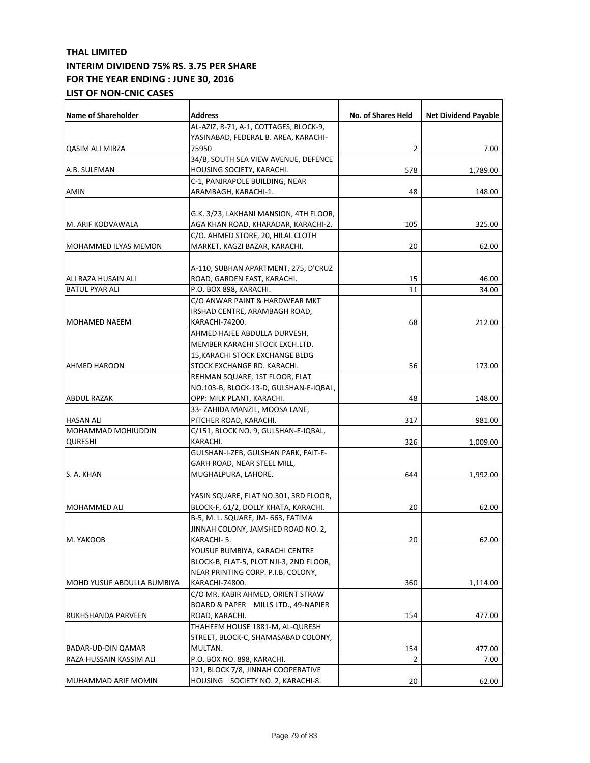| <b>Name of Shareholder</b> | <b>Address</b>                          | No. of Shares Held | <b>Net Dividend Payable</b> |
|----------------------------|-----------------------------------------|--------------------|-----------------------------|
|                            | AL-AZIZ, R-71, A-1, COTTAGES, BLOCK-9,  |                    |                             |
|                            | YASINABAD, FEDERAL B. AREA, KARACHI-    |                    |                             |
| QASIM ALI MIRZA            | 75950                                   | 2                  | 7.00                        |
|                            | 34/B, SOUTH SEA VIEW AVENUE, DEFENCE    |                    |                             |
| A.B. SULEMAN               | HOUSING SOCIETY, KARACHI.               | 578                | 1,789.00                    |
|                            | C-1, PANJRAPOLE BUILDING, NEAR          |                    |                             |
| AMIN                       | ARAMBAGH, KARACHI-1.                    | 48                 | 148.00                      |
|                            |                                         |                    |                             |
|                            | G.K. 3/23, LAKHANI MANSION, 4TH FLOOR,  |                    |                             |
| M. ARIF KODVAWALA          | AGA KHAN ROAD, KHARADAR, KARACHI-2.     | 105                | 325.00                      |
|                            | C/O. AHMED STORE, 20, HILAL CLOTH       |                    |                             |
| MOHAMMED ILYAS MEMON       | MARKET, KAGZI BAZAR, KARACHI.           | 20                 | 62.00                       |
|                            |                                         |                    |                             |
|                            | A-110, SUBHAN APARTMENT, 275, D'CRUZ    |                    |                             |
| ALI RAZA HUSAIN ALI        | ROAD, GARDEN EAST, KARACHI.             | 15                 | 46.00                       |
| <b>BATUL PYAR ALI</b>      | P.O. BOX 898, KARACHI.                  | 11                 | 34.00                       |
|                            | C/O ANWAR PAINT & HARDWEAR MKT          |                    |                             |
|                            | IRSHAD CENTRE, ARAMBAGH ROAD,           |                    |                             |
| MOHAMED NAEEM              | KARACHI-74200.                          | 68                 | 212.00                      |
|                            | AHMED HAJEE ABDULLA DURVESH,            |                    |                             |
|                            | MEMBER KARACHI STOCK EXCH.LTD.          |                    |                             |
|                            | 15, KARACHI STOCK EXCHANGE BLDG         |                    |                             |
| AHMED HAROON               | STOCK EXCHANGE RD. KARACHI.             | 56                 | 173.00                      |
|                            | REHMAN SQUARE, 1ST FLOOR, FLAT          |                    |                             |
|                            | NO.103-B, BLOCK-13-D, GULSHAN-E-IQBAL,  |                    |                             |
| ABDUL RAZAK                | OPP: MILK PLANT, KARACHI.               | 48                 | 148.00                      |
|                            | 33- ZAHIDA MANZIL, MOOSA LANE,          |                    |                             |
| <b>HASAN ALI</b>           | PITCHER ROAD, KARACHI.                  | 317                | 981.00                      |
| MOHAMMAD MOHIUDDIN         | C/151, BLOCK NO. 9, GULSHAN-E-IQBAL,    |                    |                             |
| <b>QURESHI</b>             | KARACHI.                                | 326                | 1,009.00                    |
|                            | GULSHAN-I-ZEB, GULSHAN PARK, FAIT-E-    |                    |                             |
|                            | GARH ROAD, NEAR STEEL MILL,             |                    |                             |
| S. A. KHAN                 | MUGHALPURA, LAHORE.                     | 644                | 1,992.00                    |
|                            |                                         |                    |                             |
|                            | YASIN SQUARE, FLAT NO.301, 3RD FLOOR,   |                    |                             |
| <b>MOHAMMED ALI</b>        | BLOCK-F, 61/2, DOLLY KHATA, KARACHI.    | 20                 | 62.00                       |
|                            | B-5, M. L. SQUARE, JM- 663, FATIMA      |                    |                             |
|                            | JINNAH COLONY, JAMSHED ROAD NO. 2,      |                    |                             |
| M. YAKOOB                  | KARACHI-5.                              | 20                 | 62.00                       |
|                            | YOUSUF BUMBIYA, KARACHI CENTRE          |                    |                             |
|                            | BLOCK-B, FLAT-5, PLOT NJI-3, 2ND FLOOR, |                    |                             |
|                            | NEAR PRINTING CORP. P.I.B. COLONY,      |                    |                             |
| MOHD YUSUF ABDULLA BUMBIYA | KARACHI-74800.                          | 360                | 1,114.00                    |
|                            | C/O MR. KABIR AHMED, ORIENT STRAW       |                    |                             |
|                            | BOARD & PAPER MILLS LTD., 49-NAPIER     |                    |                             |
| RUKHSHANDA PARVEEN         | ROAD, KARACHI.                          | 154                | 477.00                      |
|                            | THAHEEM HOUSE 1881-M, AL-QURESH         |                    |                             |
|                            | STREET, BLOCK-C, SHAMASABAD COLONY,     |                    |                             |
| BADAR-UD-DIN QAMAR         | MULTAN.                                 | 154                | 477.00                      |
| RAZA HUSSAIN KASSIM ALI    | P.O. BOX NO. 898, KARACHI.              | 2                  | 7.00                        |
|                            | 121, BLOCK 7/8, JINNAH COOPERATIVE      |                    |                             |
| MUHAMMAD ARIF MOMIN        | HOUSING SOCIETY NO. 2, KARACHI-8.       | 20                 | 62.00                       |
|                            |                                         |                    |                             |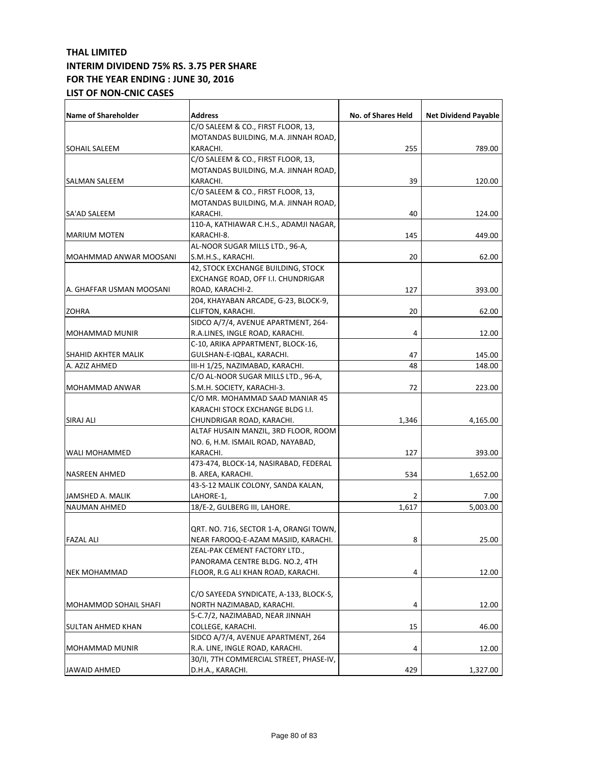| Name of Shareholder      | <b>Address</b>                                | No. of Shares Held | <b>Net Dividend Payable</b> |
|--------------------------|-----------------------------------------------|--------------------|-----------------------------|
|                          | C/O SALEEM & CO., FIRST FLOOR, 13,            |                    |                             |
|                          | MOTANDAS BUILDING, M.A. JINNAH ROAD,          |                    |                             |
| <b>SOHAIL SALEEM</b>     | KARACHI.                                      | 255                | 789.00                      |
|                          | C/O SALEEM & CO., FIRST FLOOR, 13,            |                    |                             |
|                          | MOTANDAS BUILDING, M.A. JINNAH ROAD,          |                    |                             |
| SALMAN SALEEM            | KARACHI.                                      | 39                 | 120.00                      |
|                          | C/O SALEEM & CO., FIRST FLOOR, 13,            |                    |                             |
|                          | MOTANDAS BUILDING, M.A. JINNAH ROAD,          |                    |                             |
| SA'AD SALEEM             | KARACHI.                                      | 40                 | 124.00                      |
|                          | 110-A, KATHIAWAR C.H.S., ADAMJI NAGAR,        |                    |                             |
| <b>MARIUM MOTEN</b>      | KARACHI-8.                                    | 145                | 449.00                      |
|                          | AL-NOOR SUGAR MILLS LTD., 96-A,               |                    |                             |
| MOAHMMAD ANWAR MOOSANI   | S.M.H.S., KARACHI.                            | 20                 | 62.00                       |
|                          | 42, STOCK EXCHANGE BUILDING, STOCK            |                    |                             |
|                          | EXCHANGE ROAD, OFF I.I. CHUNDRIGAR            |                    |                             |
| A. GHAFFAR USMAN MOOSANI | ROAD, KARACHI-2.                              | 127                | 393.00                      |
|                          | 204, KHAYABAN ARCADE, G-23, BLOCK-9,          |                    |                             |
| <b>ZOHRA</b>             | CLIFTON, KARACHI.                             | 20                 | 62.00                       |
|                          | SIDCO A/7/4, AVENUE APARTMENT, 264-           |                    |                             |
| <b>MOHAMMAD MUNIR</b>    | R.A.LINES, INGLE ROAD, KARACHI.               | 4                  | 12.00                       |
|                          | C-10, ARIKA APPARTMENT, BLOCK-16,             |                    |                             |
| SHAHID AKHTER MALIK      | GULSHAN-E-IQBAL, KARACHI.                     | 47                 | 145.00                      |
| A. AZIZ AHMED            | III-H 1/25, NAZIMABAD, KARACHI.               | 48                 | 148.00                      |
|                          | C/O AL-NOOR SUGAR MILLS LTD., 96-A,           |                    |                             |
| MOHAMMAD ANWAR           | S.M.H. SOCIETY, KARACHI-3.                    | 72                 | 223.00                      |
|                          | C/O MR. MOHAMMAD SAAD MANIAR 45               |                    |                             |
|                          | KARACHI STOCK EXCHANGE BLDG I.I.              |                    |                             |
| SIRAJ ALI                |                                               |                    |                             |
|                          | CHUNDRIGAR ROAD, KARACHI.                     | 1,346              | 4,165.00                    |
|                          | ALTAF HUSAIN MANZIL, 3RD FLOOR, ROOM          |                    |                             |
| WALI MOHAMMED            | NO. 6, H.M. ISMAIL ROAD, NAYABAD,<br>KARACHI. |                    |                             |
|                          |                                               | 127                | 393.00                      |
|                          | 473-474, BLOCK-14, NASIRABAD, FEDERAL         |                    |                             |
| <b>NASREEN AHMED</b>     | B. AREA, KARACHI.                             | 534                | 1,652.00                    |
|                          | 43-S-12 MALIK COLONY, SANDA KALAN,            |                    |                             |
| JAMSHED A. MALIK         | LAHORE-1,                                     | 2                  | 7.00<br>5.003.00            |
| <b>NAUMAN AHMED</b>      | 18/E-2, GULBERG III, LAHORE.                  | 1,617              |                             |
|                          |                                               |                    |                             |
|                          | QRT. NO. 716, SECTOR 1-A, ORANGI TOWN,        |                    |                             |
| <b>FAZAL ALI</b>         | NEAR FAROOQ-E-AZAM MASJID, KARACHI.           | 8                  | 25.00                       |
|                          | ZEAL-PAK CEMENT FACTORY LTD.,                 |                    |                             |
|                          | PANORAMA CENTRE BLDG. NO.2, 4TH               |                    |                             |
| <b>NEK MOHAMMAD</b>      | FLOOR, R.G ALI KHAN ROAD, KARACHI.            | 4                  | 12.00                       |
|                          |                                               |                    |                             |
|                          | C/O SAYEEDA SYNDICATE, A-133, BLOCK-S,        |                    |                             |
| MOHAMMOD SOHAIL SHAFI    | NORTH NAZIMABAD, KARACHI.                     | 4                  | 12.00                       |
|                          | 5-C.7/2, NAZIMABAD, NEAR JINNAH               |                    |                             |
| <b>SULTAN AHMED KHAN</b> | COLLEGE, KARACHI.                             | 15                 | 46.00                       |
|                          | SIDCO A/7/4, AVENUE APARTMENT, 264            |                    |                             |
| <b>MOHAMMAD MUNIR</b>    | R.A. LINE, INGLE ROAD, KARACHI.               | 4                  | 12.00                       |
|                          | 30/II, 7TH COMMERCIAL STREET, PHASE-IV,       |                    |                             |
| <b>JAWAID AHMED</b>      | D.H.A., KARACHI.                              | 429                | 1,327.00                    |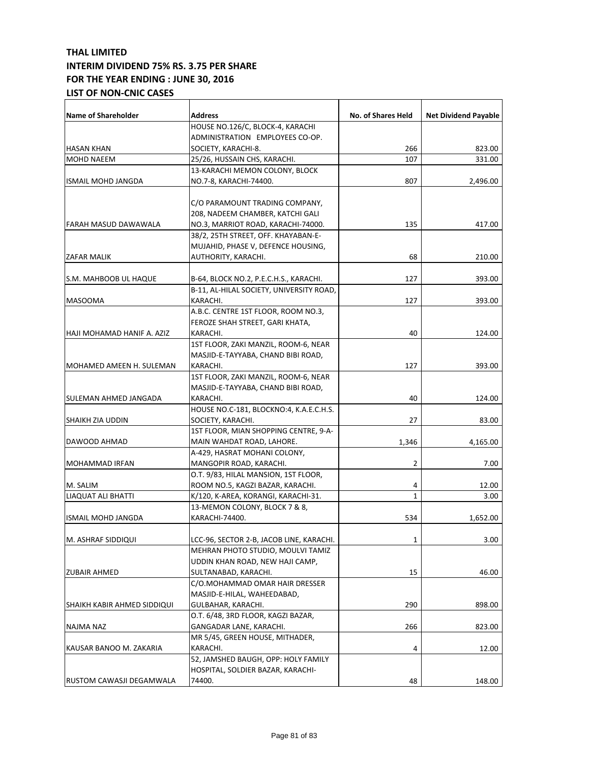| Name of Shareholder         | <b>Address</b>                           | <b>No. of Shares Held</b> | <b>Net Dividend Payable</b> |
|-----------------------------|------------------------------------------|---------------------------|-----------------------------|
|                             | HOUSE NO.126/C, BLOCK-4, KARACHI         |                           |                             |
|                             | ADMINISTRATION EMPLOYEES CO-OP.          |                           |                             |
| <b>HASAN KHAN</b>           | SOCIETY, KARACHI-8.                      | 266                       | 823.00                      |
| <b>MOHD NAEEM</b>           | 25/26, HUSSAIN CHS, KARACHI.             | 107                       | 331.00                      |
|                             | 13-KARACHI MEMON COLONY, BLOCK           |                           |                             |
| <b>ISMAIL MOHD JANGDA</b>   | NO.7-8, KARACHI-74400.                   | 807                       | 2,496.00                    |
|                             |                                          |                           |                             |
|                             | C/O PARAMOUNT TRADING COMPANY,           |                           |                             |
|                             | 208, NADEEM CHAMBER, KATCHI GALI         |                           |                             |
| FARAH MASUD DAWAWALA        | NO.3, MARRIOT ROAD, KARACHI-74000.       | 135                       | 417.00                      |
|                             | 38/2, 25TH STREET, OFF. KHAYABAN-E-      |                           |                             |
|                             | MUJAHID, PHASE V, DEFENCE HOUSING,       |                           |                             |
| <b>ZAFAR MALIK</b>          | AUTHORITY, KARACHI.                      | 68                        | 210.00                      |
|                             |                                          |                           |                             |
| S.M. MAHBOOB UL HAQUE       | B-64, BLOCK NO.2, P.E.C.H.S., KARACHI.   | 127                       | 393.00                      |
|                             | B-11, AL-HILAL SOCIETY, UNIVERSITY ROAD, |                           |                             |
| <b>MASOOMA</b>              | KARACHI.                                 | 127                       | 393.00                      |
|                             | A.B.C. CENTRE 1ST FLOOR, ROOM NO.3,      |                           |                             |
|                             | FEROZE SHAH STREET, GARI KHATA,          |                           |                             |
| HAJI MOHAMAD HANIF A. AZIZ  | KARACHI.                                 | 40                        | 124.00                      |
|                             | 1ST FLOOR, ZAKI MANZIL, ROOM-6, NEAR     |                           |                             |
|                             | MASJID-E-TAYYABA, CHAND BIBI ROAD,       |                           |                             |
| MOHAMED AMEEN H. SULEMAN    | KARACHI.                                 | 127                       | 393.00                      |
|                             | 1ST FLOOR, ZAKI MANZIL, ROOM-6, NEAR     |                           |                             |
|                             | MASJID-E-TAYYABA, CHAND BIBI ROAD,       |                           |                             |
| SULEMAN AHMED JANGADA       | KARACHI.                                 | 40                        | 124.00                      |
|                             | HOUSE NO.C-181, BLOCKNO:4, K.A.E.C.H.S.  |                           |                             |
| <b>SHAIKH ZIA UDDIN</b>     | SOCIETY, KARACHI.                        | 27                        | 83.00                       |
|                             | 1ST FLOOR, MIAN SHOPPING CENTRE, 9-A-    |                           |                             |
| DAWOOD AHMAD                | MAIN WAHDAT ROAD, LAHORE.                | 1,346                     | 4,165.00                    |
|                             | A-429, HASRAT MOHANI COLONY,             |                           |                             |
| <b>MOHAMMAD IRFAN</b>       | MANGOPIR ROAD, KARACHI.                  | 2                         | 7.00                        |
|                             | O.T. 9/83, HILAL MANSION, 1ST FLOOR,     |                           |                             |
| M. SALIM                    | ROOM NO.5, KAGZI BAZAR, KARACHI.         | 4                         | 12.00                       |
| LIAQUAT ALI BHATTI          | K/120, K-AREA, KORANGI, KARACHI-31.      | $\mathbf{1}$              | 3.00                        |
|                             | 13-MEMON COLONY, BLOCK 7 & 8,            |                           |                             |
| <b>ISMAIL MOHD JANGDA</b>   | KARACHI-74400.                           | 534                       | 1,652.00                    |
|                             |                                          |                           |                             |
| M. ASHRAF SIDDIQUI          | LCC-96, SECTOR 2-B, JACOB LINE, KARACHI. | 1                         | 3.00                        |
|                             | MEHRAN PHOTO STUDIO, MOULVI TAMIZ        |                           |                             |
|                             | UDDIN KHAN ROAD, NEW HAJI CAMP,          |                           |                             |
| <b>ZUBAIR AHMED</b>         | SULTANABAD, KARACHI.                     | 15                        | 46.00                       |
|                             | C/O.MOHAMMAD OMAR HAIR DRESSER           |                           |                             |
|                             | MASJID-E-HILAL, WAHEEDABAD,              |                           |                             |
| SHAIKH KABIR AHMED SIDDIQUI | GULBAHAR, KARACHI.                       | 290                       | 898.00                      |
|                             | O.T. 6/48, 3RD FLOOR, KAGZI BAZAR,       |                           |                             |
| <b>NAJMA NAZ</b>            | GANGADAR LANE, KARACHI.                  | 266                       | 823.00                      |
|                             | MR 5/45, GREEN HOUSE, MITHADER,          |                           |                             |
| KAUSAR BANOO M. ZAKARIA     | KARACHI.                                 | 4                         | 12.00                       |
|                             | 52, JAMSHED BAUGH, OPP: HOLY FAMILY      |                           |                             |
|                             | HOSPITAL, SOLDIER BAZAR, KARACHI-        |                           |                             |
| RUSTOM CAWASJI DEGAMWALA    | 74400.                                   | 48                        | 148.00                      |
|                             |                                          |                           |                             |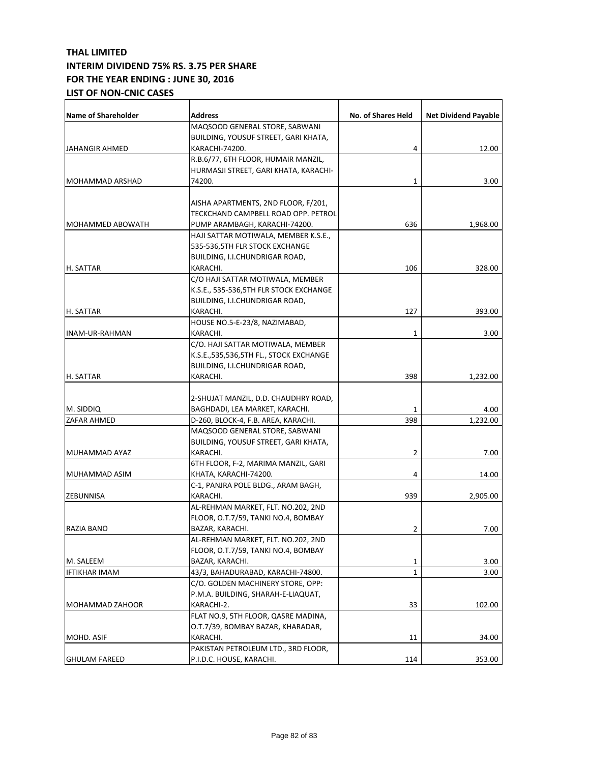| <b>Name of Shareholder</b>      | <b>Address</b>                                         | <b>No. of Shares Held</b> | <b>Net Dividend Payable</b> |
|---------------------------------|--------------------------------------------------------|---------------------------|-----------------------------|
|                                 | MAQSOOD GENERAL STORE, SABWANI                         |                           |                             |
|                                 | BUILDING, YOUSUF STREET, GARI KHATA,                   |                           |                             |
| JAHANGIR AHMED                  | KARACHI-74200.                                         | 4                         | 12.00                       |
|                                 | R.B.6/77, 6TH FLOOR, HUMAIR MANZIL,                    |                           |                             |
|                                 | HURMASJI STREET, GARI KHATA, KARACHI-                  |                           |                             |
| MOHAMMAD ARSHAD                 | 74200.                                                 | 1                         | 3.00                        |
|                                 |                                                        |                           |                             |
|                                 | AISHA APARTMENTS, 2ND FLOOR, F/201,                    |                           |                             |
|                                 | TECKCHAND CAMPBELL ROAD OPP. PETROL                    |                           |                             |
| <b>MOHAMMED ABOWATH</b>         | PUMP ARAMBAGH, KARACHI-74200.                          | 636                       | 1,968.00                    |
|                                 | HAJI SATTAR MOTIWALA, MEMBER K.S.E.,                   |                           |                             |
|                                 | 535-536,5TH FLR STOCK EXCHANGE                         |                           |                             |
|                                 | BUILDING, I.I.CHUNDRIGAR ROAD,                         |                           |                             |
| H. SATTAR                       | KARACHI.                                               | 106                       | 328.00                      |
|                                 | C/O HAJI SATTAR MOTIWALA, MEMBER                       |                           |                             |
|                                 | K.S.E., 535-536,5TH FLR STOCK EXCHANGE                 |                           |                             |
|                                 | BUILDING, I.I.CHUNDRIGAR ROAD,                         |                           |                             |
| H. SATTAR                       | KARACHI.                                               | 127                       | 393.00                      |
|                                 | HOUSE NO.5-E-23/8, NAZIMABAD,                          |                           |                             |
| INAM-UR-RAHMAN                  | KARACHI.                                               | 1                         | 3.00                        |
|                                 | C/O. HAJI SATTAR MOTIWALA, MEMBER                      |                           |                             |
|                                 | K.S.E.,535,536,5TH FL., STOCK EXCHANGE                 |                           |                             |
|                                 | BUILDING, I.I.CHUNDRIGAR ROAD,                         |                           |                             |
| H. SATTAR                       | KARACHI.                                               | 398                       | 1,232.00                    |
|                                 |                                                        |                           |                             |
|                                 | 2-SHUJAT MANZIL, D.D. CHAUDHRY ROAD,                   |                           |                             |
| M. SIDDIQ<br><b>ZAFAR AHMED</b> | BAGHDADI, LEA MARKET, KARACHI.                         | 1                         | 4.00                        |
|                                 | D-260, BLOCK-4, F.B. AREA, KARACHI.                    | 398                       | 1,232.00                    |
|                                 | MAQSOOD GENERAL STORE, SABWANI                         |                           |                             |
| MUHAMMAD AYAZ                   | BUILDING, YOUSUF STREET, GARI KHATA,<br>KARACHI.       | 2                         | 7.00                        |
|                                 | 6TH FLOOR, F-2, MARIMA MANZIL, GARI                    |                           |                             |
| MUHAMMAD ASIM                   | KHATA, KARACHI-74200.                                  | 4                         | 14.00                       |
|                                 | C-1, PANJRA POLE BLDG., ARAM BAGH,                     |                           |                             |
|                                 |                                                        | 939                       | 2,905.00                    |
| ZEBUNNISA                       | KARACHI.<br>AL-REHMAN MARKET, FLT. NO.202, 2ND         |                           |                             |
|                                 | FLOOR, O.T.7/59, TANKI NO.4, BOMBAY                    |                           |                             |
| RAZIA BANO                      | BAZAR, KARACHI.                                        | 2                         | 7.00                        |
|                                 | AL-REHMAN MARKET, FLT. NO.202, 2ND                     |                           |                             |
|                                 |                                                        |                           |                             |
| M. SALEEM                       | FLOOR, O.T.7/59, TANKI NO.4, BOMBAY<br>BAZAR, KARACHI. |                           |                             |
| <b>IFTIKHAR IMAM</b>            | 43/3, BAHADURABAD, KARACHI-74800.                      | 1<br>$\mathbf 1$          | 3.00                        |
|                                 |                                                        |                           | 3.00                        |
|                                 | C/O. GOLDEN MACHINERY STORE, OPP:                      |                           |                             |
|                                 | P.M.A. BUILDING, SHARAH-E-LIAQUAT,                     |                           |                             |
| MOHAMMAD ZAHOOR                 | KARACHI-2.                                             | 33                        | 102.00                      |
|                                 | FLAT NO.9, 5TH FLOOR, QASRE MADINA,                    |                           |                             |
|                                 | O.T.7/39, BOMBAY BAZAR, KHARADAR,                      |                           |                             |
| MOHD. ASIF                      | KARACHI.                                               | 11                        | 34.00                       |
|                                 | PAKISTAN PETROLEUM LTD., 3RD FLOOR,                    |                           |                             |
| <b>GHULAM FAREED</b>            | P.I.D.C. HOUSE, KARACHI.                               | 114                       | 353.00                      |